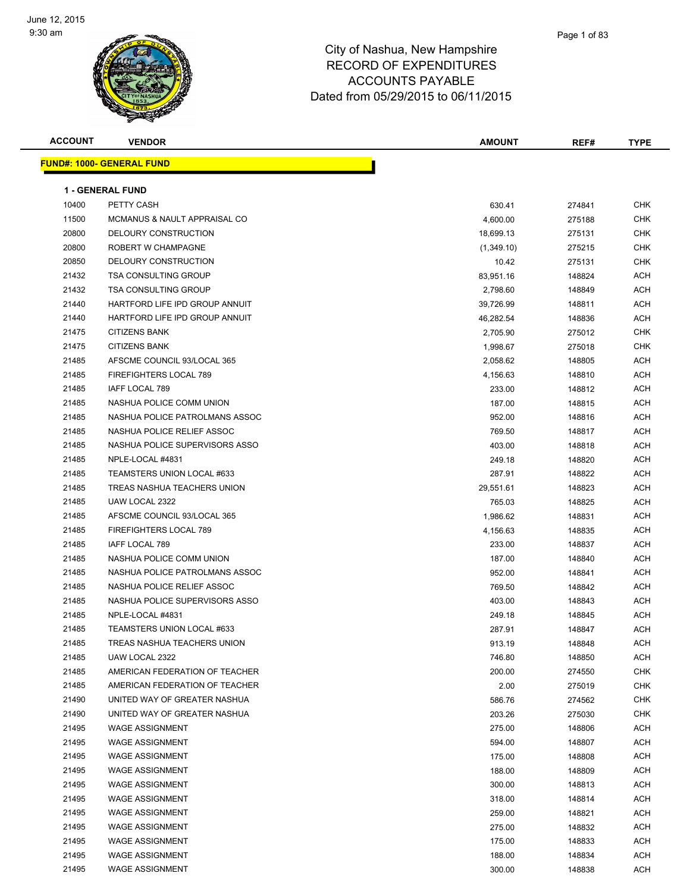

| <b>ACCOUNT</b> | <b>VENDOR</b>                     | <b>AMOUNT</b> | REF#   | <b>TYPE</b> |
|----------------|-----------------------------------|---------------|--------|-------------|
|                | <u> FUND#: 1000- GENERAL FUND</u> |               |        |             |
|                |                                   |               |        |             |
|                | <b>1 - GENERAL FUND</b>           |               |        |             |
| 10400          | PETTY CASH                        | 630.41        | 274841 | CHK         |
| 11500          | MCMANUS & NAULT APPRAISAL CO      | 4,600.00      | 275188 | CHK         |
| 20800          | DELOURY CONSTRUCTION              | 18,699.13     | 275131 | CHK         |
| 20800          | ROBERT W CHAMPAGNE                | (1,349.10)    | 275215 | <b>CHK</b>  |
| 20850          | DELOURY CONSTRUCTION              | 10.42         | 275131 | <b>CHK</b>  |
| 21432          | <b>TSA CONSULTING GROUP</b>       | 83,951.16     | 148824 | ACH         |
| 21432          | <b>TSA CONSULTING GROUP</b>       | 2,798.60      | 148849 | ACH         |
| 21440          | HARTFORD LIFE IPD GROUP ANNUIT    | 39,726.99     | 148811 | ACH         |
| 21440          | HARTFORD LIFE IPD GROUP ANNUIT    | 46,282.54     | 148836 | ACH         |
| 21475          | <b>CITIZENS BANK</b>              | 2,705.90      | 275012 | <b>CHK</b>  |
| 21475          | <b>CITIZENS BANK</b>              | 1,998.67      | 275018 | <b>CHK</b>  |
| 21485          | AFSCME COUNCIL 93/LOCAL 365       | 2,058.62      | 148805 | ACH         |
| 21485          | <b>FIREFIGHTERS LOCAL 789</b>     | 4,156.63      | 148810 | ACH         |
| 21485          | IAFF LOCAL 789                    | 233.00        | 148812 | ACH         |
| 21485          | NASHUA POLICE COMM UNION          | 187.00        | 148815 | ACH         |
| 21485          | NASHUA POLICE PATROLMANS ASSOC    | 952.00        | 148816 | ACH         |
| 21485          | NASHUA POLICE RELIEF ASSOC        | 769.50        | 148817 | ACH         |
| 21485          | NASHUA POLICE SUPERVISORS ASSO    | 403.00        | 148818 | ACH         |
| 21485          | NPLE-LOCAL #4831                  | 249.18        | 148820 | ACH         |
| 21485          | TEAMSTERS UNION LOCAL #633        | 287.91        | 148822 | ACH         |
| 21485          | TREAS NASHUA TEACHERS UNION       | 29,551.61     | 148823 | ACH         |
| 21485          | UAW LOCAL 2322                    | 765.03        | 148825 | ACH         |
| 21485          | AFSCME COUNCIL 93/LOCAL 365       | 1,986.62      | 148831 | ACH         |
| 21485          | FIREFIGHTERS LOCAL 789            | 4,156.63      | 148835 | ACH         |
| 21485          | IAFF LOCAL 789                    | 233.00        | 148837 | ACH         |
| 21485          | NASHUA POLICE COMM UNION          | 187.00        | 148840 | ACH         |
| 21485          | NASHUA POLICE PATROLMANS ASSOC    | 952.00        | 148841 | ACH         |
| 21485          | NASHUA POLICE RELIEF ASSOC        | 769.50        | 148842 | ACH         |
| 21485          | NASHUA POLICE SUPERVISORS ASSO    | 403.00        | 148843 | ACH         |
| 21485          | NPLE-LOCAL #4831                  | 249.18        | 148845 | ACH         |
| 21485          | TEAMSTERS UNION LOCAL #633        | 287.91        | 148847 | ACH         |
| 21485          | TREAS NASHUA TEACHERS UNION       | 913.19        | 148848 | ACH         |
| 21485          | UAW LOCAL 2322                    | 746.80        | 148850 | ACH         |
| 21485          | AMERICAN FEDERATION OF TEACHER    | 200.00        | 274550 | <b>CHK</b>  |
| 21485          | AMERICAN FEDERATION OF TEACHER    | 2.00          | 275019 | <b>CHK</b>  |
| 21490          | UNITED WAY OF GREATER NASHUA      | 586.76        | 274562 | <b>CHK</b>  |
| 21490          | UNITED WAY OF GREATER NASHUA      | 203.26        | 275030 | <b>CHK</b>  |
| 21495          | <b>WAGE ASSIGNMENT</b>            | 275.00        | 148806 | ACH         |
| 21495          | <b>WAGE ASSIGNMENT</b>            | 594.00        | 148807 | ACH         |
| 21495          | <b>WAGE ASSIGNMENT</b>            | 175.00        | 148808 | ACH         |
| 21495          | <b>WAGE ASSIGNMENT</b>            | 188.00        | 148809 | ACH         |
| 21495          | <b>WAGE ASSIGNMENT</b>            | 300.00        | 148813 | ACH         |
| 21495          | <b>WAGE ASSIGNMENT</b>            | 318.00        | 148814 | ACH         |
| 21495          | <b>WAGE ASSIGNMENT</b>            | 259.00        | 148821 | ACH         |
| 21495          | <b>WAGE ASSIGNMENT</b>            | 275.00        | 148832 | ACH         |
| 21495          | <b>WAGE ASSIGNMENT</b>            | 175.00        | 148833 | ACH         |
| 21495          | <b>WAGE ASSIGNMENT</b>            | 188.00        | 148834 | ACH         |
| 21495          | <b>WAGE ASSIGNMENT</b>            | 300.00        | 148838 | ACH         |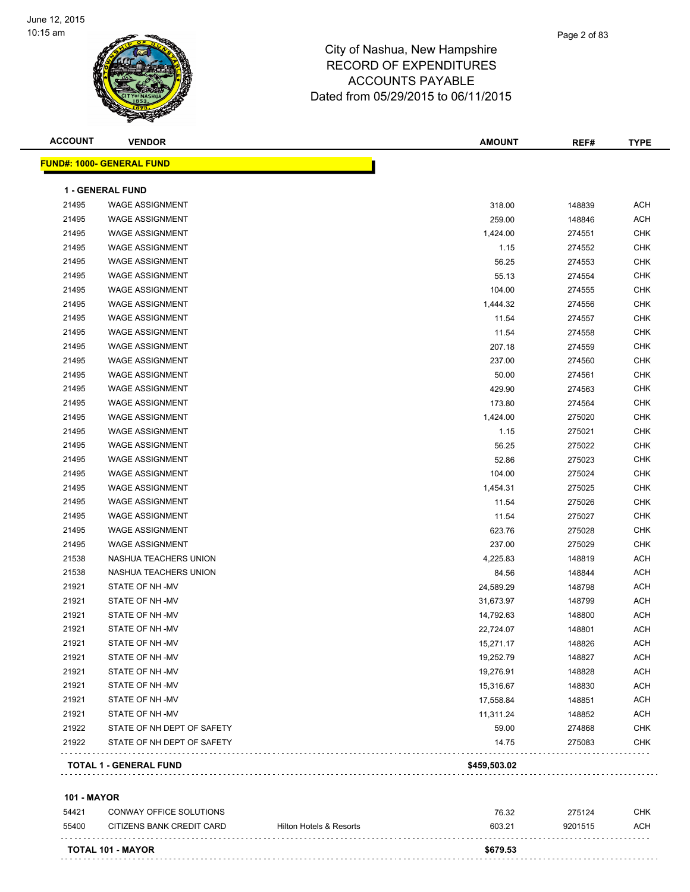

|       | <b>VENDOR</b>                     | <b>AMOUNT</b> | REF#   | <b>TYPE</b> |
|-------|-----------------------------------|---------------|--------|-------------|
|       | <u> FUND#: 1000- GENERAL FUND</u> |               |        |             |
|       | <b>1 - GENERAL FUND</b>           |               |        |             |
| 21495 | <b>WAGE ASSIGNMENT</b>            | 318.00        | 148839 | <b>ACH</b>  |
| 21495 | <b>WAGE ASSIGNMENT</b>            | 259.00        | 148846 | <b>ACH</b>  |
| 21495 | <b>WAGE ASSIGNMENT</b>            | 1,424.00      | 274551 | <b>CHK</b>  |
| 21495 | <b>WAGE ASSIGNMENT</b>            | 1.15          | 274552 | <b>CHK</b>  |
| 21495 | <b>WAGE ASSIGNMENT</b>            | 56.25         | 274553 | <b>CHK</b>  |
| 21495 | <b>WAGE ASSIGNMENT</b>            | 55.13         | 274554 | <b>CHK</b>  |
| 21495 | <b>WAGE ASSIGNMENT</b>            | 104.00        | 274555 | <b>CHK</b>  |
| 21495 | <b>WAGE ASSIGNMENT</b>            | 1,444.32      | 274556 | CHK         |
| 21495 | <b>WAGE ASSIGNMENT</b>            | 11.54         | 274557 | <b>CHK</b>  |
| 21495 | <b>WAGE ASSIGNMENT</b>            | 11.54         | 274558 | <b>CHK</b>  |
| 21495 | <b>WAGE ASSIGNMENT</b>            | 207.18        | 274559 | <b>CHK</b>  |
| 21495 | <b>WAGE ASSIGNMENT</b>            | 237.00        | 274560 | <b>CHK</b>  |
| 21495 | <b>WAGE ASSIGNMENT</b>            | 50.00         | 274561 | <b>CHK</b>  |
| 21495 | <b>WAGE ASSIGNMENT</b>            | 429.90        | 274563 | <b>CHK</b>  |
| 21495 | <b>WAGE ASSIGNMENT</b>            | 173.80        | 274564 | <b>CHK</b>  |
| 21495 | <b>WAGE ASSIGNMENT</b>            | 1,424.00      | 275020 | <b>CHK</b>  |
| 21495 | <b>WAGE ASSIGNMENT</b>            | 1.15          | 275021 | <b>CHK</b>  |
| 21495 | <b>WAGE ASSIGNMENT</b>            | 56.25         | 275022 | <b>CHK</b>  |
| 21495 | <b>WAGE ASSIGNMENT</b>            | 52.86         | 275023 | CHK         |
| 21495 | <b>WAGE ASSIGNMENT</b>            | 104.00        | 275024 | <b>CHK</b>  |
| 21495 | <b>WAGE ASSIGNMENT</b>            | 1,454.31      | 275025 | <b>CHK</b>  |
| 21495 | <b>WAGE ASSIGNMENT</b>            | 11.54         | 275026 | <b>CHK</b>  |
| 21495 | <b>WAGE ASSIGNMENT</b>            | 11.54         | 275027 | <b>CHK</b>  |
| 21495 | <b>WAGE ASSIGNMENT</b>            | 623.76        | 275028 | <b>CHK</b>  |
| 21495 | <b>WAGE ASSIGNMENT</b>            | 237.00        | 275029 | <b>CHK</b>  |
| 21538 | NASHUA TEACHERS UNION             | 4,225.83      | 148819 | <b>ACH</b>  |
| 21538 | NASHUA TEACHERS UNION             | 84.56         | 148844 | <b>ACH</b>  |
| 21921 | STATE OF NH-MV                    | 24,589.29     | 148798 | <b>ACH</b>  |
| 21921 | STATE OF NH-MV                    | 31,673.97     | 148799 | <b>ACH</b>  |
| 21921 | STATE OF NH-MV                    | 14,792.63     | 148800 | <b>ACH</b>  |
| 21921 | STATE OF NH-MV                    | 22,724.07     | 148801 | <b>ACH</b>  |
| 21921 | STATE OF NH-MV                    | 15,271.17     | 148826 | ACH         |
| 21921 | STATE OF NH-MV                    | 19,252.79     | 148827 | <b>ACH</b>  |
| 21921 | STATE OF NH-MV                    | 19,276.91     | 148828 | <b>ACH</b>  |
| 21921 | STATE OF NH-MV                    | 15,316.67     | 148830 | <b>ACH</b>  |
| 21921 | STATE OF NH-MV                    | 17,558.84     | 148851 | <b>ACH</b>  |
| 21921 | STATE OF NH-MV                    | 11,311.24     | 148852 | <b>ACH</b>  |
| 21922 | STATE OF NH DEPT OF SAFETY        | 59.00         | 274868 | <b>CHK</b>  |
| 21922 | STATE OF NH DEPT OF SAFETY        | 14.75         | 275083 | CHK         |
|       | <b>TOTAL 1 - GENERAL FUND</b>     | \$459,503.02  |        |             |

 CONWAY OFFICE SOLUTIONS 76.32 275124 CHK 55400 CITIZENS BANK CREDIT CARD Hilton Hotels & Resorts 603.21 9201515 ACH **TOTAL 101 - MAYOR \$679.53**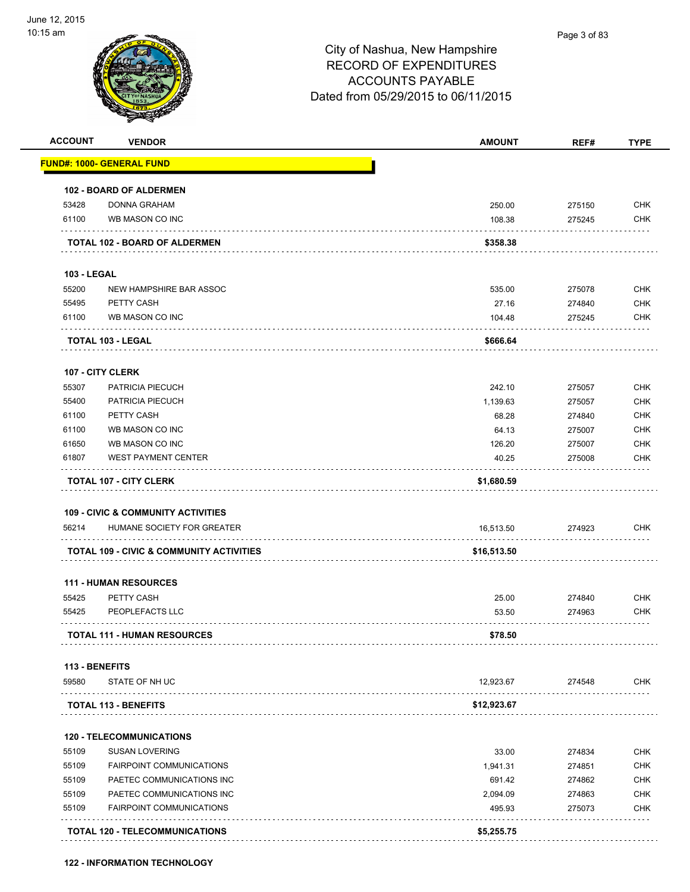

| <b>ACCOUNT</b>     | <b>VENDOR</b>                                       | <b>AMOUNT</b> | REF#   | <b>TYPE</b> |
|--------------------|-----------------------------------------------------|---------------|--------|-------------|
|                    | <u> FUND#: 1000- GENERAL FUND</u>                   |               |        |             |
|                    | <b>102 - BOARD OF ALDERMEN</b>                      |               |        |             |
| 53428              | DONNA GRAHAM                                        | 250.00        | 275150 | <b>CHK</b>  |
| 61100              | WB MASON CO INC                                     | 108.38        | 275245 | <b>CHK</b>  |
|                    | TOTAL 102 - BOARD OF ALDERMEN                       | \$358.38      |        |             |
| <b>103 - LEGAL</b> |                                                     |               |        |             |
| 55200              | NEW HAMPSHIRE BAR ASSOC                             | 535.00        | 275078 | CHK         |
| 55495              | PETTY CASH                                          | 27.16         | 274840 | <b>CHK</b>  |
| 61100              | WB MASON CO INC                                     | 104.48        | 275245 | <b>CHK</b>  |
|                    | TOTAL 103 - LEGAL                                   | \$666.64      |        |             |
|                    | 107 - CITY CLERK                                    |               |        |             |
| 55307              | PATRICIA PIECUCH                                    | 242.10        | 275057 | <b>CHK</b>  |
| 55400              | PATRICIA PIECUCH                                    | 1,139.63      | 275057 | <b>CHK</b>  |
| 61100              | PETTY CASH                                          | 68.28         | 274840 | <b>CHK</b>  |
| 61100              | WB MASON CO INC                                     | 64.13         | 275007 | <b>CHK</b>  |
| 61650              | WB MASON CO INC                                     | 126.20        | 275007 | <b>CHK</b>  |
| 61807              | <b>WEST PAYMENT CENTER</b>                          | 40.25         | 275008 | <b>CHK</b>  |
|                    | <b>TOTAL 107 - CITY CLERK</b>                       | \$1,680.59    |        |             |
|                    | <b>109 - CIVIC &amp; COMMUNITY ACTIVITIES</b>       |               |        |             |
| 56214              | HUMANE SOCIETY FOR GREATER                          | 16,513.50     | 274923 | CHK         |
|                    | <b>TOTAL 109 - CIVIC &amp; COMMUNITY ACTIVITIES</b> | \$16,513.50   |        |             |
|                    | <b>111 - HUMAN RESOURCES</b>                        |               |        |             |
| 55425              | PETTY CASH                                          | 25.00         | 274840 | <b>CHK</b>  |
| 55425              | PEOPLEFACTS LLC                                     | 53.50         | 274963 | <b>CHK</b>  |
|                    | <b>TOTAL 111 - HUMAN RESOURCES</b>                  | \$78.50       |        |             |
| 113 - BENEFITS     |                                                     |               |        |             |
| 59580              | STATE OF NH UC                                      | 12,923.67     | 274548 | <b>CHK</b>  |
|                    | <b>TOTAL 113 - BENEFITS</b>                         | \$12,923.67   |        |             |
|                    | <b>120 - TELECOMMUNICATIONS</b>                     |               |        |             |
| 55109              | <b>SUSAN LOVERING</b>                               | 33.00         | 274834 | <b>CHK</b>  |
| 55109              | <b>FAIRPOINT COMMUNICATIONS</b>                     | 1,941.31      | 274851 | <b>CHK</b>  |
| 55109              | PAETEC COMMUNICATIONS INC                           | 691.42        | 274862 | <b>CHK</b>  |
| 55109              | PAETEC COMMUNICATIONS INC                           | 2,094.09      | 274863 | <b>CHK</b>  |
| 55109              | <b>FAIRPOINT COMMUNICATIONS</b>                     | 495.93        | 275073 | <b>CHK</b>  |
|                    |                                                     |               |        |             |
|                    | <b>TOTAL 120 - TELECOMMUNICATIONS</b>               | \$5,255.75    |        |             |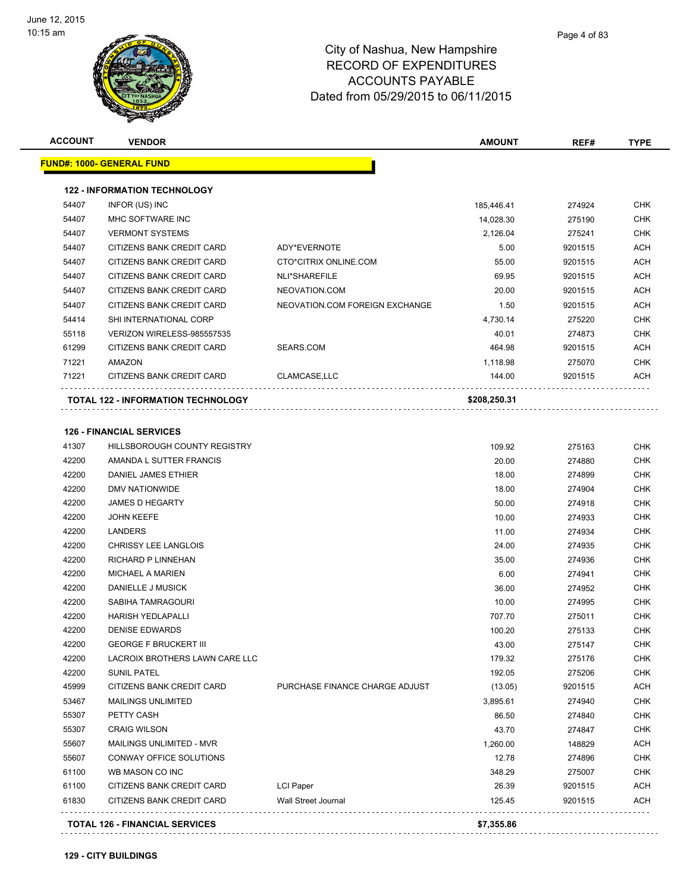

|       | <b>122 - INFORMATION TECHNOLOGY</b> |                                |              |         |            |
|-------|-------------------------------------|--------------------------------|--------------|---------|------------|
| 54407 | INFOR (US) INC                      |                                | 185,446.41   | 274924  | <b>CHK</b> |
| 54407 | MHC SOFTWARE INC                    |                                | 14,028.30    | 275190  | <b>CHK</b> |
| 54407 | <b>VERMONT SYSTEMS</b>              |                                | 2,126.04     | 275241  | CHK        |
| 54407 | CITIZENS BANK CREDIT CARD           | ADY*EVERNOTE                   | 5.00         | 9201515 | <b>ACH</b> |
| 54407 | CITIZENS BANK CREDIT CARD           | CTO*CITRIX ONLINE.COM          | 55.00        | 9201515 | <b>ACH</b> |
| 54407 | CITIZENS BANK CREDIT CARD           | NLI*SHAREFILE                  | 69.95        | 9201515 | ACH        |
| 54407 | CITIZENS BANK CREDIT CARD           | NEOVATION.COM                  | 20.00        | 9201515 | <b>ACH</b> |
| 54407 | CITIZENS BANK CREDIT CARD           | NEOVATION.COM FOREIGN EXCHANGE | 1.50         | 9201515 | ACH        |
| 54414 | SHI INTERNATIONAL CORP              |                                | 4.730.14     | 275220  | <b>CHK</b> |
| 55118 | VERIZON WIRELESS-985557535          |                                | 40.01        | 274873  | CHK        |
| 61299 | CITIZENS BANK CREDIT CARD           | SEARS.COM                      | 464.98       | 9201515 | ACH        |
| 71221 | AMAZON                              |                                | 1,118.98     | 275070  | CHK        |
| 71221 | CITIZENS BANK CREDIT CARD           | CLAMCASE, LLC                  | 144.00       | 9201515 | ACH        |
|       | TOTAL 122 - INFORMATION TECHNOLOGY  |                                | \$208,250.31 |         |            |
|       | <b>126 - FINANCIAL SERVICES</b>     |                                |              |         |            |
| 41307 | HILLSBOROUGH COUNTY REGISTRY        |                                | 109.92       | 275163  |            |
| 42200 | AMANDA L SUTTER FRANCIS             |                                | 20.00        | 274880  |            |
| 42200 | <b>DANIEL JAMES ETHIER</b>          |                                | 18.00        | 274899  |            |
| 42200 | DMV NATIONWIDE                      |                                | 18.00        | 274904  | CHK        |
| 42200 | <b>JAMES D HEGARTY</b>              |                                | 50.00        | 274918  | CHK        |
| 42200 | <b>JOHN KEEFE</b>                   |                                | 10.00        | 274933  | CHK        |
| 42200 | LANDERS                             |                                | 11.00        | 274934  |            |
| 42200 | CHRISSY LEE LANGLOIS                |                                | 24.00        | 274935  | <b>CHK</b> |
| 42200 | RICHARD P LINNEHAN                  |                                | 35.00        | 274936  | <b>CHK</b> |
| 42200 | <b>MICHAEL A MARIEN</b>             |                                | 6.00         | 274941  | <b>CHK</b> |
| 42200 | DANIELLE J MUSICK                   |                                | 36.00        | 274952  | <b>CHK</b> |
| 42200 | SABIHA TAMRAGOURI                   |                                | 10.00        | 274995  |            |
| 42200 | <b>HARISH YEDLAPALLI</b>            |                                | 707.70       | 275011  |            |
| 42200 | <b>DENISE EDWARDS</b>               |                                | 100.20       | 275133  |            |
| 42200 | <b>GEORGE F BRUCKERT III</b>        |                                | 43.00        | 275147  |            |
| 42200 | LACROIX BROTHERS LAWN CARE LLC      |                                | 179.32       | 275176  | <b>CHK</b> |
| 42200 | <b>SUNIL PATEL</b>                  |                                | 192.05       | 275206  |            |
| 45999 | CITIZENS BANK CREDIT CARD           | PURCHASE FINANCE CHARGE ADJUST | (13.05)      | 9201515 | ACH        |
| 53467 | <b>MAILINGS UNLIMITED</b>           |                                | 3,895.61     | 274940  |            |
| 55307 | PETTY CASH                          |                                | 86.50        | 274840  |            |
| 55307 | <b>CRAIG WILSON</b>                 |                                | 43.70        | 274847  | <b>CHK</b> |
| 55607 | MAILINGS UNLIMITED - MVR            |                                | 1,260.00     | 148829  | <b>ACH</b> |
| 55607 | CONWAY OFFICE SOLUTIONS             |                                | 12.78        | 274896  | <b>CHK</b> |
| 61100 | WB MASON CO INC                     |                                | 348.29       | 275007  | <b>CHK</b> |
|       | CITIZENS BANK CREDIT CARD           | <b>LCI Paper</b>               | 26.39        | 9201515 | ACH        |
| 61100 |                                     |                                |              |         |            |

**ACCOUNT VENDOR AMOUNT REF# TYPE**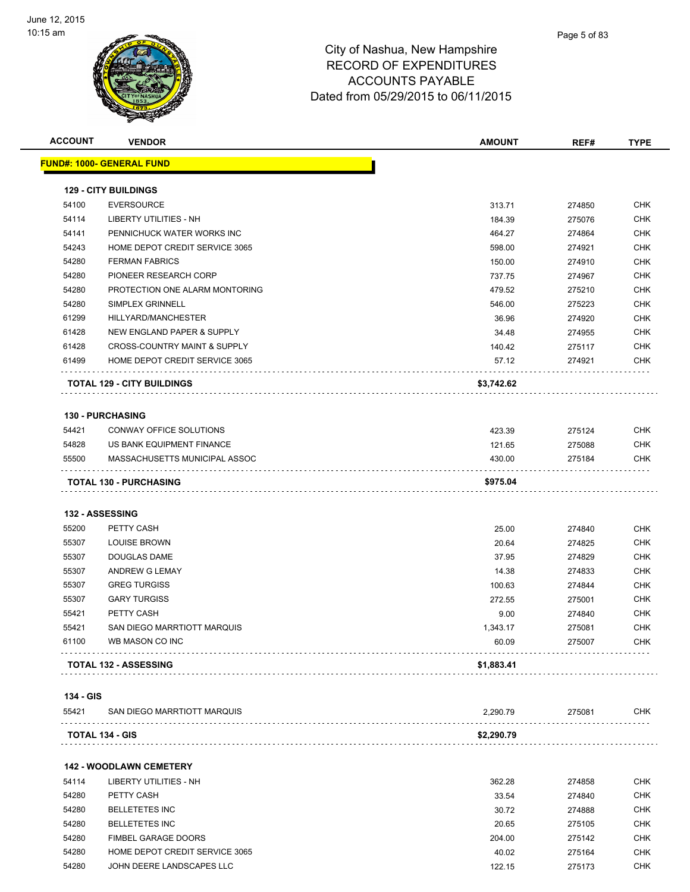

| <b>ACCOUNT</b>         | <b>VENDOR</b>                     | <b>AMOUNT</b> | REF#   | <b>TYPE</b> |
|------------------------|-----------------------------------|---------------|--------|-------------|
|                        | <u> FUND#: 1000- GENERAL FUND</u> |               |        |             |
|                        | <b>129 - CITY BUILDINGS</b>       |               |        |             |
| 54100                  | <b>EVERSOURCE</b>                 | 313.71        | 274850 | CHK         |
| 54114                  | LIBERTY UTILITIES - NH            | 184.39        | 275076 | CHK         |
| 54141                  | PENNICHUCK WATER WORKS INC        | 464.27        | 274864 | <b>CHK</b>  |
| 54243                  | HOME DEPOT CREDIT SERVICE 3065    | 598.00        | 274921 | <b>CHK</b>  |
| 54280                  | <b>FERMAN FABRICS</b>             | 150.00        | 274910 | <b>CHK</b>  |
| 54280                  | PIONEER RESEARCH CORP             | 737.75        | 274967 | <b>CHK</b>  |
| 54280                  | PROTECTION ONE ALARM MONTORING    | 479.52        | 275210 | <b>CHK</b>  |
| 54280                  | SIMPLEX GRINNELL                  | 546.00        | 275223 | <b>CHK</b>  |
| 61299                  | HILLYARD/MANCHESTER               | 36.96         | 274920 | <b>CHK</b>  |
| 61428                  | NEW ENGLAND PAPER & SUPPLY        | 34.48         | 274955 | <b>CHK</b>  |
| 61428                  | CROSS-COUNTRY MAINT & SUPPLY      | 140.42        | 275117 | CHK         |
| 61499                  | HOME DEPOT CREDIT SERVICE 3065    | 57.12         | 274921 | CHK         |
|                        | <b>TOTAL 129 - CITY BUILDINGS</b> | \$3,742.62    |        |             |
|                        |                                   |               |        |             |
|                        | <b>130 - PURCHASING</b>           |               |        |             |
| 54421                  | CONWAY OFFICE SOLUTIONS           | 423.39        | 275124 | <b>CHK</b>  |
| 54828                  | US BANK EQUIPMENT FINANCE         | 121.65        | 275088 | CHK         |
| 55500                  | MASSACHUSETTS MUNICIPAL ASSOC     | 430.00        | 275184 | CHK         |
|                        | <b>TOTAL 130 - PURCHASING</b>     | \$975.04      |        |             |
|                        |                                   |               |        |             |
| 132 - ASSESSING        |                                   |               |        |             |
| 55200                  | PETTY CASH                        | 25.00         | 274840 | CHK         |
| 55307                  | <b>LOUISE BROWN</b>               | 20.64         | 274825 | <b>CHK</b>  |
| 55307                  | DOUGLAS DAME                      | 37.95         | 274829 | <b>CHK</b>  |
| 55307                  | ANDREW G LEMAY                    | 14.38         | 274833 | <b>CHK</b>  |
| 55307                  | <b>GREG TURGISS</b>               | 100.63        | 274844 | <b>CHK</b>  |
| 55307                  | <b>GARY TURGISS</b>               | 272.55        | 275001 | <b>CHK</b>  |
| 55421                  | PETTY CASH                        | 9.00          | 274840 | <b>CHK</b>  |
| 55421                  | SAN DIEGO MARRTIOTT MARQUIS       | 1,343.17      | 275081 | <b>CHK</b>  |
| 61100                  | WB MASON CO INC                   | 60.09         | 275007 | <b>CHK</b>  |
|                        | <b>TOTAL 132 - ASSESSING</b>      | \$1,883.41    |        |             |
| 134 - GIS              |                                   |               |        |             |
| 55421                  | SAN DIEGO MARRTIOTT MARQUIS       | 2,290.79      | 275081 | <b>CHK</b>  |
| <b>TOTAL 134 - GIS</b> |                                   | \$2,290.79    |        |             |
|                        | <b>142 - WOODLAWN CEMETERY</b>    |               |        |             |
| 54114                  | LIBERTY UTILITIES - NH            | 362.28        | 274858 | <b>CHK</b>  |
| 54280                  | PETTY CASH                        | 33.54         | 274840 | <b>CHK</b>  |
| 54280                  | <b>BELLETETES INC</b>             | 30.72         | 274888 | <b>CHK</b>  |
| 54280                  | <b>BELLETETES INC</b>             | 20.65         | 275105 | <b>CHK</b>  |
|                        |                                   |               |        |             |
| 54280                  | FIMBEL GARAGE DOORS               | 204.00        | 275142 | <b>CHK</b>  |
| 54280                  | HOME DEPOT CREDIT SERVICE 3065    | 40.02         | 275164 | <b>CHK</b>  |
| 54280                  | JOHN DEERE LANDSCAPES LLC         | 122.15        | 275173 | <b>CHK</b>  |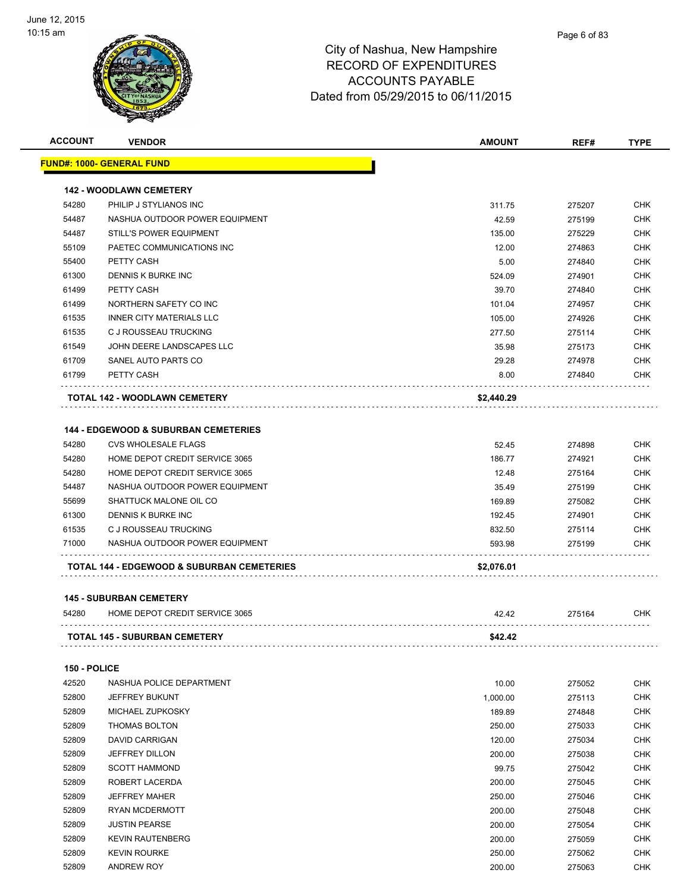

| <b>ACCOUNT</b> | <b>VENDOR</b>                                   | <b>AMOUNT</b> | REF#   | <b>TYPE</b> |
|----------------|-------------------------------------------------|---------------|--------|-------------|
|                | <u> FUND#: 1000- GENERAL FUND</u>               |               |        |             |
|                | <b>142 - WOODLAWN CEMETERY</b>                  |               |        |             |
| 54280          | PHILIP J STYLIANOS INC                          | 311.75        | 275207 | <b>CHK</b>  |
| 54487          | NASHUA OUTDOOR POWER EQUIPMENT                  | 42.59         | 275199 | <b>CHK</b>  |
| 54487          | STILL'S POWER EQUIPMENT                         | 135.00        | 275229 | <b>CHK</b>  |
| 55109          | PAETEC COMMUNICATIONS INC                       | 12.00         | 274863 | <b>CHK</b>  |
| 55400          | PETTY CASH                                      | 5.00          | 274840 | <b>CHK</b>  |
| 61300          | DENNIS K BURKE INC                              | 524.09        | 274901 | <b>CHK</b>  |
| 61499          | PETTY CASH                                      | 39.70         | 274840 | <b>CHK</b>  |
| 61499          | NORTHERN SAFETY CO INC                          | 101.04        | 274957 | <b>CHK</b>  |
| 61535          | <b>INNER CITY MATERIALS LLC</b>                 | 105.00        | 274926 | <b>CHK</b>  |
| 61535          | C J ROUSSEAU TRUCKING                           | 277.50        | 275114 | <b>CHK</b>  |
| 61549          | JOHN DEERE LANDSCAPES LLC                       | 35.98         | 275173 | <b>CHK</b>  |
| 61709          | SANEL AUTO PARTS CO                             | 29.28         | 274978 | <b>CHK</b>  |
| 61799          | PETTY CASH                                      | 8.00          | 274840 | <b>CHK</b>  |
|                |                                                 |               |        |             |
|                | TOTAL 142 - WOODLAWN CEMETERY                   | \$2,440.29    |        |             |
|                | <b>144 - EDGEWOOD &amp; SUBURBAN CEMETERIES</b> |               |        |             |
| 54280          | <b>CVS WHOLESALE FLAGS</b>                      | 52.45         | 274898 | <b>CHK</b>  |
| 54280          | HOME DEPOT CREDIT SERVICE 3065                  | 186.77        | 274921 | <b>CHK</b>  |
| 54280          | HOME DEPOT CREDIT SERVICE 3065                  | 12.48         | 275164 | <b>CHK</b>  |
| 54487          | NASHUA OUTDOOR POWER EQUIPMENT                  | 35.49         | 275199 | <b>CHK</b>  |
| 55699          | SHATTUCK MALONE OIL CO                          | 169.89        | 275082 | <b>CHK</b>  |
| 61300          | DENNIS K BURKE INC                              | 192.45        | 274901 | <b>CHK</b>  |
| 61535          | C J ROUSSEAU TRUCKING                           | 832.50        | 275114 | <b>CHK</b>  |
| 71000          | NASHUA OUTDOOR POWER EQUIPMENT                  | 593.98        | 275199 | <b>CHK</b>  |
|                |                                                 |               |        |             |
|                | TOTAL 144 - EDGEWOOD & SUBURBAN CEMETERIES      | \$2,076.01    |        |             |
|                | <b>145 - SUBURBAN CEMETERY</b>                  |               |        |             |
| 54280          | <b>HOME DEPOT CREDIT SERVICE 3065</b>           | 42.42         | 275164 | <b>CHK</b>  |
|                | <b>TOTAL 145 - SUBURBAN CEMETERY</b>            | \$42.42       |        |             |
|                |                                                 |               |        |             |
| 150 - POLICE   |                                                 |               |        |             |
| 42520          | NASHUA POLICE DEPARTMENT                        | 10.00         | 275052 | <b>CHK</b>  |
| 52800          | <b>JEFFREY BUKUNT</b>                           | 1,000.00      | 275113 | <b>CHK</b>  |
| 52809          | MICHAEL ZUPKOSKY                                | 189.89        | 274848 | CHK         |
| 52809          | THOMAS BOLTON                                   | 250.00        | 275033 | <b>CHK</b>  |
| 52809          | DAVID CARRIGAN                                  | 120.00        | 275034 | <b>CHK</b>  |
| 52809          | <b>JEFFREY DILLON</b>                           | 200.00        | 275038 | <b>CHK</b>  |
| 52809          | <b>SCOTT HAMMOND</b>                            | 99.75         | 275042 | <b>CHK</b>  |
| 52809          | ROBERT LACERDA                                  | 200.00        | 275045 | <b>CHK</b>  |
| 52809          | <b>JEFFREY MAHER</b>                            | 250.00        | 275046 | <b>CHK</b>  |
| 52809          | <b>RYAN MCDERMOTT</b>                           | 200.00        | 275048 | <b>CHK</b>  |
| 52809          | <b>JUSTIN PEARSE</b>                            | 200.00        | 275054 | <b>CHK</b>  |
| 52809          | <b>KEVIN RAUTENBERG</b>                         | 200.00        | 275059 | <b>CHK</b>  |
| 52809          | <b>KEVIN ROURKE</b>                             | 250.00        | 275062 | CHK         |
| 52809          | <b>ANDREW ROY</b>                               | 200.00        | 275063 | CHK         |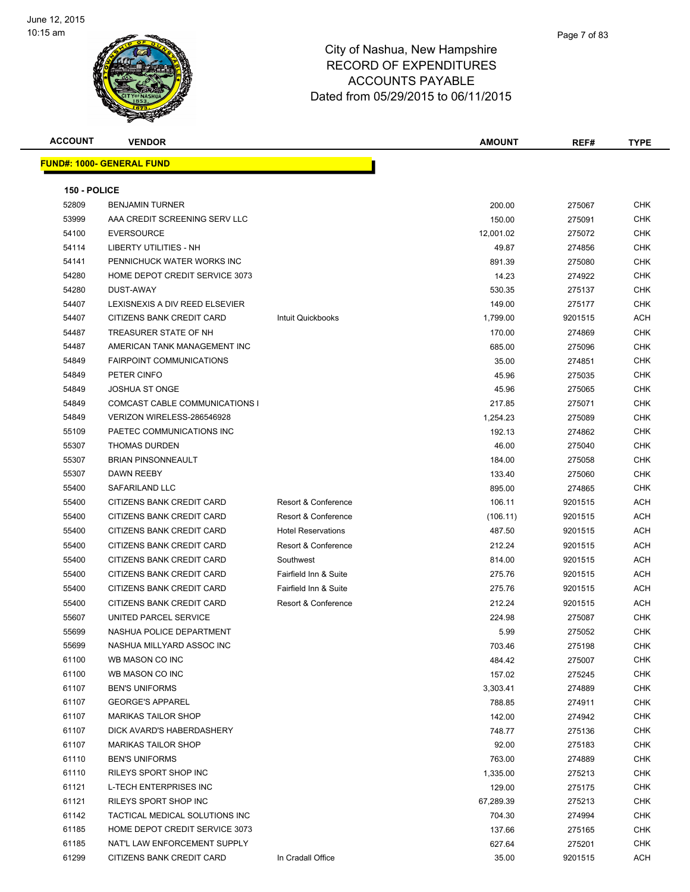

| <b>ACCOUNT</b> | <b>VENDOR</b>                    |                           | <b>AMOUNT</b> | REF#    | TYPE       |
|----------------|----------------------------------|---------------------------|---------------|---------|------------|
|                | <b>FUND#: 1000- GENERAL FUND</b> |                           |               |         |            |
|                |                                  |                           |               |         |            |
| 150 - POLICE   |                                  |                           |               |         |            |
| 52809          | <b>BENJAMIN TURNER</b>           |                           | 200.00        | 275067  | CHK        |
| 53999          | AAA CREDIT SCREENING SERV LLC    |                           | 150.00        | 275091  | <b>CHK</b> |
| 54100          | <b>EVERSOURCE</b>                |                           | 12,001.02     | 275072  | CHK        |
| 54114          | LIBERTY UTILITIES - NH           |                           | 49.87         | 274856  | <b>CHK</b> |
| 54141          | PENNICHUCK WATER WORKS INC       |                           | 891.39        | 275080  | <b>CHK</b> |
| 54280          | HOME DEPOT CREDIT SERVICE 3073   |                           | 14.23         | 274922  | <b>CHK</b> |
| 54280          | DUST-AWAY                        |                           | 530.35        | 275137  | <b>CHK</b> |
| 54407          | LEXISNEXIS A DIV REED ELSEVIER   |                           | 149.00        | 275177  | CHK        |
| 54407          | CITIZENS BANK CREDIT CARD        | Intuit Quickbooks         | 1,799.00      | 9201515 | ACH        |
| 54487          | TREASURER STATE OF NH            |                           | 170.00        | 274869  | CHK        |
| 54487          | AMERICAN TANK MANAGEMENT INC     |                           | 685.00        | 275096  | CHK        |
| 54849          | <b>FAIRPOINT COMMUNICATIONS</b>  |                           | 35.00         | 274851  | <b>CHK</b> |
| 54849          | PETER CINFO                      |                           | 45.96         | 275035  | CHK        |
| 54849          | <b>JOSHUA ST ONGE</b>            |                           | 45.96         | 275065  | <b>CHK</b> |
| 54849          | COMCAST CABLE COMMUNICATIONS I   |                           | 217.85        | 275071  | <b>CHK</b> |
| 54849          | VERIZON WIRELESS-286546928       |                           | 1,254.23      | 275089  | CHK        |
| 55109          | PAETEC COMMUNICATIONS INC        |                           | 192.13        | 274862  | <b>CHK</b> |
| 55307          | <b>THOMAS DURDEN</b>             |                           | 46.00         | 275040  | <b>CHK</b> |
| 55307          | <b>BRIAN PINSONNEAULT</b>        |                           | 184.00        | 275058  | CHK        |
| 55307          | DAWN REEBY                       |                           | 133.40        | 275060  | CHK        |
| 55400          | SAFARILAND LLC                   |                           | 895.00        | 274865  | CHK        |
| 55400          | CITIZENS BANK CREDIT CARD        | Resort & Conference       | 106.11        | 9201515 | ACH        |
| 55400          | CITIZENS BANK CREDIT CARD        | Resort & Conference       | (106.11)      | 9201515 | <b>ACH</b> |
| 55400          | CITIZENS BANK CREDIT CARD        | <b>Hotel Reservations</b> | 487.50        | 9201515 | <b>ACH</b> |
| 55400          | CITIZENS BANK CREDIT CARD        | Resort & Conference       | 212.24        | 9201515 | <b>ACH</b> |
| 55400          | CITIZENS BANK CREDIT CARD        | Southwest                 | 814.00        | 9201515 | <b>ACH</b> |
| 55400          | CITIZENS BANK CREDIT CARD        | Fairfield Inn & Suite     | 275.76        | 9201515 | ACH        |
| 55400          | <b>CITIZENS BANK CREDIT CARD</b> | Fairfield Inn & Suite     | 275.76        | 9201515 | ACH        |
| 55400          | <b>CITIZENS BANK CREDIT CARD</b> | Resort & Conference       | 212.24        | 9201515 | ACH        |
| 55607          | UNITED PARCEL SERVICE            |                           | 224.98        | 275087  | CHK        |
| 55699          | NASHUA POLICE DEPARTMENT         |                           | 5.99          | 275052  | CHK        |
| 55699          | NASHUA MILLYARD ASSOC INC        |                           | 703.46        | 275198  | <b>CHK</b> |
| 61100          | WB MASON CO INC                  |                           | 484.42        | 275007  | <b>CHK</b> |
| 61100          | WB MASON CO INC                  |                           | 157.02        | 275245  | <b>CHK</b> |
| 61107          | <b>BEN'S UNIFORMS</b>            |                           | 3,303.41      | 274889  | <b>CHK</b> |
| 61107          | <b>GEORGE'S APPAREL</b>          |                           | 788.85        | 274911  | <b>CHK</b> |
| 61107          | <b>MARIKAS TAILOR SHOP</b>       |                           | 142.00        | 274942  | CHK        |
| 61107          | DICK AVARD'S HABERDASHERY        |                           | 748.77        | 275136  | CHK        |
| 61107          | <b>MARIKAS TAILOR SHOP</b>       |                           | 92.00         | 275183  | CHK        |
| 61110          | <b>BEN'S UNIFORMS</b>            |                           | 763.00        | 274889  | CHK        |
| 61110          | RILEYS SPORT SHOP INC            |                           | 1,335.00      | 275213  | <b>CHK</b> |
| 61121          | L-TECH ENTERPRISES INC           |                           | 129.00        | 275175  | CHK        |
| 61121          | RILEYS SPORT SHOP INC            |                           | 67,289.39     | 275213  | CHK        |
| 61142          | TACTICAL MEDICAL SOLUTIONS INC   |                           | 704.30        | 274994  | <b>CHK</b> |
| 61185          | HOME DEPOT CREDIT SERVICE 3073   |                           | 137.66        | 275165  | CHK        |
| 61185          | NAT'L LAW ENFORCEMENT SUPPLY     |                           | 627.64        | 275201  | CHK        |
| 61299          | CITIZENS BANK CREDIT CARD        | In Cradall Office         | 35.00         | 9201515 | ACH        |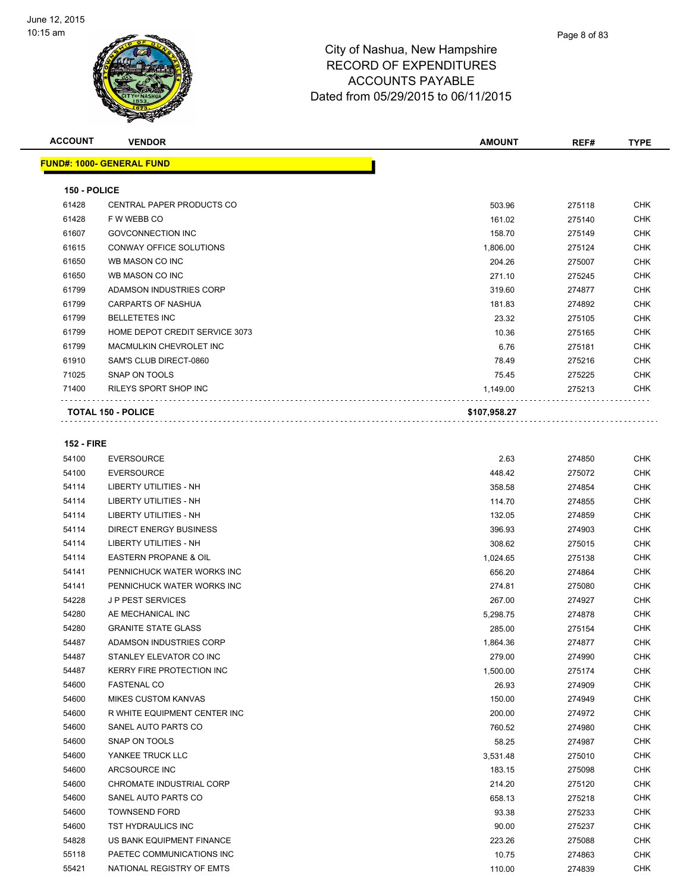

| <b>ACCOUNT</b> | <b>VENDOR</b>                    | <b>AMOUNT</b> | REF#   | <b>TYPE</b> |
|----------------|----------------------------------|---------------|--------|-------------|
|                | <b>FUND#: 1000- GENERAL FUND</b> |               |        |             |
| 150 - POLICE   |                                  |               |        |             |
| 61428          | <b>CENTRAL PAPER PRODUCTS CO</b> | 503.96        | 275118 | <b>CHK</b>  |
| 61428          | F W WEBB CO                      | 161.02        | 275140 | <b>CHK</b>  |
| 61607          | <b>GOVCONNECTION INC</b>         | 158.70        | 275149 | <b>CHK</b>  |
| 61615          | <b>CONWAY OFFICE SOLUTIONS</b>   | 1,806.00      | 275124 | <b>CHK</b>  |
| 61650          | WB MASON CO INC                  | 204.26        | 275007 | <b>CHK</b>  |
| 61650          | WB MASON CO INC                  | 271.10        | 275245 | <b>CHK</b>  |
| 61799          | ADAMSON INDUSTRIES CORP          | 319.60        | 274877 | <b>CHK</b>  |
| 61799          | <b>CARPARTS OF NASHUA</b>        | 181.83        | 274892 | <b>CHK</b>  |
| 61799          | <b>BELLETETES INC</b>            | 23.32         | 275105 | <b>CHK</b>  |
| 61799          | HOME DEPOT CREDIT SERVICE 3073   | 10.36         | 275165 | <b>CHK</b>  |
| 61799          | MACMULKIN CHEVROLET INC          | 6.76          | 275181 | <b>CHK</b>  |
| 61910          | SAM'S CLUB DIRECT-0860           | 78.49         | 275216 | <b>CHK</b>  |
| 71025          | SNAP ON TOOLS                    | 75.45         | 275225 | <b>CHK</b>  |
| 71400          | <b>RILEYS SPORT SHOP INC</b>     | 1,149.00      | 275213 | <b>CHK</b>  |
|                | <b>TOTAL 150 - POLICE</b>        | \$107,958.27  |        |             |
|                |                                  |               |        |             |

#### **152 - FIRE**

| 54100 | <b>EVERSOURCE</b>                | 2.63     | 274850 | <b>CHK</b> |
|-------|----------------------------------|----------|--------|------------|
| 54100 | <b>EVERSOURCE</b>                | 448.42   | 275072 | <b>CHK</b> |
| 54114 | <b>LIBERTY UTILITIES - NH</b>    | 358.58   | 274854 | <b>CHK</b> |
| 54114 | <b>LIBERTY UTILITIES - NH</b>    | 114.70   | 274855 | <b>CHK</b> |
| 54114 | <b>LIBERTY UTILITIES - NH</b>    | 132.05   | 274859 | <b>CHK</b> |
| 54114 | <b>DIRECT ENERGY BUSINESS</b>    | 396.93   | 274903 | <b>CHK</b> |
| 54114 | <b>LIBERTY UTILITIES - NH</b>    | 308.62   | 275015 | <b>CHK</b> |
| 54114 | <b>EASTERN PROPANE &amp; OIL</b> | 1,024.65 | 275138 | <b>CHK</b> |
| 54141 | PENNICHUCK WATER WORKS INC       | 656.20   | 274864 | <b>CHK</b> |
| 54141 | PENNICHUCK WATER WORKS INC       | 274.81   | 275080 | <b>CHK</b> |
| 54228 | <b>JP PEST SERVICES</b>          | 267.00   | 274927 | <b>CHK</b> |
| 54280 | AE MECHANICAL INC                | 5,298.75 | 274878 | <b>CHK</b> |
| 54280 | <b>GRANITE STATE GLASS</b>       | 285.00   | 275154 | <b>CHK</b> |
| 54487 | ADAMSON INDUSTRIES CORP          | 1,864.36 | 274877 | <b>CHK</b> |
| 54487 | STANLEY ELEVATOR CO INC          | 279.00   | 274990 | <b>CHK</b> |
| 54487 | KERRY FIRE PROTECTION INC        | 1,500.00 | 275174 | <b>CHK</b> |
| 54600 | <b>FASTENAL CO</b>               | 26.93    | 274909 | <b>CHK</b> |
| 54600 | <b>MIKES CUSTOM KANVAS</b>       | 150.00   | 274949 | <b>CHK</b> |
| 54600 | R WHITE EQUIPMENT CENTER INC     | 200.00   | 274972 | <b>CHK</b> |
| 54600 | SANEL AUTO PARTS CO              | 760.52   | 274980 | <b>CHK</b> |
| 54600 | <b>SNAP ON TOOLS</b>             | 58.25    | 274987 | <b>CHK</b> |
| 54600 | YANKEE TRUCK LLC                 | 3,531.48 | 275010 | <b>CHK</b> |
| 54600 | ARCSOURCE INC                    | 183.15   | 275098 | <b>CHK</b> |
| 54600 | CHROMATE INDUSTRIAL CORP         | 214.20   | 275120 | <b>CHK</b> |
| 54600 | SANEL AUTO PARTS CO              | 658.13   | 275218 | <b>CHK</b> |
| 54600 | <b>TOWNSEND FORD</b>             | 93.38    | 275233 | <b>CHK</b> |
| 54600 | TST HYDRAULICS INC               | 90.00    | 275237 | <b>CHK</b> |
| 54828 | US BANK EQUIPMENT FINANCE        | 223.26   | 275088 | <b>CHK</b> |
| 55118 | PAETEC COMMUNICATIONS INC        | 10.75    | 274863 | <b>CHK</b> |
| 55421 | NATIONAL REGISTRY OF EMTS        | 110.00   | 274839 | <b>CHK</b> |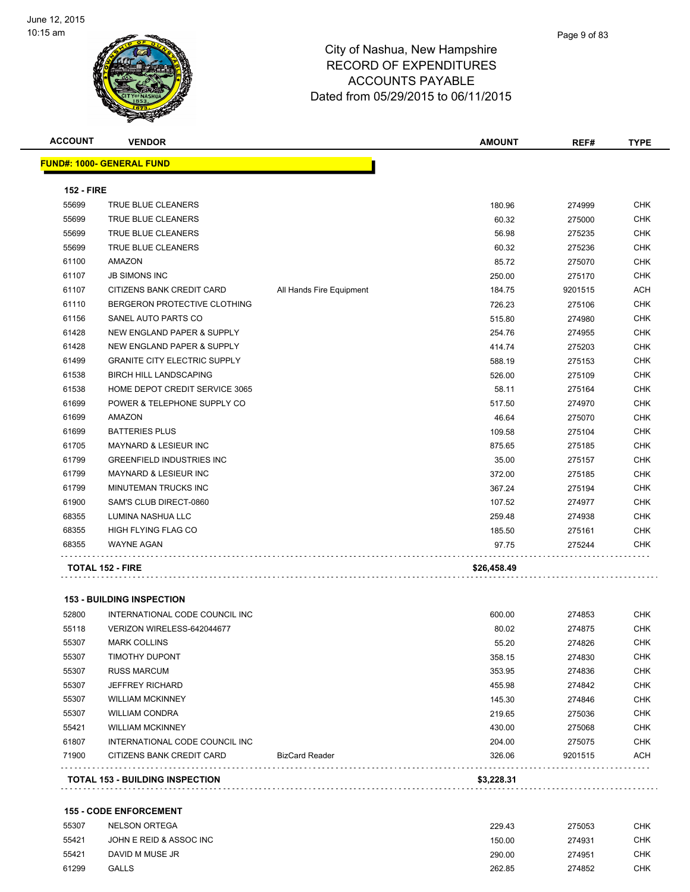

| <b>ACCOUNT</b>    | <b>VENDOR</b>                         |                          | <b>AMOUNT</b> | REF#    | <b>TYPE</b> |
|-------------------|---------------------------------------|--------------------------|---------------|---------|-------------|
|                   | <b>FUND#: 1000- GENERAL FUND</b>      |                          |               |         |             |
| <b>152 - FIRE</b> |                                       |                          |               |         |             |
| 55699             | TRUE BLUE CLEANERS                    |                          | 180.96        | 274999  | <b>CHK</b>  |
| 55699             | TRUE BLUE CLEANERS                    |                          | 60.32         | 275000  | <b>CHK</b>  |
| 55699             | TRUE BLUE CLEANERS                    |                          | 56.98         | 275235  | <b>CHK</b>  |
| 55699             | <b>TRUE BLUE CLEANERS</b>             |                          | 60.32         | 275236  | <b>CHK</b>  |
| 61100             | <b>AMAZON</b>                         |                          | 85.72         | 275070  | <b>CHK</b>  |
| 61107             | <b>JB SIMONS INC</b>                  |                          | 250.00        | 275170  | <b>CHK</b>  |
| 61107             | CITIZENS BANK CREDIT CARD             | All Hands Fire Equipment | 184.75        | 9201515 | <b>ACH</b>  |
| 61110             | BERGERON PROTECTIVE CLOTHING          |                          | 726.23        | 275106  | <b>CHK</b>  |
| 61156             | SANEL AUTO PARTS CO                   |                          | 515.80        | 274980  | <b>CHK</b>  |
| 61428             | <b>NEW ENGLAND PAPER &amp; SUPPLY</b> |                          | 254.76        | 274955  | <b>CHK</b>  |
| 61428             | NEW ENGLAND PAPER & SUPPLY            |                          | 414.74        | 275203  | <b>CHK</b>  |
| 61499             | <b>GRANITE CITY ELECTRIC SUPPLY</b>   |                          | 588.19        | 275153  | <b>CHK</b>  |
| 61538             | <b>BIRCH HILL LANDSCAPING</b>         |                          | 526.00        | 275109  | <b>CHK</b>  |
| 61538             | HOME DEPOT CREDIT SERVICE 3065        |                          | 58.11         | 275164  | <b>CHK</b>  |
| 61699             | POWER & TELEPHONE SUPPLY CO           |                          | 517.50        | 274970  | <b>CHK</b>  |
| 61699             | <b>AMAZON</b>                         |                          | 46.64         | 275070  | <b>CHK</b>  |
| 61699             | <b>BATTERIES PLUS</b>                 |                          | 109.58        | 275104  | <b>CHK</b>  |
| 61705             | MAYNARD & LESIEUR INC                 |                          | 875.65        | 275185  | <b>CHK</b>  |
| 61799             | <b>GREENFIELD INDUSTRIES INC</b>      |                          | 35.00         | 275157  | <b>CHK</b>  |
| 61799             | <b>MAYNARD &amp; LESIEUR INC</b>      |                          | 372.00        | 275185  | <b>CHK</b>  |
| 61799             | MINUTEMAN TRUCKS INC                  |                          | 367.24        | 275194  | <b>CHK</b>  |
| 61900             | SAM'S CLUB DIRECT-0860                |                          | 107.52        | 274977  | <b>CHK</b>  |
| 68355             | LUMINA NASHUA LLC                     |                          | 259.48        | 274938  | <b>CHK</b>  |
| 68355             | HIGH FLYING FLAG CO                   |                          | 185.50        | 275161  | <b>CHK</b>  |
| 68355             | <b>WAYNE AGAN</b>                     |                          | 97.75         | 275244  | CHK         |
|                   | <b>TOTAL 152 - FIRE</b>               |                          | \$26,458.49   |         |             |

#### **153 - BUILDING INSPECTION**

|       | <b>TOTAL 153 - BUILDING INSPECTION</b> |                       | \$3.228.31 |         |            |
|-------|----------------------------------------|-----------------------|------------|---------|------------|
| 71900 | CITIZENS BANK CREDIT CARD              | <b>BizCard Reader</b> | 326.06     | 9201515 | <b>ACH</b> |
| 61807 | INTERNATIONAL CODE COUNCIL INC.        |                       | 204.00     | 275075  | <b>CHK</b> |
| 55421 | <b>WILLIAM MCKINNEY</b>                |                       | 430.00     | 275068  | <b>CHK</b> |
| 55307 | <b>WILLIAM CONDRA</b>                  |                       | 219.65     | 275036  | <b>CHK</b> |
| 55307 | <b>WILLIAM MCKINNEY</b>                |                       | 145.30     | 274846  | <b>CHK</b> |
| 55307 | <b>JEFFREY RICHARD</b>                 |                       | 455.98     | 274842  | <b>CHK</b> |
| 55307 | <b>RUSS MARCUM</b>                     |                       | 353.95     | 274836  | <b>CHK</b> |
| 55307 | TIMOTHY DUPONT                         |                       | 358.15     | 274830  | <b>CHK</b> |
| 55307 | <b>MARK COLLINS</b>                    |                       | 55.20      | 274826  | <b>CHK</b> |
| 55118 | VERIZON WIRELESS-642044677             |                       | 80.02      | 274875  | <b>CHK</b> |
| 52800 | INTERNATIONAL CODE COUNCIL INC.        |                       | 600.00     | 274853  | <b>CHK</b> |

#### **155 - CODE ENFORCEMENT**

| 55307 | NELSON ORTEGA           | 229.43 | 275053 | СНК  |
|-------|-------------------------|--------|--------|------|
| 55421 | JOHN E REID & ASSOC INC | 150.00 | 274931 | СНК  |
| 55421 | DAVID M MUSE JR         | 290.00 | 274951 | CHK. |
| 61299 | <b>GALLS</b>            | 262.85 | 274852 | СНК  |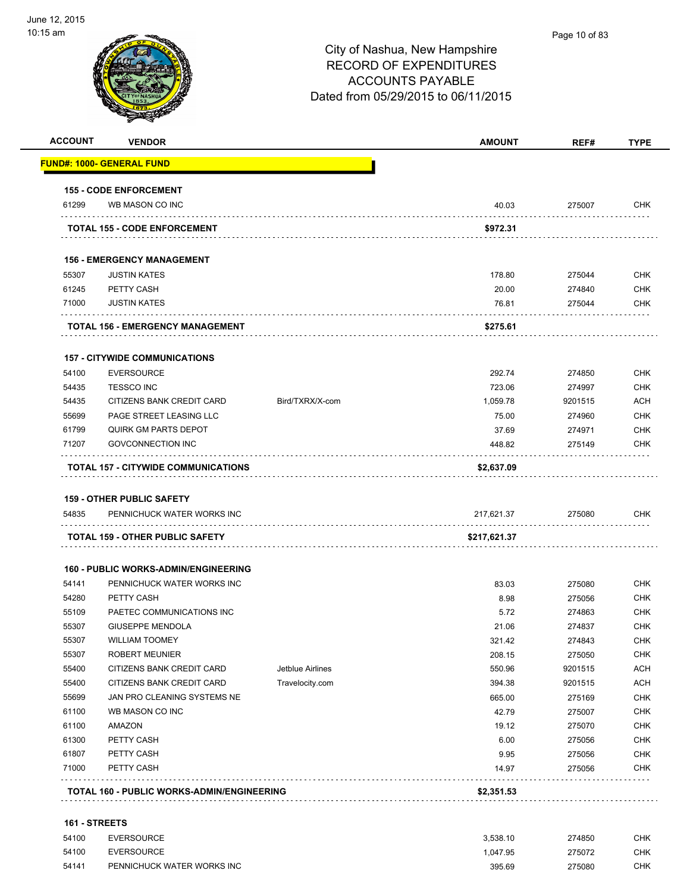

# City of Nashua, New Hampshire

# RECORD OF EXPENDITURES ACCOUNTS PAYABLE Dated from 05/29/2015 to 06/11/2015

| <b>ACCOUNT</b> | <b>VENDOR</b>                               |                  | <b>AMOUNT</b> | REF#    | <b>TYPE</b> |
|----------------|---------------------------------------------|------------------|---------------|---------|-------------|
|                | <u> FUND#: 1000- GENERAL FUND</u>           |                  |               |         |             |
|                | <b>155 - CODE ENFORCEMENT</b>               |                  |               |         |             |
| 61299          | WB MASON CO INC                             |                  | 40.03         | 275007  | <b>CHK</b>  |
|                | <b>TOTAL 155 - CODE ENFORCEMENT</b>         |                  | \$972.31      |         |             |
|                | <b>156 - EMERGENCY MANAGEMENT</b>           |                  |               |         |             |
| 55307          | <b>JUSTIN KATES</b>                         |                  | 178.80        | 275044  | <b>CHK</b>  |
| 61245          | PETTY CASH                                  |                  | 20.00         | 274840  | <b>CHK</b>  |
| 71000          | <b>JUSTIN KATES</b>                         |                  | 76.81         | 275044  | <b>CHK</b>  |
|                | <b>TOTAL 156 - EMERGENCY MANAGEMENT</b>     |                  | \$275.61      |         |             |
|                | <b>157 - CITYWIDE COMMUNICATIONS</b>        |                  |               |         |             |
| 54100          | <b>EVERSOURCE</b>                           |                  | 292.74        | 274850  | <b>CHK</b>  |
| 54435          | <b>TESSCO INC</b>                           |                  | 723.06        | 274997  | <b>CHK</b>  |
| 54435          | CITIZENS BANK CREDIT CARD                   | Bird/TXRX/X-com  | 1,059.78      | 9201515 | ACH         |
| 55699          | PAGE STREET LEASING LLC                     |                  | 75.00         | 274960  | <b>CHK</b>  |
| 61799          | QUIRK GM PARTS DEPOT                        |                  | 37.69         | 274971  | <b>CHK</b>  |
| 71207          | <b>GOVCONNECTION INC</b>                    |                  | 448.82        | 275149  | <b>CHK</b>  |
|                | TOTAL 157 - CITYWIDE COMMUNICATIONS         |                  | \$2,637.09    |         |             |
|                | <b>159 - OTHER PUBLIC SAFETY</b>            |                  |               |         |             |
| 54835          | PENNICHUCK WATER WORKS INC                  |                  | 217,621.37    | 275080  | <b>CHK</b>  |
|                | <b>TOTAL 159 - OTHER PUBLIC SAFETY</b>      |                  | \$217,621.37  |         |             |
|                | <b>160 - PUBLIC WORKS-ADMIN/ENGINEERING</b> |                  |               |         |             |
| 54141          | PENNICHUCK WATER WORKS INC                  |                  | 83.03         | 275080  | <b>CHK</b>  |
| 54280          | PETTY CASH                                  |                  | 8.98          | 275056  | <b>CHK</b>  |
| 55109          | PAETEC COMMUNICATIONS INC                   |                  | 5.72          | 274863  | <b>CHK</b>  |
| 55307          | <b>GIUSEPPE MENDOLA</b>                     |                  | 21.06         | 274837  | <b>CHK</b>  |
| 55307          | <b>WILLIAM TOOMEY</b>                       |                  | 321.42        | 274843  | <b>CHK</b>  |
| 55307          | <b>ROBERT MEUNIER</b>                       |                  | 208.15        | 275050  | CHK         |
| 55400          | CITIZENS BANK CREDIT CARD                   | Jetblue Airlines | 550.96        | 9201515 | <b>ACH</b>  |
| 55400          | CITIZENS BANK CREDIT CARD                   | Travelocity.com  | 394.38        | 9201515 | <b>ACH</b>  |
| 55699          | JAN PRO CLEANING SYSTEMS NE                 |                  | 665.00        | 275169  | <b>CHK</b>  |
| 61100          | WB MASON CO INC                             |                  | 42.79         | 275007  | <b>CHK</b>  |
| 61100          | <b>AMAZON</b>                               |                  | 19.12         | 275070  | <b>CHK</b>  |
| 61300          | PETTY CASH                                  |                  | 6.00          | 275056  | <b>CHK</b>  |
| 61807          | PETTY CASH                                  |                  | 9.95          | 275056  | <b>CHK</b>  |
| 71000          | PETTY CASH                                  |                  | 14.97         | 275056  | <b>CHK</b>  |
|                | TOTAL 160 - PUBLIC WORKS-ADMIN/ENGINEERING  |                  | \$2,351.53    |         |             |
|                |                                             |                  |               |         |             |

#### **161 - STREETS**

| 54100 | EVERSOURCE                 | 3.538.10 | 274850 | СНК |
|-------|----------------------------|----------|--------|-----|
| 54100 | EVERSOURCE                 | 1.047.95 | 275072 | СНК |
| 54141 | PENNICHUCK WATER WORKS INC | 395.69   | 275080 | СНК |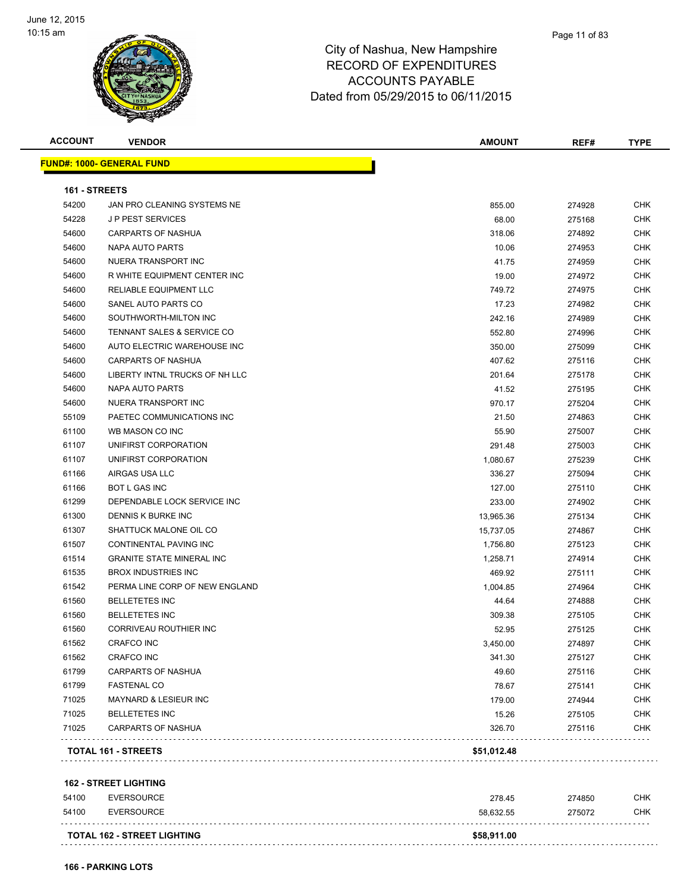

| <b>ACCOUNT</b> | <b>VENDOR</b>                    | <b>AMOUNT</b> | REF#   | <b>TYPE</b> |
|----------------|----------------------------------|---------------|--------|-------------|
|                | <b>FUND#: 1000- GENERAL FUND</b> |               |        |             |
| 161 - STREETS  |                                  |               |        |             |
| 54200          | JAN PRO CLEANING SYSTEMS NE      | 855.00        | 274928 | CHK         |
| 54228          | <b>JP PEST SERVICES</b>          | 68.00         | 275168 | CHK         |
| 54600          | CARPARTS OF NASHUA               | 318.06        | 274892 | <b>CHK</b>  |
| 54600          | NAPA AUTO PARTS                  | 10.06         | 274953 | <b>CHK</b>  |
| 54600          | NUERA TRANSPORT INC              | 41.75         | 274959 | <b>CHK</b>  |
| 54600          | R WHITE EQUIPMENT CENTER INC     | 19.00         | 274972 | <b>CHK</b>  |
| 54600          | <b>RELIABLE EQUIPMENT LLC</b>    | 749.72        | 274975 | <b>CHK</b>  |
| 54600          | SANEL AUTO PARTS CO              | 17.23         | 274982 | <b>CHK</b>  |
| 54600          | SOUTHWORTH-MILTON INC            | 242.16        | 274989 | <b>CHK</b>  |
| 54600          | TENNANT SALES & SERVICE CO       | 552.80        | 274996 | <b>CHK</b>  |
| 54600          | AUTO ELECTRIC WAREHOUSE INC      | 350.00        | 275099 | <b>CHK</b>  |
| 54600          | <b>CARPARTS OF NASHUA</b>        | 407.62        | 275116 | <b>CHK</b>  |
| 54600          | LIBERTY INTNL TRUCKS OF NH LLC   | 201.64        | 275178 | <b>CHK</b>  |
| 54600          | NAPA AUTO PARTS                  | 41.52         | 275195 | <b>CHK</b>  |
| 54600          | NUERA TRANSPORT INC              | 970.17        | 275204 | <b>CHK</b>  |
| 55109          | PAETEC COMMUNICATIONS INC        | 21.50         | 274863 | <b>CHK</b>  |
| 61100          | WB MASON CO INC                  | 55.90         | 275007 | <b>CHK</b>  |
| 61107          | UNIFIRST CORPORATION             | 291.48        | 275003 | <b>CHK</b>  |
| 61107          | UNIFIRST CORPORATION             | 1,080.67      | 275239 | <b>CHK</b>  |
| 61166          | AIRGAS USA LLC                   | 336.27        | 275094 | <b>CHK</b>  |
| 61166          | <b>BOT L GAS INC</b>             | 127.00        | 275110 | CHK         |
| 61299          | DEPENDABLE LOCK SERVICE INC      | 233.00        | 274902 | <b>CHK</b>  |
| 61300          | DENNIS K BURKE INC               | 13,965.36     | 275134 | CHK         |
| 61307          | SHATTUCK MALONE OIL CO           | 15,737.05     | 274867 | <b>CHK</b>  |
| 61507          | CONTINENTAL PAVING INC           | 1,756.80      | 275123 | <b>CHK</b>  |
| 61514          | <b>GRANITE STATE MINERAL INC</b> | 1,258.71      | 274914 | CHK         |
| 61535          | <b>BROX INDUSTRIES INC</b>       | 469.92        | 275111 | CHK         |
| 61542          | PERMA LINE CORP OF NEW ENGLAND   | 1,004.85      | 274964 | CHK         |
| 61560          | <b>BELLETETES INC</b>            | 44.64         | 274888 | <b>CHK</b>  |
| 61560          | <b>BELLETETES INC</b>            | 309.38        | 275105 | CHK         |
| 61560          | CORRIVEAU ROUTHIER INC           | 52.95         | 275125 | CHK         |
| 61562          | CRAFCO INC                       | 3,450.00      | 274897 | <b>CHK</b>  |
| 61562          | CRAFCO INC                       | 341.30        | 275127 | CHK         |
| 61799          | <b>CARPARTS OF NASHUA</b>        | 49.60         | 275116 | <b>CHK</b>  |
| 61799          | <b>FASTENAL CO</b>               | 78.67         | 275141 | <b>CHK</b>  |
| 71025          | MAYNARD & LESIEUR INC            | 179.00        | 274944 | <b>CHK</b>  |
| 71025          | <b>BELLETETES INC</b>            | 15.26         | 275105 | <b>CHK</b>  |
| 71025          | CARPARTS OF NASHUA               | 326.70        | 275116 | <b>CHK</b>  |
|                | TOTAL 161 - STREETS              | \$51,012.48   |        |             |
|                |                                  |               |        |             |

**162 - STREET LIGHTING**

| 54100 | EVERSOURCE                         | 278.45      | 274850 | <b>CHK</b> |
|-------|------------------------------------|-------------|--------|------------|
| 54100 | EVERSOURCE                         | 58.632.55   | 275072 | <b>CHK</b> |
|       | <b>TOTAL 162 - STREET LIGHTING</b> | \$58,911.00 |        |            |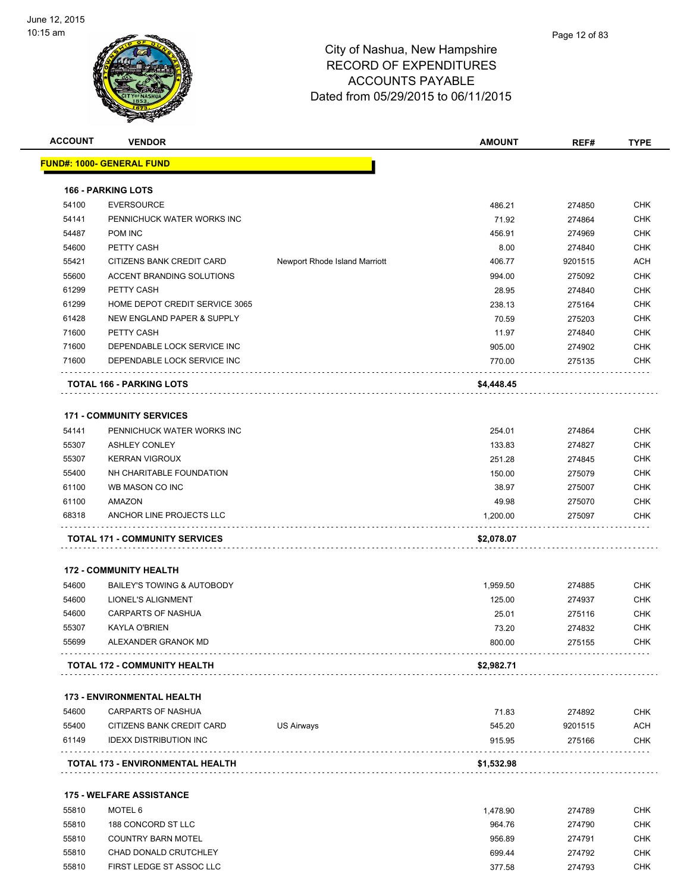

| <b>ACCOUNT</b> | <b>VENDOR</b>                         |                               | <b>AMOUNT</b>     | REF#             | <b>TYPE</b>       |
|----------------|---------------------------------------|-------------------------------|-------------------|------------------|-------------------|
|                | <u> FUND#: 1000- GENERAL FUND</u>     |                               |                   |                  |                   |
|                | <b>166 - PARKING LOTS</b>             |                               |                   |                  |                   |
| 54100          | <b>EVERSOURCE</b>                     |                               | 486.21            | 274850           | CHK               |
| 54141          | PENNICHUCK WATER WORKS INC            |                               | 71.92             | 274864           | <b>CHK</b>        |
| 54487          | POM INC                               |                               | 456.91            | 274969           | <b>CHK</b>        |
| 54600          | PETTY CASH                            |                               | 8.00              | 274840           | <b>CHK</b>        |
| 55421          | CITIZENS BANK CREDIT CARD             | Newport Rhode Island Marriott | 406.77            | 9201515          | <b>ACH</b>        |
| 55600          | ACCENT BRANDING SOLUTIONS             |                               | 994.00            | 275092           | <b>CHK</b>        |
| 61299          | PETTY CASH                            |                               | 28.95             | 274840           | <b>CHK</b>        |
| 61299          | HOME DEPOT CREDIT SERVICE 3065        |                               | 238.13            | 275164           | <b>CHK</b>        |
| 61428          | NEW ENGLAND PAPER & SUPPLY            |                               | 70.59             | 275203           | <b>CHK</b>        |
| 71600          | PETTY CASH                            |                               | 11.97             | 274840           | <b>CHK</b>        |
| 71600          | DEPENDABLE LOCK SERVICE INC           |                               | 905.00            | 274902           | <b>CHK</b>        |
| 71600          | DEPENDABLE LOCK SERVICE INC           |                               | 770.00            | 275135           | <b>CHK</b>        |
|                | <b>TOTAL 166 - PARKING LOTS</b>       |                               | \$4,448.45        |                  |                   |
|                |                                       |                               |                   |                  |                   |
|                | <b>171 - COMMUNITY SERVICES</b>       |                               |                   |                  |                   |
| 54141          | PENNICHUCK WATER WORKS INC            |                               | 254.01            | 274864           | <b>CHK</b>        |
| 55307          | <b>ASHLEY CONLEY</b>                  |                               | 133.83            | 274827           | <b>CHK</b>        |
| 55307          | <b>KERRAN VIGROUX</b>                 |                               | 251.28            | 274845           | <b>CHK</b>        |
| 55400          | NH CHARITABLE FOUNDATION              |                               | 150.00            | 275079           | <b>CHK</b>        |
| 61100          | WB MASON CO INC                       |                               | 38.97             | 275007           | <b>CHK</b>        |
| 61100<br>68318 | AMAZON<br>ANCHOR LINE PROJECTS LLC    |                               | 49.98<br>1,200.00 | 275070<br>275097 | <b>CHK</b><br>CHK |
|                |                                       |                               |                   |                  |                   |
|                | <b>TOTAL 171 - COMMUNITY SERVICES</b> |                               | \$2,078.07        |                  |                   |
|                | <b>172 - COMMUNITY HEALTH</b>         |                               |                   |                  |                   |
| 54600          | <b>BAILEY'S TOWING &amp; AUTOBODY</b> |                               | 1,959.50          | 274885           | <b>CHK</b>        |
| 54600          | LIONEL'S ALIGNMENT                    |                               | 125.00            | 274937           | <b>CHK</b>        |
| 54600          | CARPARTS OF NASHUA                    |                               | 25.01             | 275116           | <b>CHK</b>        |
| 55307          | <b>KAYLA O'BRIEN</b>                  |                               | 73.20             | 274832           | <b>CHK</b>        |
| 55699          | ALEXANDER GRANOK MD                   |                               | 800.00            | 275155           | <b>CHK</b>        |
|                | <b>TOTAL 172 - COMMUNITY HEALTH</b>   |                               | \$2,982.71        |                  |                   |
|                | <b>173 - ENVIRONMENTAL HEALTH</b>     |                               |                   |                  |                   |
| 54600          | CARPARTS OF NASHUA                    |                               | 71.83             | 274892           | CHK               |
| 55400          | CITIZENS BANK CREDIT CARD             | US Airways                    | 545.20            | 9201515          | <b>ACH</b>        |
| 61149          | <b>IDEXX DISTRIBUTION INC</b>         |                               | 915.95            | 275166           | <b>CHK</b>        |
|                | TOTAL 173 - ENVIRONMENTAL HEALTH      |                               | \$1,532.98        |                  |                   |
|                |                                       |                               |                   |                  |                   |
|                | <b>175 - WELFARE ASSISTANCE</b>       |                               |                   |                  |                   |
| 55810          | MOTEL 6                               |                               | 1,478.90          | 274789           | <b>CHK</b>        |
| 55810          | 188 CONCORD ST LLC                    |                               | 964.76            | 274790           | <b>CHK</b>        |
| 55810          | <b>COUNTRY BARN MOTEL</b>             |                               | 956.89            | 274791           | <b>CHK</b>        |
| 55810          | CHAD DONALD CRUTCHLEY                 |                               | 699.44            | 274792           | <b>CHK</b>        |
| 55810          | FIRST LEDGE ST ASSOC LLC              |                               | 377.58            | 274793           | <b>CHK</b>        |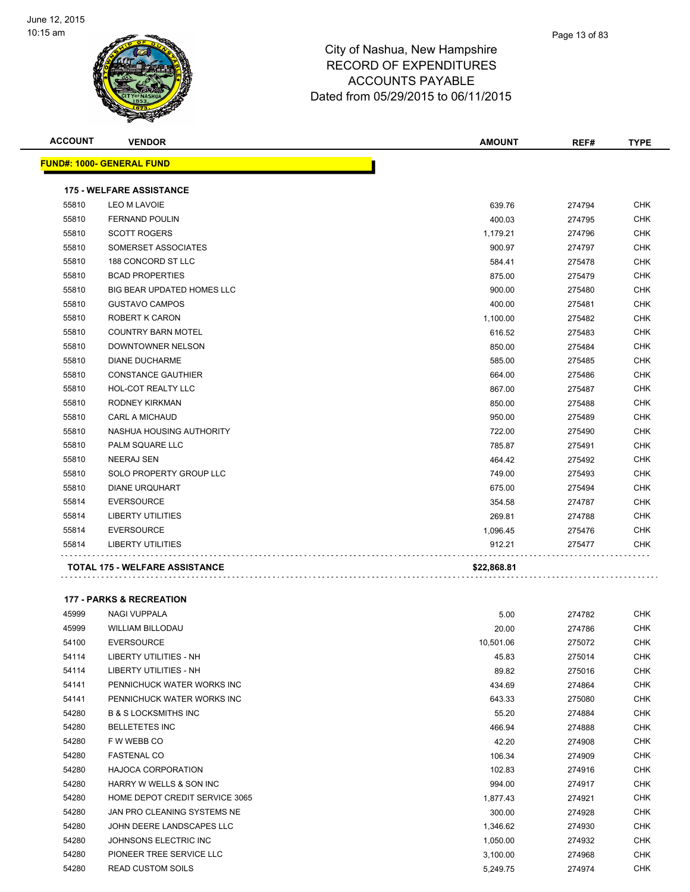

| <b>ACCOUNT</b> | <b>VENDOR</b>                     | <b>AMOUNT</b> | REF#   | <b>TYPE</b> |
|----------------|-----------------------------------|---------------|--------|-------------|
|                | <b>FUND#: 1000- GENERAL FUND</b>  |               |        |             |
|                | <b>175 - WELFARE ASSISTANCE</b>   |               |        |             |
| 55810          | <b>LEO M LAVOIE</b>               | 639.76        | 274794 | CHK         |
| 55810          | <b>FERNAND POULIN</b>             | 400.03        | 274795 | <b>CHK</b>  |
| 55810          | <b>SCOTT ROGERS</b>               | 1,179.21      | 274796 | <b>CHK</b>  |
| 55810          | SOMERSET ASSOCIATES               | 900.97        | 274797 | <b>CHK</b>  |
| 55810          | 188 CONCORD ST LLC                | 584.41        | 275478 | <b>CHK</b>  |
| 55810          | <b>BCAD PROPERTIES</b>            | 875.00        | 275479 | <b>CHK</b>  |
| 55810          | <b>BIG BEAR UPDATED HOMES LLC</b> | 900.00        | 275480 | <b>CHK</b>  |
| 55810          | <b>GUSTAVO CAMPOS</b>             | 400.00        | 275481 | CHK         |
| 55810          | ROBERT K CARON                    | 1,100.00      | 275482 | <b>CHK</b>  |
| 55810          | <b>COUNTRY BARN MOTEL</b>         | 616.52        | 275483 | <b>CHK</b>  |
| 55810          | DOWNTOWNER NELSON                 | 850.00        | 275484 | <b>CHK</b>  |
| 55810          | <b>DIANE DUCHARME</b>             | 585.00        | 275485 | <b>CHK</b>  |
| 55810          | <b>CONSTANCE GAUTHIER</b>         | 664.00        | 275486 | <b>CHK</b>  |
| 55810          | HOL-COT REALTY LLC                | 867.00        | 275487 | <b>CHK</b>  |
| 55810          | <b>RODNEY KIRKMAN</b>             | 850.00        | 275488 | <b>CHK</b>  |
| 55810          | <b>CARL A MICHAUD</b>             | 950.00        | 275489 | <b>CHK</b>  |
| 55810          | NASHUA HOUSING AUTHORITY          | 722.00        | 275490 | <b>CHK</b>  |
| 55810          | PALM SQUARE LLC                   | 785.87        | 275491 | <b>CHK</b>  |
| 55810          | <b>NEERAJ SEN</b>                 | 464.42        | 275492 | <b>CHK</b>  |
| 55810          | SOLO PROPERTY GROUP LLC           | 749.00        | 275493 | <b>CHK</b>  |
| 55810          | <b>DIANE URQUHART</b>             | 675.00        | 275494 | <b>CHK</b>  |
| 55814          | <b>EVERSOURCE</b>                 | 354.58        | 274787 | <b>CHK</b>  |
| 55814          | <b>LIBERTY UTILITIES</b>          | 269.81        | 274788 | <b>CHK</b>  |
| 55814          | <b>EVERSOURCE</b>                 | 1,096.45      | 275476 | <b>CHK</b>  |
| 55814          | <b>LIBERTY UTILITIES</b>          | 912.21        | 275477 | <b>CHK</b>  |
|                | TOTAL 175 - WELFARE ASSISTANCE    | \$22,868.81   |        |             |
|                |                                   |               |        |             |

#### **177 - PARKS & RECREATION**

| 45999 | <b>NAGI VUPPALA</b>             | 5.00      | 274782 | <b>CHK</b> |
|-------|---------------------------------|-----------|--------|------------|
| 45999 | <b>WILLIAM BILLODAU</b>         | 20.00     | 274786 | <b>CHK</b> |
| 54100 | <b>EVERSOURCE</b>               | 10,501.06 | 275072 | CHK        |
| 54114 | <b>LIBERTY UTILITIES - NH</b>   | 45.83     | 275014 | <b>CHK</b> |
| 54114 | LIBERTY UTILITIES - NH          | 89.82     | 275016 | CHK        |
| 54141 | PENNICHUCK WATER WORKS INC      | 434.69    | 274864 | <b>CHK</b> |
| 54141 | PENNICHUCK WATER WORKS INC      | 643.33    | 275080 | <b>CHK</b> |
| 54280 | <b>B &amp; S LOCKSMITHS INC</b> | 55.20     | 274884 | <b>CHK</b> |
| 54280 | <b>BELLETETES INC</b>           | 466.94    | 274888 | <b>CHK</b> |
| 54280 | F W WEBB CO                     | 42.20     | 274908 | <b>CHK</b> |
| 54280 | <b>FASTENAL CO</b>              | 106.34    | 274909 | <b>CHK</b> |
| 54280 | <b>HAJOCA CORPORATION</b>       | 102.83    | 274916 | <b>CHK</b> |
| 54280 | HARRY W WELLS & SON INC         | 994.00    | 274917 | <b>CHK</b> |
| 54280 | HOME DEPOT CREDIT SERVICE 3065  | 1,877.43  | 274921 | <b>CHK</b> |
| 54280 | JAN PRO CLEANING SYSTEMS NE     | 300.00    | 274928 | <b>CHK</b> |
| 54280 | JOHN DEERE LANDSCAPES LLC       | 1,346.62  | 274930 | CHK        |
| 54280 | JOHNSONS ELECTRIC INC.          | 1,050.00  | 274932 | <b>CHK</b> |
| 54280 | PIONEER TREE SERVICE LLC        | 3,100.00  | 274968 | CHK        |
| 54280 | <b>READ CUSTOM SOILS</b>        | 5,249.75  | 274974 | <b>CHK</b> |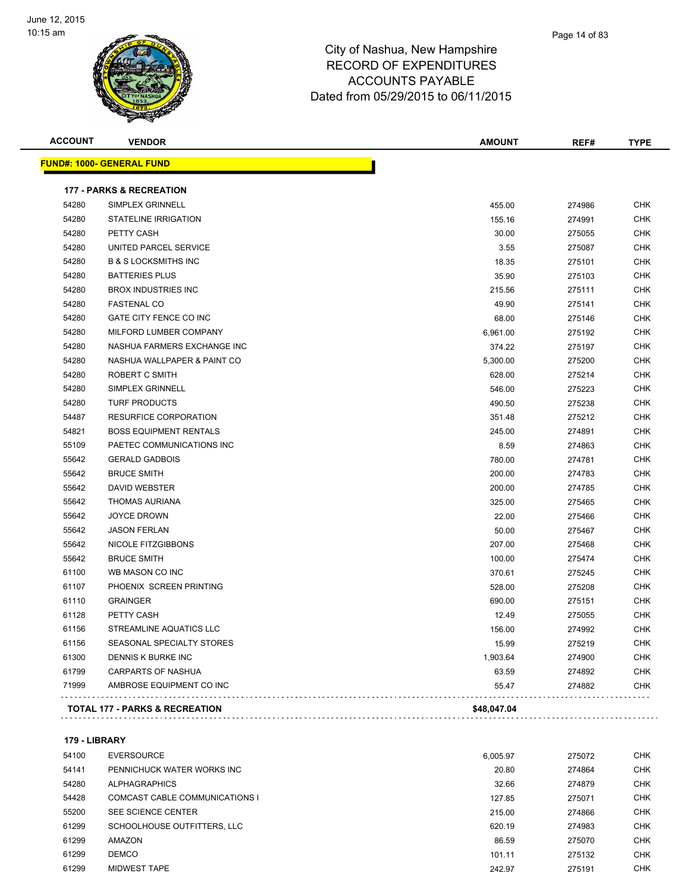

| <b>ACCOUNT</b> | <b>VENDOR</b>                       | <b>AMOUNT</b> | REF#   | <b>TYPE</b> |
|----------------|-------------------------------------|---------------|--------|-------------|
|                | <b>FUND#: 1000- GENERAL FUND</b>    |               |        |             |
|                | <b>177 - PARKS &amp; RECREATION</b> |               |        |             |
| 54280          | SIMPLEX GRINNELL                    | 455.00        | 274986 | <b>CHK</b>  |
| 54280          | <b>STATELINE IRRIGATION</b>         | 155.16        | 274991 | <b>CHK</b>  |
| 54280          | PETTY CASH                          | 30.00         | 275055 | <b>CHK</b>  |
| 54280          | UNITED PARCEL SERVICE               | 3.55          | 275087 | <b>CHK</b>  |
| 54280          | <b>B &amp; S LOCKSMITHS INC</b>     | 18.35         | 275101 | <b>CHK</b>  |
| 54280          | <b>BATTERIES PLUS</b>               | 35.90         | 275103 | <b>CHK</b>  |
| 54280          | <b>BROX INDUSTRIES INC</b>          | 215.56        | 275111 | <b>CHK</b>  |
| 54280          | <b>FASTENAL CO</b>                  | 49.90         | 275141 | <b>CHK</b>  |
| 54280          | GATE CITY FENCE CO INC              | 68.00         | 275146 | <b>CHK</b>  |
| 54280          | MILFORD LUMBER COMPANY              | 6,961.00      | 275192 | <b>CHK</b>  |
| 54280          | NASHUA FARMERS EXCHANGE INC         | 374.22        | 275197 | <b>CHK</b>  |
| 54280          | NASHUA WALLPAPER & PAINT CO         | 5,300.00      | 275200 | <b>CHK</b>  |
| 54280          | ROBERT C SMITH                      | 628.00        | 275214 | <b>CHK</b>  |
| 54280          | SIMPLEX GRINNELL                    | 546.00        | 275223 | <b>CHK</b>  |
| 54280          | <b>TURF PRODUCTS</b>                | 490.50        | 275238 | <b>CHK</b>  |
| 54487          | <b>RESURFICE CORPORATION</b>        | 351.48        | 275212 | <b>CHK</b>  |
| 54821          | <b>BOSS EQUIPMENT RENTALS</b>       | 245.00        | 274891 | <b>CHK</b>  |
| 55109          | PAETEC COMMUNICATIONS INC           | 8.59          | 274863 | <b>CHK</b>  |
| 55642          | <b>GERALD GADBOIS</b>               | 780.00        | 274781 | <b>CHK</b>  |
| 55642          | <b>BRUCE SMITH</b>                  | 200.00        | 274783 | <b>CHK</b>  |
| 55642          | <b>DAVID WEBSTER</b>                | 200.00        | 274785 | <b>CHK</b>  |
| 55642          | <b>THOMAS AURIANA</b>               | 325.00        | 275465 | <b>CHK</b>  |
| 55642          | <b>JOYCE DROWN</b>                  | 22.00         | 275466 | <b>CHK</b>  |
| 55642          | <b>JASON FERLAN</b>                 | 50.00         | 275467 | <b>CHK</b>  |
| 55642          | NICOLE FITZGIBBONS                  | 207.00        | 275468 | <b>CHK</b>  |
| 55642          | <b>BRUCE SMITH</b>                  | 100.00        | 275474 | <b>CHK</b>  |
| 61100          | WB MASON CO INC                     | 370.61        | 275245 | <b>CHK</b>  |
| 61107          | PHOENIX SCREEN PRINTING             | 528.00        | 275208 | <b>CHK</b>  |
| 61110          | <b>GRAINGER</b>                     | 690.00        | 275151 | <b>CHK</b>  |
| 61128          | PETTY CASH                          | 12.49         | 275055 | <b>CHK</b>  |
| 61156          | STREAMLINE AQUATICS LLC             | 156.00        | 274992 | <b>CHK</b>  |
| 61156          | SEASONAL SPECIALTY STORES           | 15.99         | 275219 | <b>CHK</b>  |
| 61300          | DENNIS K BURKE INC                  | 1,903.64      | 274900 | <b>CHK</b>  |
| 61799          | <b>CARPARTS OF NASHUA</b>           | 63.59         | 274892 | <b>CHK</b>  |
| 71999          | AMBROSE EQUIPMENT CO INC            | 55.47         | 274882 | <b>CHK</b>  |

#### **179 - LIBRARY**

| 54100 | <b>EVERSOURCE</b>              | 6,005.97 | 275072 | <b>CHK</b> |
|-------|--------------------------------|----------|--------|------------|
| 54141 | PENNICHUCK WATER WORKS INC     | 20.80    | 274864 | <b>CHK</b> |
| 54280 | ALPHAGRAPHICS                  | 32.66    | 274879 | <b>CHK</b> |
| 54428 | COMCAST CABLE COMMUNICATIONS I | 127.85   | 275071 | <b>CHK</b> |
| 55200 | SEE SCIENCE CENTER             | 215.00   | 274866 | <b>CHK</b> |
| 61299 | SCHOOLHOUSE OUTFITTERS. LLC    | 620.19   | 274983 | <b>CHK</b> |
| 61299 | AMAZON                         | 86.59    | 275070 | <b>CHK</b> |
| 61299 | <b>DEMCO</b>                   | 101.11   | 275132 | <b>CHK</b> |
| 61299 | MIDWEST TAPE                   | 242.97   | 275191 | <b>CHK</b> |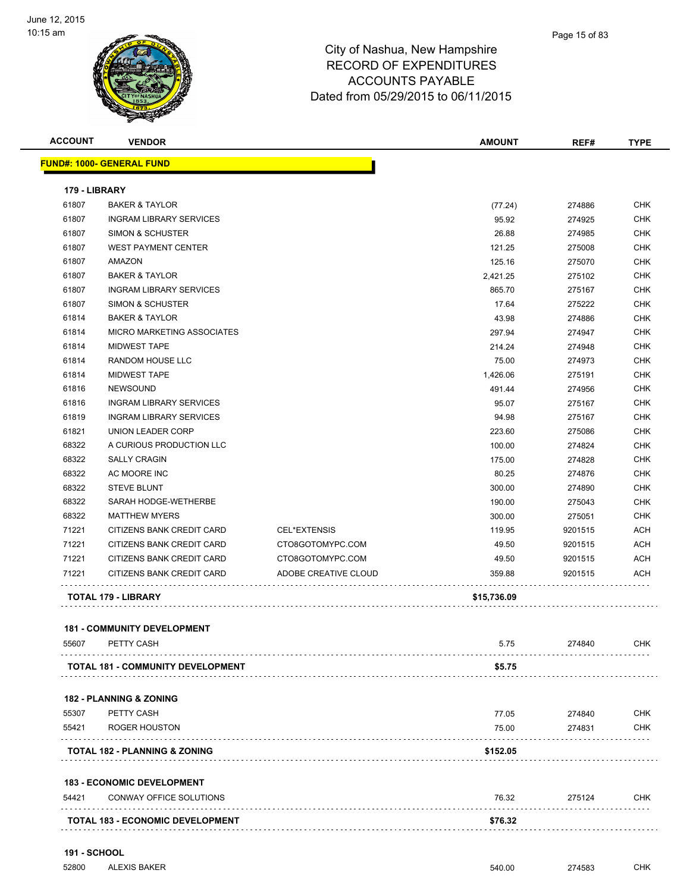

| <b>ACCOUNT</b> | <b>VENDOR</b>                                                |                      | <b>AMOUNT</b> | REF#    | <b>TYPE</b> |
|----------------|--------------------------------------------------------------|----------------------|---------------|---------|-------------|
|                | <b>FUND#: 1000- GENERAL FUND</b>                             |                      |               |         |             |
| 179 - LIBRARY  |                                                              |                      |               |         |             |
| 61807          | <b>BAKER &amp; TAYLOR</b>                                    |                      | (77.24)       | 274886  | CHK         |
| 61807          | <b>INGRAM LIBRARY SERVICES</b>                               |                      | 95.92         | 274925  | CHK         |
| 61807          | SIMON & SCHUSTER                                             |                      | 26.88         | 274985  | CHK         |
| 61807          | <b>WEST PAYMENT CENTER</b>                                   |                      | 121.25        | 275008  | <b>CHK</b>  |
| 61807          | AMAZON                                                       |                      | 125.16        | 275070  | <b>CHK</b>  |
| 61807          | <b>BAKER &amp; TAYLOR</b>                                    |                      | 2,421.25      | 275102  | <b>CHK</b>  |
| 61807          | <b>INGRAM LIBRARY SERVICES</b>                               |                      | 865.70        | 275167  | <b>CHK</b>  |
| 61807          | SIMON & SCHUSTER                                             |                      | 17.64         | 275222  | <b>CHK</b>  |
| 61814          | <b>BAKER &amp; TAYLOR</b>                                    |                      | 43.98         | 274886  | <b>CHK</b>  |
| 61814          | <b>MICRO MARKETING ASSOCIATES</b>                            |                      | 297.94        | 274947  | <b>CHK</b>  |
| 61814          | <b>MIDWEST TAPE</b>                                          |                      | 214.24        | 274948  | CHK         |
| 61814          | <b>RANDOM HOUSE LLC</b>                                      |                      | 75.00         | 274973  | CHK         |
| 61814          | <b>MIDWEST TAPE</b>                                          |                      | 1,426.06      | 275191  | CHK         |
| 61816          | <b>NEWSOUND</b>                                              |                      | 491.44        | 274956  | CHK         |
| 61816          | <b>INGRAM LIBRARY SERVICES</b>                               |                      | 95.07         | 275167  | <b>CHK</b>  |
| 61819          | <b>INGRAM LIBRARY SERVICES</b>                               |                      | 94.98         | 275167  | <b>CHK</b>  |
| 61821          | UNION LEADER CORP                                            |                      | 223.60        | 275086  | CHK         |
| 68322          | A CURIOUS PRODUCTION LLC                                     |                      | 100.00        | 274824  | <b>CHK</b>  |
| 68322          | <b>SALLY CRAGIN</b>                                          |                      | 175.00        | 274828  | CHK         |
| 68322          | AC MOORE INC                                                 |                      | 80.25         | 274876  | <b>CHK</b>  |
| 68322          | <b>STEVE BLUNT</b>                                           |                      | 300.00        | 274890  | <b>CHK</b>  |
| 68322          | SARAH HODGE-WETHERBE                                         |                      | 190.00        | 275043  | CHK         |
| 68322          | <b>MATTHEW MYERS</b>                                         |                      | 300.00        | 275051  | CHK         |
| 71221          | CITIZENS BANK CREDIT CARD                                    | CEL*EXTENSIS         | 119.95        | 9201515 | ACH         |
| 71221          | CITIZENS BANK CREDIT CARD                                    | CTO8GOTOMYPC.COM     | 49.50         | 9201515 | <b>ACH</b>  |
| 71221          | CITIZENS BANK CREDIT CARD                                    | CTO8GOTOMYPC.COM     | 49.50         | 9201515 | ACH         |
| 71221          | CITIZENS BANK CREDIT CARD                                    | ADOBE CREATIVE CLOUD | 359.88        | 9201515 | ACH         |
|                | TOTAL 179 - LIBRARY                                          |                      | \$15,736.09   |         |             |
|                |                                                              |                      |               |         |             |
|                | <b>181 - COMMUNITY DEVELOPMENT</b>                           |                      |               |         |             |
| 55607          | PETTY CASH                                                   |                      | 5.75          | 274840  | <b>CHK</b>  |
|                | TOTAL 181 - COMMUNITY DEVELOPMENT                            |                      | \$5.75        |         |             |
|                | <b>182 - PLANNING &amp; ZONING</b>                           |                      |               |         |             |
| 55307          | PETTY CASH                                                   |                      | 77.05         | 274840  | <b>CHK</b>  |
| 55421          | <b>ROGER HOUSTON</b>                                         |                      | 75.00         | 274831  | <b>CHK</b>  |
|                | <b>TOTAL 182 - PLANNING &amp; ZONING</b>                     |                      | \$152.05      |         |             |
|                |                                                              |                      |               |         |             |
| 54421          | <b>183 - ECONOMIC DEVELOPMENT</b><br>CONWAY OFFICE SOLUTIONS |                      | 76.32         | 275124  | <b>CHK</b>  |
|                |                                                              |                      |               |         |             |
|                | TOTAL 183 - ECONOMIC DEVELOPMENT                             |                      | \$76.32       |         |             |

**191 - SCHOOL**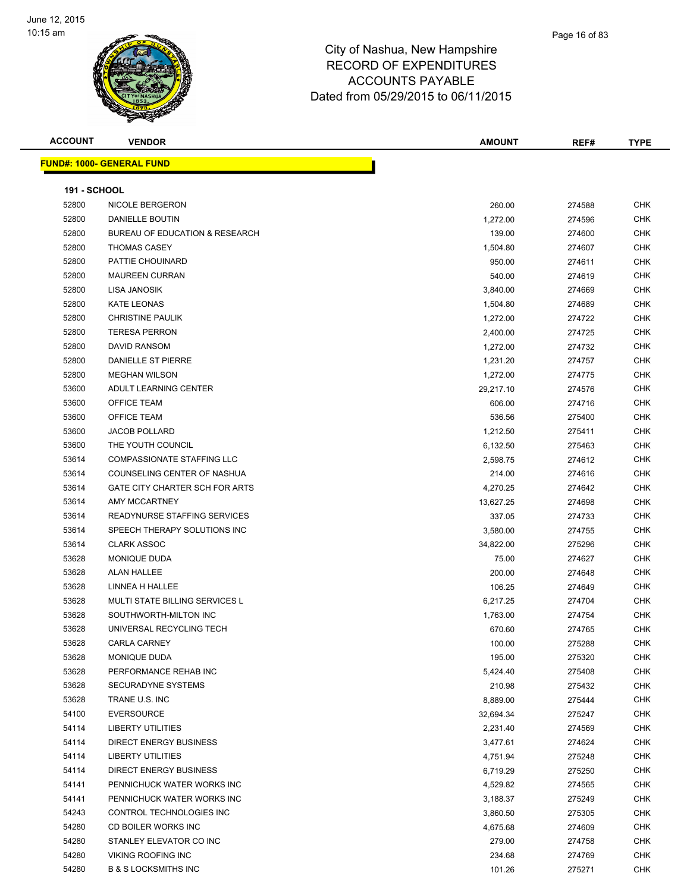

| <b>ACCOUNT</b>      | <b>VENDOR</b>                             | <b>AMOUNT</b> | REF#   | <b>TYPE</b> |
|---------------------|-------------------------------------------|---------------|--------|-------------|
|                     | <b>FUND#: 1000- GENERAL FUND</b>          |               |        |             |
|                     |                                           |               |        |             |
| <b>191 - SCHOOL</b> |                                           |               |        |             |
| 52800               | NICOLE BERGERON                           | 260.00        | 274588 | <b>CHK</b>  |
| 52800               | DANIELLE BOUTIN                           | 1,272.00      | 274596 | <b>CHK</b>  |
| 52800               | <b>BUREAU OF EDUCATION &amp; RESEARCH</b> | 139.00        | 274600 | <b>CHK</b>  |
| 52800               | <b>THOMAS CASEY</b>                       | 1,504.80      | 274607 | <b>CHK</b>  |
| 52800               | PATTIE CHOUINARD                          | 950.00        | 274611 | <b>CHK</b>  |
| 52800               | <b>MAUREEN CURRAN</b>                     | 540.00        | 274619 | <b>CHK</b>  |
| 52800               | LISA JANOSIK                              | 3,840.00      | 274669 | CHK         |
| 52800               | <b>KATE LEONAS</b>                        | 1,504.80      | 274689 | CHK         |
| 52800               | <b>CHRISTINE PAULIK</b>                   | 1,272.00      | 274722 | <b>CHK</b>  |
| 52800               | <b>TERESA PERRON</b>                      | 2,400.00      | 274725 | <b>CHK</b>  |
| 52800               | DAVID RANSOM                              | 1,272.00      | 274732 | <b>CHK</b>  |
| 52800               | <b>DANIELLE ST PIERRE</b>                 | 1,231.20      | 274757 | <b>CHK</b>  |
| 52800               | <b>MEGHAN WILSON</b>                      | 1,272.00      | 274775 | CHK         |
| 53600               | ADULT LEARNING CENTER                     | 29,217.10     | 274576 | <b>CHK</b>  |
| 53600               | OFFICE TEAM                               | 606.00        | 274716 | CHK         |
| 53600               | OFFICE TEAM                               | 536.56        | 275400 | <b>CHK</b>  |
| 53600               | <b>JACOB POLLARD</b>                      | 1,212.50      | 275411 | CHK         |
| 53600               | THE YOUTH COUNCIL                         | 6,132.50      | 275463 | CHK         |
| 53614               | <b>COMPASSIONATE STAFFING LLC</b>         | 2,598.75      | 274612 | <b>CHK</b>  |
| 53614               | COUNSELING CENTER OF NASHUA               | 214.00        | 274616 | <b>CHK</b>  |
| 53614               | GATE CITY CHARTER SCH FOR ARTS            | 4,270.25      | 274642 | <b>CHK</b>  |
| 53614               | AMY MCCARTNEY                             | 13,627.25     | 274698 | <b>CHK</b>  |
| 53614               | READYNURSE STAFFING SERVICES              | 337.05        | 274733 | CHK         |
| 53614               | SPEECH THERAPY SOLUTIONS INC              | 3,580.00      | 274755 | <b>CHK</b>  |
| 53614               | <b>CLARK ASSOC</b>                        | 34,822.00     | 275296 | <b>CHK</b>  |
| 53628               | MONIQUE DUDA                              | 75.00         | 274627 | <b>CHK</b>  |
| 53628               | <b>ALAN HALLEE</b>                        | 200.00        | 274648 | <b>CHK</b>  |
| 53628               | LINNEA H HALLEE                           | 106.25        | 274649 | CHK         |
| 53628               | MULTI STATE BILLING SERVICES L            | 6,217.25      | 274704 | <b>CHK</b>  |
| 53628               | SOUTHWORTH-MILTON INC                     | 1,763.00      | 274754 | <b>CHK</b>  |
| 53628               | UNIVERSAL RECYCLING TECH                  | 670.60        | 274765 | <b>CHK</b>  |
| 53628               | <b>CARLA CARNEY</b>                       | 100.00        | 275288 | CHK         |
| 53628               | MONIQUE DUDA                              | 195.00        | 275320 | <b>CHK</b>  |
| 53628               | PERFORMANCE REHAB INC                     |               |        | CHK         |
| 53628               | SECURADYNE SYSTEMS                        | 5,424.40      | 275408 | <b>CHK</b>  |
| 53628               | TRANE U.S. INC                            | 210.98        | 275432 | <b>CHK</b>  |
| 54100               | <b>EVERSOURCE</b>                         | 8,889.00      | 275444 |             |
|                     |                                           | 32,694.34     | 275247 | <b>CHK</b>  |
| 54114               | LIBERTY UTILITIES                         | 2,231.40      | 274569 | <b>CHK</b>  |
| 54114               | DIRECT ENERGY BUSINESS                    | 3,477.61      | 274624 | <b>CHK</b>  |
| 54114               | LIBERTY UTILITIES                         | 4,751.94      | 275248 | <b>CHK</b>  |
| 54114               | DIRECT ENERGY BUSINESS                    | 6,719.29      | 275250 | <b>CHK</b>  |
| 54141               | PENNICHUCK WATER WORKS INC                | 4,529.82      | 274565 | <b>CHK</b>  |
| 54141               | PENNICHUCK WATER WORKS INC                | 3,188.37      | 275249 | <b>CHK</b>  |
| 54243               | CONTROL TECHNOLOGIES INC                  | 3,860.50      | 275305 | <b>CHK</b>  |
| 54280               | CD BOILER WORKS INC                       | 4,675.68      | 274609 | CHK         |
| 54280               | STANLEY ELEVATOR CO INC                   | 279.00        | 274758 | <b>CHK</b>  |
| 54280               | <b>VIKING ROOFING INC</b>                 | 234.68        | 274769 | <b>CHK</b>  |
| 54280               | <b>B &amp; S LOCKSMITHS INC</b>           | 101.26        | 275271 | <b>CHK</b>  |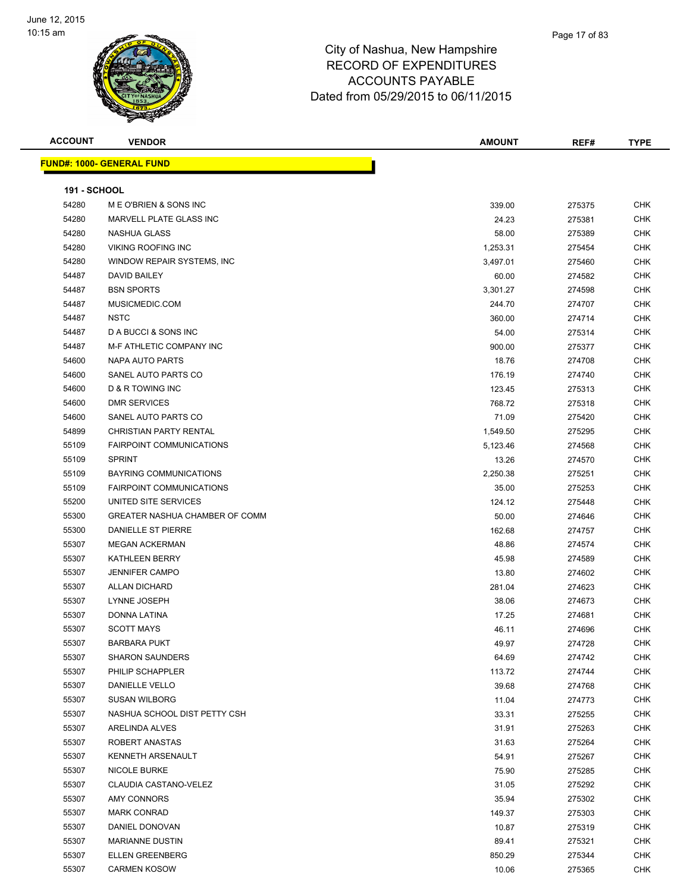

| <b>ACCOUNT</b>      | <b>VENDOR</b>                    | <b>AMOUNT</b> | REF#   | <b>TYPE</b> |
|---------------------|----------------------------------|---------------|--------|-------------|
|                     | <b>FUND#: 1000- GENERAL FUND</b> |               |        |             |
|                     |                                  |               |        |             |
| <b>191 - SCHOOL</b> |                                  |               |        |             |
| 54280               | M E O'BRIEN & SONS INC           | 339.00        | 275375 | <b>CHK</b>  |
| 54280               | MARVELL PLATE GLASS INC          | 24.23         | 275381 | <b>CHK</b>  |
| 54280               | NASHUA GLASS                     | 58.00         | 275389 | CHK         |
| 54280               | <b>VIKING ROOFING INC</b>        | 1,253.31      | 275454 | CHK         |
| 54280               | WINDOW REPAIR SYSTEMS, INC.      | 3,497.01      | 275460 | CHK         |
| 54487               | <b>DAVID BAILEY</b>              | 60.00         | 274582 | <b>CHK</b>  |
| 54487               | <b>BSN SPORTS</b>                | 3,301.27      | 274598 | <b>CHK</b>  |
| 54487               | MUSICMEDIC.COM                   | 244.70        | 274707 | CHK         |
| 54487               | <b>NSTC</b>                      | 360.00        | 274714 | <b>CHK</b>  |
| 54487               | D A BUCCI & SONS INC             | 54.00         | 275314 | <b>CHK</b>  |
| 54487               | M-F ATHLETIC COMPANY INC         | 900.00        | 275377 | CHK         |
| 54600               | <b>NAPA AUTO PARTS</b>           | 18.76         | 274708 | <b>CHK</b>  |
| 54600               | SANEL AUTO PARTS CO              | 176.19        | 274740 | <b>CHK</b>  |
| 54600               | <b>D &amp; R TOWING INC</b>      | 123.45        | 275313 | CHK         |
| 54600               | <b>DMR SERVICES</b>              | 768.72        | 275318 | CHK         |
| 54600               | SANEL AUTO PARTS CO              | 71.09         | 275420 | CHK         |
| 54899               | CHRISTIAN PARTY RENTAL           | 1,549.50      | 275295 | <b>CHK</b>  |
| 55109               | <b>FAIRPOINT COMMUNICATIONS</b>  | 5,123.46      | 274568 | CHK         |
| 55109               | <b>SPRINT</b>                    | 13.26         | 274570 | <b>CHK</b>  |
| 55109               | BAYRING COMMUNICATIONS           | 2,250.38      | 275251 | CHK         |
| 55109               | <b>FAIRPOINT COMMUNICATIONS</b>  | 35.00         | 275253 | CHK         |
| 55200               | UNITED SITE SERVICES             | 124.12        | 275448 | <b>CHK</b>  |
| 55300               | GREATER NASHUA CHAMBER OF COMM   | 50.00         | 274646 | CHK         |
| 55300               | DANIELLE ST PIERRE               | 162.68        | 274757 | CHK         |
| 55307               | <b>MEGAN ACKERMAN</b>            | 48.86         | 274574 | CHK         |
| 55307               | <b>KATHLEEN BERRY</b>            | 45.98         | 274589 | CHK         |
| 55307               | <b>JENNIFER CAMPO</b>            | 13.80         | 274602 | <b>CHK</b>  |
| 55307               | <b>ALLAN DICHARD</b>             | 281.04        | 274623 | <b>CHK</b>  |
| 55307               | LYNNE JOSEPH                     | 38.06         | 274673 | CHK         |
| 55307               | DONNA LATINA                     | 17.25         | 274681 | CHK         |
| 55307               | <b>SCOTT MAYS</b>                | 46.11         | 274696 | CHK         |
| 55307               | <b>BARBARA PUKT</b>              | 49.97         | 274728 | <b>CHK</b>  |
| 55307               | <b>SHARON SAUNDERS</b>           | 64.69         | 274742 | CHK         |
| 55307               | PHILIP SCHAPPLER                 | 113.72        | 274744 | <b>CHK</b>  |
| 55307               | DANIELLE VELLO                   | 39.68         | 274768 | <b>CHK</b>  |
| 55307               | <b>SUSAN WILBORG</b>             | 11.04         | 274773 | CHK         |
| 55307               | NASHUA SCHOOL DIST PETTY CSH     | 33.31         | 275255 | <b>CHK</b>  |
| 55307               | ARELINDA ALVES                   | 31.91         | 275263 | CHK         |
| 55307               | ROBERT ANASTAS                   | 31.63         | 275264 | <b>CHK</b>  |
| 55307               | KENNETH ARSENAULT                | 54.91         | 275267 | CHK         |
| 55307               | NICOLE BURKE                     | 75.90         | 275285 | CHK         |
| 55307               | CLAUDIA CASTANO-VELEZ            | 31.05         | 275292 | CHK         |
| 55307               | AMY CONNORS                      | 35.94         | 275302 | CHK         |
| 55307               | <b>MARK CONRAD</b>               | 149.37        | 275303 | CHK         |
| 55307               | DANIEL DONOVAN                   | 10.87         | 275319 | CHK         |
| 55307               | <b>MARIANNE DUSTIN</b>           | 89.41         | 275321 | CHK         |
| 55307               | <b>ELLEN GREENBERG</b>           | 850.29        | 275344 | CHK         |
| 55307               | <b>CARMEN KOSOW</b>              | 10.06         | 275365 | <b>CHK</b>  |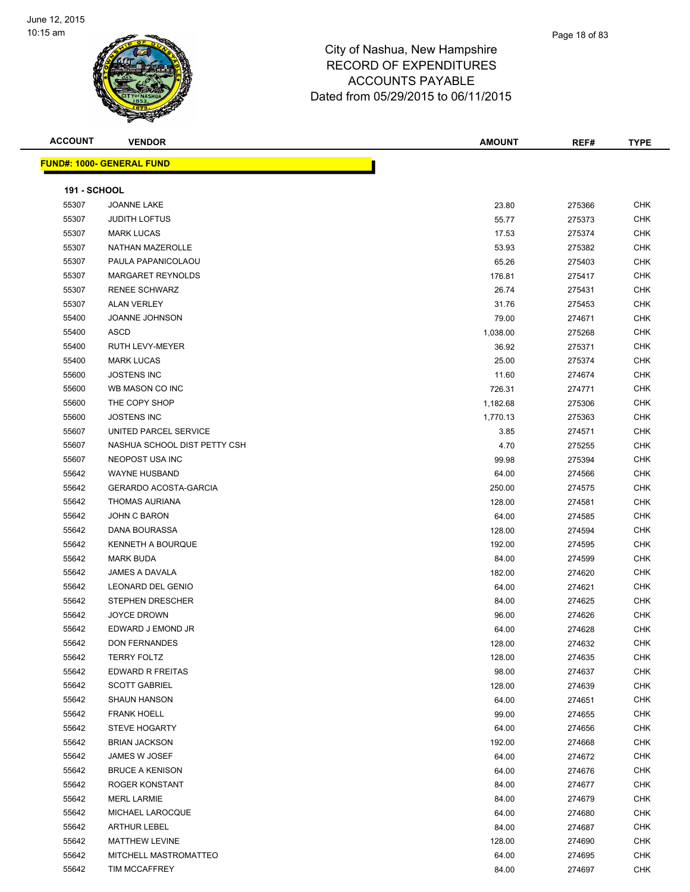

| <b>ACCOUNT</b>      | <b>VENDOR</b>                    | <b>AMOUNT</b> | REF#   | <b>TYPE</b> |
|---------------------|----------------------------------|---------------|--------|-------------|
|                     | <b>FUND#: 1000- GENERAL FUND</b> |               |        |             |
|                     |                                  |               |        |             |
| <b>191 - SCHOOL</b> |                                  |               |        |             |
| 55307               | <b>JOANNE LAKE</b>               | 23.80         | 275366 | <b>CHK</b>  |
| 55307               | <b>JUDITH LOFTUS</b>             | 55.77         | 275373 | CHK         |
| 55307               | <b>MARK LUCAS</b>                | 17.53         | 275374 | <b>CHK</b>  |
| 55307               | NATHAN MAZEROLLE                 | 53.93         | 275382 | CHK         |
| 55307               | PAULA PAPANICOLAOU               | 65.26         | 275403 | <b>CHK</b>  |
| 55307               | MARGARET REYNOLDS                | 176.81        | 275417 | CHK         |
| 55307               | <b>RENEE SCHWARZ</b>             | 26.74         | 275431 | CHK         |
| 55307               | <b>ALAN VERLEY</b>               | 31.76         | 275453 | CHK         |
| 55400               | <b>JOANNE JOHNSON</b>            | 79.00         | 274671 | CHK         |
| 55400               | ASCD                             | 1,038.00      | 275268 | <b>CHK</b>  |
| 55400               | RUTH LEVY-MEYER                  | 36.92         | 275371 | <b>CHK</b>  |
| 55400               | <b>MARK LUCAS</b>                | 25.00         | 275374 | <b>CHK</b>  |
| 55600               | <b>JOSTENS INC</b>               | 11.60         | 274674 | <b>CHK</b>  |
| 55600               | WB MASON CO INC                  | 726.31        | 274771 | CHK         |
| 55600               | THE COPY SHOP                    | 1,182.68      | 275306 | <b>CHK</b>  |
| 55600               | <b>JOSTENS INC</b>               | 1,770.13      | 275363 | <b>CHK</b>  |
| 55607               | UNITED PARCEL SERVICE            | 3.85          | 274571 | <b>CHK</b>  |
| 55607               | NASHUA SCHOOL DIST PETTY CSH     | 4.70          | 275255 | CHK         |
| 55607               | NEOPOST USA INC                  | 99.98         | 275394 | CHK         |
| 55642               | <b>WAYNE HUSBAND</b>             | 64.00         | 274566 | CHK         |
| 55642               | <b>GERARDO ACOSTA-GARCIA</b>     | 250.00        | 274575 | <b>CHK</b>  |
| 55642               | <b>THOMAS AURIANA</b>            | 128.00        | 274581 | <b>CHK</b>  |
| 55642               | JOHN C BARON                     | 64.00         | 274585 | CHK         |
| 55642               | DANA BOURASSA                    | 128.00        | 274594 | CHK         |
| 55642               | <b>KENNETH A BOURQUE</b>         | 192.00        | 274595 | CHK         |
| 55642               | <b>MARK BUDA</b>                 | 84.00         | 274599 | <b>CHK</b>  |
| 55642               | JAMES A DAVALA                   | 182.00        | 274620 | <b>CHK</b>  |
| 55642               | <b>LEONARD DEL GENIO</b>         | 64.00         | 274621 | <b>CHK</b>  |
| 55642               | <b>STEPHEN DRESCHER</b>          | 84.00         | 274625 | <b>CHK</b>  |
| 55642               | <b>JOYCE DROWN</b>               | 96.00         | 274626 | CHK         |
| 55642               | EDWARD J EMOND JR                | 64.00         | 274628 | CHK         |
| 55642               | <b>DON FERNANDES</b>             | 128.00        | 274632 | CHK         |
| 55642               | <b>TERRY FOLTZ</b>               | 128.00        | 274635 | <b>CHK</b>  |
| 55642               | <b>EDWARD R FREITAS</b>          | 98.00         | 274637 | CHK         |
| 55642               | <b>SCOTT GABRIEL</b>             | 128.00        | 274639 | CHK         |
| 55642               | <b>SHAUN HANSON</b>              | 64.00         | 274651 | CHK         |
| 55642               | <b>FRANK HOELL</b>               | 99.00         | 274655 | <b>CHK</b>  |
| 55642               | <b>STEVE HOGARTY</b>             | 64.00         | 274656 | CHK         |
| 55642               | <b>BRIAN JACKSON</b>             | 192.00        | 274668 | CHK         |
| 55642               | JAMES W JOSEF                    | 64.00         | 274672 | CHK         |
| 55642               | <b>BRUCE A KENISON</b>           | 64.00         | 274676 | CHK         |
| 55642               | ROGER KONSTANT                   | 84.00         | 274677 | CHK         |
| 55642               | <b>MERL LARMIE</b>               | 84.00         | 274679 | CHK         |
| 55642               | MICHAEL LAROCQUE                 | 64.00         | 274680 | CHK         |
| 55642               | <b>ARTHUR LEBEL</b>              | 84.00         | 274687 | CHK         |
| 55642               | MATTHEW LEVINE                   | 128.00        | 274690 | CHK         |
| 55642               | MITCHELL MASTROMATTEO            | 64.00         | 274695 | CHK         |
| 55642               | TIM MCCAFFREY                    | 84.00         | 274697 | <b>CHK</b>  |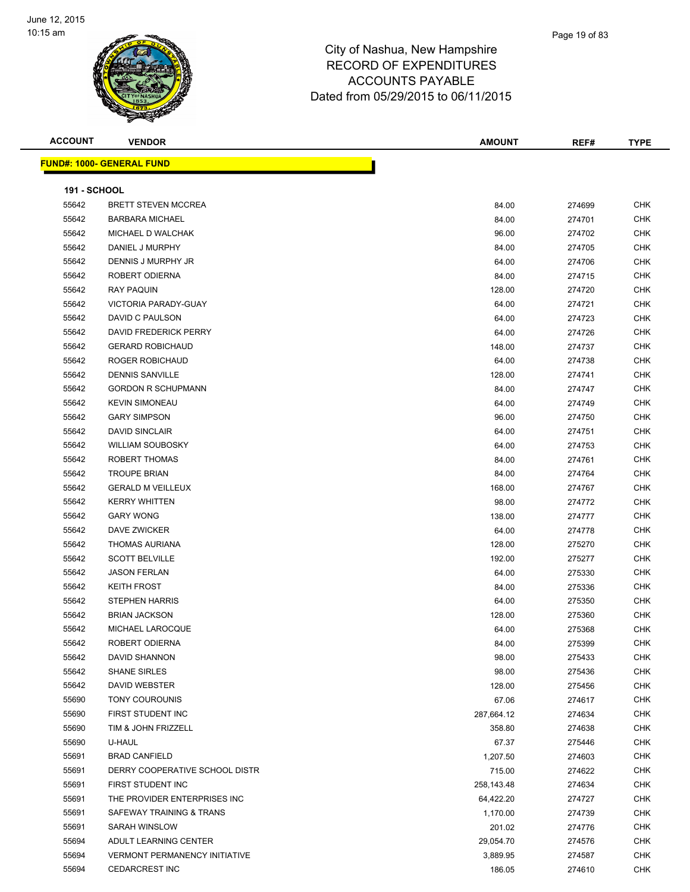

| <b>ACCOUNT</b>      | <b>VENDOR</b>                        | <b>AMOUNT</b> | REF#   | <b>TYPE</b> |
|---------------------|--------------------------------------|---------------|--------|-------------|
|                     | <u> FUND#: 1000- GENERAL FUND</u>    |               |        |             |
|                     |                                      |               |        |             |
| <b>191 - SCHOOL</b> |                                      |               |        |             |
| 55642               | <b>BRETT STEVEN MCCREA</b>           | 84.00         | 274699 | CHK         |
| 55642               | <b>BARBARA MICHAEL</b>               | 84.00         | 274701 | <b>CHK</b>  |
| 55642               | MICHAEL D WALCHAK                    | 96.00         | 274702 | CHK         |
| 55642               | DANIEL J MURPHY                      | 84.00         | 274705 | CHK         |
| 55642               | DENNIS J MURPHY JR                   | 64.00         | 274706 | CHK         |
| 55642               | ROBERT ODIERNA                       | 84.00         | 274715 | CHK         |
| 55642               | <b>RAY PAQUIN</b>                    | 128.00        | 274720 | CHK         |
| 55642               | VICTORIA PARADY-GUAY                 | 64.00         | 274721 | CHK         |
| 55642               | DAVID C PAULSON                      | 64.00         | 274723 | CHK         |
| 55642               | DAVID FREDERICK PERRY                | 64.00         | 274726 | CHK         |
| 55642               | <b>GERARD ROBICHAUD</b>              | 148.00        | 274737 | CHK         |
| 55642               | ROGER ROBICHAUD                      | 64.00         | 274738 | CHK         |
| 55642               | <b>DENNIS SANVILLE</b>               | 128.00        | 274741 | CHK         |
| 55642               | <b>GORDON R SCHUPMANN</b>            | 84.00         | 274747 | CHK         |
| 55642               | <b>KEVIN SIMONEAU</b>                | 64.00         | 274749 | CHK         |
| 55642               | <b>GARY SIMPSON</b>                  | 96.00         | 274750 | CHK         |
| 55642               | <b>DAVID SINCLAIR</b>                | 64.00         | 274751 | CHK         |
| 55642               | <b>WILLIAM SOUBOSKY</b>              | 64.00         | 274753 | CHK         |
| 55642               | ROBERT THOMAS                        | 84.00         | 274761 | CHK         |
| 55642               | <b>TROUPE BRIAN</b>                  | 84.00         | 274764 | CHK         |
| 55642               | <b>GERALD M VEILLEUX</b>             | 168.00        | 274767 | CHK         |
| 55642               | <b>KERRY WHITTEN</b>                 | 98.00         | 274772 | CHK         |
| 55642               | <b>GARY WONG</b>                     | 138.00        | 274777 | CHK         |
| 55642               | DAVE ZWICKER                         | 64.00         | 274778 | <b>CHK</b>  |
| 55642               | <b>THOMAS AURIANA</b>                | 128.00        | 275270 | CHK         |
| 55642               | <b>SCOTT BELVILLE</b>                | 192.00        | 275277 | CHK         |
| 55642               | <b>JASON FERLAN</b>                  | 64.00         | 275330 | CHK         |
| 55642               | <b>KEITH FROST</b>                   | 84.00         | 275336 | CHK         |
| 55642               | <b>STEPHEN HARRIS</b>                | 64.00         | 275350 | CHK         |
| 55642               | <b>BRIAN JACKSON</b>                 | 128.00        | 275360 | CHK         |
| 55642               | MICHAEL LAROCQUE                     | 64.00         | 275368 | CHK         |
| 55642               | ROBERT ODIERNA                       | 84.00         | 275399 | CHK         |
| 55642               | DAVID SHANNON                        | 98.00         | 275433 | <b>CHK</b>  |
| 55642               | <b>SHANE SIRLES</b>                  | 98.00         | 275436 | <b>CHK</b>  |
| 55642               | DAVID WEBSTER                        | 128.00        | 275456 | <b>CHK</b>  |
| 55690               | <b>TONY COUROUNIS</b>                | 67.06         | 274617 | <b>CHK</b>  |
| 55690               | FIRST STUDENT INC                    | 287,664.12    | 274634 | <b>CHK</b>  |
| 55690               | TIM & JOHN FRIZZELL                  | 358.80        | 274638 | <b>CHK</b>  |
| 55690               | U-HAUL                               | 67.37         | 275446 | CHK         |
| 55691               | <b>BRAD CANFIELD</b>                 | 1,207.50      | 274603 | <b>CHK</b>  |
| 55691               | DERRY COOPERATIVE SCHOOL DISTR       | 715.00        | 274622 | <b>CHK</b>  |
| 55691               | FIRST STUDENT INC                    | 258,143.48    | 274634 | <b>CHK</b>  |
| 55691               | THE PROVIDER ENTERPRISES INC         | 64,422.20     | 274727 | <b>CHK</b>  |
| 55691               | SAFEWAY TRAINING & TRANS             | 1,170.00      | 274739 | CHK         |
| 55691               | SARAH WINSLOW                        | 201.02        | 274776 | CHK         |
| 55694               | ADULT LEARNING CENTER                | 29,054.70     | 274576 | <b>CHK</b>  |
| 55694               | <b>VERMONT PERMANENCY INITIATIVE</b> | 3,889.95      | 274587 | CHK         |
| 55694               | <b>CEDARCREST INC</b>                | 186.05        | 274610 | <b>CHK</b>  |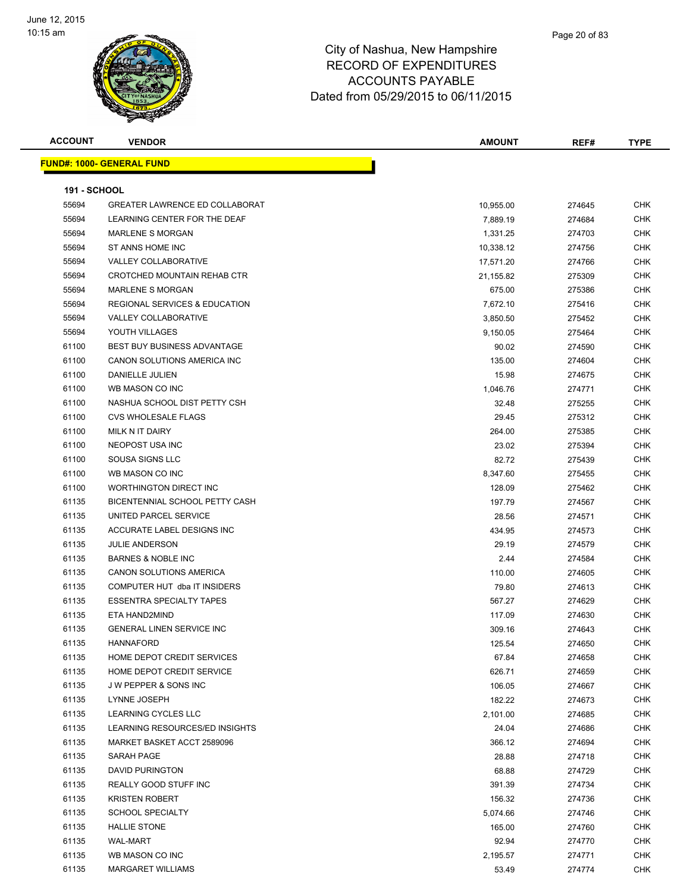

| <b>ACCOUNT</b>      | <b>VENDOR</b>                            | <b>AMOUNT</b>   | REF#             | <b>TYPE</b> |
|---------------------|------------------------------------------|-----------------|------------------|-------------|
|                     | <u> FUND#: 1000- GENERAL FUND</u>        |                 |                  |             |
|                     |                                          |                 |                  |             |
| <b>191 - SCHOOL</b> |                                          |                 |                  |             |
| 55694               | <b>GREATER LAWRENCE ED COLLABORAT</b>    | 10,955.00       | 274645           | <b>CHK</b>  |
| 55694               | LEARNING CENTER FOR THE DEAF             | 7,889.19        | 274684           | <b>CHK</b>  |
| 55694               | <b>MARLENE S MORGAN</b>                  | 1,331.25        | 274703           | CHK         |
| 55694               | ST ANNS HOME INC                         | 10,338.12       | 274756           | CHK         |
| 55694               | <b>VALLEY COLLABORATIVE</b>              | 17,571.20       | 274766           | CHK         |
| 55694               | <b>CROTCHED MOUNTAIN REHAB CTR</b>       | 21,155.82       | 275309           | CHK         |
| 55694               | <b>MARLENE S MORGAN</b>                  | 675.00          | 275386           | <b>CHK</b>  |
| 55694               | <b>REGIONAL SERVICES &amp; EDUCATION</b> | 7,672.10        | 275416           | CHK         |
| 55694               | <b>VALLEY COLLABORATIVE</b>              | 3,850.50        | 275452           | CHK         |
| 55694               | YOUTH VILLAGES                           | 9,150.05        | 275464           | <b>CHK</b>  |
| 61100               | <b>BEST BUY BUSINESS ADVANTAGE</b>       | 90.02           | 274590           | <b>CHK</b>  |
| 61100               | CANON SOLUTIONS AMERICA INC              | 135.00          | 274604           | CHK         |
| 61100               | DANIELLE JULIEN                          | 15.98           | 274675           | CHK         |
| 61100               | WB MASON CO INC                          | 1,046.76        | 274771           | CHK         |
| 61100               | NASHUA SCHOOL DIST PETTY CSH             | 32.48           | 275255           | CHK         |
| 61100               | <b>CVS WHOLESALE FLAGS</b>               | 29.45           | 275312           | CHK         |
| 61100               | MILK N IT DAIRY                          | 264.00          | 275385           | CHK         |
| 61100               | NEOPOST USA INC                          | 23.02           | 275394           | CHK         |
| 61100               | SOUSA SIGNS LLC                          | 82.72           | 275439           | CHK         |
| 61100               | WB MASON CO INC                          | 8,347.60        | 275455           | CHK         |
| 61100               | WORTHINGTON DIRECT INC                   | 128.09          | 275462           | CHK         |
| 61135               | BICENTENNIAL SCHOOL PETTY CASH           | 197.79          | 274567           | CHK         |
| 61135               | UNITED PARCEL SERVICE                    | 28.56           | 274571           | CHK         |
| 61135               | ACCURATE LABEL DESIGNS INC               | 434.95          | 274573           | CHK         |
| 61135               | <b>JULIE ANDERSON</b>                    | 29.19           | 274579           | CHK         |
| 61135               | <b>BARNES &amp; NOBLE INC</b>            | 2.44            | 274584           | CHK         |
| 61135               | CANON SOLUTIONS AMERICA                  | 110.00          | 274605           | CHK         |
| 61135               | COMPUTER HUT dba IT INSIDERS             | 79.80           | 274613           | CHK         |
| 61135               | <b>ESSENTRA SPECIALTY TAPES</b>          | 567.27          | 274629           | CHK         |
| 61135               | ETA HAND2MIND                            | 117.09          | 274630           | CHK         |
| 61135               | <b>GENERAL LINEN SERVICE INC</b>         | 309.16          | 274643           | CHK         |
| 61135               | <b>HANNAFORD</b>                         |                 |                  | CHK         |
| 61135               | HOME DEPOT CREDIT SERVICES               | 125.54<br>67.84 | 274650<br>274658 | CHK         |
| 61135               | HOME DEPOT CREDIT SERVICE                | 626.71          |                  | <b>CHK</b>  |
| 61135               | <b>JW PEPPER &amp; SONS INC</b>          | 106.05          | 274659<br>274667 | CHK         |
| 61135               | <b>LYNNE JOSEPH</b>                      |                 |                  | <b>CHK</b>  |
| 61135               | LEARNING CYCLES LLC                      | 182.22          | 274673           |             |
|                     |                                          | 2,101.00        | 274685           | CHK         |
| 61135               | LEARNING RESOURCES/ED INSIGHTS           | 24.04           | 274686           | <b>CHK</b>  |
| 61135               | MARKET BASKET ACCT 2589096               | 366.12          | 274694           | <b>CHK</b>  |
| 61135               | SARAH PAGE                               | 28.88           | 274718           | <b>CHK</b>  |
| 61135               | DAVID PURINGTON                          | 68.88           | 274729           | CHK         |
| 61135               | REALLY GOOD STUFF INC                    | 391.39          | 274734           | CHK         |
| 61135               | <b>KRISTEN ROBERT</b>                    | 156.32          | 274736           | CHK         |
| 61135               | <b>SCHOOL SPECIALTY</b>                  | 5,074.66        | 274746           | <b>CHK</b>  |
| 61135               | <b>HALLIE STONE</b>                      | 165.00          | 274760           | CHK         |
| 61135               | <b>WAL-MART</b>                          | 92.94           | 274770           | CHK         |
| 61135               | WB MASON CO INC                          | 2,195.57        | 274771           | CHK         |
| 61135               | <b>MARGARET WILLIAMS</b>                 | 53.49           | 274774           | <b>CHK</b>  |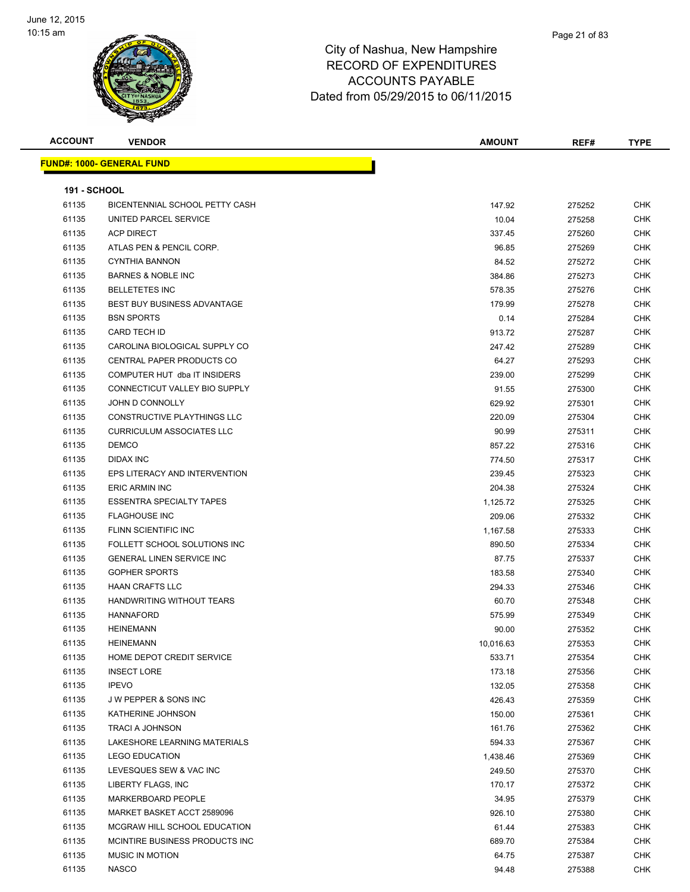

| <b>ACCOUNT</b>      | <b>VENDOR</b>                                          | <b>AMOUNT</b>   | REF#             | TYPE                     |
|---------------------|--------------------------------------------------------|-----------------|------------------|--------------------------|
|                     | <b>FUND#: 1000- GENERAL FUND</b>                       |                 |                  |                          |
|                     |                                                        |                 |                  |                          |
| <b>191 - SCHOOL</b> |                                                        |                 |                  |                          |
| 61135               | BICENTENNIAL SCHOOL PETTY CASH                         | 147.92          | 275252           | <b>CHK</b>               |
| 61135               | UNITED PARCEL SERVICE                                  | 10.04           | 275258           | <b>CHK</b>               |
| 61135               | <b>ACP DIRECT</b>                                      | 337.45          | 275260           | <b>CHK</b>               |
| 61135               | ATLAS PEN & PENCIL CORP.                               | 96.85           | 275269           | <b>CHK</b>               |
| 61135               | <b>CYNTHIA BANNON</b>                                  | 84.52           | 275272           | <b>CHK</b>               |
| 61135               | <b>BARNES &amp; NOBLE INC</b>                          | 384.86          | 275273           | <b>CHK</b>               |
| 61135               | <b>BELLETETES INC</b>                                  | 578.35          | 275276           | <b>CHK</b>               |
| 61135               | <b>BEST BUY BUSINESS ADVANTAGE</b>                     | 179.99          | 275278           | <b>CHK</b>               |
| 61135               | <b>BSN SPORTS</b>                                      | 0.14            | 275284           | <b>CHK</b>               |
| 61135               | <b>CARD TECH ID</b>                                    | 913.72          | 275287           | <b>CHK</b>               |
| 61135               | CAROLINA BIOLOGICAL SUPPLY CO                          | 247.42          | 275289           | <b>CHK</b>               |
| 61135               | CENTRAL PAPER PRODUCTS CO                              | 64.27           | 275293           | <b>CHK</b>               |
| 61135               | COMPUTER HUT dba IT INSIDERS                           | 239.00          | 275299           | <b>CHK</b>               |
| 61135               | CONNECTICUT VALLEY BIO SUPPLY                          | 91.55           | 275300           | <b>CHK</b>               |
| 61135               | JOHN D CONNOLLY                                        | 629.92          | 275301           | <b>CHK</b>               |
| 61135               | CONSTRUCTIVE PLAYTHINGS LLC                            | 220.09          | 275304           | <b>CHK</b>               |
| 61135               | <b>CURRICULUM ASSOCIATES LLC</b>                       | 90.99           | 275311           | <b>CHK</b>               |
| 61135               | <b>DEMCO</b>                                           | 857.22          | 275316           | <b>CHK</b>               |
| 61135               | DIDAX INC                                              | 774.50          | 275317           | CHK                      |
| 61135               | EPS LITERACY AND INTERVENTION                          | 239.45          | 275323           | <b>CHK</b>               |
| 61135               | <b>ERIC ARMIN INC</b>                                  | 204.38          | 275324           | <b>CHK</b>               |
| 61135               | <b>ESSENTRA SPECIALTY TAPES</b>                        | 1,125.72        | 275325           | <b>CHK</b>               |
| 61135               | <b>FLAGHOUSE INC</b>                                   | 209.06          |                  | <b>CHK</b>               |
| 61135               | FLINN SCIENTIFIC INC                                   |                 | 275332           |                          |
| 61135               | FOLLETT SCHOOL SOLUTIONS INC                           | 1,167.58        | 275333           | <b>CHK</b><br><b>CHK</b> |
| 61135               | <b>GENERAL LINEN SERVICE INC</b>                       | 890.50<br>87.75 | 275334           | <b>CHK</b>               |
|                     | <b>GOPHER SPORTS</b>                                   |                 | 275337           |                          |
| 61135<br>61135      | <b>HAAN CRAFTS LLC</b>                                 | 183.58          | 275340           | <b>CHK</b><br><b>CHK</b> |
|                     | <b>HANDWRITING WITHOUT TEARS</b>                       | 294.33          | 275346           | <b>CHK</b>               |
| 61135<br>61135      | <b>HANNAFORD</b>                                       | 60.70           | 275348           | CHK                      |
|                     | <b>HEINEMANN</b>                                       | 575.99          | 275349<br>275352 | CHK                      |
| 61135               | <b>HEINEMANN</b>                                       | 90.00           |                  |                          |
| 61135               |                                                        | 10,016.63       | 275353           | CHK                      |
| 61135<br>61135      | HOME DEPOT CREDIT SERVICE<br><b>INSECT LORE</b>        | 533.71          | 275354           | CHK<br><b>CHK</b>        |
| 61135               | <b>IPEVO</b>                                           | 173.18          | 275356           |                          |
| 61135               | J W PEPPER & SONS INC                                  | 132.05          | 275358           | <b>CHK</b>               |
| 61135               | KATHERINE JOHNSON                                      | 426.43          | 275359           | CHK                      |
|                     |                                                        | 150.00          | 275361           | <b>CHK</b>               |
| 61135               | <b>TRACI A JOHNSON</b><br>LAKESHORE LEARNING MATERIALS | 161.76          | 275362           | CHK                      |
| 61135               |                                                        | 594.33          | 275367           | <b>CHK</b>               |
| 61135               | <b>LEGO EDUCATION</b>                                  | 1,438.46        | 275369           | CHK                      |
| 61135               | LEVESQUES SEW & VAC INC                                | 249.50          | 275370           | CHK                      |
| 61135               | LIBERTY FLAGS, INC                                     | 170.17          | 275372           | <b>CHK</b>               |
| 61135               | MARKERBOARD PEOPLE                                     | 34.95           | 275379           | <b>CHK</b>               |
| 61135               | MARKET BASKET ACCT 2589096                             | 926.10          | 275380           | <b>CHK</b>               |
| 61135               | MCGRAW HILL SCHOOL EDUCATION                           | 61.44           | 275383           | CHK                      |
| 61135               | MCINTIRE BUSINESS PRODUCTS INC.                        | 689.70          | 275384           | CHK                      |
| 61135               | <b>MUSIC IN MOTION</b>                                 | 64.75           | 275387           | CHK                      |
| 61135               | <b>NASCO</b>                                           | 94.48           | 275388           | <b>CHK</b>               |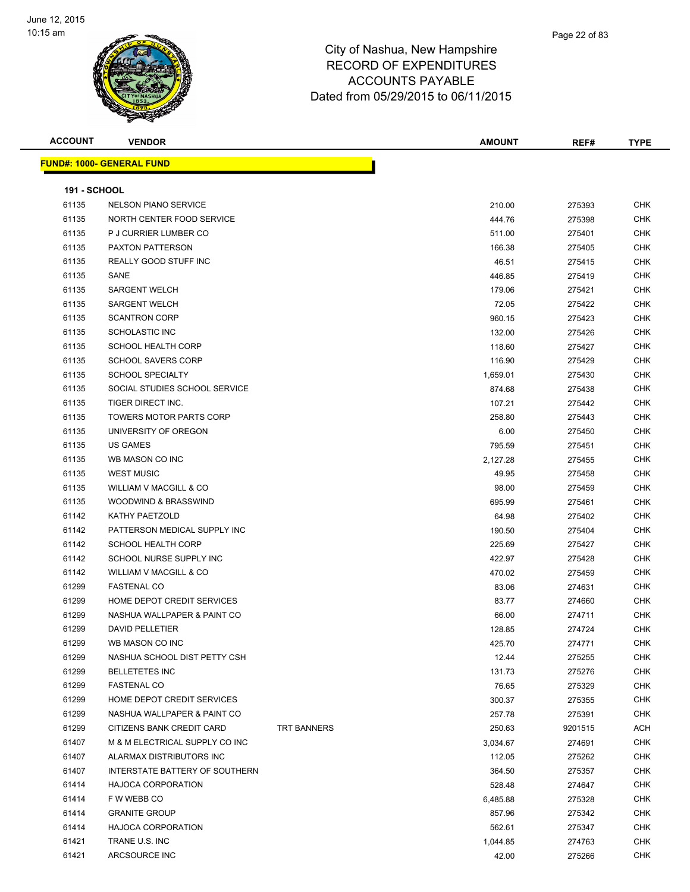

| <b>ACCOUNT</b>      | <b>VENDOR</b>                     |             | <b>AMOUNT</b> | REF#    | <b>TYPE</b> |  |  |
|---------------------|-----------------------------------|-------------|---------------|---------|-------------|--|--|
|                     | <u> FUND#: 1000- GENERAL FUND</u> |             |               |         |             |  |  |
|                     |                                   |             |               |         |             |  |  |
| <b>191 - SCHOOL</b> |                                   |             |               |         |             |  |  |
| 61135               | <b>NELSON PIANO SERVICE</b>       |             | 210.00        | 275393  | CHK         |  |  |
| 61135               | NORTH CENTER FOOD SERVICE         |             | 444.76        | 275398  | CHK         |  |  |
| 61135               | P J CURRIER LUMBER CO             |             | 511.00        | 275401  | <b>CHK</b>  |  |  |
| 61135               | PAXTON PATTERSON                  |             | 166.38        | 275405  | CHK         |  |  |
| 61135               | REALLY GOOD STUFF INC             |             | 46.51         | 275415  | CHK         |  |  |
| 61135               | SANE                              |             | 446.85        | 275419  | CHK         |  |  |
| 61135               | <b>SARGENT WELCH</b>              |             | 179.06        | 275421  | CHK         |  |  |
| 61135               | <b>SARGENT WELCH</b>              |             | 72.05         | 275422  | CHK         |  |  |
| 61135               | <b>SCANTRON CORP</b>              |             | 960.15        | 275423  | CHK         |  |  |
| 61135               | SCHOLASTIC INC                    |             | 132.00        | 275426  | <b>CHK</b>  |  |  |
| 61135               | <b>SCHOOL HEALTH CORP</b>         |             | 118.60        | 275427  | CHK         |  |  |
| 61135               | <b>SCHOOL SAVERS CORP</b>         |             | 116.90        | 275429  | CHK         |  |  |
| 61135               | <b>SCHOOL SPECIALTY</b>           |             | 1,659.01      | 275430  | CHK         |  |  |
| 61135               | SOCIAL STUDIES SCHOOL SERVICE     |             | 874.68        | 275438  | CHK         |  |  |
| 61135               | TIGER DIRECT INC.                 |             | 107.21        | 275442  | CHK         |  |  |
| 61135               | <b>TOWERS MOTOR PARTS CORP</b>    |             | 258.80        | 275443  | CHK         |  |  |
| 61135               | UNIVERSITY OF OREGON              |             | 6.00          | 275450  | CHK         |  |  |
| 61135               | US GAMES                          |             | 795.59        | 275451  | CHK         |  |  |
| 61135               | WB MASON CO INC                   |             | 2,127.28      | 275455  | CHK         |  |  |
| 61135               | <b>WEST MUSIC</b>                 |             | 49.95         | 275458  | CHK         |  |  |
| 61135               | WILLIAM V MACGILL & CO            |             | 98.00         | 275459  | CHK         |  |  |
| 61135               | WOODWIND & BRASSWIND              |             | 695.99        | 275461  | <b>CHK</b>  |  |  |
| 61142               | KATHY PAETZOLD                    |             | 64.98         | 275402  | CHK         |  |  |
| 61142               | PATTERSON MEDICAL SUPPLY INC      |             | 190.50        | 275404  | <b>CHK</b>  |  |  |
| 61142               | <b>SCHOOL HEALTH CORP</b>         |             | 225.69        | 275427  | <b>CHK</b>  |  |  |
| 61142               | SCHOOL NURSE SUPPLY INC           |             | 422.97        | 275428  | CHK         |  |  |
| 61142               | WILLIAM V MACGILL & CO            |             | 470.02        | 275459  | <b>CHK</b>  |  |  |
| 61299               | <b>FASTENAL CO</b>                |             | 83.06         | 274631  | CHK         |  |  |
| 61299               | HOME DEPOT CREDIT SERVICES        |             | 83.77         | 274660  | CHK         |  |  |
| 61299               | NASHUA WALLPAPER & PAINT CO       |             | 66.00         | 274711  | CHK         |  |  |
| 61299               | <b>DAVID PELLETIER</b>            |             | 128.85        | 274724  | <b>CHK</b>  |  |  |
| 61299               | WB MASON CO INC                   |             | 425.70        | 274771  | CHK         |  |  |
| 61299               | NASHUA SCHOOL DIST PETTY CSH      |             | 12.44         | 275255  | <b>CHK</b>  |  |  |
| 61299               | <b>BELLETETES INC</b>             |             | 131.73        | 275276  | CHK         |  |  |
| 61299               | <b>FASTENAL CO</b>                |             | 76.65         | 275329  | <b>CHK</b>  |  |  |
| 61299               | HOME DEPOT CREDIT SERVICES        |             | 300.37        | 275355  | <b>CHK</b>  |  |  |
| 61299               | NASHUA WALLPAPER & PAINT CO       |             | 257.78        | 275391  | <b>CHK</b>  |  |  |
| 61299               | CITIZENS BANK CREDIT CARD         | TRT BANNERS | 250.63        | 9201515 | ACH         |  |  |
| 61407               | M & M ELECTRICAL SUPPLY CO INC    |             | 3,034.67      | 274691  | CHK         |  |  |
| 61407               | ALARMAX DISTRIBUTORS INC          |             | 112.05        | 275262  | CHK         |  |  |
| 61407               | INTERSTATE BATTERY OF SOUTHERN    |             | 364.50        | 275357  | CHK         |  |  |
| 61414               | <b>HAJOCA CORPORATION</b>         |             | 528.48        | 274647  | CHK         |  |  |
| 61414               | F W WEBB CO                       |             | 6,485.88      | 275328  | CHK         |  |  |
| 61414               | <b>GRANITE GROUP</b>              |             | 857.96        | 275342  | CHK         |  |  |
| 61414               | <b>HAJOCA CORPORATION</b>         |             | 562.61        | 275347  | CHK         |  |  |
| 61421               | TRANE U.S. INC                    |             | 1,044.85      | 274763  | CHK         |  |  |
| 61421               | ARCSOURCE INC                     |             | 42.00         | 275266  | <b>CHK</b>  |  |  |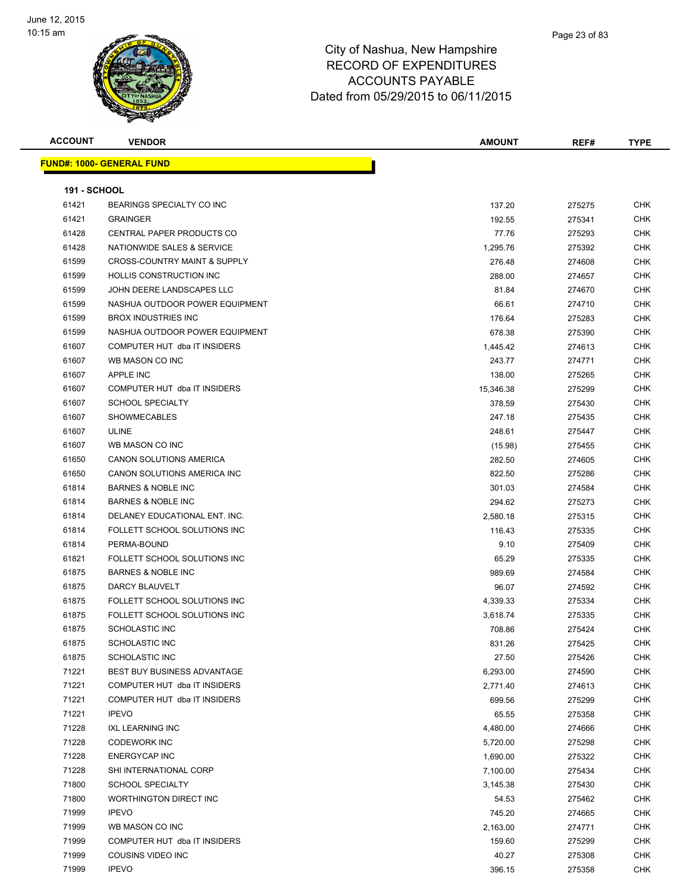

| <b>ACCOUNT</b>      | <b>VENDOR</b>                           | <b>AMOUNT</b> | REF#   | <b>TYPE</b> |  |  |  |
|---------------------|-----------------------------------------|---------------|--------|-------------|--|--|--|
|                     | <u> FUND#: 1000- GENERAL FUND</u>       |               |        |             |  |  |  |
|                     |                                         |               |        |             |  |  |  |
| <b>191 - SCHOOL</b> |                                         |               |        |             |  |  |  |
| 61421               | BEARINGS SPECIALTY CO INC               | 137.20        | 275275 | <b>CHK</b>  |  |  |  |
| 61421               | <b>GRAINGER</b>                         | 192.55        | 275341 | CHK         |  |  |  |
| 61428               | CENTRAL PAPER PRODUCTS CO               | 77.76         | 275293 | CHK         |  |  |  |
| 61428               | NATIONWIDE SALES & SERVICE              | 1,295.76      | 275392 | <b>CHK</b>  |  |  |  |
| 61599               | <b>CROSS-COUNTRY MAINT &amp; SUPPLY</b> | 276.48        | 274608 | CHK         |  |  |  |
| 61599               | <b>HOLLIS CONSTRUCTION INC.</b>         | 288.00        | 274657 | <b>CHK</b>  |  |  |  |
| 61599               | JOHN DEERE LANDSCAPES LLC               | 81.84         | 274670 | <b>CHK</b>  |  |  |  |
| 61599               | NASHUA OUTDOOR POWER EQUIPMENT          | 66.61         | 274710 | CHK         |  |  |  |
| 61599               | <b>BROX INDUSTRIES INC</b>              | 176.64        | 275283 | CHK         |  |  |  |
| 61599               | NASHUA OUTDOOR POWER EQUIPMENT          | 678.38        | 275390 | CHK         |  |  |  |
| 61607               | COMPUTER HUT dba IT INSIDERS            | 1,445.42      | 274613 | CHK         |  |  |  |
| 61607               | WB MASON CO INC                         | 243.77        | 274771 | CHK         |  |  |  |
| 61607               | APPLE INC                               | 138.00        | 275265 | CHK         |  |  |  |
| 61607               | COMPUTER HUT dba IT INSIDERS            | 15,346.38     | 275299 | <b>CHK</b>  |  |  |  |
| 61607               | <b>SCHOOL SPECIALTY</b>                 | 378.59        | 275430 | CHK         |  |  |  |
| 61607               | <b>SHOWMECABLES</b>                     | 247.18        | 275435 | CHK         |  |  |  |
| 61607               | ULINE                                   | 248.61        | 275447 | <b>CHK</b>  |  |  |  |
| 61607               | WB MASON CO INC                         | (15.98)       | 275455 | CHK         |  |  |  |
| 61650               | CANON SOLUTIONS AMERICA                 | 282.50        | 274605 | CHK         |  |  |  |
| 61650               | CANON SOLUTIONS AMERICA INC             | 822.50        | 275286 | CHK         |  |  |  |
| 61814               | <b>BARNES &amp; NOBLE INC</b>           | 301.03        | 274584 | CHK         |  |  |  |
| 61814               | <b>BARNES &amp; NOBLE INC</b>           | 294.62        | 275273 | <b>CHK</b>  |  |  |  |
| 61814               | DELANEY EDUCATIONAL ENT. INC.           | 2,580.18      | 275315 | <b>CHK</b>  |  |  |  |
| 61814               | FOLLETT SCHOOL SOLUTIONS INC            | 116.43        | 275335 | CHK         |  |  |  |
| 61814               | PERMA-BOUND                             | 9.10          | 275409 | CHK         |  |  |  |
| 61821               | FOLLETT SCHOOL SOLUTIONS INC            | 65.29         | 275335 | <b>CHK</b>  |  |  |  |
| 61875               | <b>BARNES &amp; NOBLE INC</b>           | 989.69        | 274584 | CHK         |  |  |  |
| 61875               | <b>DARCY BLAUVELT</b>                   | 96.07         | 274592 | <b>CHK</b>  |  |  |  |
| 61875               | FOLLETT SCHOOL SOLUTIONS INC            | 4,339.33      | 275334 | <b>CHK</b>  |  |  |  |
| 61875               | FOLLETT SCHOOL SOLUTIONS INC            | 3,618.74      | 275335 | CHK         |  |  |  |
| 61875               | <b>SCHOLASTIC INC</b>                   | 708.86        | 275424 | CHK         |  |  |  |
| 61875               | <b>SCHOLASTIC INC</b>                   | 831.26        | 275425 | CHK         |  |  |  |
| 61875               | SCHOLASTIC INC                          | 27.50         | 275426 | <b>CHK</b>  |  |  |  |
| 71221               | BEST BUY BUSINESS ADVANTAGE             | 6,293.00      | 274590 | <b>CHK</b>  |  |  |  |
| 71221               | COMPUTER HUT dba IT INSIDERS            | 2,771.40      | 274613 | <b>CHK</b>  |  |  |  |
| 71221               | COMPUTER HUT dba IT INSIDERS            | 699.56        | 275299 | <b>CHK</b>  |  |  |  |
| 71221               | <b>IPEVO</b>                            | 65.55         | 275358 | <b>CHK</b>  |  |  |  |
| 71228               | <b>IXL LEARNING INC</b>                 | 4,480.00      | 274666 | <b>CHK</b>  |  |  |  |
| 71228               | <b>CODEWORK INC</b>                     | 5,720.00      | 275298 | <b>CHK</b>  |  |  |  |
| 71228               | ENERGYCAP INC                           | 1,690.00      | 275322 | CHK         |  |  |  |
| 71228               | SHI INTERNATIONAL CORP                  | 7,100.00      | 275434 | CHK         |  |  |  |
| 71800               | <b>SCHOOL SPECIALTY</b>                 | 3,145.38      | 275430 | CHK         |  |  |  |
| 71800               | WORTHINGTON DIRECT INC                  | 54.53         | 275462 | CHK         |  |  |  |
| 71999               | <b>IPEVO</b>                            | 745.20        | 274665 | <b>CHK</b>  |  |  |  |
| 71999               | WB MASON CO INC                         | 2,163.00      | 274771 | CHK         |  |  |  |
| 71999               | COMPUTER HUT dba IT INSIDERS            | 159.60        | 275299 | CHK         |  |  |  |
| 71999               | COUSINS VIDEO INC                       | 40.27         | 275308 | CHK         |  |  |  |
| 71999               | <b>IPEVO</b>                            | 396.15        | 275358 | CHK         |  |  |  |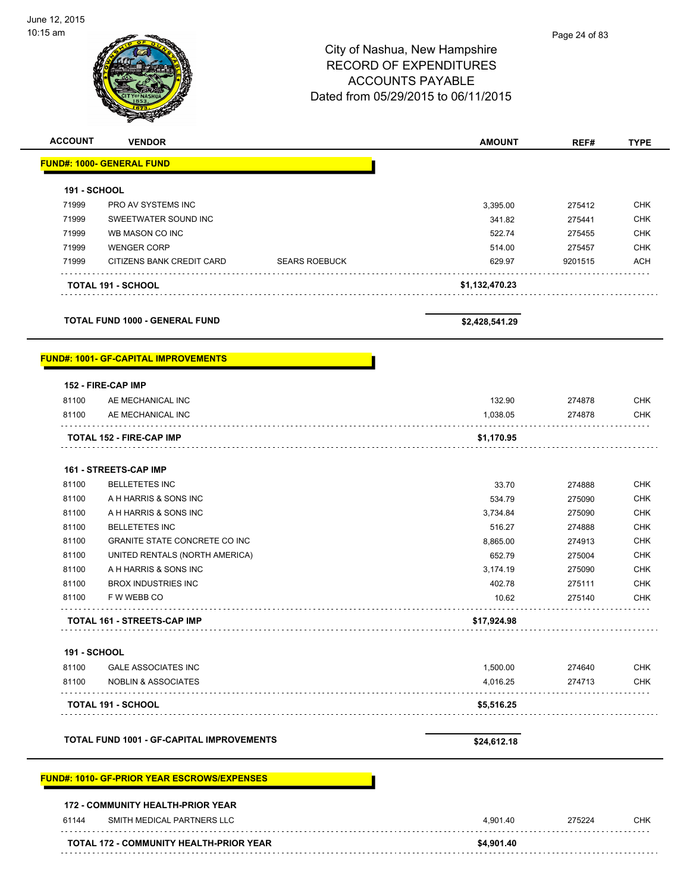

| <b>ACCOUNT</b>                   | <b>VENDOR</b>                                           |                      | <b>AMOUNT</b>      | REF#             | <b>TYPE</b>              |
|----------------------------------|---------------------------------------------------------|----------------------|--------------------|------------------|--------------------------|
| <b>FUND#: 1000- GENERAL FUND</b> |                                                         |                      |                    |                  |                          |
| <b>191 - SCHOOL</b>              |                                                         |                      |                    |                  |                          |
| 71999                            | PRO AV SYSTEMS INC                                      |                      | 3,395.00           | 275412           | <b>CHK</b>               |
| 71999                            | SWEETWATER SOUND INC                                    |                      | 341.82             | 275441           | <b>CHK</b>               |
| 71999                            | WB MASON CO INC                                         |                      | 522.74             | 275455           | <b>CHK</b>               |
| 71999                            | <b>WENGER CORP</b>                                      |                      | 514.00             | 275457           | <b>CHK</b>               |
| 71999                            | CITIZENS BANK CREDIT CARD                               | <b>SEARS ROEBUCK</b> | 629.97             | 9201515          | <b>ACH</b>               |
| <b>TOTAL 191 - SCHOOL</b>        |                                                         |                      | \$1,132,470.23     |                  |                          |
|                                  | <b>TOTAL FUND 1000 - GENERAL FUND</b>                   |                      | \$2,428,541.29     |                  |                          |
|                                  | <b>FUND#: 1001- GF-CAPITAL IMPROVEMENTS</b>             |                      |                    |                  |                          |
| 152 - FIRE-CAP IMP               |                                                         |                      |                    |                  |                          |
| 81100                            | AE MECHANICAL INC                                       |                      | 132.90             | 274878           | <b>CHK</b>               |
| 81100                            | AE MECHANICAL INC                                       |                      | 1,038.05           | 274878           | <b>CHK</b>               |
| <b>TOTAL 152 - FIRE-CAP IMP</b>  |                                                         |                      | \$1,170.95         |                  |                          |
|                                  |                                                         |                      |                    |                  |                          |
| 161 - STREETS-CAP IMP            |                                                         |                      |                    |                  |                          |
| 81100                            | <b>BELLETETES INC</b>                                   |                      | 33.70              | 274888           | <b>CHK</b>               |
| 81100                            | A H HARRIS & SONS INC                                   |                      | 534.79             | 275090           | <b>CHK</b>               |
| 81100                            | A H HARRIS & SONS INC                                   |                      | 3,734.84           | 275090           | <b>CHK</b>               |
| 81100                            | <b>BELLETETES INC</b>                                   |                      | 516.27             | 274888           | <b>CHK</b>               |
| 81100<br>81100                   | GRANITE STATE CONCRETE CO INC                           |                      | 8,865.00<br>652.79 | 274913           | <b>CHK</b><br><b>CHK</b> |
| 81100                            | UNITED RENTALS (NORTH AMERICA)<br>A H HARRIS & SONS INC |                      |                    | 275004           | <b>CHK</b>               |
| 81100                            | <b>BROX INDUSTRIES INC</b>                              |                      | 3,174.19           | 275090           |                          |
| 81100                            | F W WEBB CO                                             |                      | 402.78<br>10.62    | 275111<br>275140 | <b>CHK</b><br><b>CHK</b> |
|                                  | <b>TOTAL 161 - STREETS-CAP IMP</b>                      |                      | \$17,924.98        |                  |                          |
|                                  |                                                         |                      |                    |                  |                          |
| <b>191 - SCHOOL</b>              |                                                         |                      |                    |                  |                          |
| 81100                            | <b>GALE ASSOCIATES INC</b>                              |                      | 1,500.00           | 274640           | <b>CHK</b>               |
| 81100                            | <b>NOBLIN &amp; ASSOCIATES</b>                          |                      | 4,016.25           | 274713           | <b>CHK</b>               |
| TOTAL 191 - SCHOOL               |                                                         |                      | \$5,516.25         |                  |                          |
|                                  | TOTAL FUND 1001 - GF-CAPITAL IMPROVEMENTS               |                      | \$24,612.18        |                  |                          |
|                                  |                                                         |                      |                    |                  |                          |
|                                  | <b>FUND#: 1010- GF-PRIOR YEAR ESCROWS/EXPENSES</b>      |                      |                    |                  |                          |
|                                  | <b>172 - COMMUNITY HEALTH-PRIOR YEAR</b>                |                      |                    |                  |                          |
| 61144                            | SMITH MEDICAL PARTNERS LLC                              |                      | 4,901.40           | 275224           | <b>CHK</b>               |
|                                  | <b>TOTAL 172 - COMMUNITY HEALTH-PRIOR YEAR</b>          |                      | \$4,901.40         |                  |                          |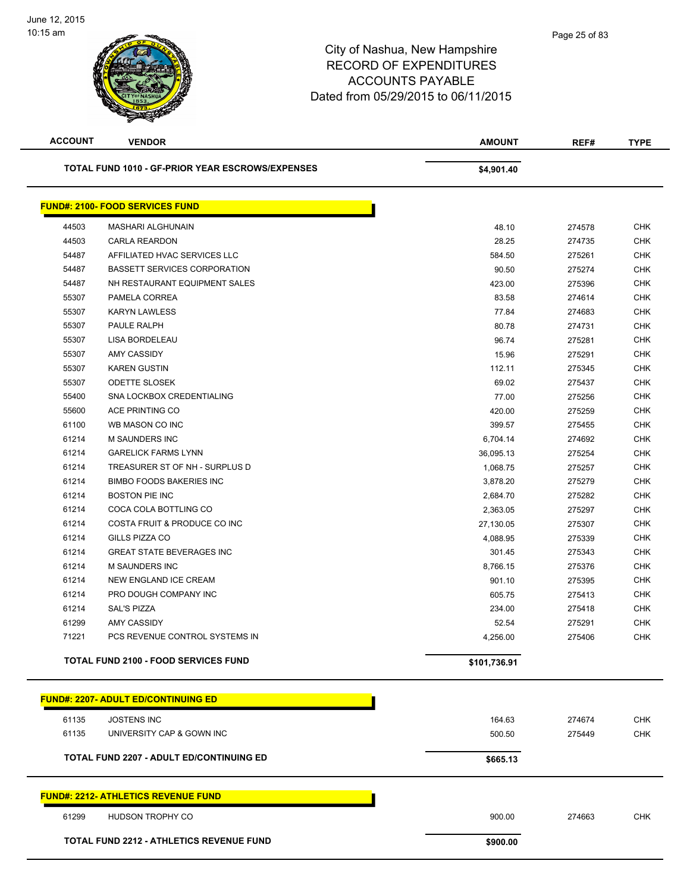

| <b>ACCOUNT</b> | <b>VENDOR</b>                                           | <b>AMOUNT</b> | REF#   | <b>TYPE</b> |
|----------------|---------------------------------------------------------|---------------|--------|-------------|
|                | <b>TOTAL FUND 1010 - GF-PRIOR YEAR ESCROWS/EXPENSES</b> | \$4,901.40    |        |             |
|                | <b>FUND#: 2100- FOOD SERVICES FUND</b>                  |               |        |             |
| 44503          | <b>MASHARI ALGHUNAIN</b>                                | 48.10         | 274578 | <b>CHK</b>  |
| 44503          | <b>CARLA REARDON</b>                                    | 28.25         | 274735 | <b>CHK</b>  |
| 54487          | AFFILIATED HVAC SERVICES LLC                            | 584.50        | 275261 | <b>CHK</b>  |
| 54487          | <b>BASSETT SERVICES CORPORATION</b>                     | 90.50         | 275274 | <b>CHK</b>  |
| 54487          | NH RESTAURANT EQUIPMENT SALES                           | 423.00        | 275396 | <b>CHK</b>  |
| 55307          | PAMELA CORREA                                           | 83.58         | 274614 | <b>CHK</b>  |
| 55307          | <b>KARYN LAWLESS</b>                                    | 77.84         | 274683 | <b>CHK</b>  |
| 55307          | PAULE RALPH                                             | 80.78         | 274731 | <b>CHK</b>  |
| 55307          | LISA BORDELEAU                                          | 96.74         | 275281 | <b>CHK</b>  |
| 55307          | <b>AMY CASSIDY</b>                                      | 15.96         | 275291 | <b>CHK</b>  |
| 55307          | <b>KAREN GUSTIN</b>                                     | 112.11        | 275345 | <b>CHK</b>  |
| 55307          | <b>ODETTE SLOSEK</b>                                    | 69.02         | 275437 | <b>CHK</b>  |
| 55400          | SNA LOCKBOX CREDENTIALING                               | 77.00         | 275256 | <b>CHK</b>  |
| 55600          | <b>ACE PRINTING CO</b>                                  | 420.00        | 275259 | <b>CHK</b>  |
| 61100          | WB MASON CO INC                                         | 399.57        | 275455 | <b>CHK</b>  |
| 61214          | M SAUNDERS INC                                          | 6,704.14      | 274692 | <b>CHK</b>  |
| 61214          | <b>GARELICK FARMS LYNN</b>                              | 36,095.13     | 275254 | <b>CHK</b>  |
| 61214          | TREASURER ST OF NH - SURPLUS D                          | 1,068.75      | 275257 | <b>CHK</b>  |
| 61214          | <b>BIMBO FOODS BAKERIES INC</b>                         | 3,878.20      | 275279 | <b>CHK</b>  |
| 61214          | <b>BOSTON PIE INC</b>                                   | 2,684.70      | 275282 | <b>CHK</b>  |
| 61214          | COCA COLA BOTTLING CO                                   | 2,363.05      | 275297 | <b>CHK</b>  |
| 61214          | COSTA FRUIT & PRODUCE CO INC                            | 27,130.05     | 275307 | <b>CHK</b>  |
| 61214          | GILLS PIZZA CO                                          | 4,088.95      | 275339 | <b>CHK</b>  |
| 61214          | <b>GREAT STATE BEVERAGES INC</b>                        | 301.45        | 275343 | <b>CHK</b>  |
| 61214          | <b>M SAUNDERS INC</b>                                   | 8,766.15      | 275376 | <b>CHK</b>  |
| 61214          | NEW ENGLAND ICE CREAM                                   | 901.10        | 275395 | <b>CHK</b>  |
| 61214          | PRO DOUGH COMPANY INC                                   | 605.75        | 275413 | <b>CHK</b>  |
| 61214          | <b>SAL'S PIZZA</b>                                      | 234.00        | 275418 | <b>CHK</b>  |
| 61299          | <b>AMY CASSIDY</b>                                      | 52.54         | 275291 | <b>CHK</b>  |
| 71221          | PCS REVENUE CONTROL SYSTEMS IN                          | 4,256.00      | 275406 | <b>CHK</b>  |
|                | <b>TOTAL FUND 2100 - FOOD SERVICES FUND</b>             | \$101,736.91  |        |             |

|       | <b>FUND#: 2207- ADULT ED/CONTINUING ED</b>      |          |        |            |
|-------|-------------------------------------------------|----------|--------|------------|
| 61135 | <b>JOSTENS INC</b>                              | 164.63   | 274674 | <b>CHK</b> |
| 61135 | UNIVERSITY CAP & GOWN INC                       | 500.50   | 275449 | <b>CHK</b> |
|       | <b>TOTAL FUND 2207 - ADULT ED/CONTINUING ED</b> |          |        |            |
|       |                                                 | \$665.13 |        |            |
|       | <b>FUND#: 2212- ATHLETICS REVENUE FUND</b>      |          |        |            |
| 61299 | <b>HUDSON TROPHY CO</b>                         | 900.00   | 274663 | <b>CHK</b> |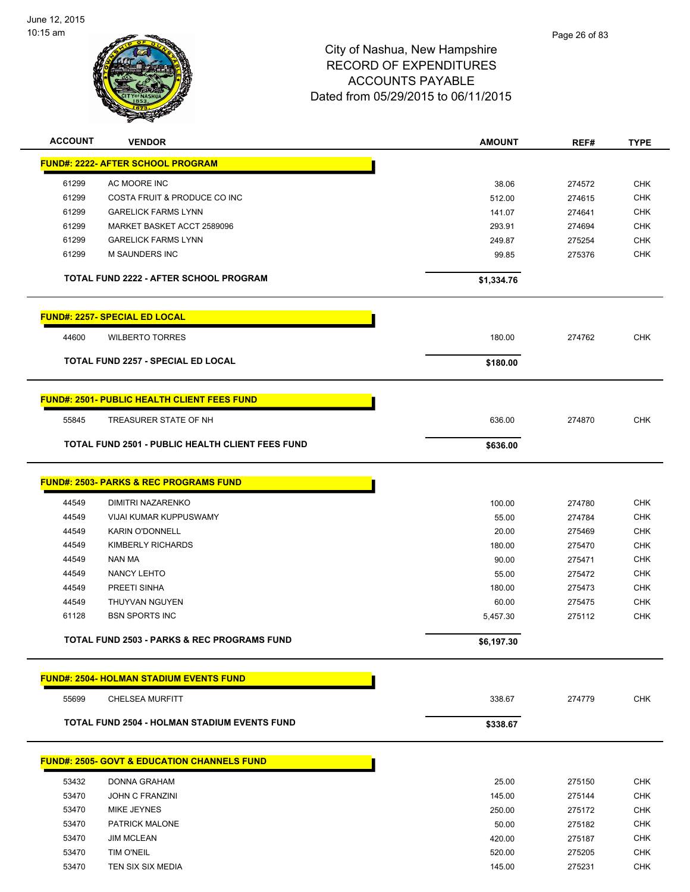

| <b>ACCOUNT</b> | <b>VENDOR</b>                                           | <b>AMOUNT</b> | REF#   | <b>TYPE</b> |
|----------------|---------------------------------------------------------|---------------|--------|-------------|
|                | <b>FUND#: 2222- AFTER SCHOOL PROGRAM</b>                |               |        |             |
| 61299          | AC MOORE INC                                            | 38.06         | 274572 | <b>CHK</b>  |
| 61299          | COSTA FRUIT & PRODUCE CO INC                            | 512.00        | 274615 | <b>CHK</b>  |
| 61299          | <b>GARELICK FARMS LYNN</b>                              | 141.07        | 274641 | <b>CHK</b>  |
| 61299          | MARKET BASKET ACCT 2589096                              | 293.91        | 274694 | <b>CHK</b>  |
| 61299          | <b>GARELICK FARMS LYNN</b>                              | 249.87        | 275254 | <b>CHK</b>  |
| 61299          | <b>M SAUNDERS INC</b>                                   | 99.85         | 275376 | <b>CHK</b>  |
|                |                                                         |               |        |             |
|                | <b>TOTAL FUND 2222 - AFTER SCHOOL PROGRAM</b>           | \$1,334.76    |        |             |
|                | <b>FUND#: 2257- SPECIAL ED LOCAL</b>                    |               |        |             |
| 44600          | <b>WILBERTO TORRES</b>                                  | 180.00        | 274762 | <b>CHK</b>  |
|                | <b>TOTAL FUND 2257 - SPECIAL ED LOCAL</b>               | \$180.00      |        |             |
|                |                                                         |               |        |             |
|                | <b>FUND#: 2501- PUBLIC HEALTH CLIENT FEES FUND</b>      |               |        |             |
| 55845          | TREASURER STATE OF NH                                   | 636.00        | 274870 | <b>CHK</b>  |
|                | <b>TOTAL FUND 2501 - PUBLIC HEALTH CLIENT FEES FUND</b> | \$636.00      |        |             |
|                | <b>FUND#: 2503- PARKS &amp; REC PROGRAMS FUND</b>       |               |        |             |
|                |                                                         |               |        |             |
| 44549          | DIMITRI NAZARENKO                                       | 100.00        | 274780 | <b>CHK</b>  |
| 44549          | VIJAI KUMAR KUPPUSWAMY                                  | 55.00         | 274784 | <b>CHK</b>  |
| 44549          | <b>KARIN O'DONNELL</b>                                  | 20.00         | 275469 | <b>CHK</b>  |
| 44549          | <b>KIMBERLY RICHARDS</b>                                | 180.00        | 275470 | <b>CHK</b>  |
| 44549          | <b>NAN MA</b>                                           | 90.00         | 275471 | <b>CHK</b>  |
| 44549          | NANCY LEHTO                                             | 55.00         | 275472 | <b>CHK</b>  |
| 44549          | PREETI SINHA                                            | 180.00        | 275473 | <b>CHK</b>  |
| 44549          | THUYVAN NGUYEN                                          | 60.00         | 275475 | <b>CHK</b>  |
| 61128          | <b>BSN SPORTS INC</b>                                   | 5,457.30      | 275112 | <b>CHK</b>  |
|                | <b>TOTAL FUND 2503 - PARKS &amp; REC PROGRAMS FUND</b>  | \$6,197.30    |        |             |
|                | <b>FUND#: 2504- HOLMAN STADIUM EVENTS FUND</b>          |               |        |             |
|                |                                                         |               |        |             |
| 55699          | <b>CHELSEA MURFITT</b>                                  | 338.67        | 274779 | <b>CHK</b>  |
|                | <b>TOTAL FUND 2504 - HOLMAN STADIUM EVENTS FUND</b>     | \$338.67      |        |             |
|                | <b>FUND#: 2505- GOVT &amp; EDUCATION CHANNELS FUND</b>  |               |        |             |
|                |                                                         |               |        |             |
| 53432          | <b>DONNA GRAHAM</b>                                     | 25.00         | 275150 | <b>CHK</b>  |
| 53470          | <b>JOHN C FRANZINI</b>                                  | 145.00        | 275144 | <b>CHK</b>  |
| 53470          | MIKE JEYNES                                             | 250.00        | 275172 | <b>CHK</b>  |
| 53470          | PATRICK MALONE                                          | 50.00         | 275182 | <b>CHK</b>  |
| 53470          | <b>JIM MCLEAN</b>                                       | 420.00        | 275187 | <b>CHK</b>  |
| 53470          | TIM O'NEIL                                              | 520.00        | 275205 | <b>CHK</b>  |
| 53470          | TEN SIX SIX MEDIA                                       | 145.00        | 275231 | <b>CHK</b>  |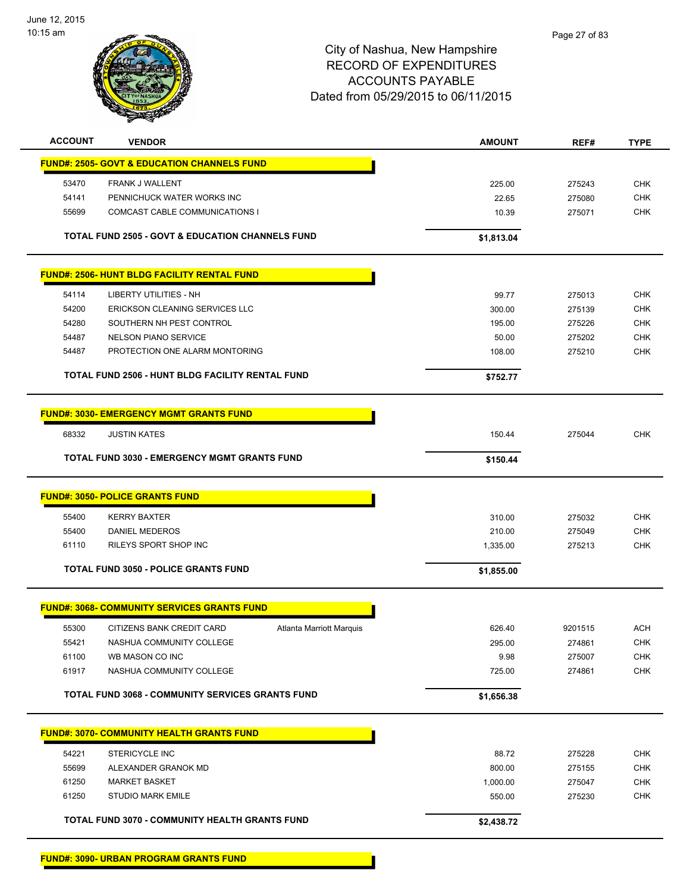

| <b>ACCOUNT</b> | <b>VENDOR</b>                                                | <b>AMOUNT</b> | REF#    | <b>TYPE</b> |
|----------------|--------------------------------------------------------------|---------------|---------|-------------|
|                | <b>FUND#: 2505- GOVT &amp; EDUCATION CHANNELS FUND</b>       |               |         |             |
| 53470          | <b>FRANK J WALLENT</b>                                       | 225.00        | 275243  | <b>CHK</b>  |
| 54141          | PENNICHUCK WATER WORKS INC                                   | 22.65         | 275080  | <b>CHK</b>  |
| 55699          | COMCAST CABLE COMMUNICATIONS I                               | 10.39         | 275071  | <b>CHK</b>  |
|                | <b>TOTAL FUND 2505 - GOVT &amp; EDUCATION CHANNELS FUND</b>  | \$1,813.04    |         |             |
|                | <b>FUND#: 2506- HUNT BLDG FACILITY RENTAL FUND</b>           |               |         |             |
| 54114          | LIBERTY UTILITIES - NH                                       | 99.77         | 275013  | <b>CHK</b>  |
| 54200          | ERICKSON CLEANING SERVICES LLC                               | 300.00        | 275139  | <b>CHK</b>  |
| 54280          | SOUTHERN NH PEST CONTROL                                     | 195.00        | 275226  | <b>CHK</b>  |
| 54487          | <b>NELSON PIANO SERVICE</b>                                  | 50.00         | 275202  | <b>CHK</b>  |
| 54487          | PROTECTION ONE ALARM MONTORING                               | 108.00        | 275210  | <b>CHK</b>  |
|                | TOTAL FUND 2506 - HUNT BLDG FACILITY RENTAL FUND             | \$752.77      |         |             |
|                | <b>FUND#: 3030- EMERGENCY MGMT GRANTS FUND</b>               |               |         |             |
| 68332          | <b>JUSTIN KATES</b>                                          | 150.44        | 275044  | <b>CHK</b>  |
|                | <b>TOTAL FUND 3030 - EMERGENCY MGMT GRANTS FUND</b>          | \$150.44      |         |             |
|                | <b>FUND#: 3050- POLICE GRANTS FUND</b>                       |               |         |             |
| 55400          | <b>KERRY BAXTER</b>                                          | 310.00        | 275032  | <b>CHK</b>  |
| 55400          | DANIEL MEDEROS                                               | 210.00        | 275049  | <b>CHK</b>  |
| 61110          | RILEYS SPORT SHOP INC                                        | 1,335.00      | 275213  | <b>CHK</b>  |
|                | <b>TOTAL FUND 3050 - POLICE GRANTS FUND</b>                  | \$1,855.00    |         |             |
|                | <b>FUND#: 3068- COMMUNITY SERVICES GRANTS FUND</b>           |               |         |             |
| 55300          | CITIZENS BANK CREDIT CARD<br><b>Atlanta Marriott Marquis</b> | 626.40        | 9201515 | ACH         |
| 55421          | NASHUA COMMUNITY COLLEGE                                     | 295.00        | 274861  | <b>CHK</b>  |
| 61100          | WB MASON CO INC                                              | 9.98          | 275007  | <b>CHK</b>  |
| 61917          | NASHUA COMMUNITY COLLEGE                                     | 725.00        | 274861  | <b>CHK</b>  |
|                | TOTAL FUND 3068 - COMMUNITY SERVICES GRANTS FUND             | \$1,656.38    |         |             |
|                |                                                              |               |         |             |
|                | <b>FUND#: 3070- COMMUNITY HEALTH GRANTS FUND</b>             |               |         |             |
| 54221          | STERICYCLE INC                                               | 88.72         | 275228  | <b>CHK</b>  |
| 55699          | ALEXANDER GRANOK MD                                          | 800.00        | 275155  | <b>CHK</b>  |
| 61250          | <b>MARKET BASKET</b>                                         | 1,000.00      | 275047  | <b>CHK</b>  |
| 61250          | <b>STUDIO MARK EMILE</b>                                     | 550.00        | 275230  | <b>CHK</b>  |
|                | TOTAL FUND 3070 - COMMUNITY HEALTH GRANTS FUND               | \$2,438.72    |         |             |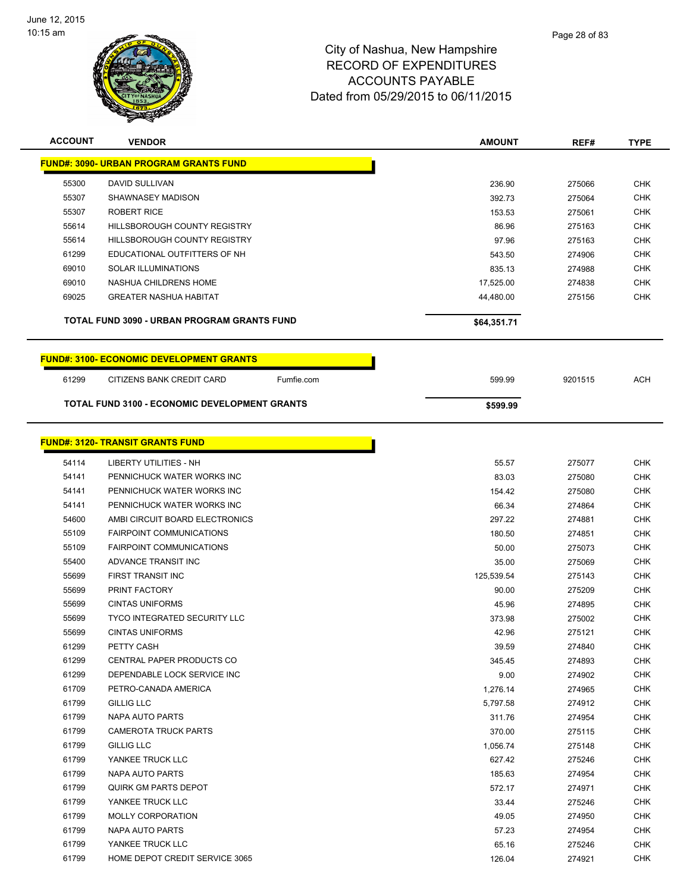

| <b>ACCOUNT</b> | <b>VENDOR</b>                                        | <b>AMOUNT</b> | REF#    | <b>TYPE</b> |
|----------------|------------------------------------------------------|---------------|---------|-------------|
|                | <b>FUND#: 3090- URBAN PROGRAM GRANTS FUND</b>        |               |         |             |
|                |                                                      |               |         |             |
| 55300          | DAVID SULLIVAN                                       | 236.90        | 275066  | <b>CHK</b>  |
| 55307          | SHAWNASEY MADISON                                    | 392.73        | 275064  | <b>CHK</b>  |
| 55307          | <b>ROBERT RICE</b>                                   | 153.53        | 275061  | <b>CHK</b>  |
| 55614          | HILLSBOROUGH COUNTY REGISTRY                         | 86.96         | 275163  | <b>CHK</b>  |
| 55614          | HILLSBOROUGH COUNTY REGISTRY                         | 97.96         | 275163  | <b>CHK</b>  |
| 61299          | EDUCATIONAL OUTFITTERS OF NH                         | 543.50        | 274906  | <b>CHK</b>  |
| 69010          | <b>SOLAR ILLUMINATIONS</b>                           | 835.13        | 274988  | <b>CHK</b>  |
| 69010          | NASHUA CHILDRENS HOME                                | 17,525.00     | 274838  | <b>CHK</b>  |
| 69025          | <b>GREATER NASHUA HABITAT</b>                        | 44,480.00     | 275156  | <b>CHK</b>  |
|                | TOTAL FUND 3090 - URBAN PROGRAM GRANTS FUND          | \$64,351.71   |         |             |
|                | <b>FUND#: 3100- ECONOMIC DEVELOPMENT GRANTS</b>      |               |         |             |
| 61299          | CITIZENS BANK CREDIT CARD<br>Fumfie.com              | 599.99        | 9201515 | ACH         |
|                | <b>TOTAL FUND 3100 - ECONOMIC DEVELOPMENT GRANTS</b> | \$599.99      |         |             |
|                |                                                      |               |         |             |
|                | <b>FUND#: 3120- TRANSIT GRANTS FUND</b>              |               |         |             |
| 54114          | <b>LIBERTY UTILITIES - NH</b>                        | 55.57         | 275077  | <b>CHK</b>  |
| 54141          | PENNICHUCK WATER WORKS INC                           | 83.03         | 275080  | <b>CHK</b>  |
| 54141          | PENNICHUCK WATER WORKS INC                           | 154.42        | 275080  | <b>CHK</b>  |
| 54141          | PENNICHUCK WATER WORKS INC                           | 66.34         | 274864  | <b>CHK</b>  |
| 54600          | AMBI CIRCUIT BOARD ELECTRONICS                       | 297.22        | 274881  | <b>CHK</b>  |
| 55109          | <b>FAIRPOINT COMMUNICATIONS</b>                      | 180.50        | 274851  | <b>CHK</b>  |
| 55109          | <b>FAIRPOINT COMMUNICATIONS</b>                      | 50.00         | 275073  | <b>CHK</b>  |
| 55400          | ADVANCE TRANSIT INC                                  | 35.00         | 275069  | <b>CHK</b>  |
| 55699          | <b>FIRST TRANSIT INC</b>                             | 125,539.54    | 275143  | <b>CHK</b>  |
| 55699          | PRINT FACTORY                                        | 90.00         | 275209  | <b>CHK</b>  |
| 55699          | <b>CINTAS UNIFORMS</b>                               | 45.96         | 274895  | <b>CHK</b>  |
| 55699          | <b>TYCO INTEGRATED SECURITY LLC</b>                  | 373.98        | 275002  | <b>CHK</b>  |
| 55699          | <b>CINTAS UNIFORMS</b>                               | 42.96         | 275121  | <b>CHK</b>  |
| 61299          | PETTY CASH                                           | 39.59         | 274840  | <b>CHK</b>  |
| 61299          | CENTRAL PAPER PRODUCTS CO                            | 345.45        | 274893  | <b>CHK</b>  |
| 61299          | DEPENDABLE LOCK SERVICE INC                          | 9.00          | 274902  | <b>CHK</b>  |
| 61709          | PETRO-CANADA AMERICA                                 | 1,276.14      | 274965  | <b>CHK</b>  |
| 61799          | <b>GILLIG LLC</b>                                    | 5,797.58      | 274912  | <b>CHK</b>  |
| 61799          | NAPA AUTO PARTS                                      | 311.76        | 274954  | <b>CHK</b>  |
| 61799          | <b>CAMEROTA TRUCK PARTS</b>                          | 370.00        | 275115  | <b>CHK</b>  |
| 61799          | <b>GILLIG LLC</b>                                    | 1,056.74      | 275148  | <b>CHK</b>  |
| 61799          | YANKEE TRUCK LLC                                     | 627.42        | 275246  | <b>CHK</b>  |
| 61799          | NAPA AUTO PARTS                                      | 185.63        | 274954  | <b>CHK</b>  |
| 61799          | <b>QUIRK GM PARTS DEPOT</b>                          | 572.17        | 274971  | <b>CHK</b>  |
| 61799          | YANKEE TRUCK LLC                                     | 33.44         | 275246  | CHK         |
| 61799          | MOLLY CORPORATION                                    | 49.05         | 274950  | <b>CHK</b>  |
| 61799          | NAPA AUTO PARTS                                      | 57.23         | 274954  | CHK         |
| 61799          | YANKEE TRUCK LLC                                     | 65.16         | 275246  | <b>CHK</b>  |
| 61799          | HOME DEPOT CREDIT SERVICE 3065                       | 126.04        | 274921  | <b>CHK</b>  |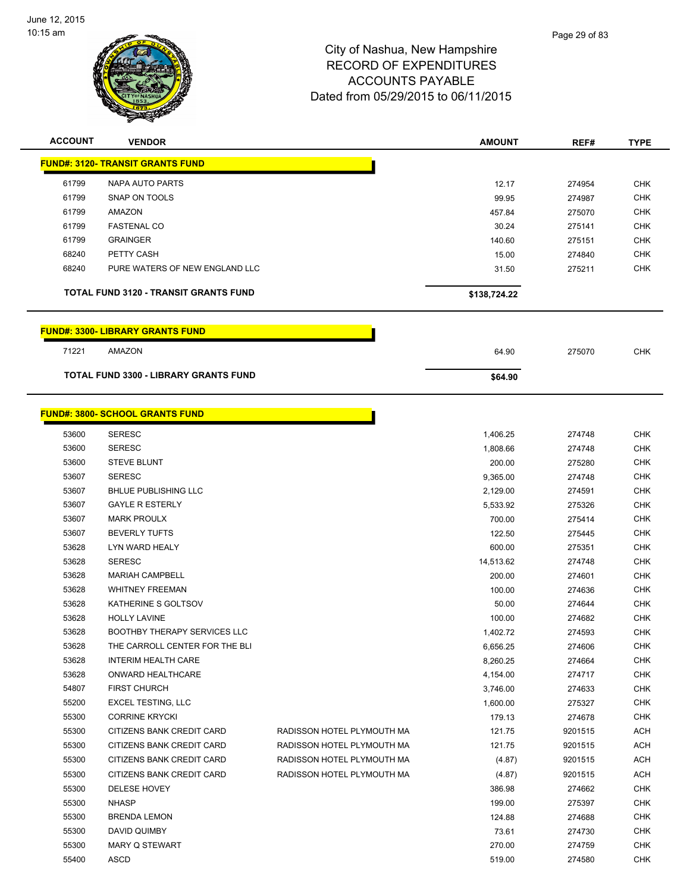

| <b>ACCOUNT</b> | <b>VENDOR</b>                           |                            | <b>AMOUNT</b> | REF#    | <b>TYPE</b> |
|----------------|-----------------------------------------|----------------------------|---------------|---------|-------------|
|                | <b>FUND#: 3120- TRANSIT GRANTS FUND</b> |                            |               |         |             |
| 61799          | NAPA AUTO PARTS                         |                            | 12.17         | 274954  | <b>CHK</b>  |
| 61799          | SNAP ON TOOLS                           |                            | 99.95         | 274987  | <b>CHK</b>  |
| 61799          | <b>AMAZON</b>                           |                            | 457.84        | 275070  | <b>CHK</b>  |
| 61799          | <b>FASTENAL CO</b>                      |                            | 30.24         | 275141  | <b>CHK</b>  |
| 61799          | <b>GRAINGER</b>                         |                            | 140.60        | 275151  | <b>CHK</b>  |
| 68240          | PETTY CASH                              |                            | 15.00         | 274840  | <b>CHK</b>  |
| 68240          | PURE WATERS OF NEW ENGLAND LLC          |                            | 31.50         | 275211  | <b>CHK</b>  |
|                | TOTAL FUND 3120 - TRANSIT GRANTS FUND   |                            | \$138,724.22  |         |             |
|                |                                         |                            |               |         |             |
|                | <b>FUND#: 3300- LIBRARY GRANTS FUND</b> |                            |               |         |             |
| 71221          | AMAZON                                  |                            | 64.90         | 275070  | <b>CHK</b>  |
|                | TOTAL FUND 3300 - LIBRARY GRANTS FUND   |                            | \$64.90       |         |             |
|                |                                         |                            |               |         |             |
|                | <b>FUND#: 3800- SCHOOL GRANTS FUND</b>  |                            |               |         |             |
| 53600          | <b>SERESC</b>                           |                            | 1,406.25      | 274748  | <b>CHK</b>  |
| 53600          | <b>SERESC</b>                           |                            | 1,808.66      | 274748  | <b>CHK</b>  |
| 53600          | <b>STEVE BLUNT</b>                      |                            | 200.00        | 275280  | <b>CHK</b>  |
| 53607          | <b>SERESC</b>                           |                            | 9,365.00      | 274748  | <b>CHK</b>  |
| 53607          | <b>BHLUE PUBLISHING LLC</b>             |                            | 2,129.00      | 274591  | <b>CHK</b>  |
| 53607          | <b>GAYLE R ESTERLY</b>                  |                            | 5,533.92      | 275326  | <b>CHK</b>  |
| 53607          | <b>MARK PROULX</b>                      |                            | 700.00        | 275414  | <b>CHK</b>  |
| 53607          | <b>BEVERLY TUFTS</b>                    |                            | 122.50        | 275445  | <b>CHK</b>  |
| 53628          | LYN WARD HEALY                          |                            | 600.00        | 275351  | <b>CHK</b>  |
| 53628          | <b>SERESC</b>                           |                            | 14,513.62     | 274748  | <b>CHK</b>  |
| 53628          | MARIAH CAMPBELL                         |                            | 200.00        | 274601  | <b>CHK</b>  |
| 53628          | <b>WHITNEY FREEMAN</b>                  |                            | 100.00        | 274636  | <b>CHK</b>  |
| 53628          | KATHERINE S GOLTSOV                     |                            | 50.00         | 274644  | <b>CHK</b>  |
| 53628          | <b>HOLLY LAVINE</b>                     |                            | 100.00        | 274682  | <b>CHK</b>  |
| 53628          | <b>BOOTHBY THERAPY SERVICES LLC</b>     |                            | 1,402.72      | 274593  | <b>CHK</b>  |
| 53628          | THE CARROLL CENTER FOR THE BLI          |                            | 6,656.25      | 274606  | <b>CHK</b>  |
| 53628          | <b>INTERIM HEALTH CARE</b>              |                            | 8,260.25      | 274664  | <b>CHK</b>  |
| 53628          | ONWARD HEALTHCARE                       |                            | 4,154.00      | 274717  | <b>CHK</b>  |
| 54807          | <b>FIRST CHURCH</b>                     |                            | 3,746.00      | 274633  | <b>CHK</b>  |
| 55200          | <b>EXCEL TESTING, LLC</b>               |                            | 1,600.00      | 275327  | <b>CHK</b>  |
| 55300          | <b>CORRINE KRYCKI</b>                   |                            | 179.13        | 274678  | <b>CHK</b>  |
| 55300          | CITIZENS BANK CREDIT CARD               | RADISSON HOTEL PLYMOUTH MA | 121.75        | 9201515 | ACH         |
| 55300          | CITIZENS BANK CREDIT CARD               | RADISSON HOTEL PLYMOUTH MA | 121.75        | 9201515 | ACH         |
| 55300          | CITIZENS BANK CREDIT CARD               | RADISSON HOTEL PLYMOUTH MA | (4.87)        | 9201515 | ACH         |
| 55300          | CITIZENS BANK CREDIT CARD               | RADISSON HOTEL PLYMOUTH MA | (4.87)        | 9201515 | ACH         |
| 55300          | DELESE HOVEY                            |                            | 386.98        | 274662  | <b>CHK</b>  |
| 55300          | <b>NHASP</b>                            |                            | 199.00        | 275397  | <b>CHK</b>  |
| 55300          | <b>BRENDA LEMON</b>                     |                            | 124.88        | 274688  | <b>CHK</b>  |
| 55300          | DAVID QUIMBY                            |                            | 73.61         | 274730  | <b>CHK</b>  |
| 55300          | MARY Q STEWART                          |                            | 270.00        | 274759  | <b>CHK</b>  |
| 55400          | ASCD                                    |                            | 519.00        | 274580  | <b>CHK</b>  |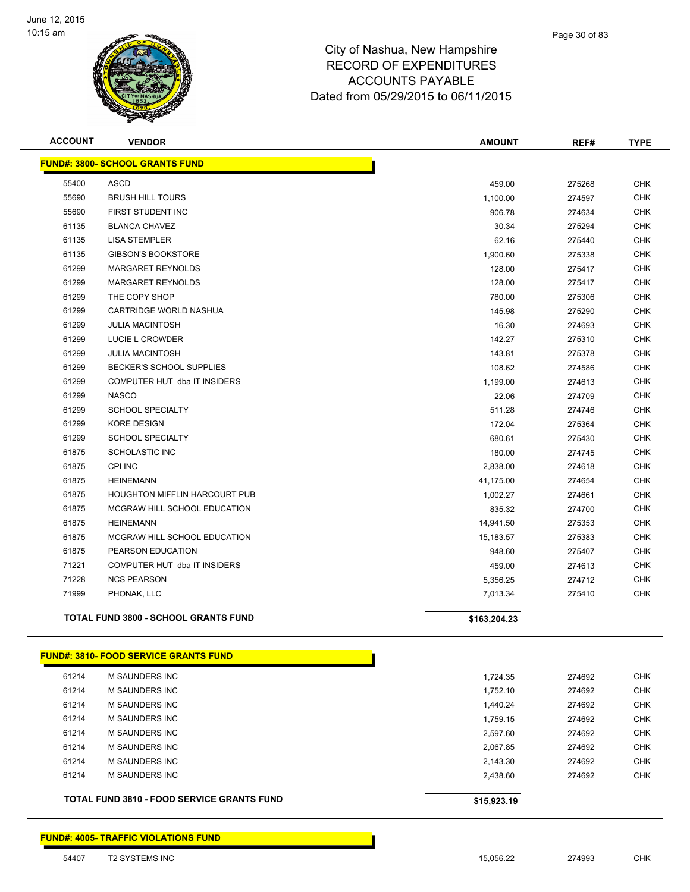

| <b>ACCOUNT</b> | <b>VENDOR</b>                               | <b>AMOUNT</b> | REF#   | <b>TYPE</b> |
|----------------|---------------------------------------------|---------------|--------|-------------|
|                | <b>FUND#: 3800- SCHOOL GRANTS FUND</b>      |               |        |             |
| 55400          | ASCD                                        | 459.00        | 275268 | <b>CHK</b>  |
| 55690          | <b>BRUSH HILL TOURS</b>                     | 1,100.00      | 274597 | CHK         |
| 55690          | FIRST STUDENT INC                           | 906.78        | 274634 | <b>CHK</b>  |
| 61135          | <b>BLANCA CHAVEZ</b>                        | 30.34         | 275294 | <b>CHK</b>  |
| 61135          | <b>LISA STEMPLER</b>                        | 62.16         | 275440 | <b>CHK</b>  |
| 61135          | <b>GIBSON'S BOOKSTORE</b>                   | 1,900.60      | 275338 | <b>CHK</b>  |
| 61299          | <b>MARGARET REYNOLDS</b>                    | 128.00        | 275417 | <b>CHK</b>  |
| 61299          | <b>MARGARET REYNOLDS</b>                    | 128.00        | 275417 | <b>CHK</b>  |
| 61299          | THE COPY SHOP                               | 780.00        | 275306 | <b>CHK</b>  |
| 61299          | CARTRIDGE WORLD NASHUA                      | 145.98        | 275290 | CHK         |
| 61299          | <b>JULIA MACINTOSH</b>                      | 16.30         | 274693 | <b>CHK</b>  |
| 61299          | LUCIE L CROWDER                             | 142.27        | 275310 | <b>CHK</b>  |
| 61299          | <b>JULIA MACINTOSH</b>                      | 143.81        | 275378 | <b>CHK</b>  |
| 61299          | BECKER'S SCHOOL SUPPLIES                    | 108.62        | 274586 | <b>CHK</b>  |
| 61299          | COMPUTER HUT dba IT INSIDERS                | 1,199.00      | 274613 | <b>CHK</b>  |
| 61299          | <b>NASCO</b>                                | 22.06         | 274709 | <b>CHK</b>  |
| 61299          | <b>SCHOOL SPECIALTY</b>                     | 511.28        | 274746 | <b>CHK</b>  |
| 61299          | <b>KORE DESIGN</b>                          | 172.04        | 275364 | <b>CHK</b>  |
| 61299          | <b>SCHOOL SPECIALTY</b>                     | 680.61        | 275430 | <b>CHK</b>  |
| 61875          | <b>SCHOLASTIC INC</b>                       | 180.00        | 274745 | <b>CHK</b>  |
| 61875          | CPI INC                                     | 2,838.00      | 274618 | <b>CHK</b>  |
| 61875          | <b>HEINEMANN</b>                            | 41,175.00     | 274654 | <b>CHK</b>  |
| 61875          | <b>HOUGHTON MIFFLIN HARCOURT PUB</b>        | 1,002.27      | 274661 | <b>CHK</b>  |
| 61875          | MCGRAW HILL SCHOOL EDUCATION                | 835.32        | 274700 | <b>CHK</b>  |
| 61875          | <b>HEINEMANN</b>                            | 14,941.50     | 275353 | <b>CHK</b>  |
| 61875          | MCGRAW HILL SCHOOL EDUCATION                | 15,183.57     | 275383 | <b>CHK</b>  |
| 61875          | PEARSON EDUCATION                           | 948.60        | 275407 | <b>CHK</b>  |
| 71221          | COMPUTER HUT dba IT INSIDERS                | 459.00        | 274613 | <b>CHK</b>  |
| 71228          | <b>NCS PEARSON</b>                          | 5,356.25      | 274712 | CHK         |
| 71999          | PHONAK, LLC                                 | 7,013.34      | 275410 | <b>CHK</b>  |
|                | <b>TOTAL FUND 3800 - SCHOOL GRANTS FUND</b> | \$163,204.23  |        |             |
|                |                                             |               |        |             |

#### **FUND#: 3810- FOOD SERVICE GRANTS FUND**

|       | <b>TOTAL FUND 3810 - FOOD SERVICE GRANTS FUND</b> | \$15,923.19 |        |            |
|-------|---------------------------------------------------|-------------|--------|------------|
| 61214 | M SAUNDERS INC                                    | 2.438.60    | 274692 | <b>CHK</b> |
| 61214 | M SAUNDERS INC                                    | 2.143.30    | 274692 | <b>CHK</b> |
| 61214 | M SAUNDERS INC                                    | 2.067.85    | 274692 | <b>CHK</b> |
| 61214 | M SAUNDERS INC                                    | 2,597.60    | 274692 | <b>CHK</b> |
| 61214 | <b>M SAUNDERS INC</b>                             | 1.759.15    | 274692 | <b>CHK</b> |
| 61214 | <b>M SAUNDERS INC</b>                             | 1.440.24    | 274692 | <b>CHK</b> |
| 61214 | <b>M SAUNDERS INC</b>                             | 1.752.10    | 274692 | <b>CHK</b> |
| 61214 | <b>M SAUNDERS INC</b>                             | 1,724.35    | 274692 | <b>CHK</b> |

Г

#### **FUND#: 4005- TRAFFIC VIOLATIONS FUND**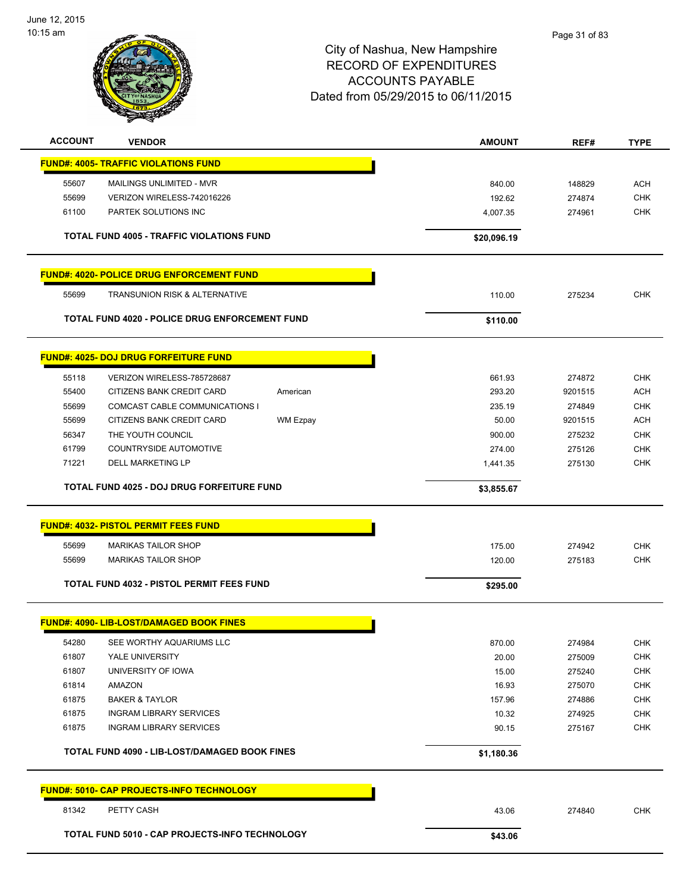

| <b>ACCOUNT</b> | <b>VENDOR</b>                                         | <b>AMOUNT</b> | REF#    | <b>TYPE</b> |
|----------------|-------------------------------------------------------|---------------|---------|-------------|
|                | <b>FUND#: 4005- TRAFFIC VIOLATIONS FUND</b>           |               |         |             |
| 55607          | MAILINGS UNLIMITED - MVR                              | 840.00        | 148829  | <b>ACH</b>  |
| 55699          | VERIZON WIRELESS-742016226                            | 192.62        | 274874  | <b>CHK</b>  |
| 61100          | PARTEK SOLUTIONS INC                                  | 4,007.35      | 274961  | <b>CHK</b>  |
|                |                                                       |               |         |             |
|                | <b>TOTAL FUND 4005 - TRAFFIC VIOLATIONS FUND</b>      | \$20,096.19   |         |             |
|                | <b>FUND#: 4020- POLICE DRUG ENFORCEMENT FUND</b>      |               |         |             |
| 55699          | <b>TRANSUNION RISK &amp; ALTERNATIVE</b>              | 110.00        | 275234  | <b>CHK</b>  |
|                | <b>TOTAL FUND 4020 - POLICE DRUG ENFORCEMENT FUND</b> | \$110.00      |         |             |
|                | <b>FUND#: 4025- DOJ DRUG FORFEITURE FUND</b>          |               |         |             |
| 55118          | VERIZON WIRELESS-785728687                            | 661.93        | 274872  | <b>CHK</b>  |
| 55400          | <b>CITIZENS BANK CREDIT CARD</b><br>American          | 293.20        | 9201515 | <b>ACH</b>  |
| 55699          | COMCAST CABLE COMMUNICATIONS I                        | 235.19        | 274849  | <b>CHK</b>  |
| 55699          | CITIZENS BANK CREDIT CARD<br>WM Ezpay                 | 50.00         | 9201515 | <b>ACH</b>  |
| 56347          | THE YOUTH COUNCIL                                     | 900.00        | 275232  | <b>CHK</b>  |
| 61799          | COUNTRYSIDE AUTOMOTIVE                                | 274.00        | 275126  | <b>CHK</b>  |
| 71221          | <b>DELL MARKETING LP</b>                              | 1,441.35      | 275130  | <b>CHK</b>  |
|                | TOTAL FUND 4025 - DOJ DRUG FORFEITURE FUND            | \$3,855.67    |         |             |
|                | <b>FUND#: 4032- PISTOL PERMIT FEES FUND</b>           |               |         |             |
| 55699          | <b>MARIKAS TAILOR SHOP</b>                            | 175.00        | 274942  | <b>CHK</b>  |
| 55699          | <b>MARIKAS TAILOR SHOP</b>                            | 120.00        | 275183  | <b>CHK</b>  |
|                | <b>TOTAL FUND 4032 - PISTOL PERMIT FEES FUND</b>      | \$295.00      |         |             |
|                | <b>FUND#: 4090- LIB-LOST/DAMAGED BOOK FINES</b>       |               |         |             |
| 54280          | SEE WORTHY AQUARIUMS LLC                              | 870.00        | 274984  | <b>CHK</b>  |
| 61807          | YALE UNIVERSITY                                       | 20.00         | 275009  | <b>CHK</b>  |
| 61807          | UNIVERSITY OF IOWA                                    | 15.00         | 275240  | <b>CHK</b>  |
| 61814          | AMAZON                                                | 16.93         | 275070  | <b>CHK</b>  |
| 61875          | <b>BAKER &amp; TAYLOR</b>                             | 157.96        | 274886  | <b>CHK</b>  |
| 61875          | <b>INGRAM LIBRARY SERVICES</b>                        | 10.32         | 274925  | <b>CHK</b>  |
| 61875          | <b>INGRAM LIBRARY SERVICES</b>                        | 90.15         | 275167  | <b>CHK</b>  |
|                | TOTAL FUND 4090 - LIB-LOST/DAMAGED BOOK FINES         | \$1,180.36    |         |             |
|                | FUND#: 5010- CAP PROJECTS-INFO TECHNOLOGY             |               |         |             |
| 81342          | PETTY CASH                                            | 43.06         | 274840  | <b>CHK</b>  |
|                | TOTAL FUND 5010 - CAP PROJECTS-INFO TECHNOLOGY        | \$43.06       |         |             |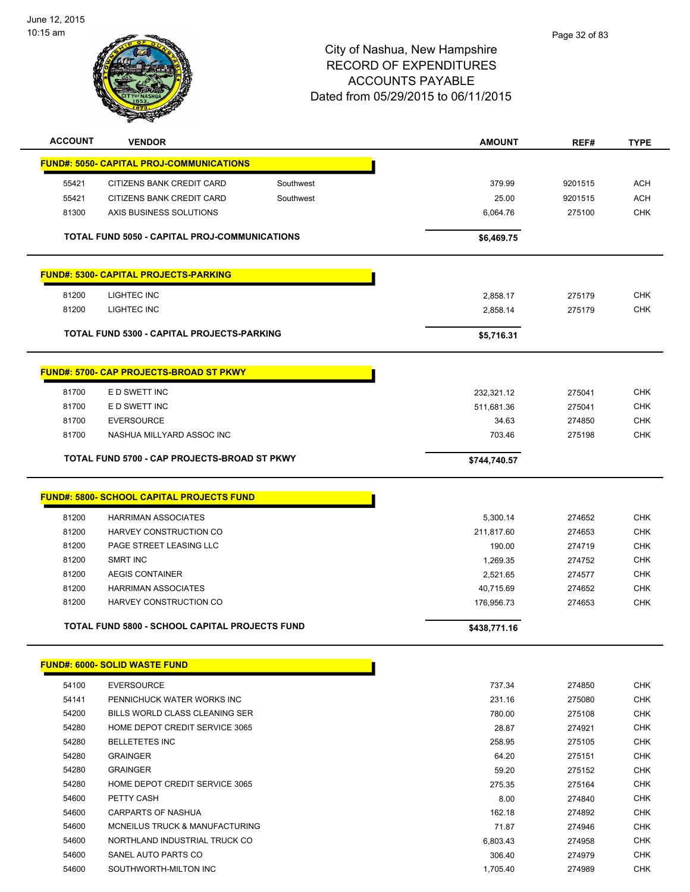

| <b>ACCOUNT</b> | <b>VENDOR</b>                                    |           | <b>AMOUNT</b> | REF#    | <b>TYPE</b> |
|----------------|--------------------------------------------------|-----------|---------------|---------|-------------|
|                | <b>FUND#: 5050- CAPITAL PROJ-COMMUNICATIONS</b>  |           |               |         |             |
| 55421          | CITIZENS BANK CREDIT CARD                        | Southwest | 379.99        | 9201515 | <b>ACH</b>  |
| 55421          | CITIZENS BANK CREDIT CARD                        | Southwest | 25.00         | 9201515 | <b>ACH</b>  |
| 81300          | AXIS BUSINESS SOLUTIONS                          |           | 6,064.76      | 275100  | <b>CHK</b>  |
|                |                                                  |           |               |         |             |
|                | TOTAL FUND 5050 - CAPITAL PROJ-COMMUNICATIONS    |           | \$6,469.75    |         |             |
|                | <b>FUND#: 5300- CAPITAL PROJECTS-PARKING</b>     |           |               |         |             |
| 81200          | LIGHTEC INC                                      |           | 2,858.17      | 275179  | <b>CHK</b>  |
| 81200          | LIGHTEC INC                                      |           | 2,858.14      | 275179  | <b>CHK</b>  |
|                |                                                  |           |               |         |             |
|                | TOTAL FUND 5300 - CAPITAL PROJECTS-PARKING       |           | \$5,716.31    |         |             |
|                | FUND#: 5700- CAP PROJECTS-BROAD ST PKWY          |           |               |         |             |
| 81700          | E D SWETT INC                                    |           | 232,321.12    | 275041  | <b>CHK</b>  |
| 81700          | E D SWETT INC                                    |           | 511,681.36    | 275041  | <b>CHK</b>  |
| 81700          | <b>EVERSOURCE</b>                                |           | 34.63         | 274850  | <b>CHK</b>  |
| 81700          | NASHUA MILLYARD ASSOC INC                        |           | 703.46        | 275198  | <b>CHK</b>  |
|                |                                                  |           |               |         |             |
|                | TOTAL FUND 5700 - CAP PROJECTS-BROAD ST PKWY     |           | \$744,740.57  |         |             |
|                | <b>FUND#: 5800- SCHOOL CAPITAL PROJECTS FUND</b> |           |               |         |             |
| 81200          | <b>HARRIMAN ASSOCIATES</b>                       |           | 5,300.14      | 274652  | <b>CHK</b>  |
| 81200          | HARVEY CONSTRUCTION CO                           |           | 211,817.60    | 274653  | <b>CHK</b>  |
| 81200          | PAGE STREET LEASING LLC                          |           | 190.00        | 274719  | <b>CHK</b>  |
| 81200          | <b>SMRT INC</b>                                  |           | 1,269.35      | 274752  | <b>CHK</b>  |
| 81200          | <b>AEGIS CONTAINER</b>                           |           | 2,521.65      | 274577  | <b>CHK</b>  |
| 81200          | <b>HARRIMAN ASSOCIATES</b>                       |           | 40,715.69     | 274652  | <b>CHK</b>  |
| 81200          | HARVEY CONSTRUCTION CO                           |           | 176,956.73    | 274653  | <b>CHK</b>  |
|                | TOTAL FUND 5800 - SCHOOL CAPITAL PROJECTS FUND   |           | \$438,771.16  |         |             |
|                |                                                  |           |               |         |             |
|                | <b>FUND#: 6000- SOLID WASTE FUND</b>             |           |               |         |             |
| 54100          | <b>EVERSOURCE</b>                                |           | 737.34        | 274850  | <b>CHK</b>  |
| 54141          | PENNICHUCK WATER WORKS INC                       |           | 231.16        | 275080  | <b>CHK</b>  |
| 54200          | BILLS WORLD CLASS CLEANING SER                   |           | 780.00        | 275108  | <b>CHK</b>  |
| 54280          | HOME DEPOT CREDIT SERVICE 3065                   |           | 28.87         | 274921  | CHK         |
| 54280          | <b>BELLETETES INC</b>                            |           | 258.95        | 275105  | <b>CHK</b>  |
| 54280          | <b>GRAINGER</b>                                  |           | 64.20         | 275151  | <b>CHK</b>  |
| 54280          | <b>GRAINGER</b>                                  |           | 59.20         | 275152  | CHK         |
| 54280          | HOME DEPOT CREDIT SERVICE 3065                   |           | 275.35        | 275164  | CHK         |
| 54600          | PETTY CASH                                       |           | 8.00          | 274840  | <b>CHK</b>  |
| 54600          | <b>CARPARTS OF NASHUA</b>                        |           | 162.18        | 274892  | CHK         |
| 54600          | MCNEILUS TRUCK & MANUFACTURING                   |           | 71.87         | 274946  | <b>CHK</b>  |
| 54600          | NORTHLAND INDUSTRIAL TRUCK CO                    |           | 6,803.43      | 274958  | <b>CHK</b>  |
| 54600          | SANEL AUTO PARTS CO                              |           | 306.40        | 274979  | <b>CHK</b>  |
| 54600          | SOUTHWORTH-MILTON INC                            |           | 1,705.40      | 274989  | <b>CHK</b>  |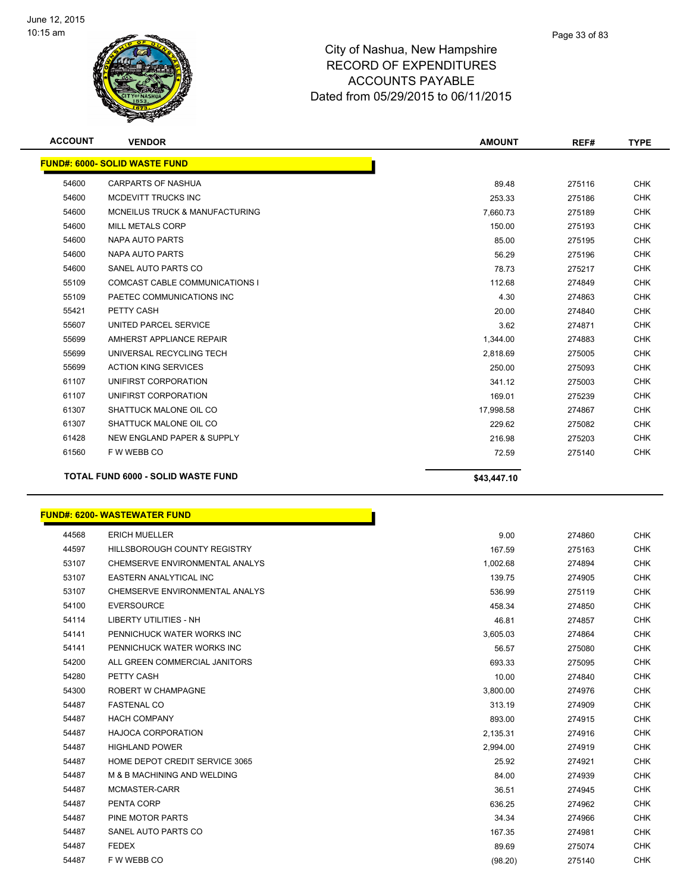

| <b>ACCOUNT</b> | <b>VENDOR</b>                             | <b>AMOUNT</b> | REF#   | <b>TYPE</b> |
|----------------|-------------------------------------------|---------------|--------|-------------|
|                | <b>FUND#: 6000- SOLID WASTE FUND</b>      |               |        |             |
| 54600          | <b>CARPARTS OF NASHUA</b>                 | 89.48         | 275116 | <b>CHK</b>  |
| 54600          | MCDEVITT TRUCKS INC                       | 253.33        | 275186 | <b>CHK</b>  |
| 54600          | <b>MCNEILUS TRUCK &amp; MANUFACTURING</b> | 7,660.73      | 275189 | <b>CHK</b>  |
| 54600          | <b>MILL METALS CORP</b>                   | 150.00        | 275193 | <b>CHK</b>  |
| 54600          | NAPA AUTO PARTS                           | 85.00         | 275195 | <b>CHK</b>  |
| 54600          | NAPA AUTO PARTS                           | 56.29         | 275196 | <b>CHK</b>  |
| 54600          | SANEL AUTO PARTS CO                       | 78.73         | 275217 | <b>CHK</b>  |
| 55109          | <b>COMCAST CABLE COMMUNICATIONS I</b>     | 112.68        | 274849 | <b>CHK</b>  |
| 55109          | PAETEC COMMUNICATIONS INC                 | 4.30          | 274863 | <b>CHK</b>  |
| 55421          | PETTY CASH                                | 20.00         | 274840 | <b>CHK</b>  |
| 55607          | UNITED PARCEL SERVICE                     | 3.62          | 274871 | <b>CHK</b>  |
| 55699          | AMHERST APPLIANCE REPAIR                  | 1,344.00      | 274883 | <b>CHK</b>  |
| 55699          | UNIVERSAL RECYCLING TECH                  | 2,818.69      | 275005 | <b>CHK</b>  |
| 55699          | <b>ACTION KING SERVICES</b>               | 250.00        | 275093 | <b>CHK</b>  |
| 61107          | UNIFIRST CORPORATION                      | 341.12        | 275003 | <b>CHK</b>  |
| 61107          | UNIFIRST CORPORATION                      | 169.01        | 275239 | <b>CHK</b>  |
| 61307          | SHATTUCK MALONE OIL CO                    | 17,998.58     | 274867 | <b>CHK</b>  |
| 61307          | SHATTUCK MALONE OIL CO                    | 229.62        | 275082 | <b>CHK</b>  |
| 61428          | NEW ENGLAND PAPER & SUPPLY                | 216.98        | 275203 | <b>CHK</b>  |
| 61560          | F W WEBB CO                               | 72.59         | 275140 | <b>CHK</b>  |
|                | <b>TOTAL FUND 6000 - SOLID WASTE FUND</b> | \$43,447.10   |        |             |

# **FUND#: 6200- WASTEWATER FUND**

| 44568 | <b>ERICH MUELLER</b>                | 9.00     | 274860 | <b>CHK</b> |
|-------|-------------------------------------|----------|--------|------------|
| 44597 | <b>HILLSBOROUGH COUNTY REGISTRY</b> | 167.59   | 275163 | <b>CHK</b> |
| 53107 | CHEMSERVE ENVIRONMENTAL ANALYS      | 1,002.68 | 274894 | <b>CHK</b> |
| 53107 | <b>EASTERN ANALYTICAL INC</b>       | 139.75   | 274905 | <b>CHK</b> |
| 53107 | CHEMSERVE ENVIRONMENTAL ANALYS      | 536.99   | 275119 | <b>CHK</b> |
| 54100 | <b>EVERSOURCE</b>                   | 458.34   | 274850 | <b>CHK</b> |
| 54114 | <b>LIBERTY UTILITIES - NH</b>       | 46.81    | 274857 | <b>CHK</b> |
| 54141 | PENNICHUCK WATER WORKS INC          | 3,605.03 | 274864 | <b>CHK</b> |
| 54141 | PENNICHUCK WATER WORKS INC          | 56.57    | 275080 | <b>CHK</b> |
| 54200 | ALL GREEN COMMERCIAL JANITORS       | 693.33   | 275095 | <b>CHK</b> |
| 54280 | PETTY CASH                          | 10.00    | 274840 | <b>CHK</b> |
| 54300 | ROBERT W CHAMPAGNE                  | 3,800.00 | 274976 | <b>CHK</b> |
| 54487 | <b>FASTENAL CO</b>                  | 313.19   | 274909 | <b>CHK</b> |
| 54487 | <b>HACH COMPANY</b>                 | 893.00   | 274915 | <b>CHK</b> |
| 54487 | <b>HAJOCA CORPORATION</b>           | 2,135.31 | 274916 | <b>CHK</b> |
| 54487 | <b>HIGHLAND POWER</b>               | 2,994.00 | 274919 | <b>CHK</b> |
| 54487 | HOME DEPOT CREDIT SERVICE 3065      | 25.92    | 274921 | <b>CHK</b> |
| 54487 | M & B MACHINING AND WELDING         | 84.00    | 274939 | <b>CHK</b> |
| 54487 | MCMASTER-CARR                       | 36.51    | 274945 | <b>CHK</b> |
| 54487 | PENTA CORP                          | 636.25   | 274962 | <b>CHK</b> |
| 54487 | PINE MOTOR PARTS                    | 34.34    | 274966 | <b>CHK</b> |
| 54487 | SANEL AUTO PARTS CO                 | 167.35   | 274981 | <b>CHK</b> |
| 54487 | <b>FEDEX</b>                        | 89.69    | 275074 | <b>CHK</b> |
| 54487 | F W WEBB CO                         | (98.20)  | 275140 | <b>CHK</b> |

n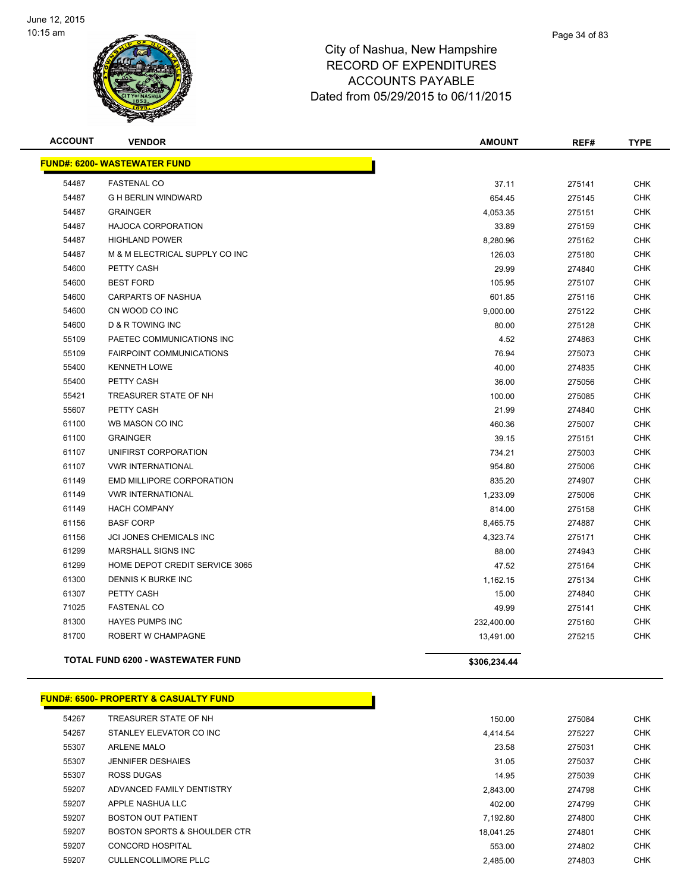

| <b>ACCOUNT</b> | <b>VENDOR</b>                            | <b>AMOUNT</b> | REF#   | <b>TYPE</b> |
|----------------|------------------------------------------|---------------|--------|-------------|
|                | <b>FUND#: 6200- WASTEWATER FUND</b>      |               |        |             |
| 54487          | <b>FASTENAL CO</b>                       | 37.11         | 275141 | <b>CHK</b>  |
| 54487          | <b>G H BERLIN WINDWARD</b>               | 654.45        | 275145 | <b>CHK</b>  |
| 54487          | <b>GRAINGER</b>                          | 4,053.35      | 275151 | <b>CHK</b>  |
| 54487          | <b>HAJOCA CORPORATION</b>                | 33.89         | 275159 | <b>CHK</b>  |
| 54487          | <b>HIGHLAND POWER</b>                    | 8,280.96      | 275162 | <b>CHK</b>  |
| 54487          | M & M ELECTRICAL SUPPLY CO INC           | 126.03        | 275180 | <b>CHK</b>  |
| 54600          | PETTY CASH                               | 29.99         | 274840 | <b>CHK</b>  |
| 54600          | <b>BEST FORD</b>                         | 105.95        | 275107 | <b>CHK</b>  |
| 54600          | <b>CARPARTS OF NASHUA</b>                | 601.85        | 275116 | <b>CHK</b>  |
| 54600          | CN WOOD CO INC                           | 9,000.00      | 275122 | <b>CHK</b>  |
| 54600          | D & R TOWING INC                         | 80.00         | 275128 | <b>CHK</b>  |
| 55109          | PAETEC COMMUNICATIONS INC                | 4.52          | 274863 | <b>CHK</b>  |
| 55109          | <b>FAIRPOINT COMMUNICATIONS</b>          | 76.94         | 275073 | <b>CHK</b>  |
| 55400          | <b>KENNETH LOWE</b>                      | 40.00         | 274835 | <b>CHK</b>  |
| 55400          | PETTY CASH                               | 36.00         | 275056 | <b>CHK</b>  |
| 55421          | TREASURER STATE OF NH                    | 100.00        | 275085 | <b>CHK</b>  |
| 55607          | PETTY CASH                               | 21.99         | 274840 | <b>CHK</b>  |
| 61100          | WB MASON CO INC                          | 460.36        | 275007 | <b>CHK</b>  |
| 61100          | <b>GRAINGER</b>                          | 39.15         | 275151 | <b>CHK</b>  |
| 61107          | UNIFIRST CORPORATION                     | 734.21        | 275003 | <b>CHK</b>  |
| 61107          | <b>VWR INTERNATIONAL</b>                 | 954.80        | 275006 | <b>CHK</b>  |
| 61149          | EMD MILLIPORE CORPORATION                | 835.20        | 274907 | <b>CHK</b>  |
| 61149          | <b>VWR INTERNATIONAL</b>                 | 1,233.09      | 275006 | <b>CHK</b>  |
| 61149          | <b>HACH COMPANY</b>                      | 814.00        | 275158 | <b>CHK</b>  |
| 61156          | <b>BASF CORP</b>                         | 8,465.75      | 274887 | <b>CHK</b>  |
| 61156          | <b>JCI JONES CHEMICALS INC</b>           | 4,323.74      | 275171 | <b>CHK</b>  |
| 61299          | MARSHALL SIGNS INC                       | 88.00         | 274943 | <b>CHK</b>  |
| 61299          | HOME DEPOT CREDIT SERVICE 3065           | 47.52         | 275164 | <b>CHK</b>  |
| 61300          | DENNIS K BURKE INC                       | 1,162.15      | 275134 | <b>CHK</b>  |
| 61307          | PETTY CASH                               | 15.00         | 274840 | <b>CHK</b>  |
| 71025          | <b>FASTENAL CO</b>                       | 49.99         | 275141 | <b>CHK</b>  |
| 81300          | <b>HAYES PUMPS INC</b>                   | 232,400.00    | 275160 | <b>CHK</b>  |
| 81700          | ROBERT W CHAMPAGNE                       | 13,491.00     | 275215 | <b>CHK</b>  |
|                | <b>TOTAL FUND 6200 - WASTEWATER FUND</b> | \$306,234.44  |        |             |

#### **FUND#: 6500- PROPERTY & CASUALTY FUND**

| 54267 | TREASURER STATE OF NH                   | 150.00    | 275084 | <b>CHK</b> |
|-------|-----------------------------------------|-----------|--------|------------|
| 54267 | STANLEY ELEVATOR CO INC                 | 4.414.54  | 275227 | <b>CHK</b> |
| 55307 | <b>ARLENE MALO</b>                      | 23.58     | 275031 | <b>CHK</b> |
| 55307 | <b>JENNIFER DESHAIES</b>                | 31.05     | 275037 | <b>CHK</b> |
| 55307 | ROSS DUGAS                              | 14.95     | 275039 | <b>CHK</b> |
| 59207 | ADVANCED FAMILY DENTISTRY               | 2.843.00  | 274798 | <b>CHK</b> |
| 59207 | APPLE NASHUA LLC                        | 402.00    | 274799 | <b>CHK</b> |
| 59207 | <b>BOSTON OUT PATIENT</b>               | 7.192.80  | 274800 | <b>CHK</b> |
| 59207 | <b>BOSTON SPORTS &amp; SHOULDER CTR</b> | 18.041.25 | 274801 | <b>CHK</b> |
| 59207 | CONCORD HOSPITAL                        | 553.00    | 274802 | <b>CHK</b> |
| 59207 | CULLENCOLLIMORE PLLC                    | 2.485.00  | 274803 | <b>CHK</b> |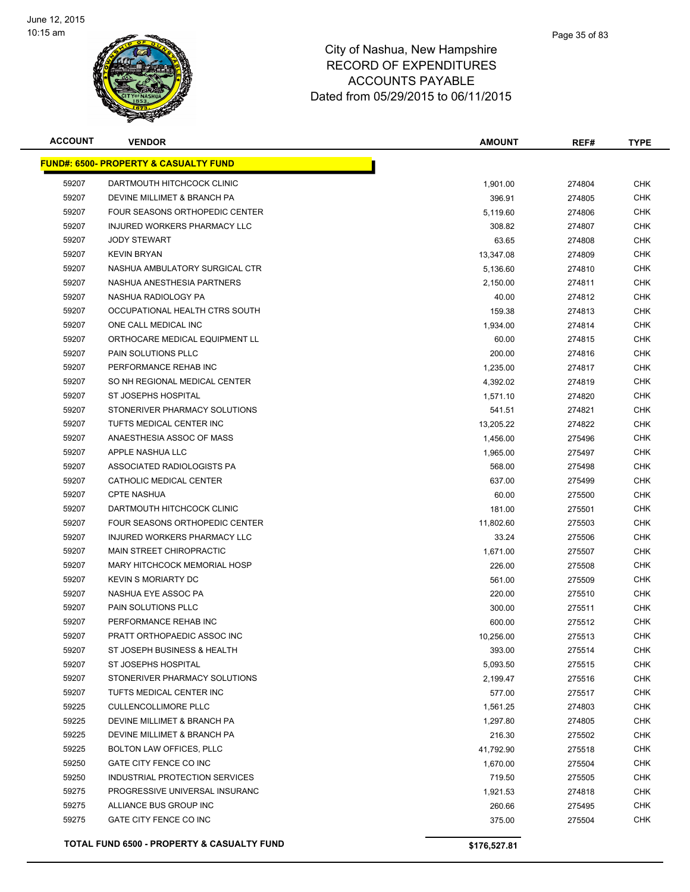

| <b>ACCOUNT</b> | <b>VENDOR</b>                                    | <b>AMOUNT</b> | REF#   | <b>TYPE</b> |
|----------------|--------------------------------------------------|---------------|--------|-------------|
|                | <b>FUND#: 6500- PROPERTY &amp; CASUALTY FUND</b> |               |        |             |
| 59207          | DARTMOUTH HITCHCOCK CLINIC                       | 1,901.00      | 274804 | <b>CHK</b>  |
| 59207          | DEVINE MILLIMET & BRANCH PA                      | 396.91        | 274805 | <b>CHK</b>  |
| 59207          | FOUR SEASONS ORTHOPEDIC CENTER                   | 5,119.60      | 274806 | <b>CHK</b>  |
| 59207          | INJURED WORKERS PHARMACY LLC                     | 308.82        | 274807 | <b>CHK</b>  |
| 59207          | <b>JODY STEWART</b>                              | 63.65         | 274808 | <b>CHK</b>  |
| 59207          | <b>KEVIN BRYAN</b>                               | 13,347.08     | 274809 | <b>CHK</b>  |
| 59207          | NASHUA AMBULATORY SURGICAL CTR                   | 5,136.60      | 274810 | <b>CHK</b>  |
| 59207          | NASHUA ANESTHESIA PARTNERS                       | 2,150.00      | 274811 | <b>CHK</b>  |
| 59207          | NASHUA RADIOLOGY PA                              | 40.00         | 274812 | <b>CHK</b>  |
| 59207          | OCCUPATIONAL HEALTH CTRS SOUTH                   | 159.38        | 274813 | <b>CHK</b>  |
| 59207          | ONE CALL MEDICAL INC                             | 1,934.00      | 274814 | <b>CHK</b>  |
| 59207          | ORTHOCARE MEDICAL EQUIPMENT LL                   | 60.00         | 274815 | <b>CHK</b>  |
| 59207          | PAIN SOLUTIONS PLLC                              | 200.00        | 274816 | <b>CHK</b>  |
| 59207          | PERFORMANCE REHAB INC                            | 1,235.00      | 274817 | <b>CHK</b>  |
| 59207          | SO NH REGIONAL MEDICAL CENTER                    | 4,392.02      | 274819 | <b>CHK</b>  |
| 59207          | ST JOSEPHS HOSPITAL                              | 1,571.10      | 274820 | <b>CHK</b>  |
| 59207          | STONERIVER PHARMACY SOLUTIONS                    | 541.51        | 274821 | <b>CHK</b>  |
| 59207          | TUFTS MEDICAL CENTER INC                         | 13,205.22     | 274822 | CHK         |
| 59207          | ANAESTHESIA ASSOC OF MASS                        | 1,456.00      | 275496 | <b>CHK</b>  |
| 59207          | APPLE NASHUA LLC                                 | 1,965.00      | 275497 | <b>CHK</b>  |
| 59207          | ASSOCIATED RADIOLOGISTS PA                       | 568.00        | 275498 | <b>CHK</b>  |
| 59207          | CATHOLIC MEDICAL CENTER                          | 637.00        | 275499 | <b>CHK</b>  |
| 59207          | <b>CPTE NASHUA</b>                               | 60.00         | 275500 | <b>CHK</b>  |
| 59207          | DARTMOUTH HITCHCOCK CLINIC                       | 181.00        | 275501 | <b>CHK</b>  |
| 59207          | FOUR SEASONS ORTHOPEDIC CENTER                   | 11,802.60     | 275503 | <b>CHK</b>  |
| 59207          | INJURED WORKERS PHARMACY LLC                     | 33.24         | 275506 | <b>CHK</b>  |
| 59207          | <b>MAIN STREET CHIROPRACTIC</b>                  | 1,671.00      | 275507 | <b>CHK</b>  |
| 59207          | MARY HITCHCOCK MEMORIAL HOSP                     | 226.00        | 275508 | <b>CHK</b>  |
| 59207          | <b>KEVIN S MORIARTY DC</b>                       | 561.00        | 275509 | <b>CHK</b>  |
| 59207          | NASHUA EYE ASSOC PA                              | 220.00        | 275510 | <b>CHK</b>  |
| 59207          | PAIN SOLUTIONS PLLC                              | 300.00        | 275511 | <b>CHK</b>  |
| 59207          | PERFORMANCE REHAB INC                            | 600.00        | 275512 | <b>CHK</b>  |
| 59207          | PRATT ORTHOPAEDIC ASSOC INC                      | 10,256.00     | 275513 | <b>CHK</b>  |
| 59207          | ST JOSEPH BUSINESS & HEALTH                      | 393.00        | 275514 | <b>CHK</b>  |
| 59207          | ST JOSEPHS HOSPITAL                              | 5,093.50      | 275515 | <b>CHK</b>  |
| 59207          | STONERIVER PHARMACY SOLUTIONS                    | 2,199.47      | 275516 | <b>CHK</b>  |
| 59207          | TUFTS MEDICAL CENTER INC                         | 577.00        | 275517 | <b>CHK</b>  |
| 59225          | <b>CULLENCOLLIMORE PLLC</b>                      | 1,561.25      | 274803 | <b>CHK</b>  |
| 59225          | DEVINE MILLIMET & BRANCH PA                      | 1,297.80      | 274805 | <b>CHK</b>  |
| 59225          | DEVINE MILLIMET & BRANCH PA                      | 216.30        | 275502 | <b>CHK</b>  |
| 59225          | <b>BOLTON LAW OFFICES, PLLC</b>                  | 41,792.90     | 275518 | <b>CHK</b>  |
| 59250          | GATE CITY FENCE CO INC                           | 1,670.00      | 275504 | <b>CHK</b>  |
| 59250          | INDUSTRIAL PROTECTION SERVICES                   | 719.50        | 275505 | <b>CHK</b>  |
| 59275          | PROGRESSIVE UNIVERSAL INSURANC                   | 1,921.53      | 274818 | <b>CHK</b>  |
| 59275          | ALLIANCE BUS GROUP INC                           | 260.66        | 275495 | <b>CHK</b>  |
| 59275          | GATE CITY FENCE CO INC                           | 375.00        | 275504 | <b>CHK</b>  |
|                | TOTAL FUND 6500 - PROPERTY & CASUALTY FUND       | \$176,527.81  |        |             |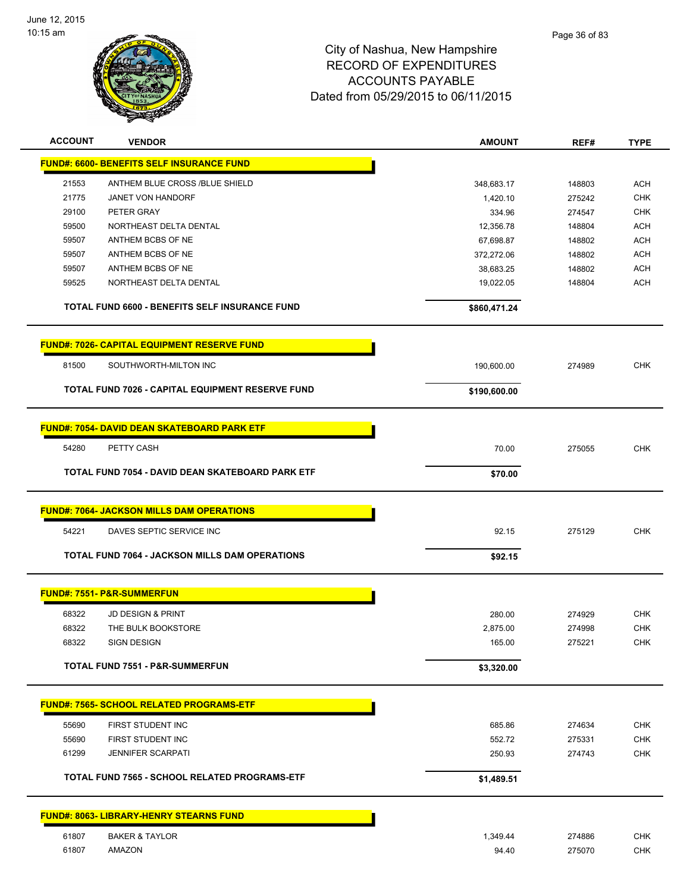

| <b>ACCOUNT</b> | <b>VENDOR</b>                                           | <b>AMOUNT</b> | REF#   | <b>TYPE</b> |
|----------------|---------------------------------------------------------|---------------|--------|-------------|
|                | <b>FUND#: 6600- BENEFITS SELF INSURANCE FUND</b>        |               |        |             |
| 21553          | ANTHEM BLUE CROSS /BLUE SHIELD                          | 348,683.17    | 148803 | <b>ACH</b>  |
| 21775          | <b>JANET VON HANDORF</b>                                | 1,420.10      | 275242 | <b>CHK</b>  |
| 29100          | PETER GRAY                                              | 334.96        | 274547 | <b>CHK</b>  |
| 59500          | NORTHEAST DELTA DENTAL                                  | 12,356.78     | 148804 | <b>ACH</b>  |
| 59507          | ANTHEM BCBS OF NE                                       | 67,698.87     | 148802 | <b>ACH</b>  |
| 59507          | ANTHEM BCBS OF NE                                       | 372,272.06    | 148802 | <b>ACH</b>  |
| 59507          | ANTHEM BCBS OF NE                                       | 38,683.25     | 148802 | <b>ACH</b>  |
| 59525          | NORTHEAST DELTA DENTAL                                  | 19,022.05     | 148804 | <b>ACH</b>  |
|                | TOTAL FUND 6600 - BENEFITS SELF INSURANCE FUND          | \$860,471.24  |        |             |
|                | <b>FUND#: 7026- CAPITAL EQUIPMENT RESERVE FUND</b>      |               |        |             |
| 81500          | SOUTHWORTH-MILTON INC                                   | 190,600.00    | 274989 | <b>CHK</b>  |
|                | <b>TOTAL FUND 7026 - CAPITAL EQUIPMENT RESERVE FUND</b> | \$190,600.00  |        |             |
|                |                                                         |               |        |             |
|                | <b>FUND#: 7054- DAVID DEAN SKATEBOARD PARK ETF</b>      |               |        |             |
| 54280          | PETTY CASH                                              | 70.00         | 275055 | <b>CHK</b>  |
|                |                                                         |               |        |             |
|                | TOTAL FUND 7054 - DAVID DEAN SKATEBOARD PARK ETF        | \$70.00       |        |             |
|                | <b>FUND#: 7064- JACKSON MILLS DAM OPERATIONS</b>        |               |        |             |
| 54221          | DAVES SEPTIC SERVICE INC                                | 92.15         | 275129 | <b>CHK</b>  |
|                | <b>TOTAL FUND 7064 - JACKSON MILLS DAM OPERATIONS</b>   | \$92.15       |        |             |
|                | <b>FUND#: 7551- P&amp;R-SUMMERFUN</b>                   |               |        |             |
| 68322          | <b>JD DESIGN &amp; PRINT</b>                            | 280.00        | 274929 | <b>CHK</b>  |
| 68322          | THE BULK BOOKSTORE                                      | 2,875.00      | 274998 | CHK         |
| 68322          | SIGN DESIGN                                             | 165.00        | 275221 | <b>CHK</b>  |
|                | <b>TOTAL FUND 7551 - P&amp;R-SUMMERFUN</b>              | \$3,320.00    |        |             |
|                |                                                         |               |        |             |
|                | <b>FUND#: 7565- SCHOOL RELATED PROGRAMS-ETF</b>         |               |        |             |
| 55690          | FIRST STUDENT INC                                       | 685.86        | 274634 | <b>CHK</b>  |
| 55690          | FIRST STUDENT INC                                       | 552.72        | 275331 | <b>CHK</b>  |
| 61299          | <b>JENNIFER SCARPATI</b>                                | 250.93        | 274743 | <b>CHK</b>  |
|                | <b>TOTAL FUND 7565 - SCHOOL RELATED PROGRAMS-ETF</b>    | \$1,489.51    |        |             |
|                | <b>FUND#: 8063- LIBRARY-HENRY STEARNS FUND</b>          |               |        |             |
| 61807          | <b>BAKER &amp; TAYLOR</b>                               | 1,349.44      | 274886 | <b>CHK</b>  |
| 61807          | AMAZON                                                  | 94.40         | 275070 | <b>CHK</b>  |
|                |                                                         |               |        |             |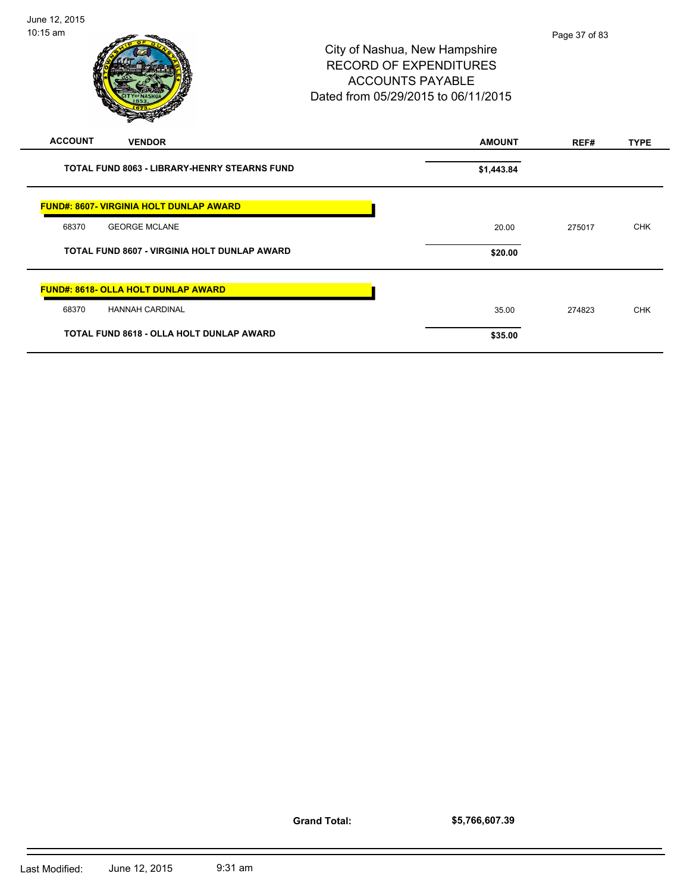## City of Nashua, New Hampshire RECORD OF EXPENDITURES ACCOUNTS PAYABLE Dated from 05/29/2015 to 06/11/2015

| <b>ACCOUNT</b><br><b>VENDOR</b>                     | <b>AMOUNT</b> | REF#   | <b>TYPE</b> |
|-----------------------------------------------------|---------------|--------|-------------|
| <b>TOTAL FUND 8063 - LIBRARY-HENRY STEARNS FUND</b> | \$1,443.84    |        |             |
| <b>FUND#: 8607- VIRGINIA HOLT DUNLAP AWARD</b>      |               |        |             |
| <b>GEORGE MCLANE</b><br>68370                       | 20.00         | 275017 | <b>CHK</b>  |
| TOTAL FUND 8607 - VIRGINIA HOLT DUNLAP AWARD        | \$20.00       |        |             |
| <b>FUND#: 8618- OLLA HOLT DUNLAP AWARD</b>          |               |        |             |
| 68370<br><b>HANNAH CARDINAL</b>                     | 35.00         | 274823 | <b>CHK</b>  |
| TOTAL FUND 8618 - OLLA HOLT DUNLAP AWARD            | \$35.00       |        |             |

**Grand Total:**

**\$5,766,607.39**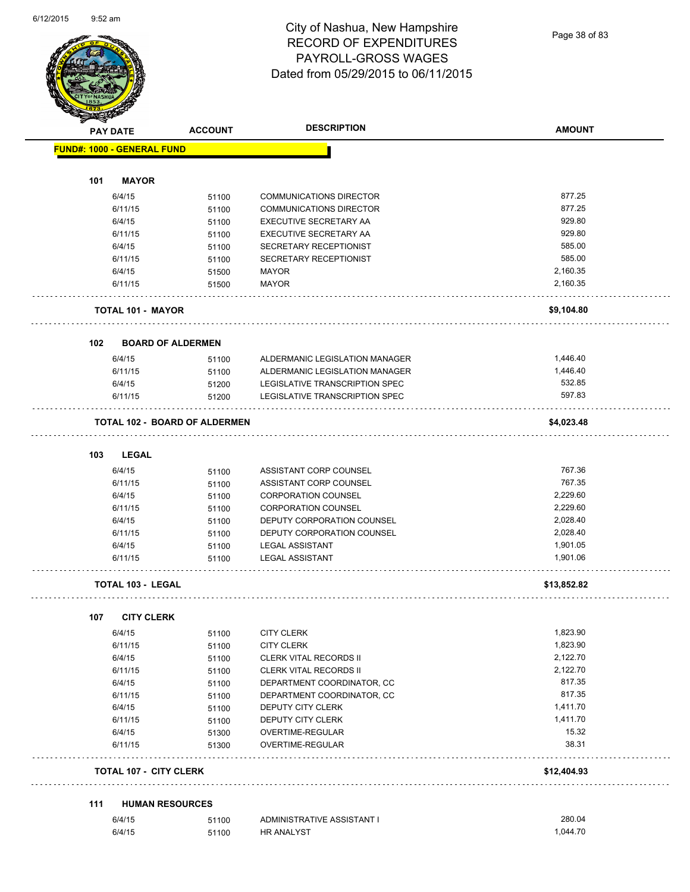Page 38 of 83

| <b>Anton</b> | <b>PAY DATE</b>                   | <b>ACCOUNT</b>                       | <b>DESCRIPTION</b>                        | <b>AMOUNT</b>        |
|--------------|-----------------------------------|--------------------------------------|-------------------------------------------|----------------------|
|              | <b>FUND#: 1000 - GENERAL FUND</b> |                                      |                                           |                      |
|              |                                   |                                      |                                           |                      |
| 101          | <b>MAYOR</b>                      |                                      |                                           |                      |
|              | 6/4/15                            | 51100                                | <b>COMMUNICATIONS DIRECTOR</b>            | 877.25               |
|              | 6/11/15                           | 51100                                | <b>COMMUNICATIONS DIRECTOR</b>            | 877.25               |
|              | 6/4/15                            | 51100                                | EXECUTIVE SECRETARY AA                    | 929.80               |
|              | 6/11/15                           | 51100                                | EXECUTIVE SECRETARY AA                    | 929.80               |
|              | 6/4/15                            | 51100                                | SECRETARY RECEPTIONIST                    | 585.00               |
|              | 6/11/15                           | 51100                                | SECRETARY RECEPTIONIST                    | 585.00               |
|              | 6/4/15                            | 51500                                | <b>MAYOR</b>                              | 2,160.35             |
|              | 6/11/15                           | 51500                                | <b>MAYOR</b>                              | 2,160.35             |
|              | <b>TOTAL 101 - MAYOR</b>          |                                      |                                           | \$9,104.80           |
| 102          | <b>BOARD OF ALDERMEN</b>          |                                      |                                           |                      |
|              | 6/4/15                            | 51100                                | ALDERMANIC LEGISLATION MANAGER            | 1,446.40             |
|              | 6/11/15                           | 51100                                | ALDERMANIC LEGISLATION MANAGER            | 1,446.40             |
|              | 6/4/15                            | 51200                                | LEGISLATIVE TRANSCRIPTION SPEC            | 532.85               |
|              | 6/11/15                           | 51200                                | <b>LEGISLATIVE TRANSCRIPTION SPEC</b>     | 597.83               |
|              |                                   | <b>TOTAL 102 - BOARD OF ALDERMEN</b> |                                           | \$4,023.48           |
| 103          | <b>LEGAL</b>                      |                                      |                                           |                      |
|              |                                   |                                      |                                           | 767.36               |
|              | 6/4/15                            | 51100                                | ASSISTANT CORP COUNSEL                    | 767.35               |
|              | 6/11/15                           | 51100                                | ASSISTANT CORP COUNSEL                    |                      |
|              | 6/4/15                            | 51100                                | <b>CORPORATION COUNSEL</b>                | 2,229.60             |
|              | 6/11/15                           | 51100                                | <b>CORPORATION COUNSEL</b>                | 2,229.60             |
|              | 6/4/15                            | 51100                                | DEPUTY CORPORATION COUNSEL                | 2,028.40             |
|              | 6/11/15                           | 51100                                | DEPUTY CORPORATION COUNSEL                | 2,028.40             |
|              | 6/4/15<br>6/11/15                 | 51100<br>51100                       | LEGAL ASSISTANT<br><b>LEGAL ASSISTANT</b> | 1,901.05<br>1,901.06 |
|              | TOTAL 103 - LEGAL                 |                                      |                                           | \$13,852.82          |
|              |                                   |                                      |                                           |                      |
| 107          | <b>CITY CLERK</b>                 |                                      |                                           |                      |
|              | 6/4/15                            | 51100                                | <b>CITY CLERK</b>                         | 1,823.90             |
|              | 6/11/15                           | 51100                                | <b>CITY CLERK</b>                         | 1,823.90             |
|              | 6/4/15                            | 51100                                | <b>CLERK VITAL RECORDS II</b>             | 2,122.70             |
|              | 6/11/15                           | 51100                                | <b>CLERK VITAL RECORDS II</b>             | 2,122.70             |
|              | 6/4/15                            | 51100                                | DEPARTMENT COORDINATOR, CC                | 817.35               |
|              | 6/11/15                           | 51100                                | DEPARTMENT COORDINATOR, CC                | 817.35               |
|              | 6/4/15                            | 51100                                | DEPUTY CITY CLERK                         | 1,411.70             |
|              | 6/11/15                           | 51100                                | DEPUTY CITY CLERK                         | 1,411.70             |
|              | 6/4/15<br>6/11/15                 | 51300<br>51300                       | OVERTIME-REGULAR<br>OVERTIME-REGULAR      | 15.32<br>38.31       |
|              |                                   |                                      |                                           |                      |
|              | <b>TOTAL 107 - CITY CLERK</b>     |                                      |                                           | \$12,404.93          |
| 111          | <b>HUMAN RESOURCES</b>            |                                      |                                           |                      |
|              |                                   |                                      |                                           | 280.04               |
|              | 6/4/15<br>6/4/15                  | 51100                                | ADMINISTRATIVE ASSISTANT I                | 1,044.70             |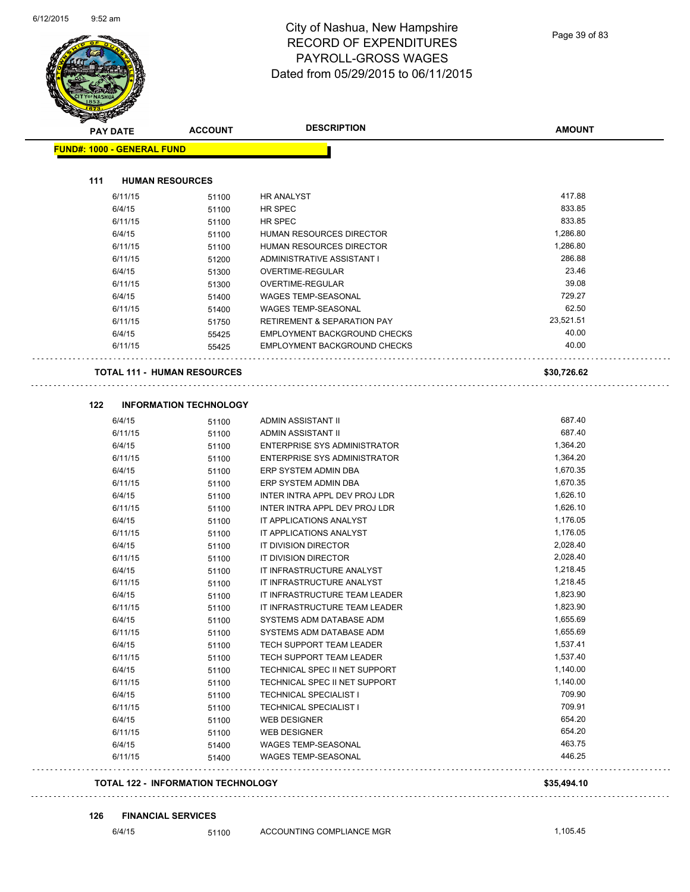| <b>PAY DATE</b>                   | <b>ACCOUNT</b>                     | <b>DESCRIPTION</b>                  | <b>AMOUNT</b> |
|-----------------------------------|------------------------------------|-------------------------------------|---------------|
| <b>FUND#: 1000 - GENERAL FUND</b> |                                    |                                     |               |
| 111                               | <b>HUMAN RESOURCES</b>             |                                     |               |
| 6/11/15                           | 51100                              | <b>HR ANALYST</b>                   | 417.88        |
| 6/4/15                            | 51100                              | HR SPEC                             | 833.85        |
| 6/11/15                           | 51100                              | <b>HR SPEC</b>                      | 833.85        |
| 6/4/15                            | 51100                              | HUMAN RESOURCES DIRECTOR            | 1,286.80      |
| 6/11/15                           | 51100                              | HUMAN RESOURCES DIRECTOR            | 1,286.80      |
| 6/11/15                           | 51200                              | ADMINISTRATIVE ASSISTANT I          | 286.88        |
| 6/4/15                            | 51300                              | OVERTIME-REGULAR                    | 23.46         |
| 6/11/15                           | 51300                              | OVERTIME-REGULAR                    | 39.08         |
| 6/4/15                            | 51400                              | <b>WAGES TEMP-SEASONAL</b>          | 729.27        |
| 6/11/15                           | 51400                              | WAGES TEMP-SEASONAL                 | 62.50         |
| 6/11/15                           | 51750                              | RETIREMENT & SEPARATION PAY         | 23,521.51     |
| 6/4/15                            | 55425                              | EMPLOYMENT BACKGROUND CHECKS        | 40.00         |
| 6/11/15                           | 55425                              | EMPLOYMENT BACKGROUND CHECKS        | 40.00         |
|                                   | <b>TOTAL 111 - HUMAN RESOURCES</b> |                                     | \$30,726.62   |
| 122                               | <b>INFORMATION TECHNOLOGY</b>      |                                     |               |
| 6/4/15                            | 51100                              | ADMIN ASSISTANT II                  | 687.40        |
| 6/11/15                           | 51100                              | ADMIN ASSISTANT II                  | 687.40        |
| 6/4/15                            | 51100                              | <b>ENTERPRISE SYS ADMINISTRATOR</b> | 1,364.20      |
| 6/11/15                           | 51100                              | ENTERPRISE SYS ADMINISTRATOR        | 1,364.20      |
| 6/4/15                            | 51100                              | ERP SYSTEM ADMIN DBA                | 1,670.35      |
| 6/11/15                           | 51100                              | ERP SYSTEM ADMIN DBA                | 1,670.35      |
| 6/4/15                            | 51100                              | INTER INTRA APPL DEV PROJ LDR       | 1,626.10      |
| 6/11/15                           | 51100                              | INTER INTRA APPL DEV PROJ LDR       | 1,626.10      |
| 6/4/15                            | 51100                              | IT APPLICATIONS ANALYST             | 1,176.05      |
| 6/11/15                           | 51100                              | IT APPLICATIONS ANALYST             | 1,176.05      |
| 6/4/15                            | 51100                              | IT DIVISION DIRECTOR                | 2,028.40      |
| 6/11/15                           | 51100                              | IT DIVISION DIRECTOR                | 2,028.40      |
| 6/4/15                            | 51100                              | IT INFRASTRUCTURE ANALYST           | 1,218.45      |
| 6/11/15                           | 51100                              | IT INFRASTRUCTURE ANALYST           | 1,218.45      |
| 6/4/15                            | 51100                              | IT INFRASTRUCTURE TEAM LEADER       | 1,823.90      |
| 6/11/15                           | 51100                              | IT INFRASTRUCTURE TEAM LEADER       | 1,823.90      |
| 6/4/15                            | 51100                              | SYSTEMS ADM DATABASE ADM            | 1,655.69      |
| 6/11/15                           | 51100                              | SYSTEMS ADM DATABASE ADM            | 1,655.69      |
| 6/4/15                            | 51100                              | TECH SUPPORT TEAM LEADER            | 1,537.41      |
| 6/11/15                           | 51100                              | TECH SUPPORT TEAM LEADER            | 1,537.40      |
| 6/4/15                            | 51100                              | TECHNICAL SPEC II NET SUPPORT       | 1,140.00      |
| 6/11/15                           | 51100                              | TECHNICAL SPEC II NET SUPPORT       | 1,140.00      |
| 6/4/15                            | 51100                              | <b>TECHNICAL SPECIALIST I</b>       | 709.90        |
| 6/11/15                           | 51100                              | <b>TECHNICAL SPECIALIST I</b>       | 709.91        |
|                                   | 51100                              | <b>WEB DESIGNER</b>                 | 654.20        |
| 6/4/15                            | 51100                              | <b>WEB DESIGNER</b>                 | 654.20        |
| 6/11/15                           |                                    |                                     |               |
| 6/4/15                            | 51400                              | WAGES TEMP-SEASONAL                 | 463.75        |

#### **126 FINANCIAL SERVICES**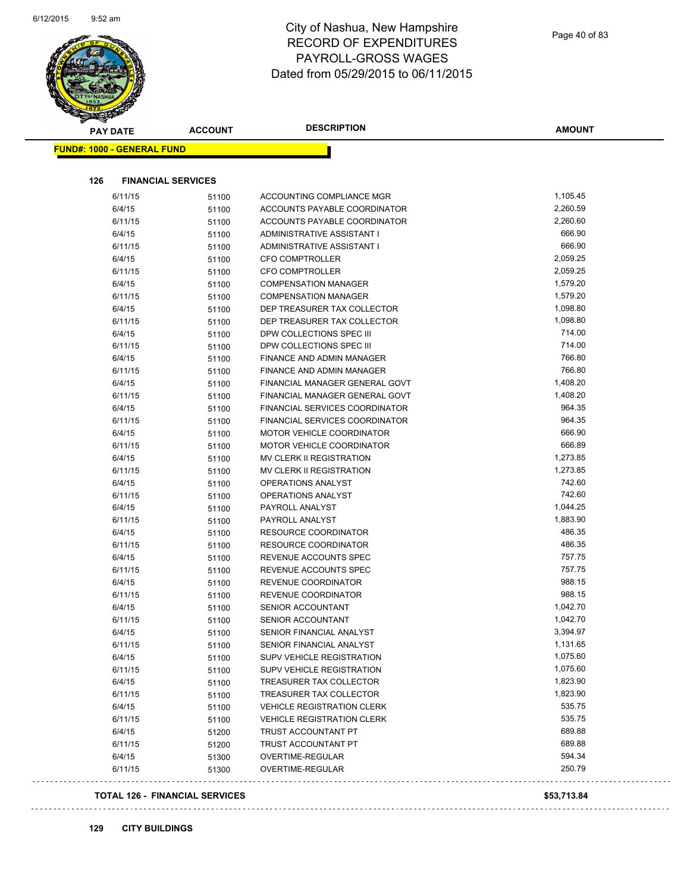| <b>PAY DATE</b>                   | <b>ACCOUNT</b> | <b>DESCRIPTION</b>                | <b>AMOUNT</b> |
|-----------------------------------|----------------|-----------------------------------|---------------|
| <b>FUND#: 1000 - GENERAL FUND</b> |                |                                   |               |
|                                   |                |                                   |               |
| 126<br><b>FINANCIAL SERVICES</b>  |                |                                   |               |
| 6/11/15                           | 51100          | ACCOUNTING COMPLIANCE MGR         | 1,105.45      |
| 6/4/15                            | 51100          | ACCOUNTS PAYABLE COORDINATOR      | 2,260.59      |
| 6/11/15                           | 51100          | ACCOUNTS PAYABLE COORDINATOR      | 2,260.60      |
| 6/4/15                            | 51100          | ADMINISTRATIVE ASSISTANT I        | 666.90        |
| 6/11/15                           | 51100          | ADMINISTRATIVE ASSISTANT I        | 666.90        |
| 6/4/15                            | 51100          | <b>CFO COMPTROLLER</b>            | 2,059.25      |
| 6/11/15                           | 51100          | <b>CFO COMPTROLLER</b>            | 2,059.25      |
| 6/4/15                            | 51100          | <b>COMPENSATION MANAGER</b>       | 1,579.20      |
| 6/11/15                           | 51100          | <b>COMPENSATION MANAGER</b>       | 1,579.20      |
| 6/4/15                            | 51100          | DEP TREASURER TAX COLLECTOR       | 1,098.80      |
| 6/11/15                           | 51100          | DEP TREASURER TAX COLLECTOR       | 1,098.80      |
| 6/4/15                            | 51100          | DPW COLLECTIONS SPEC III          | 714.00        |
| 6/11/15                           | 51100          | DPW COLLECTIONS SPEC III          | 714.00        |
| 6/4/15                            | 51100          | FINANCE AND ADMIN MANAGER         | 766.80        |
| 6/11/15                           | 51100          | <b>FINANCE AND ADMIN MANAGER</b>  | 766.80        |
| 6/4/15                            | 51100          | FINANCIAL MANAGER GENERAL GOVT    | 1,408.20      |
| 6/11/15                           | 51100          | FINANCIAL MANAGER GENERAL GOVT    | 1,408.20      |
| 6/4/15                            | 51100          | FINANCIAL SERVICES COORDINATOR    | 964.35        |
| 6/11/15                           | 51100          | FINANCIAL SERVICES COORDINATOR    | 964.35        |
| 6/4/15                            | 51100          | MOTOR VEHICLE COORDINATOR         | 666.90        |
| 6/11/15                           | 51100          | MOTOR VEHICLE COORDINATOR         | 666.89        |
| 6/4/15                            | 51100          | MV CLERK II REGISTRATION          | 1,273.85      |
| 6/11/15                           | 51100          | MV CLERK II REGISTRATION          | 1,273.85      |
| 6/4/15                            | 51100          | OPERATIONS ANALYST                | 742.60        |
| 6/11/15                           | 51100          | OPERATIONS ANALYST                | 742.60        |
| 6/4/15                            | 51100          | PAYROLL ANALYST                   | 1,044.25      |
| 6/11/15                           | 51100          | PAYROLL ANALYST                   | 1,883.90      |
| 6/4/15                            | 51100          | RESOURCE COORDINATOR              | 486.35        |
| 6/11/15                           | 51100          | RESOURCE COORDINATOR              | 486.35        |
| 6/4/15                            | 51100          | REVENUE ACCOUNTS SPEC             | 757.75        |
| 6/11/15                           | 51100          | REVENUE ACCOUNTS SPEC             | 757.75        |
| 6/4/15                            | 51100          | REVENUE COORDINATOR               | 988.15        |
| 6/11/15                           | 51100          | REVENUE COORDINATOR               | 988.15        |
| 6/4/15                            | 51100          | SENIOR ACCOUNTANT                 | 1,042.70      |
| 6/11/15                           | 51100          | SENIOR ACCOUNTANT                 | 1,042.70      |
| 6/4/15                            | 51100          | SENIOR FINANCIAL ANALYST          | 3,394.97      |
| 6/11/15                           | 51100          | SENIOR FINANCIAL ANALYST          | 1,131.65      |
| 6/4/15                            | 51100          | SUPV VEHICLE REGISTRATION         | 1,075.60      |
| 6/11/15                           | 51100          | SUPV VEHICLE REGISTRATION         | 1,075.60      |
| 6/4/15                            | 51100          | TREASURER TAX COLLECTOR           | 1,823.90      |
| 6/11/15                           | 51100          | TREASURER TAX COLLECTOR           | 1,823.90      |
| 6/4/15                            | 51100          | <b>VEHICLE REGISTRATION CLERK</b> | 535.75        |
| 6/11/15                           | 51100          | <b>VEHICLE REGISTRATION CLERK</b> | 535.75        |
| 6/4/15                            | 51200          | TRUST ACCOUNTANT PT               | 689.88        |
| 6/11/15                           | 51200          | TRUST ACCOUNTANT PT               | 689.88        |
| 6/4/15                            | 51300          | OVERTIME-REGULAR                  | 594.34        |
| 6/11/15                           | 51300          | OVERTIME-REGULAR                  | 250.79        |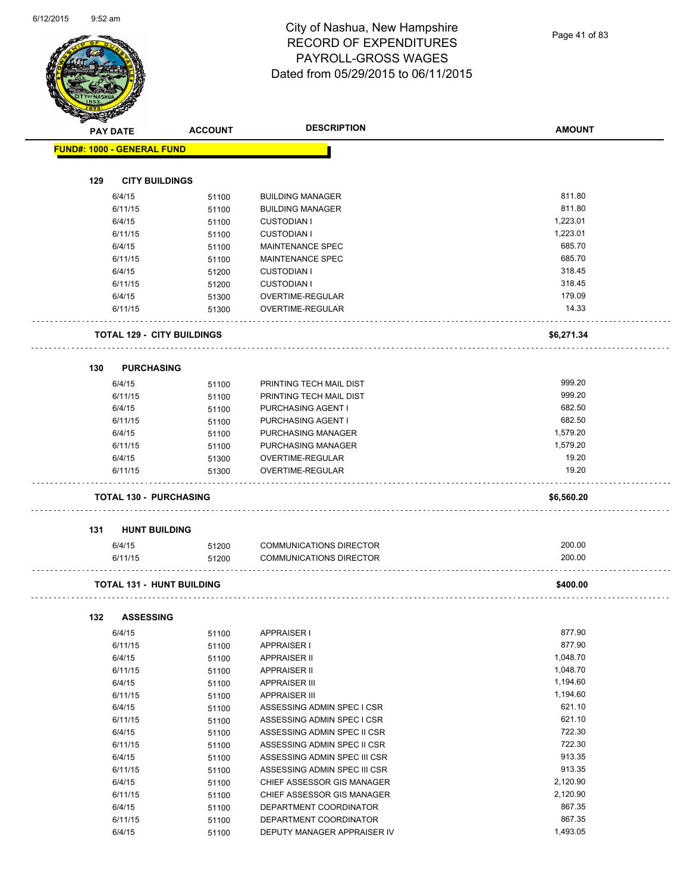Page 41 of 83

| <b>PAY DATE</b>                   | <b>ACCOUNT</b> | <b>DESCRIPTION</b>                       | <b>AMOUNT</b>    |
|-----------------------------------|----------------|------------------------------------------|------------------|
| <b>FUND#: 1000 - GENERAL FUND</b> |                |                                          |                  |
|                                   |                |                                          |                  |
| 129<br><b>CITY BUILDINGS</b>      |                |                                          | 811.80           |
| 6/4/15                            | 51100          | <b>BUILDING MANAGER</b>                  | 811.80           |
| 6/11/15                           | 51100          | <b>BUILDING MANAGER</b>                  |                  |
| 6/4/15                            | 51100          | <b>CUSTODIAN I</b>                       | 1,223.01         |
| 6/11/15                           | 51100          | <b>CUSTODIAN I</b>                       | 1.223.01         |
| 6/4/15                            | 51100          | <b>MAINTENANCE SPEC</b>                  | 685.70<br>685.70 |
| 6/11/15                           | 51100          | <b>MAINTENANCE SPEC</b>                  | 318.45           |
| 6/4/15<br>6/11/15                 | 51200          | <b>CUSTODIAN I</b><br><b>CUSTODIAN I</b> | 318.45           |
| 6/4/15                            | 51200<br>51300 | OVERTIME-REGULAR                         | 179.09           |
| 6/11/15                           |                | OVERTIME-REGULAR                         | 14.33            |
|                                   | 51300          |                                          |                  |
| <b>TOTAL 129 - CITY BUILDINGS</b> |                |                                          | \$6,271.34       |
| 130<br><b>PURCHASING</b>          |                |                                          |                  |
| 6/4/15                            | 51100          | PRINTING TECH MAIL DIST                  | 999.20           |
| 6/11/15                           | 51100          | PRINTING TECH MAIL DIST                  | 999.20           |
| 6/4/15                            | 51100          | PURCHASING AGENT I                       | 682.50           |
| 6/11/15                           | 51100          | PURCHASING AGENT I                       | 682.50           |
| 6/4/15                            | 51100          | PURCHASING MANAGER                       | 1,579.20         |
| 6/11/15                           | 51100          | PURCHASING MANAGER                       | 1,579.20         |
| 6/4/15                            | 51300          | OVERTIME-REGULAR                         | 19.20            |
| 6/11/15                           | 51300          | OVERTIME-REGULAR                         | 19.20            |
|                                   |                |                                          |                  |
| <b>TOTAL 130 - PURCHASING</b>     |                |                                          | \$6,560.20       |
| 131<br><b>HUNT BUILDING</b>       |                |                                          |                  |
| 6/4/15                            | 51200          | COMMUNICATIONS DIRECTOR                  | 200.00           |
| 6/11/15                           | 51200          | <b>COMMUNICATIONS DIRECTOR</b>           | 200.00           |
| <b>TOTAL 131 - HUNT BUILDING</b>  |                |                                          | \$400.00         |
| 132<br><b>ASSESSING</b>           |                |                                          |                  |
| 6/4/15                            | 51100          | <b>APPRAISER I</b>                       | 877.90           |
| 6/11/15                           | 51100          | APPRAISER I                              | 877.90           |
| 6/4/15                            | 51100          | <b>APPRAISER II</b>                      | 1,048.70         |
| 6/11/15                           | 51100          | <b>APPRAISER II</b>                      | 1,048.70         |
| 6/4/15                            | 51100          | <b>APPRAISER III</b>                     | 1,194.60         |
| 6/11/15                           | 51100          | <b>APPRAISER III</b>                     | 1,194.60         |
| 6/4/15                            | 51100          | ASSESSING ADMIN SPEC I CSR               | 621.10           |
| 6/11/15                           | 51100          | ASSESSING ADMIN SPEC I CSR               | 621.10           |
| 6/4/15                            | 51100          | ASSESSING ADMIN SPEC II CSR              | 722.30           |
| 6/11/15                           | 51100          | ASSESSING ADMIN SPEC II CSR              | 722.30           |
| 6/4/15                            | 51100          | ASSESSING ADMIN SPEC III CSR             | 913.35           |
| 6/11/15                           | 51100          | ASSESSING ADMIN SPEC III CSR             | 913.35           |
| 6/4/15                            | 51100          | CHIEF ASSESSOR GIS MANAGER               | 2,120.90         |
|                                   |                |                                          |                  |
| 6/11/15                           | 51100          | CHIEF ASSESSOR GIS MANAGER               | 2,120.90         |
| 6/4/15                            | 51100          | DEPARTMENT COORDINATOR                   | 867.35           |
| 6/11/15                           | 51100          | DEPARTMENT COORDINATOR                   | 867.35           |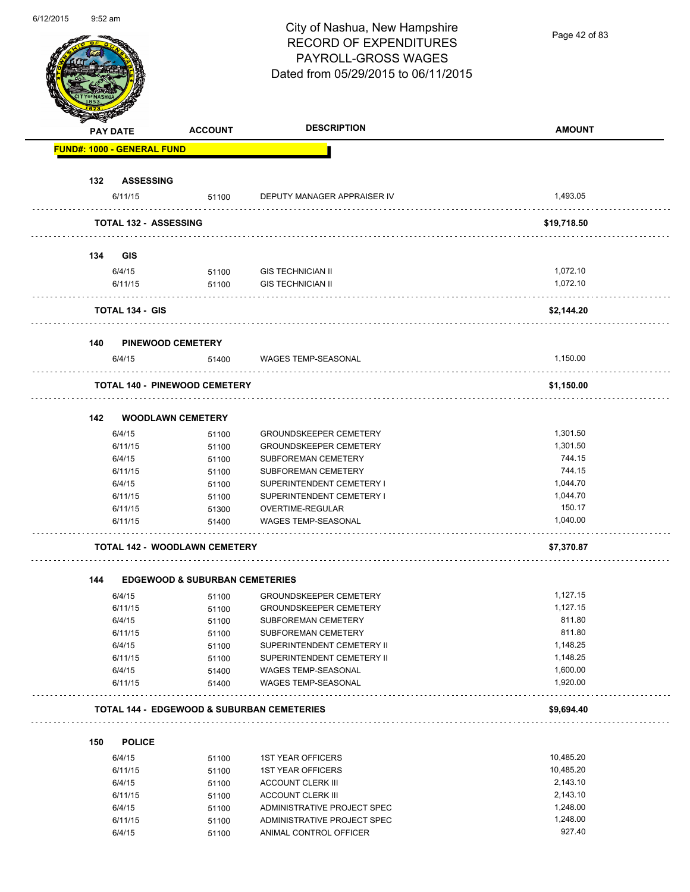Page 42 of 83

|     | <b>PAY DATE</b>                   | <b>ACCOUNT</b>                            | <b>DESCRIPTION</b>                                         | <b>AMOUNT</b>        |
|-----|-----------------------------------|-------------------------------------------|------------------------------------------------------------|----------------------|
|     | <b>FUND#: 1000 - GENERAL FUND</b> |                                           |                                                            |                      |
|     |                                   |                                           |                                                            |                      |
|     | 132 ASSESSING<br>6/11/15          | 51100                                     | DEPUTY MANAGER APPRAISER IV                                | 1,493.05             |
|     | <b>TOTAL 132 - ASSESSING</b>      |                                           |                                                            | \$19,718.50          |
|     |                                   |                                           |                                                            |                      |
|     | 134 GIS                           |                                           |                                                            |                      |
|     | 6/4/15                            | 51100                                     | <b>GIS TECHNICIAN II</b>                                   | 1,072.10             |
|     | 6/11/15                           | 51100                                     | <b>GIS TECHNICIAN II</b>                                   | 1,072.10             |
|     | <b>TOTAL 134 - GIS</b>            |                                           |                                                            | \$2,144.20           |
| 140 | <b>PINEWOOD CEMETERY</b>          |                                           |                                                            |                      |
|     | 6/4/15                            | 51400                                     | WAGES TEMP-SEASONAL                                        | 1,150.00             |
|     |                                   | <b>TOTAL 140 - PINEWOOD CEMETERY</b>      |                                                            | \$1,150.00           |
|     |                                   |                                           |                                                            |                      |
|     | 142 WOODLAWN CEMETERY             |                                           |                                                            |                      |
|     | 6/4/15                            | 51100                                     | <b>GROUNDSKEEPER CEMETERY</b>                              | 1,301.50<br>1,301.50 |
|     | 6/11/15                           | 51100                                     | <b>GROUNDSKEEPER CEMETERY</b>                              | 744.15               |
|     | 6/4/15                            | 51100                                     | SUBFOREMAN CEMETERY                                        |                      |
|     | 6/11/15                           | 51100                                     | SUBFOREMAN CEMETERY                                        | 744.15               |
|     | 6/4/15                            | 51100                                     | SUPERINTENDENT CEMETERY I                                  | 1,044.70             |
|     | 6/11/15                           | 51100                                     | SUPERINTENDENT CEMETERY I                                  | 1,044.70             |
|     | 6/11/15                           | 51300                                     | OVERTIME-REGULAR                                           | 150.17               |
|     | 6/11/15                           | 51400                                     | <b>WAGES TEMP-SEASONAL</b>                                 | 1,040.00             |
|     |                                   | <b>TOTAL 142 - WOODLAWN CEMETERY</b>      |                                                            | \$7,370.87           |
| 144 |                                   | <b>EDGEWOOD &amp; SUBURBAN CEMETERIES</b> |                                                            |                      |
|     | 6/4/15                            | 51100                                     | <b>GROUNDSKEEPER CEMETERY</b>                              | 1,127.15             |
|     | 6/11/15                           | 51100                                     | <b>GROUNDSKEEPER CEMETERY</b>                              | 1,127.15             |
|     | 6/4/15                            | 51100                                     | SUBFOREMAN CEMETERY                                        | 811.80               |
|     |                                   |                                           | SUBFOREMAN CEMETERY                                        | 811.80               |
|     | 6/11/15                           | 51100                                     |                                                            |                      |
|     | 6/4/15                            | 51100                                     | SUPERINTENDENT CEMETERY II                                 | 1,148.25             |
|     | 6/11/15                           | 51100                                     | SUPERINTENDENT CEMETERY II                                 | 1,148.25             |
|     |                                   |                                           |                                                            | 1,600.00             |
|     | 6/4/15<br>6/11/15                 | 51400<br>51400                            | WAGES TEMP-SEASONAL<br>WAGES TEMP-SEASONAL                 | 1,920.00             |
|     |                                   |                                           | <b>TOTAL 144 - EDGEWOOD &amp; SUBURBAN CEMETERIES</b>      | \$9,694.40           |
|     |                                   |                                           |                                                            |                      |
|     | <b>POLICE</b>                     |                                           |                                                            |                      |
|     | 6/4/15                            | 51100                                     | <b>1ST YEAR OFFICERS</b>                                   | 10,485.20            |
|     | 6/11/15                           | 51100                                     | <b>1ST YEAR OFFICERS</b>                                   | 10,485.20            |
| 150 | 6/4/15                            | 51100                                     | <b>ACCOUNT CLERK III</b>                                   | 2,143.10             |
|     | 6/11/15                           | 51100                                     | ACCOUNT CLERK III                                          | 2,143.10             |
|     | 6/4/15<br>6/11/15                 | 51100<br>51100                            | ADMINISTRATIVE PROJECT SPEC<br>ADMINISTRATIVE PROJECT SPEC | 1,248.00<br>1,248.00 |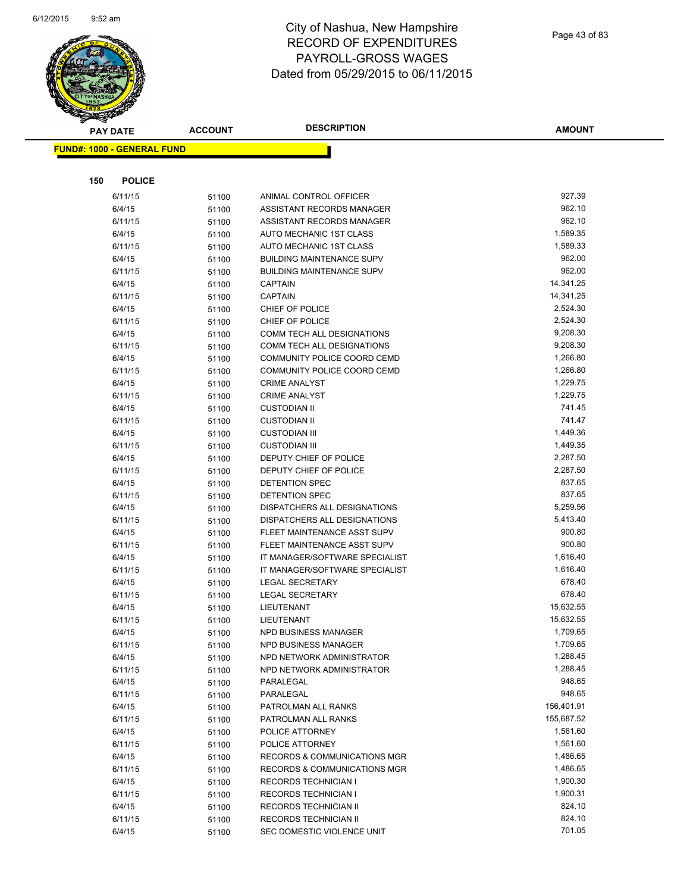

| <b>PAY DATE</b>                   | <b>ACCOUNT</b> | <b>DESCRIPTION</b>                               | <b>AMOUNT</b>        |
|-----------------------------------|----------------|--------------------------------------------------|----------------------|
| <b>FUND#: 1000 - GENERAL FUND</b> |                |                                                  |                      |
|                                   |                |                                                  |                      |
|                                   |                |                                                  |                      |
| 150<br><b>POLICE</b>              |                |                                                  |                      |
| 6/11/15                           | 51100          | ANIMAL CONTROL OFFICER                           | 927.39               |
| 6/4/15                            | 51100          | ASSISTANT RECORDS MANAGER                        | 962.10               |
| 6/11/15                           | 51100          | ASSISTANT RECORDS MANAGER                        | 962.10               |
| 6/4/15                            | 51100          | AUTO MECHANIC 1ST CLASS                          | 1,589.35             |
| 6/11/15                           | 51100          | AUTO MECHANIC 1ST CLASS                          | 1,589.33             |
| 6/4/15                            | 51100          | <b>BUILDING MAINTENANCE SUPV</b>                 | 962.00               |
| 6/11/15                           | 51100          | <b>BUILDING MAINTENANCE SUPV</b>                 | 962.00               |
| 6/4/15                            | 51100          | <b>CAPTAIN</b>                                   | 14,341.25            |
| 6/11/15                           | 51100          | <b>CAPTAIN</b>                                   | 14,341.25            |
| 6/4/15                            | 51100          | CHIEF OF POLICE                                  | 2,524.30             |
| 6/11/15                           | 51100          | CHIEF OF POLICE                                  | 2,524.30             |
| 6/4/15                            | 51100          | COMM TECH ALL DESIGNATIONS                       | 9,208.30             |
| 6/11/15                           | 51100          | COMM TECH ALL DESIGNATIONS                       | 9,208.30             |
| 6/4/15                            | 51100          | COMMUNITY POLICE COORD CEMD                      | 1,266.80             |
| 6/11/15                           | 51100          | COMMUNITY POLICE COORD CEMD                      | 1,266.80             |
| 6/4/15                            | 51100          | <b>CRIME ANALYST</b>                             | 1,229.75             |
| 6/11/15                           | 51100          | <b>CRIME ANALYST</b>                             | 1,229.75             |
| 6/4/15                            | 51100          | <b>CUSTODIAN II</b>                              | 741.45               |
| 6/11/15                           | 51100          | <b>CUSTODIAN II</b>                              | 741.47<br>1,449.36   |
| 6/4/15                            | 51100          | <b>CUSTODIAN III</b>                             |                      |
| 6/11/15                           | 51100          | <b>CUSTODIAN III</b>                             | 1,449.35             |
| 6/4/15                            | 51100          | DEPUTY CHIEF OF POLICE<br>DEPUTY CHIEF OF POLICE | 2,287.50<br>2,287.50 |
| 6/11/15                           | 51100          |                                                  | 837.65               |
| 6/4/15                            | 51100          | DETENTION SPEC                                   | 837.65               |
| 6/11/15<br>6/4/15                 | 51100          | DETENTION SPEC<br>DISPATCHERS ALL DESIGNATIONS   | 5,259.56             |
| 6/11/15                           | 51100          | DISPATCHERS ALL DESIGNATIONS                     | 5,413.40             |
| 6/4/15                            | 51100          | FLEET MAINTENANCE ASST SUPV                      | 900.80               |
| 6/11/15                           | 51100<br>51100 | FLEET MAINTENANCE ASST SUPV                      | 900.80               |
| 6/4/15                            | 51100          | IT MANAGER/SOFTWARE SPECIALIST                   | 1,616.40             |
| 6/11/15                           | 51100          | IT MANAGER/SOFTWARE SPECIALIST                   | 1,616.40             |
| 6/4/15                            | 51100          | LEGAL SECRETARY                                  | 678.40               |
| 6/11/15                           | 51100          | <b>LEGAL SECRETARY</b>                           | 678.40               |
| 6/4/15                            | 51100          | LIEUTENANT                                       | 15,632.55            |
| 6/11/15                           | 51100          | LIEUTENANT                                       | 15,632.55            |
| 6/4/15                            | 51100          | NPD BUSINESS MANAGER                             | 1,709.65             |
| 6/11/15                           | 51100          | NPD BUSINESS MANAGER                             | 1,709.65             |
| 6/4/15                            | 51100          | NPD NETWORK ADMINISTRATOR                        | 1,288.45             |
| 6/11/15                           | 51100          | NPD NETWORK ADMINISTRATOR                        | 1,288.45             |
| 6/4/15                            | 51100          | PARALEGAL                                        | 948.65               |
| 6/11/15                           | 51100          | PARALEGAL                                        | 948.65               |
| 6/4/15                            | 51100          | PATROLMAN ALL RANKS                              | 156,401.91           |
| 6/11/15                           | 51100          | PATROLMAN ALL RANKS                              | 155,687.52           |
| 6/4/15                            | 51100          | POLICE ATTORNEY                                  | 1,561.60             |
| 6/11/15                           | 51100          | POLICE ATTORNEY                                  | 1,561.60             |
| 6/4/15                            | 51100          | <b>RECORDS &amp; COMMUNICATIONS MGR</b>          | 1,486.65             |
| 6/11/15                           | 51100          | <b>RECORDS &amp; COMMUNICATIONS MGR</b>          | 1,486.65             |
| 6/4/15                            | 51100          | <b>RECORDS TECHNICIAN I</b>                      | 1,900.30             |
| 6/11/15                           | 51100          | <b>RECORDS TECHNICIAN I</b>                      | 1,900.31             |
| 6/4/15                            | 51100          | RECORDS TECHNICIAN II                            | 824.10               |
| 6/11/15                           | 51100          | RECORDS TECHNICIAN II                            | 824.10               |
| 6/4/15                            | 51100          | SEC DOMESTIC VIOLENCE UNIT                       | 701.05               |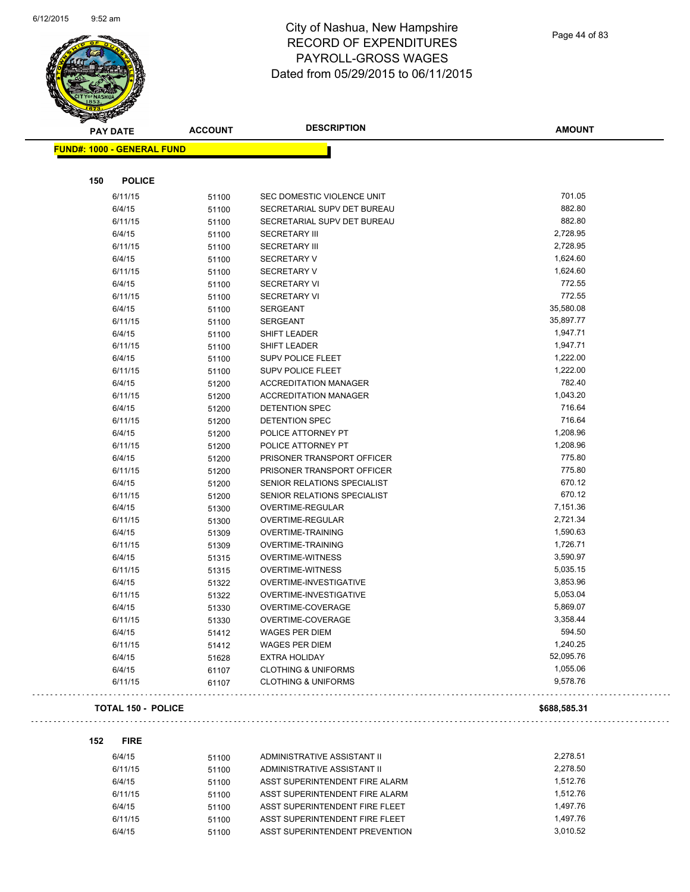

Page 44 of 83

| <b>FUND#: 1000 - GENERAL FUND</b><br>150<br><b>POLICE</b><br>6/11/15<br>6/4/15<br>6/11/15<br>6/4/15<br>6/11/15<br>6/4/15<br>6/11/15<br>6/4/15<br>6/11/15<br>6/4/15<br>6/11/15 | 51100<br>51100<br>51100<br>51100<br>51100<br>51100<br>51100<br>51100 | SEC DOMESTIC VIOLENCE UNIT<br>SECRETARIAL SUPV DET BUREAU<br>SECRETARIAL SUPV DET BUREAU<br><b>SECRETARY III</b><br><b>SECRETARY III</b><br><b>SECRETARY V</b><br><b>SECRETARY V</b> | 701.05<br>882.80<br>882.80<br>2,728.95<br>2,728.95<br>1,624.60 |
|-------------------------------------------------------------------------------------------------------------------------------------------------------------------------------|----------------------------------------------------------------------|--------------------------------------------------------------------------------------------------------------------------------------------------------------------------------------|----------------------------------------------------------------|
|                                                                                                                                                                               |                                                                      |                                                                                                                                                                                      |                                                                |
|                                                                                                                                                                               |                                                                      |                                                                                                                                                                                      |                                                                |
|                                                                                                                                                                               |                                                                      |                                                                                                                                                                                      |                                                                |
|                                                                                                                                                                               |                                                                      |                                                                                                                                                                                      |                                                                |
|                                                                                                                                                                               |                                                                      |                                                                                                                                                                                      |                                                                |
|                                                                                                                                                                               |                                                                      |                                                                                                                                                                                      |                                                                |
|                                                                                                                                                                               |                                                                      |                                                                                                                                                                                      |                                                                |
|                                                                                                                                                                               |                                                                      |                                                                                                                                                                                      |                                                                |
|                                                                                                                                                                               |                                                                      |                                                                                                                                                                                      |                                                                |
|                                                                                                                                                                               |                                                                      |                                                                                                                                                                                      | 1,624.60                                                       |
|                                                                                                                                                                               |                                                                      | <b>SECRETARY VI</b>                                                                                                                                                                  | 772.55                                                         |
|                                                                                                                                                                               | 51100                                                                | <b>SECRETARY VI</b>                                                                                                                                                                  | 772.55                                                         |
|                                                                                                                                                                               | 51100                                                                | <b>SERGEANT</b>                                                                                                                                                                      | 35,580.08                                                      |
|                                                                                                                                                                               | 51100                                                                | <b>SERGEANT</b>                                                                                                                                                                      | 35,897.77                                                      |
| 6/4/15                                                                                                                                                                        | 51100                                                                | <b>SHIFT LEADER</b>                                                                                                                                                                  | 1,947.71                                                       |
| 6/11/15                                                                                                                                                                       | 51100                                                                | <b>SHIFT LEADER</b>                                                                                                                                                                  | 1,947.71                                                       |
| 6/4/15                                                                                                                                                                        | 51100                                                                | <b>SUPV POLICE FLEET</b>                                                                                                                                                             | 1,222.00                                                       |
| 6/11/15                                                                                                                                                                       | 51100                                                                | <b>SUPV POLICE FLEET</b>                                                                                                                                                             | 1,222.00                                                       |
| 6/4/15                                                                                                                                                                        | 51200                                                                | <b>ACCREDITATION MANAGER</b>                                                                                                                                                         | 782.40                                                         |
| 6/11/15                                                                                                                                                                       | 51200                                                                | <b>ACCREDITATION MANAGER</b>                                                                                                                                                         | 1,043.20                                                       |
| 6/4/15                                                                                                                                                                        | 51200                                                                | DETENTION SPEC                                                                                                                                                                       | 716.64                                                         |
| 6/11/15                                                                                                                                                                       | 51200                                                                | DETENTION SPEC                                                                                                                                                                       | 716.64                                                         |
| 6/4/15                                                                                                                                                                        | 51200                                                                | POLICE ATTORNEY PT                                                                                                                                                                   | 1,208.96                                                       |
| 6/11/15                                                                                                                                                                       | 51200                                                                | POLICE ATTORNEY PT                                                                                                                                                                   | 1,208.96                                                       |
| 6/4/15                                                                                                                                                                        | 51200                                                                | PRISONER TRANSPORT OFFICER                                                                                                                                                           | 775.80                                                         |
| 6/11/15                                                                                                                                                                       | 51200                                                                | PRISONER TRANSPORT OFFICER                                                                                                                                                           | 775.80                                                         |
| 6/4/15                                                                                                                                                                        | 51200                                                                | SENIOR RELATIONS SPECIALIST                                                                                                                                                          | 670.12                                                         |
| 6/11/15                                                                                                                                                                       | 51200                                                                | SENIOR RELATIONS SPECIALIST                                                                                                                                                          | 670.12                                                         |
| 6/4/15                                                                                                                                                                        | 51300                                                                | OVERTIME-REGULAR                                                                                                                                                                     | 7,151.36                                                       |
| 6/11/15                                                                                                                                                                       | 51300                                                                | OVERTIME-REGULAR                                                                                                                                                                     | 2,721.34                                                       |
| 6/4/15                                                                                                                                                                        | 51309                                                                | OVERTIME-TRAINING                                                                                                                                                                    | 1,590.63                                                       |
| 6/11/15                                                                                                                                                                       | 51309                                                                | <b>OVERTIME-TRAINING</b>                                                                                                                                                             | 1,726.71                                                       |
| 6/4/15                                                                                                                                                                        | 51315                                                                | <b>OVERTIME-WITNESS</b>                                                                                                                                                              | 3,590.97                                                       |
| 6/11/15                                                                                                                                                                       | 51315                                                                | <b>OVERTIME-WITNESS</b>                                                                                                                                                              | 5,035.15                                                       |
| 6/4/15                                                                                                                                                                        | 51322                                                                | OVERTIME-INVESTIGATIVE                                                                                                                                                               | 3,853.96                                                       |
| 6/11/15                                                                                                                                                                       | 51322                                                                | OVERTIME-INVESTIGATIVE                                                                                                                                                               | 5,053.04                                                       |
| 6/4/15                                                                                                                                                                        | 51330                                                                | OVERTIME-COVERAGE                                                                                                                                                                    | 5,869.07                                                       |
| 6/11/15                                                                                                                                                                       | 51330                                                                | OVERTIME-COVERAGE                                                                                                                                                                    | 3,358.44                                                       |
| 6/4/15                                                                                                                                                                        | 51412                                                                | WAGES PER DIEM                                                                                                                                                                       | 594.50                                                         |
| 6/11/15                                                                                                                                                                       | 51412                                                                | <b>WAGES PER DIEM</b>                                                                                                                                                                | 1,240.25                                                       |
| 6/4/15                                                                                                                                                                        |                                                                      | <b>EXTRA HOLIDAY</b>                                                                                                                                                                 | 52,095.76                                                      |
|                                                                                                                                                                               | 51628                                                                |                                                                                                                                                                                      | 1,055.06                                                       |
| 6/4/15<br>6/11/15                                                                                                                                                             | 61107<br>61107                                                       | <b>CLOTHING &amp; UNIFORMS</b><br><b>CLOTHING &amp; UNIFORMS</b>                                                                                                                     | 9,578.76                                                       |
| <b>TOTAL 150 - POLICE</b>                                                                                                                                                     |                                                                      |                                                                                                                                                                                      | \$688,585.31                                                   |

| 6/4/15  | 51100 | ADMINISTRATIVE ASSISTANT II    | 2.278.51 |
|---------|-------|--------------------------------|----------|
| 6/11/15 | 51100 | ADMINISTRATIVE ASSISTANT II    | 2.278.50 |
| 6/4/15  | 51100 | ASST SUPERINTENDENT FIRE ALARM | 1.512.76 |
| 6/11/15 | 51100 | ASST SUPERINTENDENT FIRE ALARM | 1.512.76 |
| 6/4/15  | 51100 | ASST SUPERINTENDENT FIRE FLEET | 1.497.76 |
| 6/11/15 | 51100 | ASST SUPERINTENDENT FIRE FLEET | 1.497.76 |
| 6/4/15  | 51100 | ASST SUPERINTENDENT PREVENTION | 3.010.52 |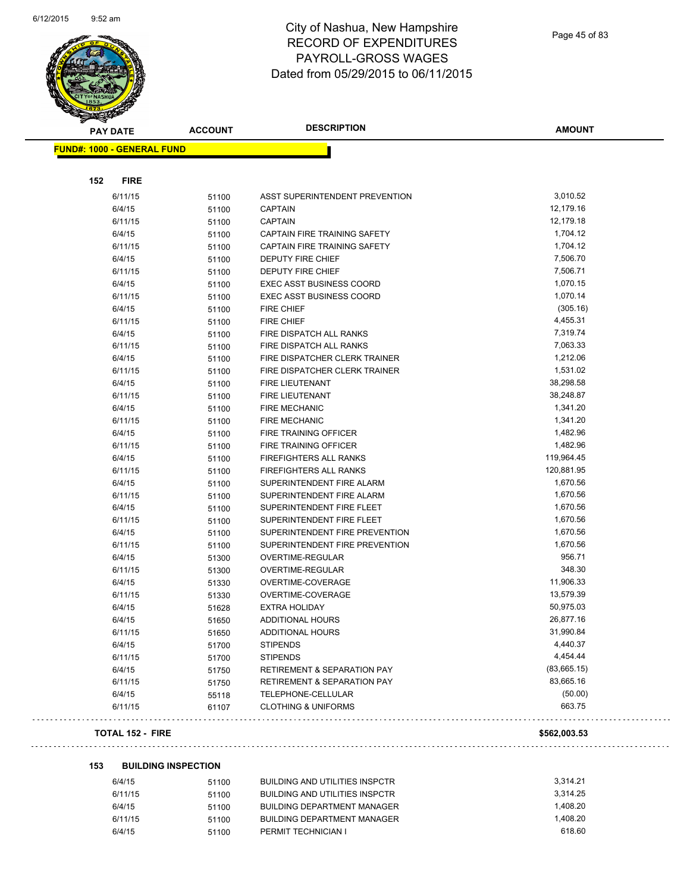

|                                   |       |                                        | <b>AMOUNT</b> |
|-----------------------------------|-------|----------------------------------------|---------------|
| <b>FUND#: 1000 - GENERAL FUND</b> |       |                                        |               |
|                                   |       |                                        |               |
| <b>FIRE</b><br>152                |       |                                        |               |
| 6/11/15                           | 51100 | ASST SUPERINTENDENT PREVENTION         | 3,010.52      |
| 6/4/15                            | 51100 | <b>CAPTAIN</b>                         | 12,179.16     |
| 6/11/15                           | 51100 | <b>CAPTAIN</b>                         | 12,179.18     |
| 6/4/15                            | 51100 | CAPTAIN FIRE TRAINING SAFETY           | 1,704.12      |
| 6/11/15                           | 51100 | CAPTAIN FIRE TRAINING SAFETY           | 1,704.12      |
| 6/4/15                            | 51100 | DEPUTY FIRE CHIEF                      | 7,506.70      |
| 6/11/15                           | 51100 | <b>DEPUTY FIRE CHIEF</b>               | 7,506.71      |
| 6/4/15                            | 51100 | <b>EXEC ASST BUSINESS COORD</b>        | 1,070.15      |
| 6/11/15                           | 51100 | <b>EXEC ASST BUSINESS COORD</b>        | 1,070.14      |
| 6/4/15                            | 51100 | <b>FIRE CHIEF</b>                      | (305.16)      |
| 6/11/15                           | 51100 | <b>FIRE CHIEF</b>                      | 4,455.31      |
| 6/4/15                            | 51100 | FIRE DISPATCH ALL RANKS                | 7,319.74      |
| 6/11/15                           | 51100 | FIRE DISPATCH ALL RANKS                | 7,063.33      |
| 6/4/15                            | 51100 | FIRE DISPATCHER CLERK TRAINER          | 1,212.06      |
| 6/11/15                           | 51100 | FIRE DISPATCHER CLERK TRAINER          | 1,531.02      |
| 6/4/15                            | 51100 | <b>FIRE LIEUTENANT</b>                 | 38,298.58     |
| 6/11/15                           | 51100 | FIRE LIEUTENANT                        | 38,248.87     |
| 6/4/15                            | 51100 | <b>FIRE MECHANIC</b>                   | 1,341.20      |
| 6/11/15                           | 51100 | <b>FIRE MECHANIC</b>                   | 1,341.20      |
| 6/4/15                            | 51100 | FIRE TRAINING OFFICER                  | 1,482.96      |
| 6/11/15                           | 51100 | FIRE TRAINING OFFICER                  | 1,482.96      |
| 6/4/15                            | 51100 | <b>FIREFIGHTERS ALL RANKS</b>          | 119,964.45    |
| 6/11/15                           | 51100 | <b>FIREFIGHTERS ALL RANKS</b>          | 120,881.95    |
| 6/4/15                            | 51100 | SUPERINTENDENT FIRE ALARM              | 1,670.56      |
| 6/11/15                           | 51100 | SUPERINTENDENT FIRE ALARM              | 1,670.56      |
| 6/4/15                            | 51100 | SUPERINTENDENT FIRE FLEET              | 1,670.56      |
| 6/11/15                           | 51100 | SUPERINTENDENT FIRE FLEET              | 1,670.56      |
| 6/4/15                            | 51100 | SUPERINTENDENT FIRE PREVENTION         | 1,670.56      |
| 6/11/15                           | 51100 | SUPERINTENDENT FIRE PREVENTION         | 1,670.56      |
| 6/4/15                            | 51300 | <b>OVERTIME-REGULAR</b>                | 956.71        |
| 6/11/15                           | 51300 | OVERTIME-REGULAR                       | 348.30        |
| 6/4/15                            | 51330 | OVERTIME-COVERAGE                      | 11,906.33     |
| 6/11/15                           | 51330 | OVERTIME-COVERAGE                      | 13,579.39     |
| 6/4/15                            | 51628 | <b>EXTRA HOLIDAY</b>                   | 50,975.03     |
| 6/4/15                            | 51650 | ADDITIONAL HOURS                       | 26,877.16     |
| 6/11/15                           | 51650 | ADDITIONAL HOURS                       | 31,990.84     |
| 6/4/15                            | 51700 | <b>STIPENDS</b>                        | 4,440.37      |
| 6/11/15                           | 51700 | <b>STIPENDS</b>                        | 4,454.44      |
| 6/4/15                            | 51750 | <b>RETIREMENT &amp; SEPARATION PAY</b> | (83,665.15)   |
| 6/11/15                           | 51750 | <b>RETIREMENT &amp; SEPARATION PAY</b> | 83,665.16     |
| 6/4/15                            | 55118 | TELEPHONE-CELLULAR                     | (50.00)       |
| 6/11/15                           | 61107 | <b>CLOTHING &amp; UNIFORMS</b>         | 663.75        |
| <b>TOTAL 152 - FIRE</b>           |       |                                        | \$562,003.53  |

#### **153 BUILDING INSPECTION**

| 6/4/15  | 51100 | BUILDING AND UTILITIES INSPCTR | 3.314.21 |
|---------|-------|--------------------------------|----------|
| 6/11/15 | 51100 | BUILDING AND UTILITIES INSPCTR | 3.314.25 |
| 6/4/15  | 51100 | BUILDING DEPARTMENT MANAGER    | 1.408.20 |
| 6/11/15 | 51100 | BUILDING DEPARTMENT MANAGER    | 1.408.20 |
| 6/4/15  | 51100 | PERMIT TECHNICIAN I            | 618.60   |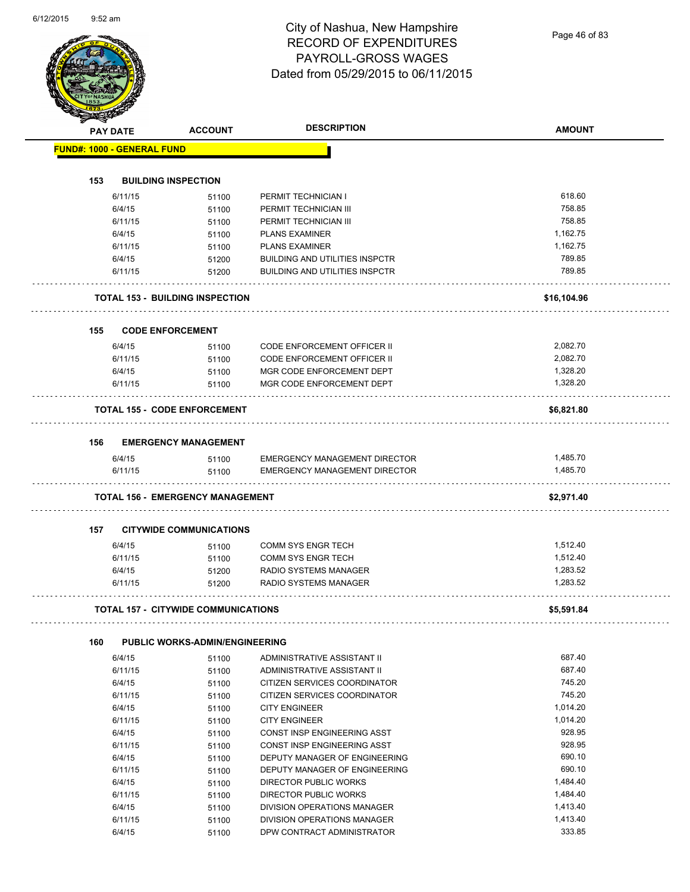|     | <b>PAY DATE</b>                   | <b>ACCOUNT</b>                             | <b>DESCRIPTION</b>                    | <b>AMOUNT</b> |
|-----|-----------------------------------|--------------------------------------------|---------------------------------------|---------------|
|     | <b>FUND#: 1000 - GENERAL FUND</b> |                                            |                                       |               |
|     |                                   |                                            |                                       |               |
| 153 |                                   | <b>BUILDING INSPECTION</b>                 |                                       |               |
|     | 6/11/15                           | 51100                                      | PERMIT TECHNICIAN I                   | 618.60        |
|     | 6/4/15                            | 51100                                      | PERMIT TECHNICIAN III                 | 758.85        |
|     | 6/11/15                           | 51100                                      | PERMIT TECHNICIAN III                 | 758.85        |
|     | 6/4/15                            | 51100                                      | <b>PLANS EXAMINER</b>                 | 1.162.75      |
|     | 6/11/15                           | 51100                                      | <b>PLANS EXAMINER</b>                 | 1,162.75      |
|     | 6/4/15                            | 51200                                      | <b>BUILDING AND UTILITIES INSPCTR</b> | 789.85        |
|     | 6/11/15                           | 51200                                      | <b>BUILDING AND UTILITIES INSPCTR</b> | 789.85        |
|     |                                   | <b>TOTAL 153 - BUILDING INSPECTION</b>     |                                       | \$16,104.96   |
| 155 |                                   | <b>CODE ENFORCEMENT</b>                    |                                       |               |
|     | 6/4/15                            | 51100                                      | <b>CODE ENFORCEMENT OFFICER II</b>    | 2,082.70      |
|     | 6/11/15                           | 51100                                      | <b>CODE ENFORCEMENT OFFICER II</b>    | 2,082.70      |
|     | 6/4/15                            | 51100                                      | MGR CODE ENFORCEMENT DEPT             | 1,328.20      |
|     | 6/11/15                           | 51100                                      | MGR CODE ENFORCEMENT DEPT             | 1,328.20      |
|     |                                   | <b>TOTAL 155 - CODE ENFORCEMENT</b>        |                                       | \$6,821.80    |
| 156 |                                   | <b>EMERGENCY MANAGEMENT</b>                |                                       |               |
|     | 6/4/15                            | 51100                                      | <b>EMERGENCY MANAGEMENT DIRECTOR</b>  | 1,485.70      |
|     | 6/11/15                           | 51100                                      | <b>EMERGENCY MANAGEMENT DIRECTOR</b>  | 1,485.70      |
|     |                                   | <b>TOTAL 156 - EMERGENCY MANAGEMENT</b>    |                                       | \$2,971.40    |
| 157 |                                   | <b>CITYWIDE COMMUNICATIONS</b>             |                                       |               |
|     | 6/4/15                            | 51100                                      | <b>COMM SYS ENGR TECH</b>             | 1,512.40      |
|     | 6/11/15                           | 51100                                      | <b>COMM SYS ENGR TECH</b>             | 1,512.40      |
|     | 6/4/15                            | 51200                                      | <b>RADIO SYSTEMS MANAGER</b>          | 1,283.52      |
|     | 6/11/15                           | 51200                                      | RADIO SYSTEMS MANAGER                 | 1,283.52      |
|     |                                   | <b>TOTAL 157 - CITYWIDE COMMUNICATIONS</b> |                                       | \$5,591.84    |
| 160 |                                   | <b>PUBLIC WORKS-ADMIN/ENGINEERING</b>      |                                       |               |
|     | 6/4/15                            | 51100                                      | ADMINISTRATIVE ASSISTANT II           | 687.40        |
|     | 6/11/15                           | 51100                                      | ADMINISTRATIVE ASSISTANT II           | 687.40        |
|     | 6/4/15                            | 51100                                      | CITIZEN SERVICES COORDINATOR          | 745.20        |
|     | 6/11/15                           | 51100                                      | CITIZEN SERVICES COORDINATOR          | 745.20        |
|     | 6/4/15                            | 51100                                      | <b>CITY ENGINEER</b>                  | 1,014.20      |
|     | 6/11/15                           | 51100                                      | <b>CITY ENGINEER</b>                  | 1,014.20      |
|     | 6/4/15                            | 51100                                      | CONST INSP ENGINEERING ASST           | 928.95        |
|     | 6/11/15                           | 51100                                      | CONST INSP ENGINEERING ASST           | 928.95        |
|     | 6/4/15                            | 51100                                      | DEPUTY MANAGER OF ENGINEERING         | 690.10        |
|     | 6/11/15                           | 51100                                      | DEPUTY MANAGER OF ENGINEERING         | 690.10        |
|     | 6/4/15                            | 51100                                      | DIRECTOR PUBLIC WORKS                 | 1,484.40      |
|     | 6/11/15                           | 51100                                      | DIRECTOR PUBLIC WORKS                 | 1,484.40      |
|     | 6/4/15                            | 51100                                      | DIVISION OPERATIONS MANAGER           | 1,413.40      |
|     | 6/11/15                           | 51100                                      | DIVISION OPERATIONS MANAGER           | 1,413.40      |
|     | 6/4/15                            | 51100                                      | DPW CONTRACT ADMINISTRATOR            | 333.85        |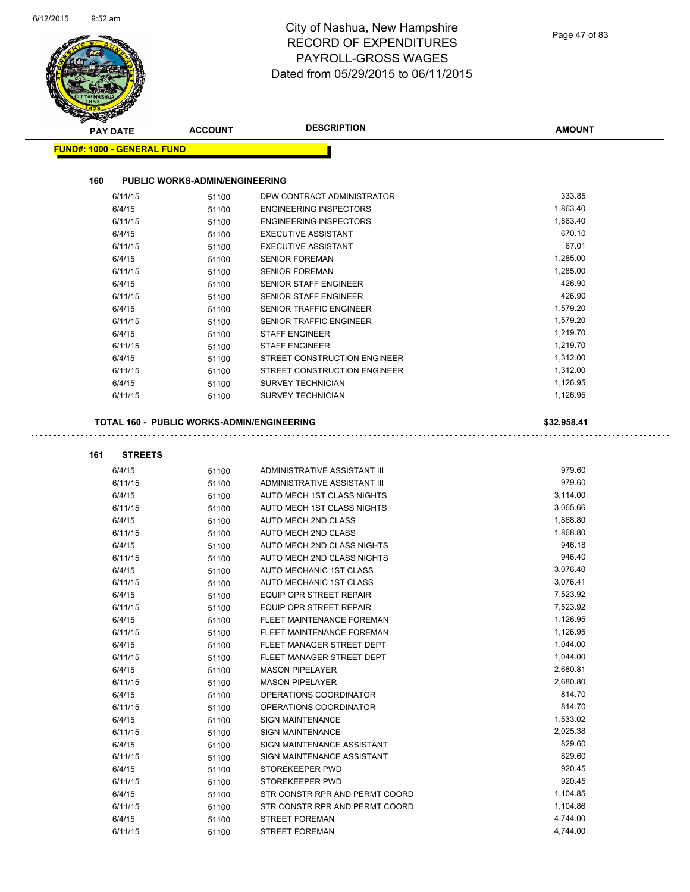$\overline{\phantom{a}}$ 

## City of Nashua, New Hampshire RECORD OF EXPENDITURES PAYROLL-GROSS WAGES Dated from 05/29/2015 to 06/11/2015

|                                   |                                            | Dated from 05/29/2015 to 06/11/2015                         |                      |
|-----------------------------------|--------------------------------------------|-------------------------------------------------------------|----------------------|
|                                   |                                            |                                                             |                      |
| <b>PAY DATE</b>                   | <b>ACCOUNT</b>                             | <b>DESCRIPTION</b>                                          | <b>AMOUNT</b>        |
| <b>FUND#: 1000 - GENERAL FUND</b> |                                            |                                                             |                      |
|                                   |                                            |                                                             |                      |
| 160                               | <b>PUBLIC WORKS-ADMIN/ENGINEERING</b>      |                                                             |                      |
| 6/11/15                           | 51100                                      | DPW CONTRACT ADMINISTRATOR                                  | 333.85               |
| 6/4/15                            | 51100                                      | <b>ENGINEERING INSPECTORS</b>                               | 1,863.40<br>1,863.40 |
| 6/11/15<br>6/4/15                 | 51100<br>51100                             | <b>ENGINEERING INSPECTORS</b><br><b>EXECUTIVE ASSISTANT</b> | 670.10               |
| 6/11/15                           | 51100                                      | <b>EXECUTIVE ASSISTANT</b>                                  | 67.01                |
| 6/4/15                            | 51100                                      | <b>SENIOR FOREMAN</b>                                       | 1,285.00             |
| 6/11/15                           | 51100                                      | <b>SENIOR FOREMAN</b>                                       | 1,285.00             |
| 6/4/15                            | 51100                                      | <b>SENIOR STAFF ENGINEER</b>                                | 426.90               |
| 6/11/15                           | 51100                                      | <b>SENIOR STAFF ENGINEER</b>                                | 426.90               |
| 6/4/15                            | 51100                                      | SENIOR TRAFFIC ENGINEER                                     | 1,579.20             |
| 6/11/15                           | 51100                                      | <b>SENIOR TRAFFIC ENGINEER</b>                              | 1,579.20             |
| 6/4/15                            | 51100                                      | <b>STAFF ENGINEER</b>                                       | 1,219.70             |
| 6/11/15                           | 51100                                      | <b>STAFF ENGINEER</b>                                       | 1,219.70             |
| 6/4/15                            | 51100                                      | STREET CONSTRUCTION ENGINEER                                | 1,312.00             |
| 6/11/15                           | 51100                                      | STREET CONSTRUCTION ENGINEER                                | 1,312.00             |
| 6/4/15                            | 51100                                      | <b>SURVEY TECHNICIAN</b>                                    | 1,126.95             |
| 6/11/15                           | 51100                                      | <b>SURVEY TECHNICIAN</b>                                    | 1,126.95             |
|                                   | TOTAL 160 - PUBLIC WORKS-ADMIN/ENGINEERING |                                                             | \$32,958.41          |
|                                   |                                            |                                                             |                      |
| <b>STREETS</b><br>161             |                                            |                                                             |                      |
| 6/4/15                            | 51100                                      | ADMINISTRATIVE ASSISTANT III                                | 979.60               |
| 6/11/15                           | 51100                                      | ADMINISTRATIVE ASSISTANT III                                | 979.60               |
| 6/4/15                            | 51100                                      | AUTO MECH 1ST CLASS NIGHTS                                  | 3,114.00             |
| 6/11/15                           | 51100                                      | AUTO MECH 1ST CLASS NIGHTS                                  | 3,065.66             |
| 6/4/15                            | 51100                                      | AUTO MECH 2ND CLASS                                         | 1,868.80             |
| 6/11/15                           | 51100                                      | AUTO MECH 2ND CLASS                                         | 1,868.80             |
| 6/4/15                            | 51100                                      | AUTO MECH 2ND CLASS NIGHTS                                  | 946.18               |
| 6/11/15                           | 51100                                      | AUTO MECH 2ND CLASS NIGHTS                                  | 946.40               |
| 6/4/15                            | 51100                                      | AUTO MECHANIC 1ST CLASS                                     | 3,076.40             |
| 6/11/15                           | 51100                                      | AUTO MECHANIC 1ST CLASS                                     | 3,076.41<br>7,523.92 |
| 6/4/15<br>6/11/15                 | 51100                                      | EQUIP OPR STREET REPAIR<br>EQUIP OPR STREET REPAIR          | 7,523.92             |
| 6/4/15                            | 51100                                      | FLEET MAINTENANCE FOREMAN                                   | 1,126.95             |
| 6/11/15                           | 51100<br>51100                             | FLEET MAINTENANCE FOREMAN                                   | 1,126.95             |
| 6/4/15                            | 51100                                      | FLEET MANAGER STREET DEPT                                   | 1,044.00             |
| 6/11/15                           | 51100                                      | FLEET MANAGER STREET DEPT                                   | 1,044.00             |
| 6/4/15                            | 51100                                      | <b>MASON PIPELAYER</b>                                      | 2,680.81             |
| 6/11/15                           | 51100                                      | <b>MASON PIPELAYER</b>                                      | 2,680.80             |
| 6/4/15                            | 51100                                      | OPERATIONS COORDINATOR                                      | 814.70               |
| 6/11/15                           | 51100                                      | OPERATIONS COORDINATOR                                      | 814.70               |
| 6/4/15                            | 51100                                      | <b>SIGN MAINTENANCE</b>                                     | 1,533.02             |
| 6/11/15                           | 51100                                      | <b>SIGN MAINTENANCE</b>                                     | 2,025.38             |
| 6/4/15                            | 51100                                      | SIGN MAINTENANCE ASSISTANT                                  | 829.60               |
| 6/11/15                           | 51100                                      | SIGN MAINTENANCE ASSISTANT                                  | 829.60               |
| 6/4/15                            | 51100                                      | STOREKEEPER PWD                                             | 920.45               |
| 6/11/15                           | 51100                                      | STOREKEEPER PWD                                             | 920.45               |
| 6/4/15                            | 51100                                      | STR CONSTR RPR AND PERMT COORD                              | 1,104.85             |
| 6/11/15                           | 51100                                      | STR CONSTR RPR AND PERMT COORD                              | 1,104.86             |
| 6/4/15                            | 51100                                      | STREET FOREMAN                                              | 4,744.00             |
| 6/11/15                           | 51100                                      | STREET FOREMAN                                              | 4,744.00             |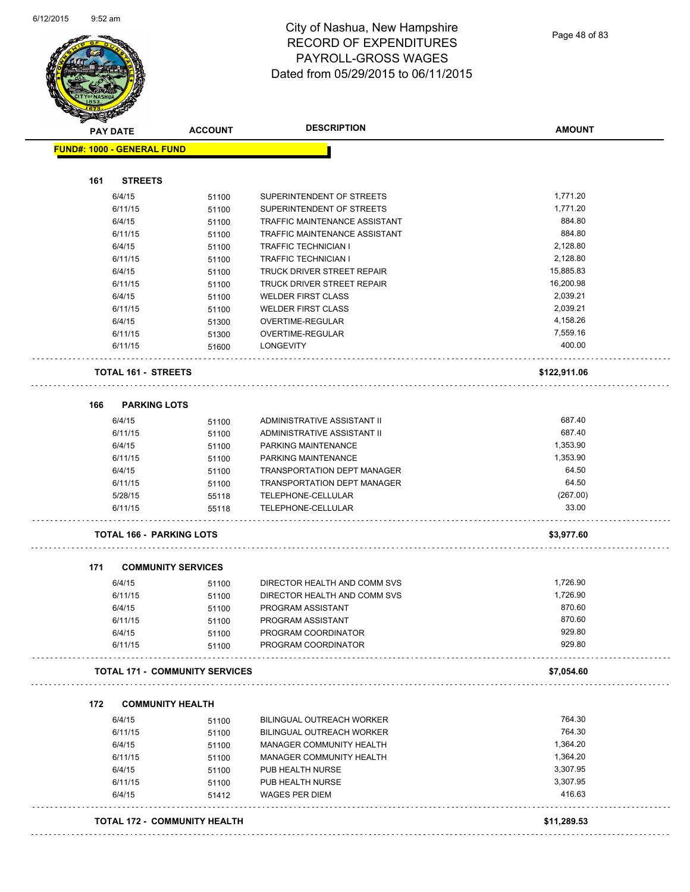

| <b>SANGRAPH</b> | <b>PAY DATE</b>                       | <b>ACCOUNT</b> | <b>DESCRIPTION</b>                        | <b>AMOUNT</b>        |
|-----------------|---------------------------------------|----------------|-------------------------------------------|----------------------|
|                 | <b>FUND#: 1000 - GENERAL FUND</b>     |                |                                           |                      |
|                 |                                       |                |                                           |                      |
| 161             | <b>STREETS</b>                        |                |                                           |                      |
|                 | 6/4/15                                | 51100          | SUPERINTENDENT OF STREETS                 | 1,771.20             |
|                 | 6/11/15                               | 51100          | SUPERINTENDENT OF STREETS                 | 1,771.20             |
|                 | 6/4/15                                | 51100          | TRAFFIC MAINTENANCE ASSISTANT             | 884.80               |
|                 | 6/11/15                               | 51100          | TRAFFIC MAINTENANCE ASSISTANT             | 884.80               |
|                 | 6/4/15                                | 51100          | <b>TRAFFIC TECHNICIAN I</b>               | 2,128.80             |
|                 | 6/11/15                               | 51100          | TRAFFIC TECHNICIAN I                      | 2,128.80             |
|                 | 6/4/15                                | 51100          | <b>TRUCK DRIVER STREET REPAIR</b>         | 15,885.83            |
|                 | 6/11/15                               | 51100          | TRUCK DRIVER STREET REPAIR                | 16,200.98            |
|                 | 6/4/15                                | 51100          | <b>WELDER FIRST CLASS</b>                 | 2,039.21             |
|                 | 6/11/15                               | 51100          | <b>WELDER FIRST CLASS</b>                 | 2,039.21             |
|                 | 6/4/15                                | 51300          | OVERTIME-REGULAR                          | 4,158.26             |
|                 | 6/11/15                               | 51300          | OVERTIME-REGULAR                          | 7,559.16             |
|                 | 6/11/15                               | 51600          | <b>LONGEVITY</b>                          | 400.00               |
|                 | <b>TOTAL 161 - STREETS</b>            |                |                                           | \$122,911.06         |
| 166             | <b>PARKING LOTS</b>                   |                |                                           |                      |
|                 | 6/4/15                                | 51100          | ADMINISTRATIVE ASSISTANT II               | 687.40               |
|                 | 6/11/15                               | 51100          | ADMINISTRATIVE ASSISTANT II               | 687.40               |
|                 | 6/4/15                                | 51100          | PARKING MAINTENANCE                       | 1,353.90             |
|                 | 6/11/15                               | 51100          | PARKING MAINTENANCE                       | 1,353.90             |
|                 | 6/4/15                                | 51100          | TRANSPORTATION DEPT MANAGER               | 64.50                |
|                 | 6/11/15                               | 51100          | <b>TRANSPORTATION DEPT MANAGER</b>        | 64.50                |
|                 | 5/28/15                               | 55118          | TELEPHONE-CELLULAR                        | (267.00)             |
|                 | 6/11/15                               | 55118          | TELEPHONE-CELLULAR                        | 33.00                |
|                 | <b>TOTAL 166 - PARKING LOTS</b>       |                |                                           | \$3,977.60           |
| 171             | <b>COMMUNITY SERVICES</b>             |                |                                           |                      |
|                 |                                       |                |                                           |                      |
|                 | 6/4/15                                | 51100          | DIRECTOR HEALTH AND COMM SVS              | 1,726.90<br>1,726.90 |
|                 | 6/11/15                               | 51100          | DIRECTOR HEALTH AND COMM SVS              |                      |
|                 | 6/4/15                                | 51100          | PROGRAM ASSISTANT                         | 870.60<br>870.60     |
|                 | 6/11/15                               | 51100          | PROGRAM ASSISTANT<br>PROGRAM COORDINATOR  | 929.80               |
|                 | 6/4/15<br>6/11/15                     | 51100<br>51100 | PROGRAM COORDINATOR                       | 929.80               |
|                 | <b>TOTAL 171 - COMMUNITY SERVICES</b> |                |                                           | \$7,054.60           |
|                 |                                       |                |                                           |                      |
| 172             | <b>COMMUNITY HEALTH</b>               |                |                                           |                      |
|                 | 6/4/15                                | 51100          | BILINGUAL OUTREACH WORKER                 | 764.30               |
|                 | 6/11/15                               | 51100          | BILINGUAL OUTREACH WORKER                 | 764.30               |
|                 | 6/4/15                                | 51100          | MANAGER COMMUNITY HEALTH                  | 1,364.20             |
|                 | 6/11/15                               | 51100          | MANAGER COMMUNITY HEALTH                  | 1,364.20             |
|                 | 6/4/15                                | 51100          | PUB HEALTH NURSE                          | 3,307.95             |
|                 | 6/11/15<br>6/4/15                     | 51100<br>51412 | PUB HEALTH NURSE<br><b>WAGES PER DIEM</b> | 3,307.95<br>416.63   |
|                 |                                       |                |                                           |                      |
|                 | <b>TOTAL 172 - COMMUNITY HEALTH</b>   |                |                                           | \$11,289.53          |
|                 |                                       |                |                                           |                      |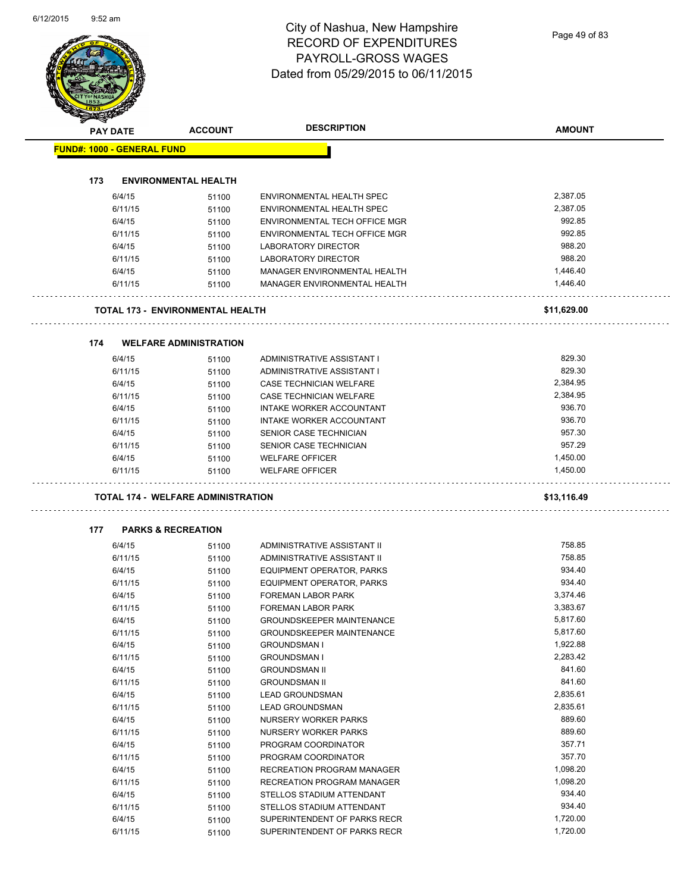| <b>PAY DATE</b> |                                   | <b>ACCOUNT</b>                          | <b>DESCRIPTION</b>                               | <b>AMOUNT</b>    |
|-----------------|-----------------------------------|-----------------------------------------|--------------------------------------------------|------------------|
|                 | <b>FUND#: 1000 - GENERAL FUND</b> |                                         |                                                  |                  |
|                 |                                   |                                         |                                                  |                  |
| 173             |                                   | <b>ENVIRONMENTAL HEALTH</b>             |                                                  |                  |
|                 | 6/4/15                            | 51100                                   | ENVIRONMENTAL HEALTH SPEC                        | 2,387.05         |
|                 | 6/11/15                           | 51100                                   | ENVIRONMENTAL HEALTH SPEC                        | 2,387.05         |
|                 | 6/4/15                            | 51100                                   | ENVIRONMENTAL TECH OFFICE MGR                    | 992.85           |
|                 | 6/11/15                           | 51100                                   | ENVIRONMENTAL TECH OFFICE MGR                    | 992.85           |
|                 | 6/4/15                            | 51100                                   | <b>LABORATORY DIRECTOR</b>                       | 988.20           |
|                 | 6/11/15                           | 51100                                   | <b>LABORATORY DIRECTOR</b>                       | 988.20           |
|                 | 6/4/15                            | 51100                                   | MANAGER ENVIRONMENTAL HEALTH                     | 1,446.40         |
|                 | 6/11/15                           | 51100                                   | MANAGER ENVIRONMENTAL HEALTH                     | 1,446.40         |
|                 |                                   | <b>TOTAL 173 - ENVIRONMENTAL HEALTH</b> |                                                  | \$11,629.00      |
| 174             |                                   | <b>WELFARE ADMINISTRATION</b>           |                                                  |                  |
|                 | 6/4/15                            | 51100                                   | ADMINISTRATIVE ASSISTANT I                       | 829.30           |
|                 | 6/11/15                           | 51100                                   | ADMINISTRATIVE ASSISTANT I                       | 829.30           |
|                 | 6/4/15                            | 51100                                   | CASE TECHNICIAN WELFARE                          | 2,384.95         |
|                 | 6/11/15                           | 51100                                   | CASE TECHNICIAN WELFARE                          | 2,384.95         |
|                 | 6/4/15                            | 51100                                   | <b>INTAKE WORKER ACCOUNTANT</b>                  | 936.70           |
|                 | 6/11/15                           | 51100                                   | INTAKE WORKER ACCOUNTANT                         | 936.70           |
|                 | 6/4/15                            | 51100                                   | SENIOR CASE TECHNICIAN                           | 957.30           |
|                 | 6/11/15                           | 51100                                   | SENIOR CASE TECHNICIAN                           | 957.29           |
|                 | 6/4/15                            | 51100                                   | <b>WELFARE OFFICER</b>                           | 1,450.00         |
|                 | 6/11/15                           | 51100                                   | <b>WELFARE OFFICER</b>                           | 1,450.00         |
|                 |                                   | TOTAL 174 - WELFARE ADMINISTRATION      |                                                  | \$13,116.49      |
| 177             |                                   | <b>PARKS &amp; RECREATION</b>           |                                                  |                  |
|                 | 6/4/15                            | 51100                                   | ADMINISTRATIVE ASSISTANT II                      | 758.85           |
|                 | 6/11/15                           | 51100                                   | ADMINISTRATIVE ASSISTANT II                      | 758.85           |
|                 | 6/4/15                            | 51100                                   | EQUIPMENT OPERATOR, PARKS                        | 934.40           |
|                 | 6/11/15                           | 51100                                   | <b>EQUIPMENT OPERATOR, PARKS</b>                 | 934.40           |
|                 | 6/4/15                            | 51100                                   | FOREMAN LABOR PARK                               | 3,374.46         |
|                 | 6/11/15                           | 51100                                   | FOREMAN LABOR PARK                               | 3,383.67         |
|                 | 6/4/15                            | 51100                                   | <b>GROUNDSKEEPER MAINTENANCE</b>                 | 5,817.60         |
|                 | 6/11/15                           | 51100                                   | <b>GROUNDSKEEPER MAINTENANCE</b>                 | 5,817.60         |
|                 | 6/4/15                            | 51100                                   | <b>GROUNDSMAN I</b>                              | 1,922.88         |
|                 | 6/11/15                           | 51100                                   | <b>GROUNDSMAN I</b>                              | 2,283.42         |
|                 | 6/4/15                            | 51100                                   | <b>GROUNDSMAN II</b>                             | 841.60<br>841.60 |
|                 | 6/11/15                           | 51100                                   | <b>GROUNDSMAN II</b>                             | 2,835.61         |
|                 | 6/4/15<br>6/11/15                 | 51100<br>51100                          | <b>LEAD GROUNDSMAN</b><br><b>LEAD GROUNDSMAN</b> | 2,835.61         |
|                 | 6/4/15                            | 51100                                   | <b>NURSERY WORKER PARKS</b>                      | 889.60           |
|                 | 6/11/15                           | 51100                                   | NURSERY WORKER PARKS                             | 889.60           |
|                 | 6/4/15                            | 51100                                   | PROGRAM COORDINATOR                              | 357.71           |
|                 | 6/11/15                           | 51100                                   | PROGRAM COORDINATOR                              | 357.70           |
|                 | 6/4/15                            | 51100                                   | RECREATION PROGRAM MANAGER                       | 1,098.20         |
|                 | 6/11/15                           | 51100                                   | RECREATION PROGRAM MANAGER                       | 1,098.20         |
|                 | 6/4/15                            | 51100                                   | STELLOS STADIUM ATTENDANT                        | 934.40           |
|                 | 6/11/15                           | 51100                                   | STELLOS STADIUM ATTENDANT                        | 934.40           |
|                 |                                   |                                         |                                                  |                  |
|                 | 6/4/15                            | 51100                                   | SUPERINTENDENT OF PARKS RECR                     | 1,720.00         |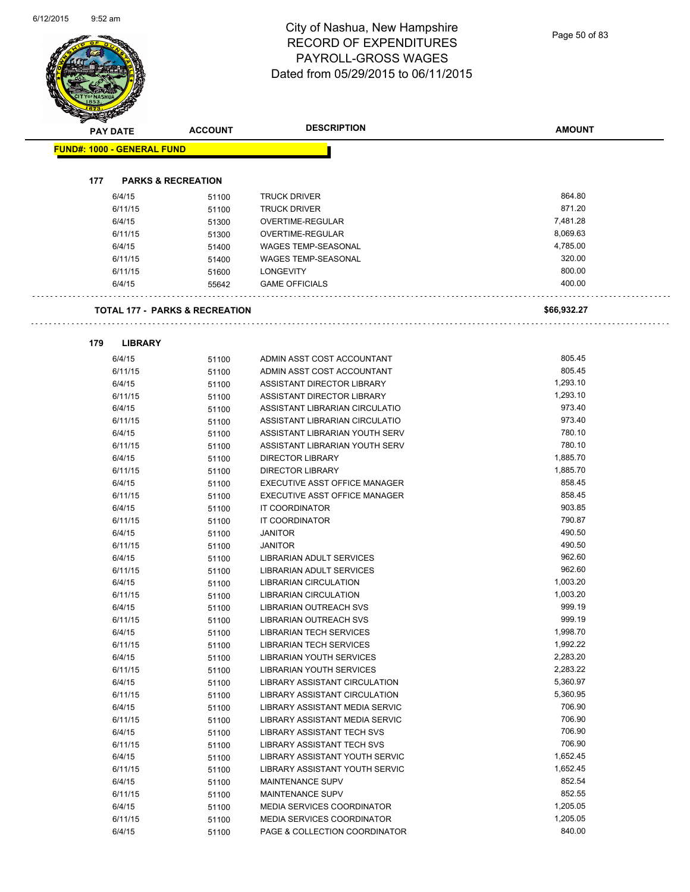# City of Nashua, New Hampshire RECORD OF EXPENDITURES PAYROLL-GROSS WAGES

|                                   |                                           | <b>RECORD OF EXPENDITURES</b><br><b>PAYROLL-GROSS WAGES</b><br>Dated from 05/29/2015 to 06/11/2015 |                      |
|-----------------------------------|-------------------------------------------|----------------------------------------------------------------------------------------------------|----------------------|
| PAY DATE                          | <b>ACCOUNT</b>                            | <b>DESCRIPTION</b>                                                                                 | <b>AMOUNT</b>        |
| <b>FUND#: 1000 - GENERAL FUND</b> |                                           |                                                                                                    |                      |
|                                   |                                           |                                                                                                    |                      |
| 177                               | <b>PARKS &amp; RECREATION</b>             |                                                                                                    |                      |
| 6/4/15                            | 51100                                     | <b>TRUCK DRIVER</b>                                                                                | 864.80               |
| 6/11/15                           | 51100                                     | <b>TRUCK DRIVER</b>                                                                                | 871.20               |
| 6/4/15                            | 51300                                     | OVERTIME-REGULAR                                                                                   | 7,481.28             |
| 6/11/15                           | 51300                                     | OVERTIME-REGULAR                                                                                   | 8,069.63             |
| 6/4/15                            | 51400                                     | <b>WAGES TEMP-SEASONAL</b>                                                                         | 4,785.00             |
| 6/11/15                           | 51400                                     | <b>WAGES TEMP-SEASONAL</b>                                                                         | 320.00               |
| 6/11/15                           | 51600                                     | <b>LONGEVITY</b>                                                                                   | 800.00               |
| 6/4/15                            | 55642                                     | <b>GAME OFFICIALS</b>                                                                              | 400.00               |
|                                   | <b>TOTAL 177 - PARKS &amp; RECREATION</b> |                                                                                                    | \$66,932.27          |
|                                   |                                           |                                                                                                    |                      |
| 179<br>6/4/15                     | <b>LIBRARY</b>                            |                                                                                                    | 805.45               |
|                                   | 51100                                     | ADMIN ASST COST ACCOUNTANT                                                                         | 805.45               |
| 6/11/15                           | 51100                                     | ADMIN ASST COST ACCOUNTANT                                                                         |                      |
| 6/4/15                            | 51100                                     | ASSISTANT DIRECTOR LIBRARY                                                                         | 1,293.10<br>1,293.10 |
| 6/11/15                           | 51100                                     | ASSISTANT DIRECTOR LIBRARY                                                                         | 973.40               |
| 6/4/15                            | 51100                                     | ASSISTANT LIBRARIAN CIRCULATIO                                                                     | 973.40               |
| 6/11/15<br>6/4/15                 | 51100                                     | ASSISTANT LIBRARIAN CIRCULATIO<br>ASSISTANT LIBRARIAN YOUTH SERV                                   | 780.10               |
| 6/11/15                           | 51100                                     | ASSISTANT LIBRARIAN YOUTH SERV                                                                     | 780.10               |
| 6/4/15                            | 51100                                     | <b>DIRECTOR LIBRARY</b>                                                                            | 1,885.70             |
| 6/11/15                           | 51100<br>51100                            | <b>DIRECTOR LIBRARY</b>                                                                            | 1,885.70             |
| 6/4/15                            | 51100                                     | EXECUTIVE ASST OFFICE MANAGER                                                                      | 858.45               |
| 6/11/15                           | 51100                                     | EXECUTIVE ASST OFFICE MANAGER                                                                      | 858.45               |
| 6/4/15                            | 51100                                     | IT COORDINATOR                                                                                     | 903.85               |
| 6/11/15                           | 51100                                     | <b>IT COORDINATOR</b>                                                                              | 790.87               |
| 6/4/15                            | 51100                                     | <b>JANITOR</b>                                                                                     | 490.50               |
| 6/11/15                           | 51100                                     | <b>JANITOR</b>                                                                                     | 490.50               |
| 6/4/15                            | 51100                                     | LIBRARIAN ADULT SERVICES                                                                           | 962.60               |
| 6/11/15                           | 51100                                     | LIBRARIAN ADULT SERVICES                                                                           | 962.60               |
| 6/4/15                            | 51100                                     | LIBRARIAN CIRCULATION                                                                              | 1,003.20             |
| 6/11/15                           | 51100                                     | LIBRARIAN CIRCULATION                                                                              | 1,003.20             |
| 6/4/15                            | 51100                                     | LIBRARIAN OUTREACH SVS                                                                             | 999.19               |
| 6/11/15                           | 51100                                     | <b>LIBRARIAN OUTREACH SVS</b>                                                                      | 999.19               |
| 6/4/15                            | 51100                                     | <b>LIBRARIAN TECH SERVICES</b>                                                                     | 1,998.70             |
| 6/11/15                           | 51100                                     | <b>LIBRARIAN TECH SERVICES</b>                                                                     | 1,992.22             |
| 6/4/15                            | 51100                                     | LIBRARIAN YOUTH SERVICES                                                                           | 2,283.20             |
| 6/11/15                           | 51100                                     | <b>LIBRARIAN YOUTH SERVICES</b>                                                                    | 2,283.22             |
| 6/4/15                            | 51100                                     | LIBRARY ASSISTANT CIRCULATION                                                                      | 5,360.97             |
| 6/11/15                           | 51100                                     | LIBRARY ASSISTANT CIRCULATION                                                                      | 5,360.95             |
| 6/4/15                            | 51100                                     | LIBRARY ASSISTANT MEDIA SERVIC                                                                     | 706.90               |
| 6/11/15                           | 51100                                     | LIBRARY ASSISTANT MEDIA SERVIC                                                                     | 706.90               |
| 6/4/15                            | 51100                                     | LIBRARY ASSISTANT TECH SVS                                                                         | 706.90               |
| 6/11/15                           | 51100                                     | LIBRARY ASSISTANT TECH SVS                                                                         | 706.90               |
| 6/4/15                            | 51100                                     | LIBRARY ASSISTANT YOUTH SERVIC                                                                     | 1,652.45             |
| 6/11/15                           | 51100                                     | LIBRARY ASSISTANT YOUTH SERVIC                                                                     | 1,652.45             |
| 6/4/15                            | 51100                                     | MAINTENANCE SUPV                                                                                   | 852.54               |
| 6/11/15                           | 51100                                     | <b>MAINTENANCE SUPV</b>                                                                            | 852.55               |
| 6/4/15                            | 51100                                     | MEDIA SERVICES COORDINATOR                                                                         | 1,205.05             |
| 6/11/15                           | 51100                                     | MEDIA SERVICES COORDINATOR                                                                         | 1,205.05             |
| 6/4/15                            | 51100                                     | PAGE & COLLECTION COORDINATOR                                                                      | 840.00               |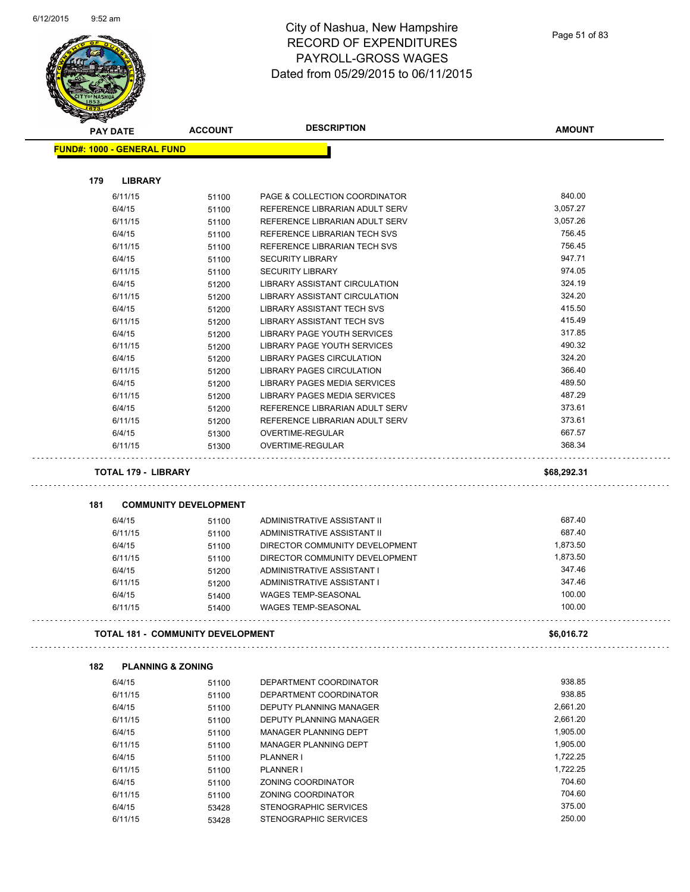

| <b>ACCOUNT</b>                    | <b>DESCRIPTION</b>                          | <b>AMOUNT</b>                                                                                                                                                                                               |
|-----------------------------------|---------------------------------------------|-------------------------------------------------------------------------------------------------------------------------------------------------------------------------------------------------------------|
| <b>FUND#: 1000 - GENERAL FUND</b> |                                             |                                                                                                                                                                                                             |
|                                   |                                             |                                                                                                                                                                                                             |
|                                   |                                             |                                                                                                                                                                                                             |
| 51100                             | PAGE & COLLECTION COORDINATOR               | 840.00                                                                                                                                                                                                      |
| 51100                             | REFERENCE LIBRARIAN ADULT SERV              | 3,057.27                                                                                                                                                                                                    |
| 51100                             | REFERENCE LIBRARIAN ADULT SERV              | 3,057.26                                                                                                                                                                                                    |
| 51100                             | REFERENCE LIBRARIAN TECH SVS                | 756.45                                                                                                                                                                                                      |
| 51100                             | REFERENCE LIBRARIAN TECH SVS                | 756.45                                                                                                                                                                                                      |
| 51100                             | <b>SECURITY LIBRARY</b>                     | 947.71                                                                                                                                                                                                      |
| 51100                             | <b>SECURITY LIBRARY</b>                     | 974.05                                                                                                                                                                                                      |
| 51200                             | LIBRARY ASSISTANT CIRCULATION               | 324.19                                                                                                                                                                                                      |
| 51200                             | <b>LIBRARY ASSISTANT CIRCULATION</b>        | 324.20                                                                                                                                                                                                      |
| 51200                             | LIBRARY ASSISTANT TECH SVS                  | 415.50                                                                                                                                                                                                      |
| 51200                             | LIBRARY ASSISTANT TECH SVS                  | 415.49                                                                                                                                                                                                      |
| 51200                             | LIBRARY PAGE YOUTH SERVICES                 | 317.85                                                                                                                                                                                                      |
| 51200                             | LIBRARY PAGE YOUTH SERVICES                 | 490.32                                                                                                                                                                                                      |
| 51200                             | <b>LIBRARY PAGES CIRCULATION</b>            | 324.20                                                                                                                                                                                                      |
| 51200                             | LIBRARY PAGES CIRCULATION                   | 366.40                                                                                                                                                                                                      |
| 51200                             | LIBRARY PAGES MEDIA SERVICES                | 489.50                                                                                                                                                                                                      |
| 51200                             | LIBRARY PAGES MEDIA SERVICES                | 487.29                                                                                                                                                                                                      |
| 51200                             | REFERENCE LIBRARIAN ADULT SERV              | 373.61                                                                                                                                                                                                      |
| 51200                             | REFERENCE LIBRARIAN ADULT SERV              | 373.61                                                                                                                                                                                                      |
| 51300                             | <b>OVERTIME-REGULAR</b>                     | 667.57                                                                                                                                                                                                      |
| 51300                             | OVERTIME-REGULAR                            | 368.34                                                                                                                                                                                                      |
| <b>TOTAL 179 - LIBRARY</b>        |                                             | \$68,292.31                                                                                                                                                                                                 |
|                                   |                                             |                                                                                                                                                                                                             |
|                                   |                                             |                                                                                                                                                                                                             |
| 51100                             | ADMINISTRATIVE ASSISTANT II                 | 687.40                                                                                                                                                                                                      |
| 51100                             | ADMINISTRATIVE ASSISTANT II                 | 687.40                                                                                                                                                                                                      |
| 51100                             | DIRECTOR COMMUNITY DEVELOPMENT              | 1,873.50                                                                                                                                                                                                    |
| 51100                             | DIRECTOR COMMUNITY DEVELOPMENT              | 1,873.50                                                                                                                                                                                                    |
| 51200                             | ADMINISTRATIVE ASSISTANT I                  | 347.46                                                                                                                                                                                                      |
| 51200                             | ADMINISTRATIVE ASSISTANT I                  | 347.46                                                                                                                                                                                                      |
| 51400                             | WAGES TEMP-SEASONAL                         | 100.00                                                                                                                                                                                                      |
| 51400                             | <b>WAGES TEMP-SEASONAL</b>                  | 100.00                                                                                                                                                                                                      |
|                                   |                                             | \$6,016.72                                                                                                                                                                                                  |
| <b>PLANNING &amp; ZONING</b>      |                                             |                                                                                                                                                                                                             |
|                                   |                                             | 938.85                                                                                                                                                                                                      |
|                                   |                                             | 938.85                                                                                                                                                                                                      |
|                                   |                                             | 2,661.20                                                                                                                                                                                                    |
|                                   |                                             | 2,661.20                                                                                                                                                                                                    |
|                                   |                                             | 1,905.00                                                                                                                                                                                                    |
|                                   |                                             |                                                                                                                                                                                                             |
|                                   |                                             |                                                                                                                                                                                                             |
| 51100                             | MANAGER PLANNING DEPT                       | 1,905.00                                                                                                                                                                                                    |
| 51100                             | PLANNER I                                   | 1,722.25                                                                                                                                                                                                    |
| 51100                             | PLANNER I                                   | 1,722.25                                                                                                                                                                                                    |
| 51100                             | ZONING COORDINATOR                          | 704.60                                                                                                                                                                                                      |
| 51100<br>53428                    | ZONING COORDINATOR<br>STENOGRAPHIC SERVICES | 704.60<br>375.00                                                                                                                                                                                            |
|                                   | 51100<br>51100<br>51100<br>51100<br>51100   | <b>COMMUNITY DEVELOPMENT</b><br><b>TOTAL 181 - COMMUNITY DEVELOPMENT</b><br>DEPARTMENT COORDINATOR<br>DEPARTMENT COORDINATOR<br>DEPUTY PLANNING MANAGER<br>DEPUTY PLANNING MANAGER<br>MANAGER PLANNING DEPT |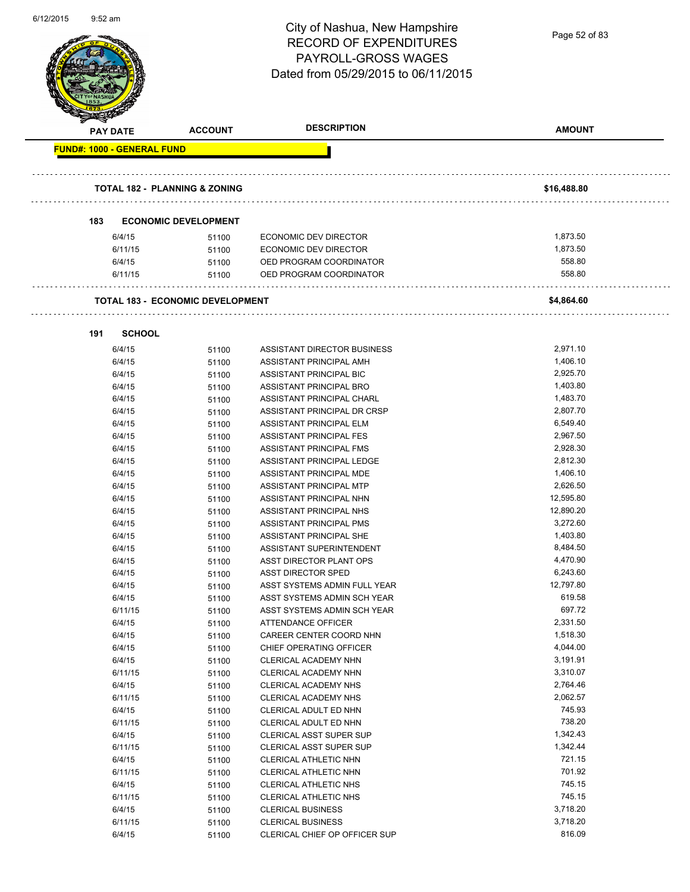| 07 127 20 1 5 |                                          |                                         | City of Nashua, New Hampshire<br><b>RECORD OF EXPENDITURES</b><br>PAYROLL-GROSS WAGES | Page 52 of 83 |
|---------------|------------------------------------------|-----------------------------------------|---------------------------------------------------------------------------------------|---------------|
|               |                                          |                                         | Dated from 05/29/2015 to 06/11/2015                                                   |               |
|               | <b>PAY DATE</b>                          | <b>ACCOUNT</b>                          | <b>DESCRIPTION</b>                                                                    | <b>AMOUNT</b> |
|               | <b>FUND#: 1000 - GENERAL FUND</b>        |                                         |                                                                                       |               |
|               | <b>TOTAL 182 - PLANNING &amp; ZONING</b> |                                         |                                                                                       | \$16,488.80   |
|               | 183                                      | <b>ECONOMIC DEVELOPMENT</b>             |                                                                                       |               |
|               | 6/4/15                                   | 51100                                   | ECONOMIC DEV DIRECTOR                                                                 | 1,873.50      |
|               | 6/11/15                                  | 51100                                   | <b>ECONOMIC DEV DIRECTOR</b>                                                          | 1,873.50      |
|               | 6/4/15                                   | 51100                                   | OED PROGRAM COORDINATOR                                                               | 558.80        |
|               | 6/11/15                                  | 51100                                   | OED PROGRAM COORDINATOR                                                               | 558.80        |
|               |                                          | <b>TOTAL 183 - ECONOMIC DEVELOPMENT</b> |                                                                                       | \$4,864.60    |
|               | <b>SCHOOL</b><br>191                     |                                         |                                                                                       |               |
|               | 6/4/15                                   | 51100                                   | ASSISTANT DIRECTOR BUSINESS                                                           | 2,971.10      |
|               | 6/4/15                                   | 51100                                   | ASSISTANT PRINCIPAL AMH                                                               | 1,406.10      |
|               | 6/4/15                                   | 51100                                   | ASSISTANT PRINCIPAL BIC                                                               | 2,925.70      |
|               | 6/4/15                                   | 51100                                   | ASSISTANT PRINCIPAL BRO                                                               | 1,403.80      |
|               | 6/4/15                                   | 51100                                   | ASSISTANT PRINCIPAL CHARL                                                             | 1,483.70      |
|               | 6/4/15                                   | 51100                                   | ASSISTANT PRINCIPAL DR CRSP                                                           | 2,807.70      |
|               | 6/4/15                                   | 51100                                   | ASSISTANT PRINCIPAL ELM                                                               | 6,549.40      |
|               | 6/4/15                                   | 51100                                   | ASSISTANT PRINCIPAL FES                                                               | 2,967.50      |
|               | 6/4/15                                   | 51100                                   | ASSISTANT PRINCIPAL FMS                                                               | 2,928.30      |
|               | 6/4/15                                   | 51100                                   | ASSISTANT PRINCIPAL LEDGE                                                             | 2,812.30      |
|               | 6/4/15                                   | 51100                                   | <b>ASSISTANT PRINCIPAL MDE</b>                                                        | 1,406.10      |
|               | 6/4/15                                   | 51100                                   | ASSISTANT PRINCIPAL MTP                                                               | 2,626.50      |
|               | 6/4/15                                   | 51100                                   | ASSISTANT PRINCIPAL NHN                                                               | 12,595.80     |
|               | 6/4/15                                   | 51100                                   | ASSISTANT PRINCIPAL NHS                                                               | 12,890.20     |
|               | 6/4/15                                   | 51100                                   | ASSISTANT PRINCIPAL PMS                                                               | 3,272.60      |
|               | 6/4/15                                   | 51100                                   | ASSISTANT PRINCIPAL SHE                                                               | 1,403.80      |
|               | 6/4/15                                   | 51100                                   | ASSISTANT SUPERINTENDENT                                                              | 8,484.50      |
|               | 6/4/15                                   | 51100                                   | ASST DIRECTOR PLANT OPS                                                               | 4,470.90      |
|               | 6/4/15                                   | 51100                                   | <b>ASST DIRECTOR SPED</b>                                                             | 6,243.60      |
|               | 6/4/15                                   | 51100                                   | ASST SYSTEMS ADMIN FULL YEAR                                                          | 12,797.80     |
|               | 6/4/15                                   | 51100                                   | ASST SYSTEMS ADMIN SCH YEAR                                                           | 619.58        |
|               | 6/11/15                                  | 51100                                   | ASST SYSTEMS ADMIN SCH YEAR                                                           | 697.72        |
|               | 6/4/15                                   | 51100                                   | ATTENDANCE OFFICER                                                                    | 2,331.50      |
|               | 6/4/15                                   | 51100                                   | CAREER CENTER COORD NHN                                                               | 1,518.30      |
|               | 6/4/15                                   | 51100                                   | CHIEF OPERATING OFFICER                                                               | 4,044.00      |
|               | 6/4/15                                   | 51100                                   | CLERICAL ACADEMY NHN                                                                  | 3,191.91      |
|               | 6/11/15                                  | 51100                                   | CLERICAL ACADEMY NHN                                                                  | 3,310.07      |
|               | 6/4/15                                   | 51100                                   | CLERICAL ACADEMY NHS                                                                  | 2,764.46      |
|               | 6/11/15                                  | 51100                                   | CLERICAL ACADEMY NHS                                                                  | 2,062.57      |
|               | 6/4/15                                   | 51100                                   | CLERICAL ADULT ED NHN                                                                 | 745.93        |
|               | 6/11/15                                  | 51100                                   | CLERICAL ADULT ED NHN                                                                 | 738.20        |
|               | 6/4/15                                   | 51100                                   | CLERICAL ASST SUPER SUP                                                               | 1,342.43      |
|               | 6/11/15                                  | 51100                                   | CLERICAL ASST SUPER SUP                                                               | 1,342.44      |
|               | 6/4/15                                   | 51100                                   | CLERICAL ATHLETIC NHN                                                                 | 721.15        |
|               | 6/11/15                                  | 51100                                   | CLERICAL ATHLETIC NHN                                                                 | 701.92        |
|               | 6/4/15                                   | 51100                                   | CLERICAL ATHLETIC NHS                                                                 | 745.15        |
|               | 6/11/15                                  | 51100                                   | CLERICAL ATHLETIC NHS                                                                 | 745.15        |
|               | 6/4/15                                   | 51100                                   | <b>CLERICAL BUSINESS</b>                                                              | 3,718.20      |

6/4/15 51100 CLERICAL BUSINESS 3,718.20 6/11/15 51100 CLERICAL BUSINESS 3,718.20

6/4/15 51100 CLERICAL CHIEF OP OFFICER SUP

6/12/2015 9:52 am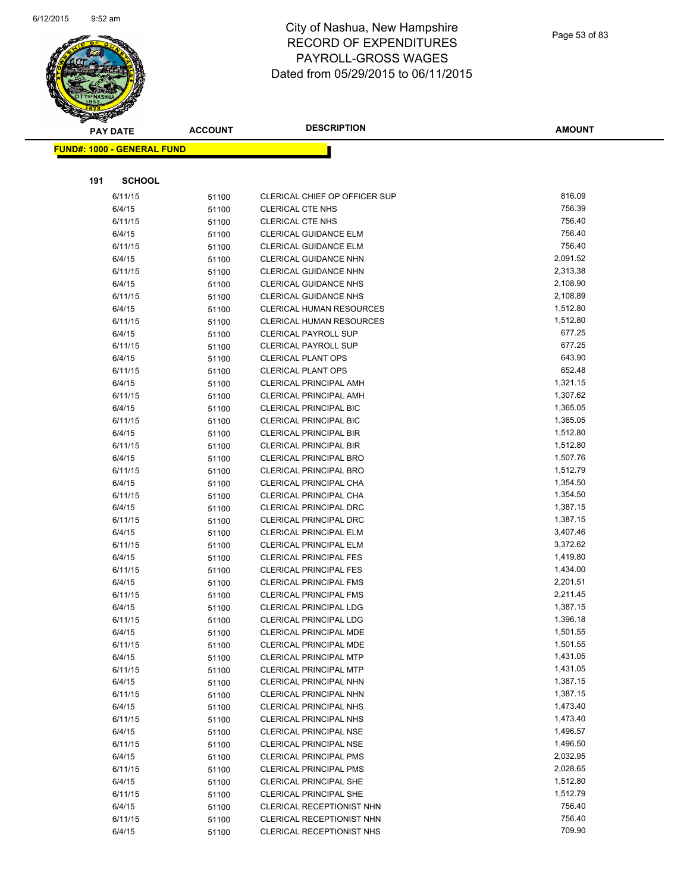

|     | <b>PAY DATE</b>                   | <b>ACCOUNT</b> | <b>DESCRIPTION</b>                                             | <b>AMOUNT</b>        |
|-----|-----------------------------------|----------------|----------------------------------------------------------------|----------------------|
|     | <b>FUND#: 1000 - GENERAL FUND</b> |                |                                                                |                      |
|     |                                   |                |                                                                |                      |
|     |                                   |                |                                                                |                      |
| 191 | <b>SCHOOL</b>                     |                |                                                                |                      |
|     | 6/11/15                           | 51100          | CLERICAL CHIEF OP OFFICER SUP                                  | 816.09               |
|     | 6/4/15                            | 51100          | <b>CLERICAL CTE NHS</b>                                        | 756.39               |
|     | 6/11/15                           | 51100          | CLERICAL CTE NHS                                               | 756.40               |
|     | 6/4/15                            | 51100          | <b>CLERICAL GUIDANCE ELM</b>                                   | 756.40               |
|     | 6/11/15                           | 51100          | <b>CLERICAL GUIDANCE ELM</b>                                   | 756.40               |
|     | 6/4/15                            | 51100          | <b>CLERICAL GUIDANCE NHN</b>                                   | 2,091.52             |
|     | 6/11/15                           | 51100          | CLERICAL GUIDANCE NHN                                          | 2,313.38             |
|     | 6/4/15                            | 51100          | <b>CLERICAL GUIDANCE NHS</b>                                   | 2,108.90             |
|     | 6/11/15                           | 51100          | <b>CLERICAL GUIDANCE NHS</b>                                   | 2,108.89             |
|     | 6/4/15                            | 51100          | CLERICAL HUMAN RESOURCES                                       | 1,512.80             |
|     | 6/11/15                           | 51100          | CLERICAL HUMAN RESOURCES                                       | 1,512.80             |
|     | 6/4/15                            | 51100          | <b>CLERICAL PAYROLL SUP</b>                                    | 677.25               |
|     | 6/11/15                           | 51100          | <b>CLERICAL PAYROLL SUP</b>                                    | 677.25               |
|     | 6/4/15                            | 51100          | <b>CLERICAL PLANT OPS</b>                                      | 643.90               |
|     | 6/11/15                           | 51100          | <b>CLERICAL PLANT OPS</b>                                      | 652.48               |
|     | 6/4/15                            | 51100          | CLERICAL PRINCIPAL AMH                                         | 1,321.15             |
|     | 6/11/15                           | 51100          | <b>CLERICAL PRINCIPAL AMH</b>                                  | 1,307.62             |
|     | 6/4/15                            | 51100          | <b>CLERICAL PRINCIPAL BIC</b>                                  | 1,365.05             |
|     | 6/11/15                           | 51100          | <b>CLERICAL PRINCIPAL BIC</b>                                  | 1,365.05<br>1,512.80 |
|     | 6/4/15                            | 51100          | <b>CLERICAL PRINCIPAL BIR</b><br><b>CLERICAL PRINCIPAL BIR</b> | 1,512.80             |
|     | 6/11/15<br>6/4/15                 | 51100          | <b>CLERICAL PRINCIPAL BRO</b>                                  | 1,507.76             |
|     | 6/11/15                           | 51100          | <b>CLERICAL PRINCIPAL BRO</b>                                  | 1,512.79             |
|     | 6/4/15                            | 51100          | CLERICAL PRINCIPAL CHA                                         | 1,354.50             |
|     | 6/11/15                           | 51100          | CLERICAL PRINCIPAL CHA                                         | 1,354.50             |
|     | 6/4/15                            | 51100          | <b>CLERICAL PRINCIPAL DRC</b>                                  | 1,387.15             |
|     | 6/11/15                           | 51100          | CLERICAL PRINCIPAL DRC                                         | 1,387.15             |
|     | 6/4/15                            | 51100<br>51100 | <b>CLERICAL PRINCIPAL ELM</b>                                  | 3,407.46             |
|     | 6/11/15                           | 51100          | <b>CLERICAL PRINCIPAL ELM</b>                                  | 3,372.62             |
|     | 6/4/15                            | 51100          | <b>CLERICAL PRINCIPAL FES</b>                                  | 1,419.80             |
|     | 6/11/15                           | 51100          | <b>CLERICAL PRINCIPAL FES</b>                                  | 1,434.00             |
|     | 6/4/15                            | 51100          | <b>CLERICAL PRINCIPAL FMS</b>                                  | 2,201.51             |
|     | 6/11/15                           | 51100          | <b>CLERICAL PRINCIPAL FMS</b>                                  | 2,211.45             |
|     | 6/4/15                            | 51100          | <b>CLERICAL PRINCIPAL LDG</b>                                  | 1,387.15             |
|     | 6/11/15                           | 51100          | <b>CLERICAL PRINCIPAL LDG</b>                                  | 1,396.18             |
|     | 6/4/15                            | 51100          | CLERICAL PRINCIPAL MDE                                         | 1,501.55             |
|     | 6/11/15                           | 51100          | CLERICAL PRINCIPAL MDE                                         | 1,501.55             |
|     | 6/4/15                            | 51100          | <b>CLERICAL PRINCIPAL MTP</b>                                  | 1,431.05             |
|     | 6/11/15                           | 51100          | <b>CLERICAL PRINCIPAL MTP</b>                                  | 1,431.05             |
|     | 6/4/15                            | 51100          | CLERICAL PRINCIPAL NHN                                         | 1,387.15             |
|     | 6/11/15                           | 51100          | CLERICAL PRINCIPAL NHN                                         | 1,387.15             |
|     | 6/4/15                            | 51100          | <b>CLERICAL PRINCIPAL NHS</b>                                  | 1,473.40             |
|     | 6/11/15                           | 51100          | <b>CLERICAL PRINCIPAL NHS</b>                                  | 1,473.40             |
|     | 6/4/15                            | 51100          | <b>CLERICAL PRINCIPAL NSE</b>                                  | 1,496.57             |
|     | 6/11/15                           | 51100          | <b>CLERICAL PRINCIPAL NSE</b>                                  | 1,496.50             |
|     | 6/4/15                            | 51100          | <b>CLERICAL PRINCIPAL PMS</b>                                  | 2,032.95             |
|     | 6/11/15                           | 51100          | <b>CLERICAL PRINCIPAL PMS</b>                                  | 2,028.65             |
|     | 6/4/15                            | 51100          | <b>CLERICAL PRINCIPAL SHE</b>                                  | 1,512.80             |
|     | 6/11/15                           | 51100          | <b>CLERICAL PRINCIPAL SHE</b>                                  | 1,512.79             |
|     | 6/4/15                            | 51100          | CLERICAL RECEPTIONIST NHN                                      | 756.40               |
|     | 6/11/15                           | 51100          | CLERICAL RECEPTIONIST NHN                                      | 756.40               |
|     | 6/4/15                            | 51100          | CLERICAL RECEPTIONIST NHS                                      | 709.90               |
|     |                                   |                |                                                                |                      |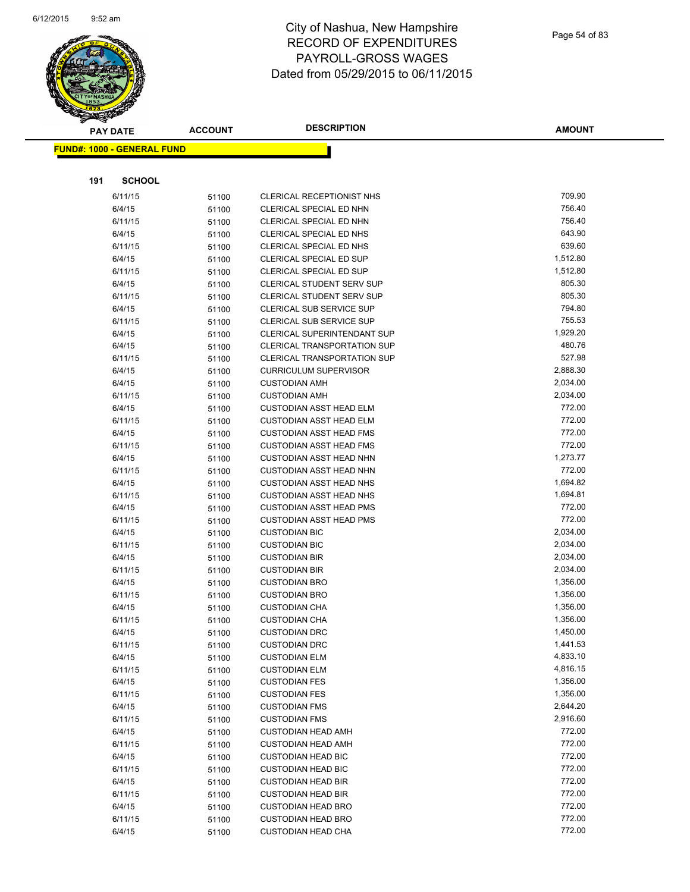

|     | <b>PAY DATE</b>                    | <b>ACCOUNT</b> | <b>DESCRIPTION</b>                                            | <b>AMOUNT</b>      |
|-----|------------------------------------|----------------|---------------------------------------------------------------|--------------------|
|     | <u> FUND#: 1000 - GENERAL FUND</u> |                |                                                               |                    |
|     |                                    |                |                                                               |                    |
|     |                                    |                |                                                               |                    |
| 191 | <b>SCHOOL</b>                      |                |                                                               |                    |
|     | 6/11/15                            | 51100          | CLERICAL RECEPTIONIST NHS                                     | 709.90             |
|     | 6/4/15                             | 51100          | CLERICAL SPECIAL ED NHN                                       | 756.40             |
|     | 6/11/15                            | 51100          | CLERICAL SPECIAL ED NHN                                       | 756.40             |
|     | 6/4/15                             | 51100          | CLERICAL SPECIAL ED NHS                                       | 643.90             |
|     | 6/11/15                            | 51100          | CLERICAL SPECIAL ED NHS                                       | 639.60             |
|     | 6/4/15                             | 51100          | CLERICAL SPECIAL ED SUP                                       | 1,512.80           |
|     | 6/11/15<br>6/4/15                  | 51100          | CLERICAL SPECIAL ED SUP                                       | 1,512.80<br>805.30 |
|     | 6/11/15                            | 51100          | CLERICAL STUDENT SERV SUP<br><b>CLERICAL STUDENT SERV SUP</b> | 805.30             |
|     | 6/4/15                             | 51100          | CLERICAL SUB SERVICE SUP                                      | 794.80             |
|     | 6/11/15                            | 51100<br>51100 | CLERICAL SUB SERVICE SUP                                      | 755.53             |
|     | 6/4/15                             | 51100          | CLERICAL SUPERINTENDANT SUP                                   | 1,929.20           |
|     | 6/4/15                             | 51100          | <b>CLERICAL TRANSPORTATION SUP</b>                            | 480.76             |
|     | 6/11/15                            | 51100          | <b>CLERICAL TRANSPORTATION SUP</b>                            | 527.98             |
|     | 6/4/15                             | 51100          | <b>CURRICULUM SUPERVISOR</b>                                  | 2,888.30           |
|     | 6/4/15                             | 51100          | <b>CUSTODIAN AMH</b>                                          | 2,034.00           |
|     | 6/11/15                            | 51100          | <b>CUSTODIAN AMH</b>                                          | 2,034.00           |
|     | 6/4/15                             | 51100          | <b>CUSTODIAN ASST HEAD ELM</b>                                | 772.00             |
|     | 6/11/15                            | 51100          | <b>CUSTODIAN ASST HEAD ELM</b>                                | 772.00             |
|     | 6/4/15                             | 51100          | <b>CUSTODIAN ASST HEAD FMS</b>                                | 772.00             |
|     | 6/11/15                            | 51100          | <b>CUSTODIAN ASST HEAD FMS</b>                                | 772.00             |
|     | 6/4/15                             | 51100          | <b>CUSTODIAN ASST HEAD NHN</b>                                | 1,273.77           |
|     | 6/11/15                            | 51100          | CUSTODIAN ASST HEAD NHN                                       | 772.00             |
|     | 6/4/15                             | 51100          | <b>CUSTODIAN ASST HEAD NHS</b>                                | 1,694.82           |
|     | 6/11/15                            | 51100          | <b>CUSTODIAN ASST HEAD NHS</b>                                | 1,694.81           |
|     | 6/4/15                             | 51100          | <b>CUSTODIAN ASST HEAD PMS</b>                                | 772.00             |
|     | 6/11/15                            | 51100          | <b>CUSTODIAN ASST HEAD PMS</b>                                | 772.00             |
|     | 6/4/15                             | 51100          | <b>CUSTODIAN BIC</b>                                          | 2,034.00           |
|     | 6/11/15                            | 51100          | <b>CUSTODIAN BIC</b>                                          | 2,034.00           |
|     | 6/4/15                             | 51100          | <b>CUSTODIAN BIR</b>                                          | 2,034.00           |
|     | 6/11/15                            | 51100          | <b>CUSTODIAN BIR</b>                                          | 2,034.00           |
|     | 6/4/15                             | 51100          | <b>CUSTODIAN BRO</b>                                          | 1,356.00           |
|     | 6/11/15                            | 51100          | <b>CUSTODIAN BRO</b>                                          | 1,356.00           |
|     | 6/4/15                             | 51100          | <b>CUSTODIAN CHA</b>                                          | 1,356.00           |
|     | 6/11/15                            | 51100          | <b>CUSTODIAN CHA</b>                                          | 1,356.00           |
|     | 6/4/15                             | 51100          | <b>CUSTODIAN DRC</b>                                          | 1,450.00           |
|     | 6/11/15                            | 51100          | <b>CUSTODIAN DRC</b>                                          | 1,441.53           |
|     | 6/4/15                             | 51100          | <b>CUSTODIAN ELM</b>                                          | 4,833.10           |
|     | 6/11/15                            | 51100          | <b>CUSTODIAN ELM</b>                                          | 4,816.15           |
|     | 6/4/15                             | 51100          | <b>CUSTODIAN FES</b>                                          | 1,356.00           |
|     | 6/11/15                            | 51100          | <b>CUSTODIAN FES</b>                                          | 1,356.00           |
|     | 6/4/15                             | 51100          | <b>CUSTODIAN FMS</b>                                          | 2,644.20           |
|     | 6/11/15                            | 51100          | <b>CUSTODIAN FMS</b>                                          | 2,916.60           |
|     | 6/4/15                             | 51100          | <b>CUSTODIAN HEAD AMH</b>                                     | 772.00             |
|     | 6/11/15                            | 51100          | <b>CUSTODIAN HEAD AMH</b>                                     | 772.00             |
|     | 6/4/15                             | 51100          | <b>CUSTODIAN HEAD BIC</b>                                     | 772.00             |
|     | 6/11/15                            | 51100          | <b>CUSTODIAN HEAD BIC</b>                                     | 772.00             |
|     | 6/4/15                             | 51100          | <b>CUSTODIAN HEAD BIR</b>                                     | 772.00             |
|     | 6/11/15                            | 51100          | <b>CUSTODIAN HEAD BIR</b>                                     | 772.00             |
|     | 6/4/15                             | 51100          | <b>CUSTODIAN HEAD BRO</b>                                     | 772.00             |
|     | 6/11/15                            | 51100          | <b>CUSTODIAN HEAD BRO</b>                                     | 772.00             |
|     | 6/4/15                             | 51100          | <b>CUSTODIAN HEAD CHA</b>                                     | 772.00             |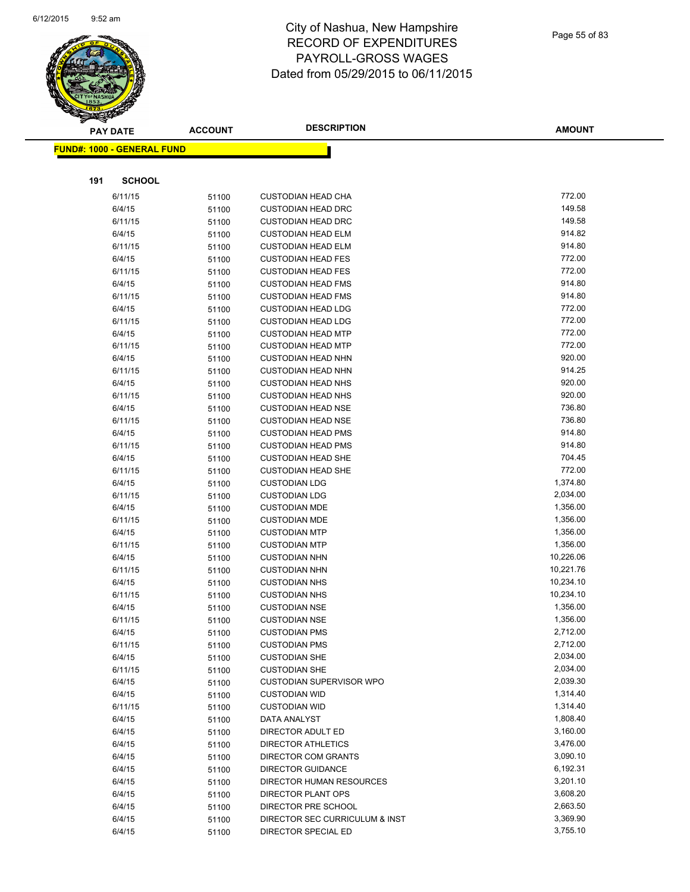

|     | <b>PAY DATE</b>                    | <b>ACCOUNT</b> | <b>DESCRIPTION</b>                           | <b>AMOUNT</b>    |
|-----|------------------------------------|----------------|----------------------------------------------|------------------|
|     | <u> FUND#: 1000 - GENERAL FUND</u> |                |                                              |                  |
|     |                                    |                |                                              |                  |
|     |                                    |                |                                              |                  |
| 191 | <b>SCHOOL</b>                      |                |                                              |                  |
|     | 6/11/15                            | 51100          | <b>CUSTODIAN HEAD CHA</b>                    | 772.00           |
|     | 6/4/15                             | 51100          | <b>CUSTODIAN HEAD DRC</b>                    | 149.58           |
|     | 6/11/15                            | 51100          | <b>CUSTODIAN HEAD DRC</b>                    | 149.58           |
|     | 6/4/15                             | 51100          | <b>CUSTODIAN HEAD ELM</b>                    | 914.82           |
|     | 6/11/15                            | 51100          | <b>CUSTODIAN HEAD ELM</b>                    | 914.80           |
|     | 6/4/15                             | 51100          | <b>CUSTODIAN HEAD FES</b>                    | 772.00           |
|     | 6/11/15                            | 51100          | <b>CUSTODIAN HEAD FES</b>                    | 772.00           |
|     | 6/4/15                             | 51100          | <b>CUSTODIAN HEAD FMS</b>                    | 914.80           |
|     | 6/11/15                            | 51100          | <b>CUSTODIAN HEAD FMS</b>                    | 914.80           |
|     | 6/4/15                             | 51100          | <b>CUSTODIAN HEAD LDG</b>                    | 772.00           |
|     | 6/11/15                            | 51100          | <b>CUSTODIAN HEAD LDG</b>                    | 772.00           |
|     | 6/4/15                             | 51100          | <b>CUSTODIAN HEAD MTP</b>                    | 772.00           |
|     | 6/11/15                            | 51100          | <b>CUSTODIAN HEAD MTP</b>                    | 772.00           |
|     | 6/4/15                             | 51100          | <b>CUSTODIAN HEAD NHN</b>                    | 920.00           |
|     | 6/11/15                            | 51100          | <b>CUSTODIAN HEAD NHN</b>                    | 914.25           |
|     | 6/4/15                             | 51100          | <b>CUSTODIAN HEAD NHS</b>                    | 920.00           |
|     | 6/11/15                            | 51100          | <b>CUSTODIAN HEAD NHS</b>                    | 920.00           |
|     | 6/4/15                             | 51100          | <b>CUSTODIAN HEAD NSE</b>                    | 736.80           |
|     | 6/11/15                            | 51100          | <b>CUSTODIAN HEAD NSE</b>                    | 736.80           |
|     | 6/4/15                             | 51100          | <b>CUSTODIAN HEAD PMS</b>                    | 914.80           |
|     | 6/11/15                            | 51100          | <b>CUSTODIAN HEAD PMS</b>                    | 914.80<br>704.45 |
|     | 6/4/15                             | 51100          | <b>CUSTODIAN HEAD SHE</b>                    | 772.00           |
|     | 6/11/15                            | 51100          | <b>CUSTODIAN HEAD SHE</b>                    | 1,374.80         |
|     | 6/4/15<br>6/11/15                  | 51100          | <b>CUSTODIAN LDG</b><br><b>CUSTODIAN LDG</b> | 2,034.00         |
|     | 6/4/15                             | 51100          | <b>CUSTODIAN MDE</b>                         | 1,356.00         |
|     | 6/11/15                            | 51100          | <b>CUSTODIAN MDE</b>                         | 1,356.00         |
|     | 6/4/15                             | 51100          | <b>CUSTODIAN MTP</b>                         | 1,356.00         |
|     | 6/11/15                            | 51100<br>51100 | <b>CUSTODIAN MTP</b>                         | 1,356.00         |
|     | 6/4/15                             | 51100          | <b>CUSTODIAN NHN</b>                         | 10,226.06        |
|     | 6/11/15                            | 51100          | <b>CUSTODIAN NHN</b>                         | 10,221.76        |
|     | 6/4/15                             | 51100          | <b>CUSTODIAN NHS</b>                         | 10,234.10        |
|     | 6/11/15                            | 51100          | <b>CUSTODIAN NHS</b>                         | 10,234.10        |
|     | 6/4/15                             | 51100          | <b>CUSTODIAN NSE</b>                         | 1,356.00         |
|     | 6/11/15                            | 51100          | <b>CUSTODIAN NSE</b>                         | 1,356.00         |
|     | 6/4/15                             | 51100          | <b>CUSTODIAN PMS</b>                         | 2,712.00         |
|     | 6/11/15                            | 51100          | <b>CUSTODIAN PMS</b>                         | 2,712.00         |
|     | 6/4/15                             | 51100          | <b>CUSTODIAN SHE</b>                         | 2,034.00         |
|     | 6/11/15                            | 51100          | <b>CUSTODIAN SHE</b>                         | 2,034.00         |
|     | 6/4/15                             | 51100          | <b>CUSTODIAN SUPERVISOR WPO</b>              | 2,039.30         |
|     | 6/4/15                             | 51100          | <b>CUSTODIAN WID</b>                         | 1,314.40         |
|     | 6/11/15                            | 51100          | <b>CUSTODIAN WID</b>                         | 1,314.40         |
|     | 6/4/15                             | 51100          | DATA ANALYST                                 | 1,808.40         |
|     | 6/4/15                             | 51100          | <b>DIRECTOR ADULT ED</b>                     | 3,160.00         |
|     | 6/4/15                             | 51100          | <b>DIRECTOR ATHLETICS</b>                    | 3,476.00         |
|     | 6/4/15                             | 51100          | <b>DIRECTOR COM GRANTS</b>                   | 3,090.10         |
|     | 6/4/15                             | 51100          | <b>DIRECTOR GUIDANCE</b>                     | 6,192.31         |
|     | 6/4/15                             | 51100          | DIRECTOR HUMAN RESOURCES                     | 3,201.10         |
|     | 6/4/15                             | 51100          | <b>DIRECTOR PLANT OPS</b>                    | 3,608.20         |
|     | 6/4/15                             | 51100          | DIRECTOR PRE SCHOOL                          | 2,663.50         |
|     | 6/4/15                             | 51100          | DIRECTOR SEC CURRICULUM & INST               | 3,369.90         |
|     | 6/4/15                             | 51100          | DIRECTOR SPECIAL ED                          | 3,755.10         |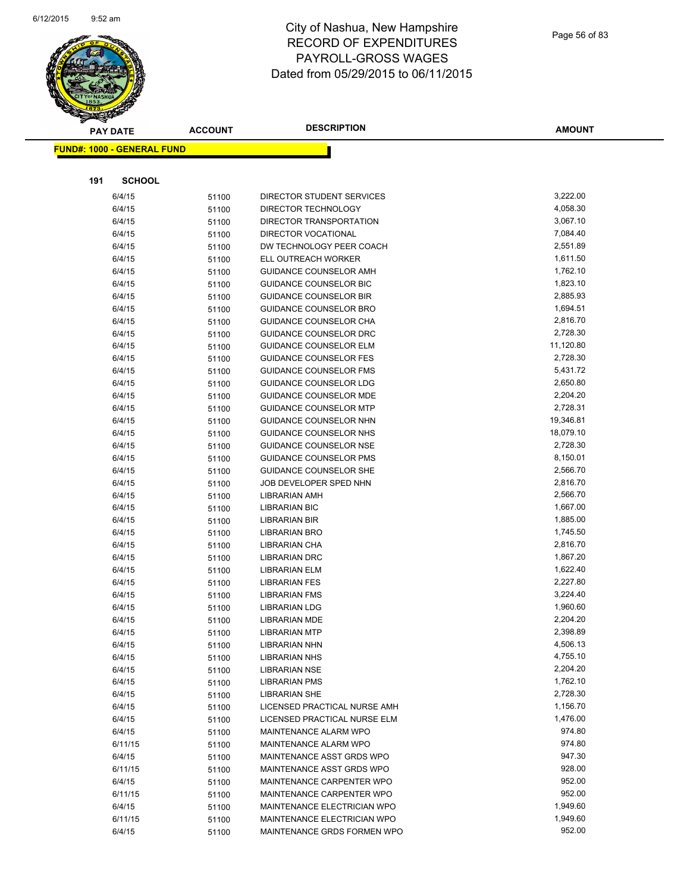

|     | <b>PAY DATE</b>                   | <b>ACCOUNT</b> | <b>DESCRIPTION</b>                    | <b>AMOUNT</b>        |
|-----|-----------------------------------|----------------|---------------------------------------|----------------------|
|     | <b>FUND#: 1000 - GENERAL FUND</b> |                |                                       |                      |
|     |                                   |                |                                       |                      |
|     |                                   |                |                                       |                      |
| 191 | <b>SCHOOL</b>                     |                |                                       |                      |
|     | 6/4/15                            | 51100          | DIRECTOR STUDENT SERVICES             | 3,222.00             |
|     | 6/4/15                            | 51100          | DIRECTOR TECHNOLOGY                   | 4,058.30             |
|     | 6/4/15                            | 51100          | DIRECTOR TRANSPORTATION               | 3,067.10             |
|     | 6/4/15                            | 51100          | <b>DIRECTOR VOCATIONAL</b>            | 7,084.40             |
|     | 6/4/15                            | 51100          | DW TECHNOLOGY PEER COACH              | 2,551.89             |
|     | 6/4/15                            | 51100          | ELL OUTREACH WORKER                   | 1,611.50             |
|     | 6/4/15                            | 51100          | GUIDANCE COUNSELOR AMH                | 1,762.10             |
|     | 6/4/15                            | 51100          | GUIDANCE COUNSELOR BIC                | 1,823.10             |
|     | 6/4/15                            | 51100          | <b>GUIDANCE COUNSELOR BIR</b>         | 2,885.93             |
|     | 6/4/15                            | 51100          | GUIDANCE COUNSELOR BRO                | 1,694.51             |
|     | 6/4/15                            | 51100          | GUIDANCE COUNSELOR CHA                | 2,816.70             |
|     | 6/4/15                            | 51100          | GUIDANCE COUNSELOR DRC                | 2,728.30             |
|     | 6/4/15                            | 51100          | <b>GUIDANCE COUNSELOR ELM</b>         | 11,120.80            |
|     | 6/4/15                            | 51100          | <b>GUIDANCE COUNSELOR FES</b>         | 2,728.30             |
|     | 6/4/15                            | 51100          | <b>GUIDANCE COUNSELOR FMS</b>         | 5,431.72             |
|     | 6/4/15                            | 51100          | <b>GUIDANCE COUNSELOR LDG</b>         | 2,650.80             |
|     | 6/4/15                            | 51100          | <b>GUIDANCE COUNSELOR MDE</b>         | 2,204.20             |
|     | 6/4/15                            | 51100          | <b>GUIDANCE COUNSELOR MTP</b>         | 2,728.31             |
|     | 6/4/15                            | 51100          | GUIDANCE COUNSELOR NHN                | 19,346.81            |
|     | 6/4/15                            | 51100          | GUIDANCE COUNSELOR NHS                | 18,079.10            |
|     | 6/4/15                            | 51100          | <b>GUIDANCE COUNSELOR NSE</b>         | 2,728.30             |
|     | 6/4/15                            | 51100          | <b>GUIDANCE COUNSELOR PMS</b>         | 8,150.01             |
|     | 6/4/15                            | 51100          | GUIDANCE COUNSELOR SHE                | 2,566.70             |
|     | 6/4/15                            | 51100          | JOB DEVELOPER SPED NHN                | 2,816.70             |
|     | 6/4/15                            | 51100          | <b>LIBRARIAN AMH</b>                  | 2,566.70             |
|     | 6/4/15                            | 51100          | LIBRARIAN BIC                         | 1,667.00             |
|     | 6/4/15                            | 51100          | <b>LIBRARIAN BIR</b>                  | 1,885.00             |
|     | 6/4/15                            | 51100          | <b>LIBRARIAN BRO</b>                  | 1,745.50             |
|     | 6/4/15                            | 51100          | LIBRARIAN CHA                         | 2,816.70             |
|     | 6/4/15                            | 51100          | <b>LIBRARIAN DRC</b>                  | 1,867.20<br>1,622.40 |
|     | 6/4/15                            | 51100          | <b>LIBRARIAN ELM</b>                  |                      |
|     | 6/4/15                            | 51100          | <b>LIBRARIAN FES</b>                  | 2,227.80<br>3,224.40 |
|     | 6/4/15                            | 51100          | <b>LIBRARIAN FMS</b>                  | 1,960.60             |
|     | 6/4/15<br>6/4/15                  | 51100          | LIBRARIAN LDG<br><b>LIBRARIAN MDE</b> | 2,204.20             |
|     | 6/4/15                            | 51100          | <b>LIBRARIAN MTP</b>                  | 2,398.89             |
|     | 6/4/15                            | 51100<br>51100 | <b>LIBRARIAN NHN</b>                  | 4,506.13             |
|     | 6/4/15                            |                | <b>LIBRARIAN NHS</b>                  | 4,755.10             |
|     | 6/4/15                            | 51100          | <b>LIBRARIAN NSE</b>                  | 2,204.20             |
|     | 6/4/15                            | 51100<br>51100 | <b>LIBRARIAN PMS</b>                  | 1,762.10             |
|     | 6/4/15                            | 51100          | <b>LIBRARIAN SHE</b>                  | 2,728.30             |
|     | 6/4/15                            | 51100          | LICENSED PRACTICAL NURSE AMH          | 1,156.70             |
|     | 6/4/15                            | 51100          | LICENSED PRACTICAL NURSE ELM          | 1,476.00             |
|     | 6/4/15                            | 51100          | MAINTENANCE ALARM WPO                 | 974.80               |
|     | 6/11/15                           | 51100          | MAINTENANCE ALARM WPO                 | 974.80               |
|     | 6/4/15                            | 51100          | MAINTENANCE ASST GRDS WPO             | 947.30               |
|     | 6/11/15                           | 51100          | MAINTENANCE ASST GRDS WPO             | 928.00               |
|     | 6/4/15                            | 51100          | MAINTENANCE CARPENTER WPO             | 952.00               |
|     | 6/11/15                           | 51100          | MAINTENANCE CARPENTER WPO             | 952.00               |
|     | 6/4/15                            | 51100          | MAINTENANCE ELECTRICIAN WPO           | 1,949.60             |
|     | 6/11/15                           | 51100          | MAINTENANCE ELECTRICIAN WPO           | 1,949.60             |
|     | 6/4/15                            | 51100          | MAINTENANCE GRDS FORMEN WPO           | 952.00               |
|     |                                   |                |                                       |                      |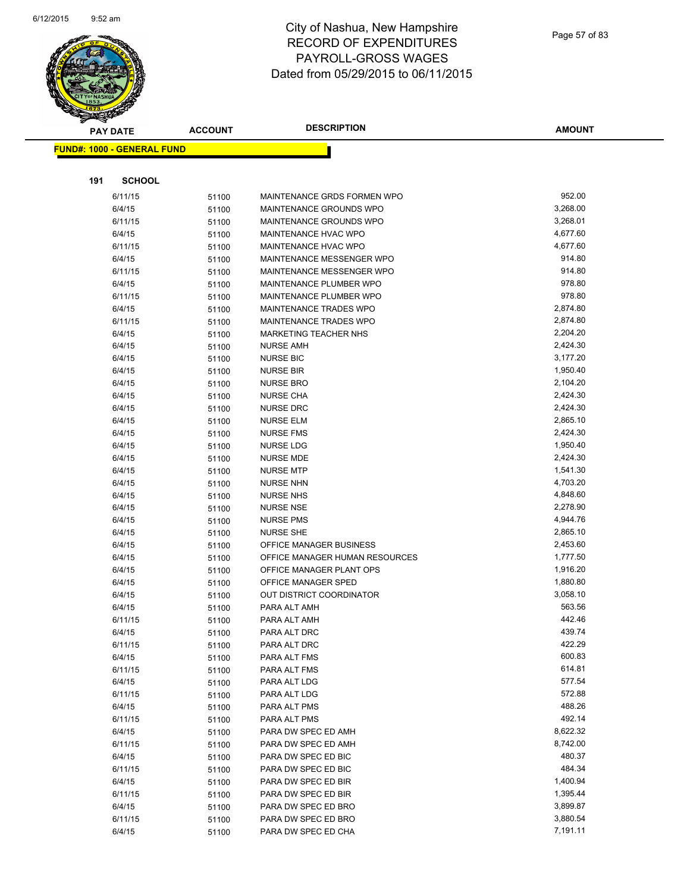

|     | <b>PAY DATE</b>                   | <b>ACCOUNT</b> | <b>DESCRIPTION</b>                   | <b>AMOUNT</b>        |
|-----|-----------------------------------|----------------|--------------------------------------|----------------------|
|     | <b>FUND#: 1000 - GENERAL FUND</b> |                |                                      |                      |
|     |                                   |                |                                      |                      |
|     |                                   |                |                                      |                      |
| 191 | <b>SCHOOL</b>                     |                |                                      |                      |
|     | 6/11/15                           | 51100          | MAINTENANCE GRDS FORMEN WPO          | 952.00               |
|     | 6/4/15                            | 51100          | MAINTENANCE GROUNDS WPO              | 3,268.00             |
|     | 6/11/15                           | 51100          | MAINTENANCE GROUNDS WPO              | 3,268.01             |
|     | 6/4/15                            | 51100          | MAINTENANCE HVAC WPO                 | 4,677.60             |
|     | 6/11/15                           | 51100          | MAINTENANCE HVAC WPO                 | 4,677.60             |
|     | 6/4/15                            | 51100          | MAINTENANCE MESSENGER WPO            | 914.80               |
|     | 6/11/15                           | 51100          | MAINTENANCE MESSENGER WPO            | 914.80               |
|     | 6/4/15                            | 51100          | MAINTENANCE PLUMBER WPO              | 978.80               |
|     | 6/11/15                           | 51100          | MAINTENANCE PLUMBER WPO              | 978.80               |
|     | 6/4/15                            | 51100          | MAINTENANCE TRADES WPO               | 2,874.80             |
|     | 6/11/15                           | 51100          | MAINTENANCE TRADES WPO               | 2,874.80             |
|     | 6/4/15                            | 51100          | <b>MARKETING TEACHER NHS</b>         | 2,204.20             |
|     | 6/4/15                            | 51100          | <b>NURSE AMH</b>                     | 2,424.30             |
|     | 6/4/15                            | 51100          | <b>NURSE BIC</b>                     | 3,177.20             |
|     | 6/4/15                            | 51100          | <b>NURSE BIR</b>                     | 1,950.40             |
|     | 6/4/15                            | 51100          | <b>NURSE BRO</b>                     | 2,104.20             |
|     | 6/4/15                            | 51100          | <b>NURSE CHA</b>                     | 2,424.30             |
|     | 6/4/15                            | 51100          | <b>NURSE DRC</b>                     | 2,424.30             |
|     | 6/4/15                            | 51100          | <b>NURSE ELM</b>                     | 2,865.10<br>2,424.30 |
|     | 6/4/15                            | 51100          | <b>NURSE FMS</b>                     | 1,950.40             |
|     | 6/4/15                            | 51100          | NURSE LDG                            | 2,424.30             |
|     | 6/4/15<br>6/4/15                  | 51100          | <b>NURSE MDE</b><br><b>NURSE MTP</b> | 1,541.30             |
|     | 6/4/15                            | 51100          | <b>NURSE NHN</b>                     | 4,703.20             |
|     | 6/4/15                            | 51100          | <b>NURSE NHS</b>                     | 4,848.60             |
|     | 6/4/15                            | 51100          | <b>NURSE NSE</b>                     | 2,278.90             |
|     | 6/4/15                            | 51100<br>51100 | <b>NURSE PMS</b>                     | 4,944.76             |
|     | 6/4/15                            | 51100          | <b>NURSE SHE</b>                     | 2,865.10             |
|     | 6/4/15                            | 51100          | OFFICE MANAGER BUSINESS              | 2,453.60             |
|     | 6/4/15                            | 51100          | OFFICE MANAGER HUMAN RESOURCES       | 1,777.50             |
|     | 6/4/15                            | 51100          | OFFICE MANAGER PLANT OPS             | 1,916.20             |
|     | 6/4/15                            | 51100          | OFFICE MANAGER SPED                  | 1,880.80             |
|     | 6/4/15                            | 51100          | OUT DISTRICT COORDINATOR             | 3,058.10             |
|     | 6/4/15                            | 51100          | PARA ALT AMH                         | 563.56               |
|     | 6/11/15                           | 51100          | PARA ALT AMH                         | 442.46               |
|     | 6/4/15                            | 51100          | PARA ALT DRC                         | 439.74               |
|     | 6/11/15                           | 51100          | PARA ALT DRC                         | 422.29               |
|     | 6/4/15                            | 51100          | PARA ALT FMS                         | 600.83               |
|     | 6/11/15                           | 51100          | PARA ALT FMS                         | 614.81               |
|     | 6/4/15                            | 51100          | PARA ALT LDG                         | 577.54               |
|     | 6/11/15                           | 51100          | PARA ALT LDG                         | 572.88               |
|     | 6/4/15                            | 51100          | PARA ALT PMS                         | 488.26               |
|     | 6/11/15                           | 51100          | PARA ALT PMS                         | 492.14               |
|     | 6/4/15                            | 51100          | PARA DW SPEC ED AMH                  | 8,622.32             |
|     | 6/11/15                           | 51100          | PARA DW SPEC ED AMH                  | 8,742.00             |
|     | 6/4/15                            | 51100          | PARA DW SPEC ED BIC                  | 480.37               |
|     | 6/11/15                           | 51100          | PARA DW SPEC ED BIC                  | 484.34               |
|     | 6/4/15                            | 51100          | PARA DW SPEC ED BIR                  | 1,400.94             |
|     | 6/11/15                           | 51100          | PARA DW SPEC ED BIR                  | 1,395.44             |
|     | 6/4/15                            | 51100          | PARA DW SPEC ED BRO                  | 3,899.87             |
|     | 6/11/15                           | 51100          | PARA DW SPEC ED BRO                  | 3,880.54             |
|     | 6/4/15                            | 51100          | PARA DW SPEC ED CHA                  | 7,191.11             |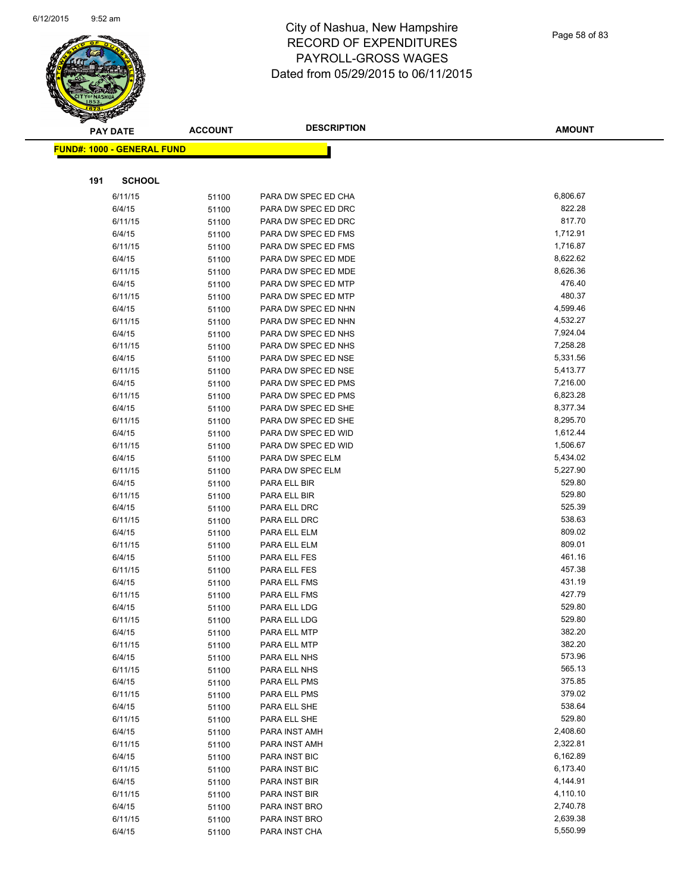

| $\tilde{\phantom{a}}$ | <b>PAY DATE</b>                   | <b>ACCOUNT</b> | <b>DESCRIPTION</b>                         | <b>AMOUNT</b>      |
|-----------------------|-----------------------------------|----------------|--------------------------------------------|--------------------|
|                       | <b>FUND#: 1000 - GENERAL FUND</b> |                |                                            |                    |
|                       |                                   |                |                                            |                    |
|                       |                                   |                |                                            |                    |
| 191                   | <b>SCHOOL</b>                     |                |                                            |                    |
|                       | 6/11/15                           | 51100          | PARA DW SPEC ED CHA                        | 6,806.67           |
|                       | 6/4/15                            | 51100          | PARA DW SPEC ED DRC                        | 822.28             |
|                       | 6/11/15                           | 51100          | PARA DW SPEC ED DRC                        | 817.70             |
|                       | 6/4/15                            | 51100          | PARA DW SPEC ED FMS                        | 1,712.91           |
|                       | 6/11/15                           | 51100          | PARA DW SPEC ED FMS                        | 1,716.87           |
|                       | 6/4/15                            | 51100          | PARA DW SPEC ED MDE                        | 8,622.62           |
|                       | 6/11/15<br>6/4/15                 | 51100          | PARA DW SPEC ED MDE<br>PARA DW SPEC ED MTP | 8,626.36<br>476.40 |
|                       | 6/11/15                           | 51100          | PARA DW SPEC ED MTP                        | 480.37             |
|                       | 6/4/15                            | 51100          | PARA DW SPEC ED NHN                        | 4,599.46           |
|                       | 6/11/15                           | 51100<br>51100 | PARA DW SPEC ED NHN                        | 4,532.27           |
|                       | 6/4/15                            | 51100          | PARA DW SPEC ED NHS                        | 7,924.04           |
|                       | 6/11/15                           | 51100          | PARA DW SPEC ED NHS                        | 7,258.28           |
|                       | 6/4/15                            | 51100          | PARA DW SPEC ED NSE                        | 5,331.56           |
|                       | 6/11/15                           | 51100          | PARA DW SPEC ED NSE                        | 5,413.77           |
|                       | 6/4/15                            | 51100          | PARA DW SPEC ED PMS                        | 7,216.00           |
|                       | 6/11/15                           | 51100          | PARA DW SPEC ED PMS                        | 6,823.28           |
|                       | 6/4/15                            | 51100          | PARA DW SPEC ED SHE                        | 8,377.34           |
|                       | 6/11/15                           | 51100          | PARA DW SPEC ED SHE                        | 8,295.70           |
|                       | 6/4/15                            | 51100          | PARA DW SPEC ED WID                        | 1,612.44           |
|                       | 6/11/15                           | 51100          | PARA DW SPEC ED WID                        | 1,506.67           |
|                       | 6/4/15                            | 51100          | PARA DW SPEC ELM                           | 5,434.02           |
|                       | 6/11/15                           | 51100          | PARA DW SPEC ELM                           | 5,227.90           |
|                       | 6/4/15                            | 51100          | PARA ELL BIR                               | 529.80             |
|                       | 6/11/15                           | 51100          | PARA ELL BIR                               | 529.80             |
|                       | 6/4/15                            | 51100          | PARA ELL DRC                               | 525.39             |
|                       | 6/11/15                           | 51100          | PARA ELL DRC                               | 538.63             |
|                       | 6/4/15                            | 51100          | PARA ELL ELM                               | 809.02             |
|                       | 6/11/15                           | 51100          | PARA ELL ELM                               | 809.01             |
|                       | 6/4/15                            | 51100          | PARA ELL FES                               | 461.16             |
|                       | 6/11/15                           | 51100          | PARA ELL FES                               | 457.38             |
|                       | 6/4/15                            | 51100          | PARA ELL FMS                               | 431.19             |
|                       | 6/11/15                           | 51100          | PARA ELL FMS                               | 427.79             |
|                       | 6/4/15                            | 51100          | PARA ELL LDG                               | 529.80             |
|                       | 6/11/15                           | 51100          | PARA ELL LDG                               | 529.80             |
|                       | 6/4/15                            | 51100          | PARA ELL MTP                               | 382.20             |
|                       | 6/11/15                           | 51100          | PARA ELL MTP                               | 382.20             |
|                       | 6/4/15                            | 51100          | PARA ELL NHS                               | 573.96             |
|                       | 6/11/15                           | 51100          | PARA ELL NHS                               | 565.13             |
|                       | 6/4/15                            | 51100          | PARA ELL PMS                               | 375.85             |
|                       | 6/11/15                           | 51100          | PARA ELL PMS                               | 379.02             |
|                       | 6/4/15                            | 51100          | PARA ELL SHE                               | 538.64             |
|                       | 6/11/15                           | 51100          | PARA ELL SHE                               | 529.80             |
|                       | 6/4/15                            | 51100          | PARA INST AMH                              | 2,408.60           |
|                       | 6/11/15                           | 51100          | PARA INST AMH                              | 2,322.81           |
|                       | 6/4/15                            | 51100          | PARA INST BIC                              | 6,162.89           |
|                       | 6/11/15                           | 51100          | PARA INST BIC                              | 6,173.40           |
|                       | 6/4/15                            | 51100          | PARA INST BIR                              | 4,144.91           |
|                       | 6/11/15                           | 51100          | PARA INST BIR                              | 4,110.10           |
|                       | 6/4/15                            | 51100          | PARA INST BRO                              | 2,740.78           |
|                       | 6/11/15                           | 51100          | PARA INST BRO                              | 2,639.38           |
|                       | 6/4/15                            | 51100          | PARA INST CHA                              | 5,550.99           |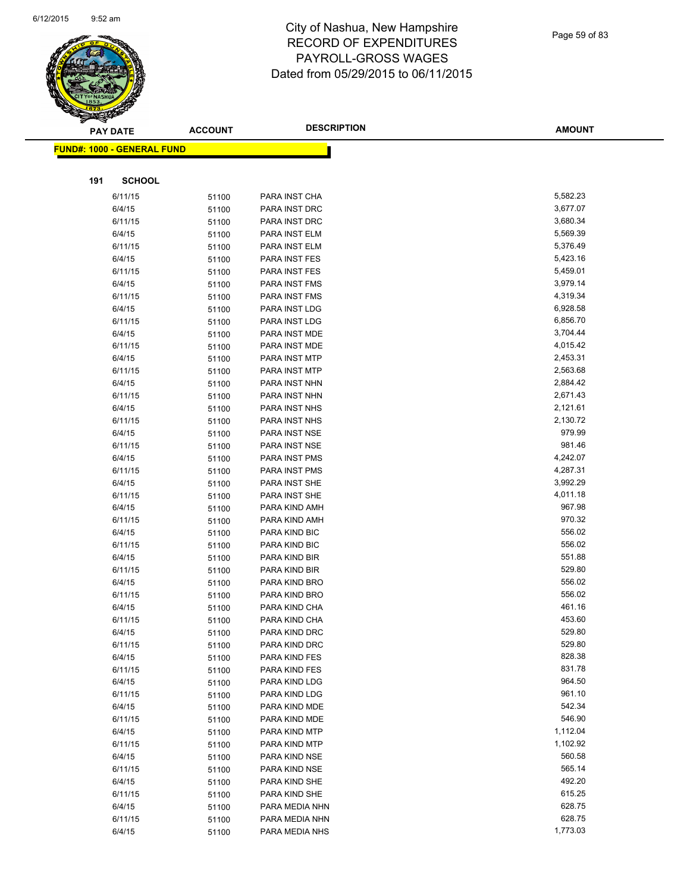

|     | <b>PAY DATE</b>            | <b>ACCOUNT</b> | <b>DESCRIPTION</b>             | <b>AMOUNT</b>        |
|-----|----------------------------|----------------|--------------------------------|----------------------|
|     | FUND#: 1000 - GENERAL FUND |                |                                |                      |
|     |                            |                |                                |                      |
|     |                            |                |                                |                      |
| 191 | <b>SCHOOL</b>              |                |                                |                      |
|     | 6/11/15                    | 51100          | PARA INST CHA                  | 5,582.23             |
|     | 6/4/15                     | 51100          | PARA INST DRC                  | 3,677.07             |
|     | 6/11/15                    | 51100          | PARA INST DRC                  | 3,680.34             |
|     | 6/4/15                     | 51100          | PARA INST ELM                  | 5,569.39             |
|     | 6/11/15                    | 51100          | PARA INST ELM                  | 5,376.49             |
|     | 6/4/15                     | 51100          | PARA INST FES                  | 5,423.16             |
|     | 6/11/15                    | 51100          | PARA INST FES                  | 5,459.01             |
|     | 6/4/15                     | 51100          | PARA INST FMS                  | 3,979.14             |
|     | 6/11/15                    | 51100          | PARA INST FMS                  | 4,319.34             |
|     | 6/4/15                     | 51100          | PARA INST LDG                  | 6,928.58             |
|     | 6/11/15                    | 51100          | PARA INST LDG                  | 6,856.70             |
|     | 6/4/15                     | 51100          | PARA INST MDE                  | 3,704.44             |
|     | 6/11/15                    | 51100          | PARA INST MDE                  | 4,015.42<br>2,453.31 |
|     | 6/4/15                     | 51100          | PARA INST MTP                  | 2,563.68             |
|     | 6/11/15                    | 51100          | PARA INST MTP<br>PARA INST NHN | 2,884.42             |
|     | 6/4/15<br>6/11/15          | 51100          | PARA INST NHN                  | 2,671.43             |
|     | 6/4/15                     | 51100          | PARA INST NHS                  | 2,121.61             |
|     | 6/11/15                    | 51100          | PARA INST NHS                  | 2,130.72             |
|     | 6/4/15                     | 51100          | PARA INST NSE                  | 979.99               |
|     | 6/11/15                    | 51100<br>51100 | PARA INST NSE                  | 981.46               |
|     | 6/4/15                     | 51100          | PARA INST PMS                  | 4,242.07             |
|     | 6/11/15                    | 51100          | PARA INST PMS                  | 4,287.31             |
|     | 6/4/15                     | 51100          | PARA INST SHE                  | 3,992.29             |
|     | 6/11/15                    | 51100          | PARA INST SHE                  | 4,011.18             |
|     | 6/4/15                     | 51100          | PARA KIND AMH                  | 967.98               |
|     | 6/11/15                    | 51100          | PARA KIND AMH                  | 970.32               |
|     | 6/4/15                     | 51100          | PARA KIND BIC                  | 556.02               |
|     | 6/11/15                    | 51100          | PARA KIND BIC                  | 556.02               |
|     | 6/4/15                     | 51100          | PARA KIND BIR                  | 551.88               |
|     | 6/11/15                    | 51100          | PARA KIND BIR                  | 529.80               |
|     | 6/4/15                     | 51100          | PARA KIND BRO                  | 556.02               |
|     | 6/11/15                    | 51100          | PARA KIND BRO                  | 556.02               |
|     | 6/4/15                     | 51100          | PARA KIND CHA                  | 461.16               |
|     | 6/11/15                    | 51100          | PARA KIND CHA                  | 453.60               |
|     | 6/4/15                     | 51100          | PARA KIND DRC                  | 529.80               |
|     | 6/11/15                    | 51100          | PARA KIND DRC                  | 529.80               |
|     | 6/4/15                     | 51100          | PARA KIND FES                  | 828.38               |
|     | 6/11/15                    | 51100          | PARA KIND FES                  | 831.78               |
|     | 6/4/15                     | 51100          | PARA KIND LDG                  | 964.50               |
|     | 6/11/15                    | 51100          | PARA KIND LDG                  | 961.10               |
|     | 6/4/15                     | 51100          | PARA KIND MDE                  | 542.34               |
|     | 6/11/15                    | 51100          | PARA KIND MDE                  | 546.90               |
|     | 6/4/15                     | 51100          | PARA KIND MTP                  | 1,112.04             |
|     | 6/11/15                    | 51100          | PARA KIND MTP                  | 1,102.92             |
|     | 6/4/15                     | 51100          | PARA KIND NSE                  | 560.58               |
|     | 6/11/15                    | 51100          | PARA KIND NSE                  | 565.14               |
|     | 6/4/15                     | 51100          | PARA KIND SHE                  | 492.20               |
|     | 6/11/15                    | 51100          | PARA KIND SHE                  | 615.25               |
|     | 6/4/15                     | 51100          | PARA MEDIA NHN                 | 628.75               |
|     | 6/11/15                    | 51100          | PARA MEDIA NHN                 | 628.75               |
|     | 6/4/15                     | 51100          | PARA MEDIA NHS                 | 1,773.03             |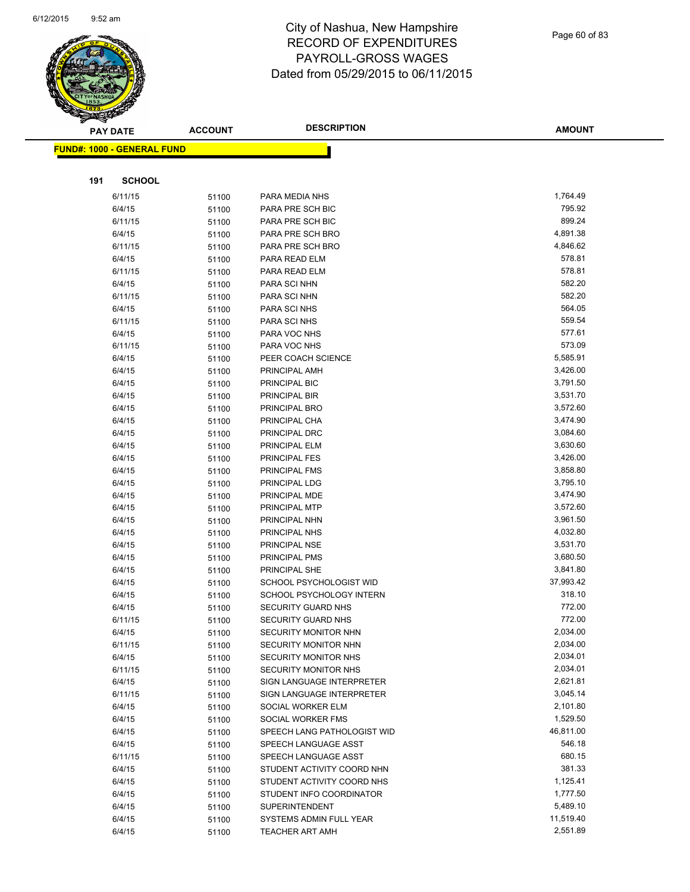

|     | <b>PAY DATE</b>                   | <b>ACCOUNT</b> | <b>DESCRIPTION</b>                  | <b>AMOUNT</b>    |
|-----|-----------------------------------|----------------|-------------------------------------|------------------|
|     | <b>FUND#: 1000 - GENERAL FUND</b> |                |                                     |                  |
|     |                                   |                |                                     |                  |
|     |                                   |                |                                     |                  |
| 191 | <b>SCHOOL</b>                     |                |                                     |                  |
|     | 6/11/15                           | 51100          | PARA MEDIA NHS                      | 1,764.49         |
|     | 6/4/15                            | 51100          | PARA PRE SCH BIC                    | 795.92           |
|     | 6/11/15                           | 51100          | PARA PRE SCH BIC                    | 899.24           |
|     | 6/4/15                            | 51100          | PARA PRE SCH BRO                    | 4,891.38         |
|     | 6/11/15                           | 51100          | PARA PRE SCH BRO                    | 4,846.62         |
|     | 6/4/15                            | 51100          | PARA READ ELM                       | 578.81           |
|     | 6/11/15                           | 51100          | PARA READ ELM                       | 578.81           |
|     | 6/4/15                            | 51100          | PARA SCI NHN                        | 582.20           |
|     | 6/11/15                           | 51100          | PARA SCI NHN                        | 582.20           |
|     | 6/4/15                            | 51100          | PARA SCI NHS                        | 564.05           |
|     | 6/11/15                           | 51100          | PARA SCI NHS                        | 559.54<br>577.61 |
|     | 6/4/15                            | 51100          | PARA VOC NHS                        | 573.09           |
|     | 6/11/15                           | 51100          | PARA VOC NHS                        | 5,585.91         |
|     | 6/4/15<br>6/4/15                  | 51100          | PEER COACH SCIENCE<br>PRINCIPAL AMH | 3,426.00         |
|     |                                   | 51100          | PRINCIPAL BIC                       | 3,791.50         |
|     | 6/4/15<br>6/4/15                  | 51100          | PRINCIPAL BIR                       | 3,531.70         |
|     | 6/4/15                            | 51100          | PRINCIPAL BRO                       | 3,572.60         |
|     | 6/4/15                            | 51100          | PRINCIPAL CHA                       | 3,474.90         |
|     | 6/4/15                            | 51100<br>51100 | PRINCIPAL DRC                       | 3,084.60         |
|     | 6/4/15                            | 51100          | PRINCIPAL ELM                       | 3,630.60         |
|     | 6/4/15                            | 51100          | PRINCIPAL FES                       | 3,426.00         |
|     | 6/4/15                            | 51100          | PRINCIPAL FMS                       | 3,858.80         |
|     | 6/4/15                            | 51100          | PRINCIPAL LDG                       | 3,795.10         |
|     | 6/4/15                            | 51100          | PRINCIPAL MDE                       | 3,474.90         |
|     | 6/4/15                            | 51100          | PRINCIPAL MTP                       | 3,572.60         |
|     | 6/4/15                            | 51100          | PRINCIPAL NHN                       | 3,961.50         |
|     | 6/4/15                            | 51100          | PRINCIPAL NHS                       | 4,032.80         |
|     | 6/4/15                            | 51100          | PRINCIPAL NSE                       | 3,531.70         |
|     | 6/4/15                            | 51100          | PRINCIPAL PMS                       | 3,680.50         |
|     | 6/4/15                            | 51100          | PRINCIPAL SHE                       | 3,841.80         |
|     | 6/4/15                            | 51100          | SCHOOL PSYCHOLOGIST WID             | 37,993.42        |
|     | 6/4/15                            | 51100          | SCHOOL PSYCHOLOGY INTERN            | 318.10           |
|     | 6/4/15                            | 51100          | SECURITY GUARD NHS                  | 772.00           |
|     | 6/11/15                           | 51100          | <b>SECURITY GUARD NHS</b>           | 772.00           |
|     | 6/4/15                            | 51100          | SECURITY MONITOR NHN                | 2,034.00         |
|     | 6/11/15                           | 51100          | SECURITY MONITOR NHN                | 2,034.00         |
|     | 6/4/15                            | 51100          | SECURITY MONITOR NHS                | 2,034.01         |
|     | 6/11/15                           | 51100          | SECURITY MONITOR NHS                | 2,034.01         |
|     | 6/4/15                            | 51100          | SIGN LANGUAGE INTERPRETER           | 2,621.81         |
|     | 6/11/15                           | 51100          | SIGN LANGUAGE INTERPRETER           | 3,045.14         |
|     | 6/4/15                            | 51100          | SOCIAL WORKER ELM                   | 2,101.80         |
|     | 6/4/15                            | 51100          | SOCIAL WORKER FMS                   | 1,529.50         |
|     | 6/4/15                            | 51100          | SPEECH LANG PATHOLOGIST WID         | 46,811.00        |
|     | 6/4/15                            | 51100          | SPEECH LANGUAGE ASST                | 546.18           |
|     | 6/11/15                           | 51100          | SPEECH LANGUAGE ASST                | 680.15           |
|     | 6/4/15                            | 51100          | STUDENT ACTIVITY COORD NHN          | 381.33           |
|     | 6/4/15                            | 51100          | STUDENT ACTIVITY COORD NHS          | 1,125.41         |
|     | 6/4/15                            | 51100          | STUDENT INFO COORDINATOR            | 1,777.50         |
|     | 6/4/15                            | 51100          | <b>SUPERINTENDENT</b>               | 5,489.10         |
|     | 6/4/15                            | 51100          | SYSTEMS ADMIN FULL YEAR             | 11,519.40        |
|     | 6/4/15                            | 51100          | <b>TEACHER ART AMH</b>              | 2,551.89         |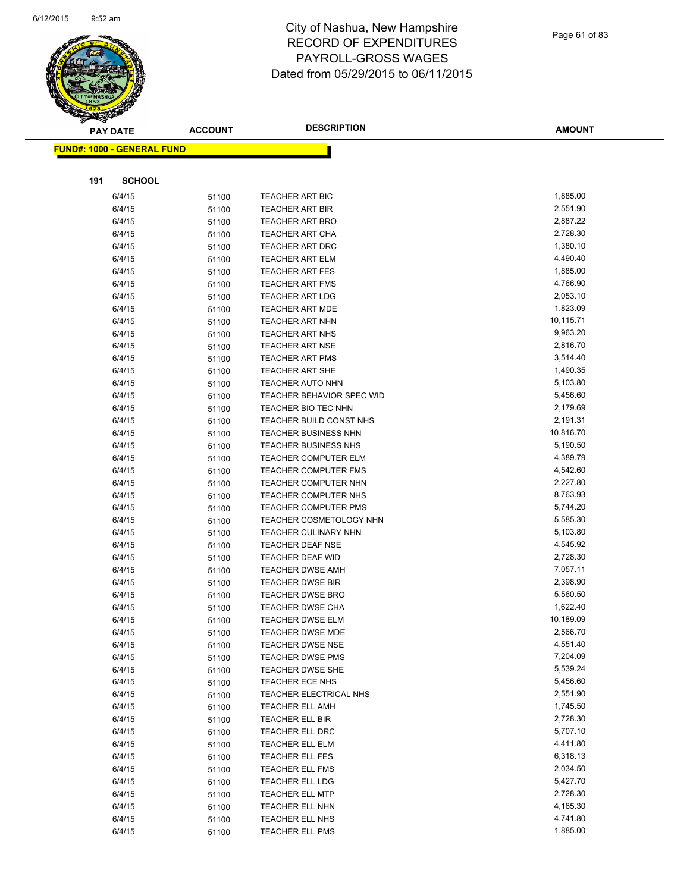

|     | <b>PAY DATE</b>                    | <b>ACCOUNT</b> | <b>DESCRIPTION</b>          | <b>AMOUNT</b> |
|-----|------------------------------------|----------------|-----------------------------|---------------|
|     | <u> FUND#: 1000 - GENERAL FUND</u> |                |                             |               |
|     |                                    |                |                             |               |
|     |                                    |                |                             |               |
| 191 | <b>SCHOOL</b>                      |                |                             |               |
|     | 6/4/15                             | 51100          | <b>TEACHER ART BIC</b>      | 1,885.00      |
|     | 6/4/15                             | 51100          | <b>TEACHER ART BIR</b>      | 2,551.90      |
|     | 6/4/15                             | 51100          | <b>TEACHER ART BRO</b>      | 2,887.22      |
|     | 6/4/15                             | 51100          | <b>TEACHER ART CHA</b>      | 2,728.30      |
|     | 6/4/15                             | 51100          | <b>TEACHER ART DRC</b>      | 1,380.10      |
|     | 6/4/15                             | 51100          | <b>TEACHER ART ELM</b>      | 4,490.40      |
|     | 6/4/15                             | 51100          | <b>TEACHER ART FES</b>      | 1,885.00      |
|     | 6/4/15                             | 51100          | <b>TEACHER ART FMS</b>      | 4,766.90      |
|     | 6/4/15                             | 51100          | <b>TEACHER ART LDG</b>      | 2,053.10      |
|     | 6/4/15                             | 51100          | <b>TEACHER ART MDE</b>      | 1,823.09      |
|     | 6/4/15                             | 51100          | <b>TEACHER ART NHN</b>      | 10,115.71     |
|     | 6/4/15                             | 51100          | <b>TEACHER ART NHS</b>      | 9,963.20      |
|     | 6/4/15                             | 51100          | <b>TEACHER ART NSE</b>      | 2,816.70      |
|     | 6/4/15                             | 51100          | <b>TEACHER ART PMS</b>      | 3,514.40      |
|     | 6/4/15                             | 51100          | <b>TEACHER ART SHE</b>      | 1,490.35      |
|     | 6/4/15                             | 51100          | <b>TEACHER AUTO NHN</b>     | 5,103.80      |
|     | 6/4/15                             | 51100          | TEACHER BEHAVIOR SPEC WID   | 5,456.60      |
|     | 6/4/15                             | 51100          | TEACHER BIO TEC NHN         | 2,179.69      |
|     | 6/4/15                             | 51100          | TEACHER BUILD CONST NHS     | 2,191.31      |
|     | 6/4/15                             | 51100          | <b>TEACHER BUSINESS NHN</b> | 10,816.70     |
|     | 6/4/15                             | 51100          | TEACHER BUSINESS NHS        | 5,190.50      |
|     | 6/4/15                             | 51100          | <b>TEACHER COMPUTER ELM</b> | 4,389.79      |
|     | 6/4/15                             | 51100          | <b>TEACHER COMPUTER FMS</b> | 4,542.60      |
|     | 6/4/15                             | 51100          | TEACHER COMPUTER NHN        | 2,227.80      |
|     | 6/4/15                             | 51100          | TEACHER COMPUTER NHS        | 8,763.93      |
|     | 6/4/15                             | 51100          | <b>TEACHER COMPUTER PMS</b> | 5,744.20      |
|     | 6/4/15                             | 51100          | TEACHER COSMETOLOGY NHN     | 5,585.30      |
|     | 6/4/15                             | 51100          | <b>TEACHER CULINARY NHN</b> | 5,103.80      |
|     | 6/4/15                             | 51100          | <b>TEACHER DEAF NSE</b>     | 4,545.92      |
|     | 6/4/15                             | 51100          | <b>TEACHER DEAF WID</b>     | 2,728.30      |
|     | 6/4/15                             | 51100          | <b>TEACHER DWSE AMH</b>     | 7,057.11      |
|     | 6/4/15                             | 51100          | <b>TEACHER DWSE BIR</b>     | 2,398.90      |
|     | 6/4/15                             | 51100          | <b>TEACHER DWSE BRO</b>     | 5,560.50      |
|     | 6/4/15                             | 51100          | <b>TEACHER DWSE CHA</b>     | 1,622.40      |
|     | 6/4/15                             | 51100          | <b>TEACHER DWSE ELM</b>     | 10,189.09     |
|     | 6/4/15                             | 51100          | TEACHER DWSE MDE            | 2,566.70      |
|     | 6/4/15                             | 51100          | <b>TEACHER DWSE NSE</b>     | 4,551.40      |
|     | 6/4/15                             | 51100          | TEACHER DWSE PMS            | 7,204.09      |
|     | 6/4/15                             | 51100          | <b>TEACHER DWSE SHE</b>     | 5,539.24      |
|     | 6/4/15                             | 51100          | TEACHER ECE NHS             | 5,456.60      |
|     | 6/4/15                             | 51100          | TEACHER ELECTRICAL NHS      | 2,551.90      |
|     | 6/4/15                             | 51100          | <b>TEACHER ELL AMH</b>      | 1,745.50      |
|     | 6/4/15                             | 51100          | TEACHER ELL BIR             | 2,728.30      |
|     | 6/4/15                             | 51100          | TEACHER ELL DRC             | 5,707.10      |
|     | 6/4/15                             | 51100          | <b>TEACHER ELL ELM</b>      | 4,411.80      |
|     | 6/4/15                             | 51100          | TEACHER ELL FES             | 6,318.13      |
|     | 6/4/15                             | 51100          | <b>TEACHER ELL FMS</b>      | 2,034.50      |
|     | 6/4/15                             | 51100          | <b>TEACHER ELL LDG</b>      | 5,427.70      |
|     | 6/4/15                             | 51100          | <b>TEACHER ELL MTP</b>      | 2,728.30      |
|     | 6/4/15                             | 51100          | TEACHER ELL NHN             | 4,165.30      |
|     | 6/4/15                             | 51100          | TEACHER ELL NHS             | 4,741.80      |
|     | 6/4/15                             | 51100          | TEACHER ELL PMS             | 1,885.00      |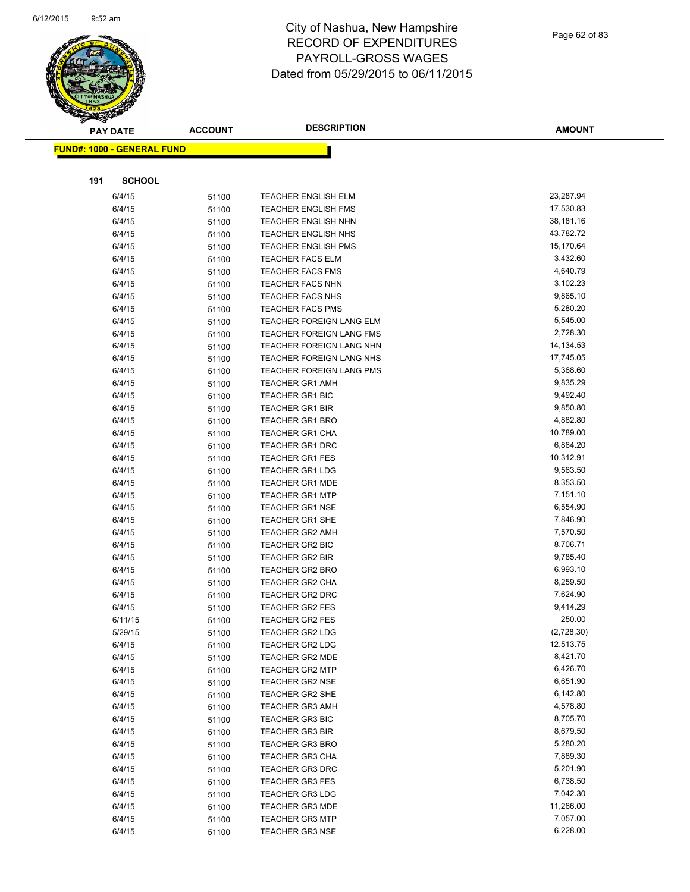

|     | <b>PAY DATE</b>                   | <b>ACCOUNT</b> | <b>DESCRIPTION</b>                               | <b>AMOUNT</b>        |
|-----|-----------------------------------|----------------|--------------------------------------------------|----------------------|
|     | <b>FUND#: 1000 - GENERAL FUND</b> |                |                                                  |                      |
|     |                                   |                |                                                  |                      |
| 191 | <b>SCHOOL</b>                     |                |                                                  |                      |
|     | 6/4/15                            | 51100          | <b>TEACHER ENGLISH ELM</b>                       | 23,287.94            |
|     | 6/4/15                            | 51100          | <b>TEACHER ENGLISH FMS</b>                       | 17,530.83            |
|     | 6/4/15                            | 51100          | <b>TEACHER ENGLISH NHN</b>                       | 38,181.16            |
|     | 6/4/15                            | 51100          | <b>TEACHER ENGLISH NHS</b>                       | 43,782.72            |
|     | 6/4/15                            | 51100          | <b>TEACHER ENGLISH PMS</b>                       | 15,170.64            |
|     | 6/4/15                            | 51100          | <b>TEACHER FACS ELM</b>                          | 3,432.60             |
|     | 6/4/15                            | 51100          | TEACHER FACS FMS                                 | 4,640.79             |
|     | 6/4/15                            | 51100          | <b>TEACHER FACS NHN</b>                          | 3,102.23             |
|     | 6/4/15                            | 51100          | <b>TEACHER FACS NHS</b>                          | 9,865.10             |
|     | 6/4/15                            | 51100          | <b>TEACHER FACS PMS</b>                          | 5,280.20             |
|     | 6/4/15                            | 51100          | <b>TEACHER FOREIGN LANG ELM</b>                  | 5,545.00             |
|     | 6/4/15                            | 51100          | TEACHER FOREIGN LANG FMS                         | 2,728.30             |
|     | 6/4/15                            | 51100          | TEACHER FOREIGN LANG NHN                         | 14,134.53            |
|     | 6/4/15                            | 51100          | TEACHER FOREIGN LANG NHS                         | 17,745.05            |
|     | 6/4/15                            | 51100          | TEACHER FOREIGN LANG PMS                         | 5,368.60             |
|     | 6/4/15                            | 51100          | TEACHER GR1 AMH                                  | 9,835.29             |
|     | 6/4/15                            | 51100          | <b>TEACHER GR1 BIC</b>                           | 9,492.40             |
|     | 6/4/15                            | 51100          | <b>TEACHER GR1 BIR</b>                           | 9,850.80             |
|     | 6/4/15                            | 51100          | <b>TEACHER GR1 BRO</b>                           | 4,882.80             |
|     | 6/4/15                            | 51100          | TEACHER GR1 CHA                                  | 10,789.00            |
|     | 6/4/15                            | 51100          | <b>TEACHER GR1 DRC</b>                           | 6,864.20             |
|     | 6/4/15                            | 51100          | <b>TEACHER GR1 FES</b>                           | 10,312.91            |
|     | 6/4/15                            | 51100          | <b>TEACHER GR1 LDG</b>                           | 9,563.50             |
|     | 6/4/15                            | 51100          | <b>TEACHER GR1 MDE</b>                           | 8,353.50             |
|     | 6/4/15                            | 51100          | <b>TEACHER GR1 MTP</b>                           | 7,151.10             |
|     | 6/4/15                            | 51100          | <b>TEACHER GR1 NSE</b>                           | 6,554.90             |
|     | 6/4/15                            | 51100          | <b>TEACHER GR1 SHE</b>                           | 7,846.90             |
|     | 6/4/15                            | 51100          | <b>TEACHER GR2 AMH</b>                           | 7,570.50             |
|     | 6/4/15                            | 51100          | TEACHER GR2 BIC                                  | 8,706.71             |
|     | 6/4/15                            | 51100          | <b>TEACHER GR2 BIR</b>                           | 9,785.40             |
|     | 6/4/15                            | 51100          | TEACHER GR2 BRO                                  | 6,993.10             |
|     | 6/4/15                            | 51100          | <b>TEACHER GR2 CHA</b>                           | 8,259.50<br>7,624.90 |
|     | 6/4/15<br>6/4/15                  | 51100          | <b>TEACHER GR2 DRC</b><br><b>TEACHER GR2 FES</b> | 9,414.29             |
|     | 6/11/15                           | 51100<br>51100 | <b>TEACHER GR2 FES</b>                           | 250.00               |
|     | 5/29/15                           | 51100          | <b>TEACHER GR2 LDG</b>                           | (2,728.30)           |
|     | 6/4/15                            | 51100          | <b>TEACHER GR2 LDG</b>                           | 12,513.75            |
|     | 6/4/15                            | 51100          | TEACHER GR2 MDE                                  | 8,421.70             |
|     | 6/4/15                            | 51100          | <b>TEACHER GR2 MTP</b>                           | 6,426.70             |
|     | 6/4/15                            | 51100          | <b>TEACHER GR2 NSE</b>                           | 6,651.90             |
|     | 6/4/15                            | 51100          | <b>TEACHER GR2 SHE</b>                           | 6,142.80             |
|     | 6/4/15                            | 51100          | <b>TEACHER GR3 AMH</b>                           | 4,578.80             |
|     | 6/4/15                            | 51100          | <b>TEACHER GR3 BIC</b>                           | 8,705.70             |
|     | 6/4/15                            | 51100          | <b>TEACHER GR3 BIR</b>                           | 8,679.50             |
|     | 6/4/15                            | 51100          | <b>TEACHER GR3 BRO</b>                           | 5,280.20             |
|     | 6/4/15                            | 51100          | <b>TEACHER GR3 CHA</b>                           | 7,889.30             |
|     | 6/4/15                            | 51100          | TEACHER GR3 DRC                                  | 5,201.90             |
|     | 6/4/15                            | 51100          | <b>TEACHER GR3 FES</b>                           | 6,738.50             |
|     | 6/4/15                            | 51100          | <b>TEACHER GR3 LDG</b>                           | 7,042.30             |
|     | 6/4/15                            | 51100          | <b>TEACHER GR3 MDE</b>                           | 11,266.00            |
|     | 6/4/15                            | 51100          | <b>TEACHER GR3 MTP</b>                           | 7,057.00             |
|     | 6/4/15                            | 51100          | <b>TEACHER GR3 NSE</b>                           | 6,228.00             |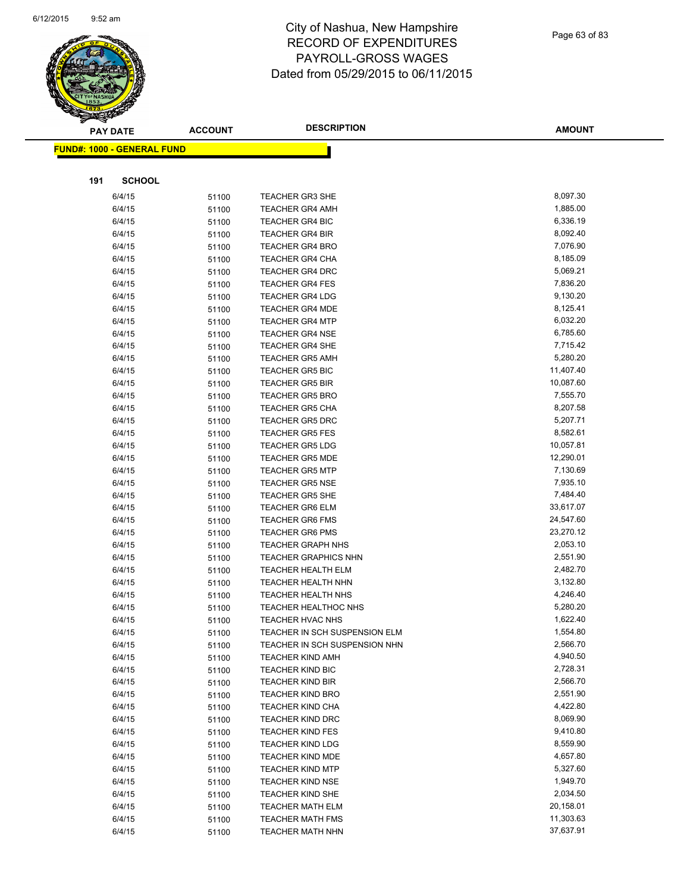

|     | <b>PAY DATE</b>                    | <b>ACCOUNT</b> | <b>DESCRIPTION</b>                               | <b>AMOUNT</b>        |
|-----|------------------------------------|----------------|--------------------------------------------------|----------------------|
|     | <u> FUND#: 1000 - GENERAL FUND</u> |                |                                                  |                      |
|     |                                    |                |                                                  |                      |
|     |                                    |                |                                                  |                      |
| 191 | <b>SCHOOL</b>                      |                |                                                  |                      |
|     | 6/4/15                             | 51100          | <b>TEACHER GR3 SHE</b>                           | 8,097.30             |
|     | 6/4/15                             | 51100          | <b>TEACHER GR4 AMH</b>                           | 1,885.00             |
|     | 6/4/15                             | 51100          | <b>TEACHER GR4 BIC</b>                           | 6,336.19             |
|     | 6/4/15                             | 51100          | <b>TEACHER GR4 BIR</b>                           | 8,092.40             |
|     | 6/4/15                             | 51100          | <b>TEACHER GR4 BRO</b>                           | 7,076.90             |
|     | 6/4/15                             | 51100          | <b>TEACHER GR4 CHA</b>                           | 8,185.09             |
|     | 6/4/15                             | 51100          | <b>TEACHER GR4 DRC</b>                           | 5,069.21             |
|     | 6/4/15                             | 51100          | <b>TEACHER GR4 FES</b>                           | 7,836.20             |
|     | 6/4/15                             | 51100          | <b>TEACHER GR4 LDG</b>                           | 9,130.20             |
|     | 6/4/15                             | 51100          | <b>TEACHER GR4 MDE</b>                           | 8,125.41             |
|     | 6/4/15                             | 51100          | <b>TEACHER GR4 MTP</b>                           | 6,032.20             |
|     | 6/4/15                             | 51100          | <b>TEACHER GR4 NSE</b>                           | 6,785.60             |
|     | 6/4/15                             | 51100          | <b>TEACHER GR4 SHE</b><br><b>TEACHER GR5 AMH</b> | 7,715.42<br>5,280.20 |
|     | 6/4/15<br>6/4/15                   | 51100          |                                                  | 11,407.40            |
|     |                                    | 51100          | <b>TEACHER GR5 BIC</b>                           | 10,087.60            |
|     | 6/4/15<br>6/4/15                   | 51100          | <b>TEACHER GR5 BIR</b><br><b>TEACHER GR5 BRO</b> | 7,555.70             |
|     | 6/4/15                             | 51100<br>51100 | <b>TEACHER GR5 CHA</b>                           | 8,207.58             |
|     | 6/4/15                             |                | <b>TEACHER GR5 DRC</b>                           | 5,207.71             |
|     | 6/4/15                             | 51100<br>51100 | <b>TEACHER GR5 FES</b>                           | 8,582.61             |
|     | 6/4/15                             | 51100          | <b>TEACHER GR5 LDG</b>                           | 10,057.81            |
|     | 6/4/15                             | 51100          | <b>TEACHER GR5 MDE</b>                           | 12,290.01            |
|     | 6/4/15                             | 51100          | <b>TEACHER GR5 MTP</b>                           | 7,130.69             |
|     | 6/4/15                             | 51100          | <b>TEACHER GR5 NSE</b>                           | 7,935.10             |
|     | 6/4/15                             | 51100          | <b>TEACHER GR5 SHE</b>                           | 7,484.40             |
|     | 6/4/15                             | 51100          | <b>TEACHER GR6 ELM</b>                           | 33,617.07            |
|     | 6/4/15                             | 51100          | <b>TEACHER GR6 FMS</b>                           | 24,547.60            |
|     | 6/4/15                             | 51100          | <b>TEACHER GR6 PMS</b>                           | 23,270.12            |
|     | 6/4/15                             | 51100          | <b>TEACHER GRAPH NHS</b>                         | 2,053.10             |
|     | 6/4/15                             | 51100          | <b>TEACHER GRAPHICS NHN</b>                      | 2,551.90             |
|     | 6/4/15                             | 51100          | <b>TEACHER HEALTH ELM</b>                        | 2,482.70             |
|     | 6/4/15                             | 51100          | TEACHER HEALTH NHN                               | 3,132.80             |
|     | 6/4/15                             | 51100          | TEACHER HEALTH NHS                               | 4,246.40             |
|     | 6/4/15                             | 51100          | <b>TEACHER HEALTHOC NHS</b>                      | 5,280.20             |
|     | 6/4/15                             | 51100          | <b>TEACHER HVAC NHS</b>                          | 1,622.40             |
|     | 6/4/15                             | 51100          | TEACHER IN SCH SUSPENSION ELM                    | 1,554.80             |
|     | 6/4/15                             | 51100          | TEACHER IN SCH SUSPENSION NHN                    | 2,566.70             |
|     | 6/4/15                             | 51100          | <b>TEACHER KIND AMH</b>                          | 4,940.50             |
|     | 6/4/15                             | 51100          | <b>TEACHER KIND BIC</b>                          | 2,728.31             |
|     | 6/4/15                             | 51100          | <b>TEACHER KIND BIR</b>                          | 2,566.70             |
|     | 6/4/15                             | 51100          | <b>TEACHER KIND BRO</b>                          | 2,551.90             |
|     | 6/4/15                             | 51100          | <b>TEACHER KIND CHA</b>                          | 4,422.80             |
|     | 6/4/15                             | 51100          | <b>TEACHER KIND DRC</b>                          | 8,069.90             |
|     | 6/4/15                             | 51100          | <b>TEACHER KIND FES</b>                          | 9,410.80             |
|     | 6/4/15                             | 51100          | <b>TEACHER KIND LDG</b>                          | 8,559.90             |
|     | 6/4/15                             | 51100          | TEACHER KIND MDE                                 | 4,657.80             |
|     | 6/4/15                             | 51100          | <b>TEACHER KIND MTP</b>                          | 5,327.60             |
|     | 6/4/15                             | 51100          | <b>TEACHER KIND NSE</b>                          | 1,949.70             |
|     | 6/4/15                             | 51100          | <b>TEACHER KIND SHE</b>                          | 2,034.50             |
|     | 6/4/15                             | 51100          | <b>TEACHER MATH ELM</b>                          | 20,158.01            |
|     | 6/4/15                             | 51100          | <b>TEACHER MATH FMS</b>                          | 11,303.63            |
|     | 6/4/15                             | 51100          | <b>TEACHER MATH NHN</b>                          | 37,637.91            |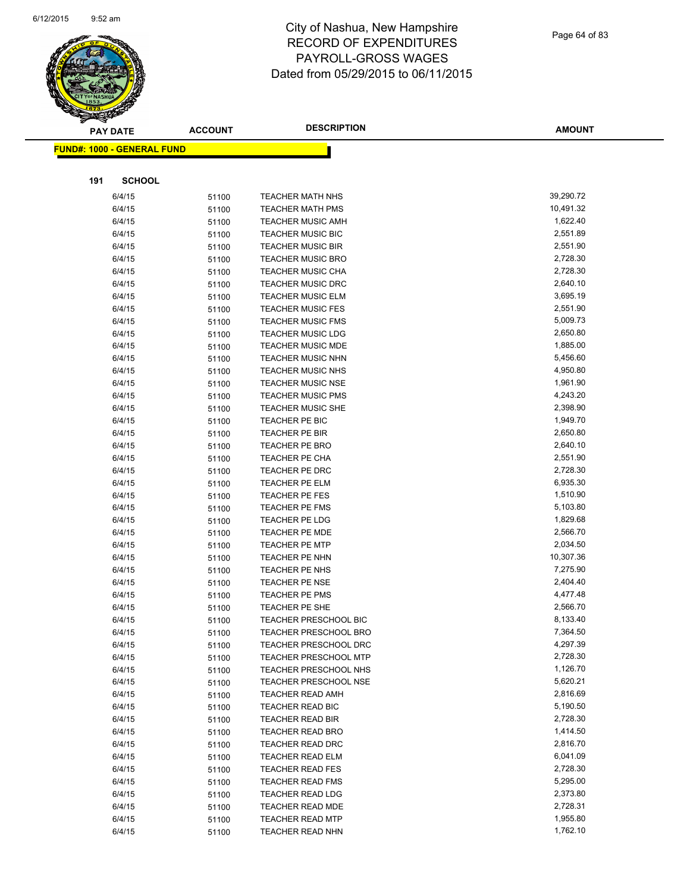

|     | <b>PAY DATE</b>                    | <b>ACCOUNT</b> | <b>DESCRIPTION</b>           | <b>AMOUNT</b> |
|-----|------------------------------------|----------------|------------------------------|---------------|
|     | <u> FUND#: 1000 - GENERAL FUND</u> |                |                              |               |
|     |                                    |                |                              |               |
| 191 | <b>SCHOOL</b>                      |                |                              |               |
|     | 6/4/15                             | 51100          | <b>TEACHER MATH NHS</b>      | 39,290.72     |
|     | 6/4/15                             | 51100          | <b>TEACHER MATH PMS</b>      | 10,491.32     |
|     | 6/4/15                             | 51100          | <b>TEACHER MUSIC AMH</b>     | 1,622.40      |
|     | 6/4/15                             | 51100          | <b>TEACHER MUSIC BIC</b>     | 2,551.89      |
|     | 6/4/15                             | 51100          | <b>TEACHER MUSIC BIR</b>     | 2,551.90      |
|     | 6/4/15                             | 51100          | <b>TEACHER MUSIC BRO</b>     | 2,728.30      |
|     | 6/4/15                             | 51100          | <b>TEACHER MUSIC CHA</b>     | 2,728.30      |
|     | 6/4/15                             | 51100          | <b>TEACHER MUSIC DRC</b>     | 2,640.10      |
|     | 6/4/15                             | 51100          | <b>TEACHER MUSIC ELM</b>     | 3,695.19      |
|     | 6/4/15                             | 51100          | <b>TEACHER MUSIC FES</b>     | 2,551.90      |
|     | 6/4/15                             | 51100          | <b>TEACHER MUSIC FMS</b>     | 5,009.73      |
|     | 6/4/15                             | 51100          | <b>TEACHER MUSIC LDG</b>     | 2,650.80      |
|     | 6/4/15                             | 51100          | <b>TEACHER MUSIC MDE</b>     | 1,885.00      |
|     | 6/4/15                             | 51100          | <b>TEACHER MUSIC NHN</b>     | 5,456.60      |
|     | 6/4/15                             | 51100          | <b>TEACHER MUSIC NHS</b>     | 4,950.80      |
|     | 6/4/15                             | 51100          | <b>TEACHER MUSIC NSE</b>     | 1,961.90      |
|     | 6/4/15                             | 51100          | <b>TEACHER MUSIC PMS</b>     | 4,243.20      |
|     | 6/4/15                             | 51100          | <b>TEACHER MUSIC SHE</b>     | 2,398.90      |
|     | 6/4/15                             | 51100          | TEACHER PE BIC               | 1,949.70      |
|     | 6/4/15                             | 51100          | TEACHER PE BIR               | 2,650.80      |
|     | 6/4/15                             | 51100          | <b>TEACHER PE BRO</b>        | 2,640.10      |
|     | 6/4/15                             | 51100          | TEACHER PE CHA               | 2,551.90      |
|     | 6/4/15                             | 51100          | TEACHER PE DRC               | 2,728.30      |
|     | 6/4/15                             | 51100          | TEACHER PE ELM               | 6,935.30      |
|     | 6/4/15                             | 51100          | TEACHER PE FES               | 1,510.90      |
|     | 6/4/15                             | 51100          | <b>TEACHER PE FMS</b>        | 5,103.80      |
|     | 6/4/15                             | 51100          | TEACHER PE LDG               | 1,829.68      |
|     | 6/4/15                             | 51100          | <b>TEACHER PE MDE</b>        | 2,566.70      |
|     | 6/4/15                             | 51100          | <b>TEACHER PE MTP</b>        | 2,034.50      |
|     | 6/4/15                             | 51100          | TEACHER PE NHN               | 10,307.36     |
|     | 6/4/15                             | 51100          | TEACHER PE NHS               | 7,275.90      |
|     | 6/4/15                             | 51100          | TEACHER PE NSE               | 2,404.40      |
|     | 6/4/15                             | 51100          | <b>TEACHER PE PMS</b>        | 4,477.48      |
|     | 6/4/15                             | 51100          | TEACHER PE SHE               | 2,566.70      |
|     | 6/4/15                             | 51100          | <b>TEACHER PRESCHOOL BIC</b> | 8,133.40      |
|     | 6/4/15                             | 51100          | TEACHER PRESCHOOL BRO        | 7,364.50      |
|     | 6/4/15                             | 51100          | <b>TEACHER PRESCHOOL DRC</b> | 4,297.39      |
|     | 6/4/15                             | 51100          | <b>TEACHER PRESCHOOL MTP</b> | 2,728.30      |
|     | 6/4/15                             | 51100          | <b>TEACHER PRESCHOOL NHS</b> | 1,126.70      |
|     | 6/4/15                             | 51100          | <b>TEACHER PRESCHOOL NSE</b> | 5,620.21      |
|     | 6/4/15                             | 51100          | <b>TEACHER READ AMH</b>      | 2,816.69      |
|     | 6/4/15                             | 51100          | TEACHER READ BIC             | 5,190.50      |
|     | 6/4/15                             | 51100          | <b>TEACHER READ BIR</b>      | 2,728.30      |
|     | 6/4/15                             | 51100          | <b>TEACHER READ BRO</b>      | 1,414.50      |
|     | 6/4/15                             | 51100          | <b>TEACHER READ DRC</b>      | 2,816.70      |
|     | 6/4/15                             | 51100          | <b>TEACHER READ ELM</b>      | 6,041.09      |
|     | 6/4/15                             | 51100          | <b>TEACHER READ FES</b>      | 2,728.30      |
|     | 6/4/15                             | 51100          | <b>TEACHER READ FMS</b>      | 5,295.00      |
|     | 6/4/15                             | 51100          | <b>TEACHER READ LDG</b>      | 2,373.80      |
|     | 6/4/15                             | 51100          | <b>TEACHER READ MDE</b>      | 2,728.31      |
|     | 6/4/15                             | 51100          | <b>TEACHER READ MTP</b>      | 1,955.80      |
|     | 6/4/15                             | 51100          | TEACHER READ NHN             | 1,762.10      |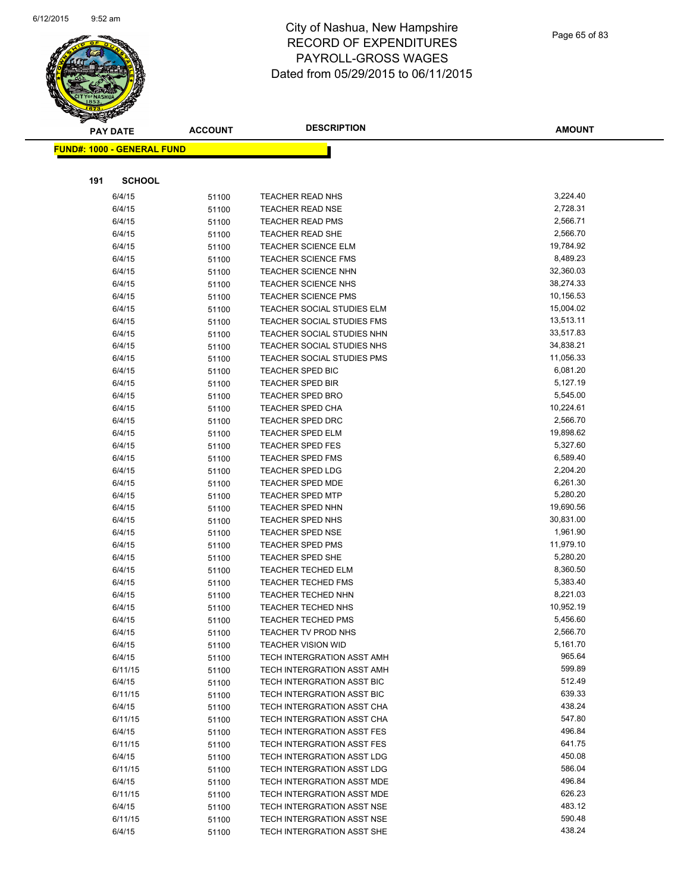

|     | <b>PAY DATE</b>                   | <b>ACCOUNT</b> | <b>DESCRIPTION</b>                                 | <b>AMOUNT</b>        |
|-----|-----------------------------------|----------------|----------------------------------------------------|----------------------|
|     | <b>FUND#: 1000 - GENERAL FUND</b> |                |                                                    |                      |
|     |                                   |                |                                                    |                      |
|     |                                   |                |                                                    |                      |
| 191 | <b>SCHOOL</b>                     |                |                                                    |                      |
|     | 6/4/15                            | 51100          | <b>TEACHER READ NHS</b>                            | 3,224.40             |
|     | 6/4/15                            | 51100          | <b>TEACHER READ NSE</b>                            | 2,728.31             |
|     | 6/4/15                            | 51100          | <b>TEACHER READ PMS</b>                            | 2,566.71             |
|     | 6/4/15                            | 51100          | <b>TEACHER READ SHE</b>                            | 2,566.70             |
|     | 6/4/15                            | 51100          | <b>TEACHER SCIENCE ELM</b>                         | 19,784.92            |
|     | 6/4/15                            | 51100          | <b>TEACHER SCIENCE FMS</b>                         | 8,489.23             |
|     | 6/4/15                            | 51100          | <b>TEACHER SCIENCE NHN</b>                         | 32,360.03            |
|     | 6/4/15                            | 51100          | <b>TEACHER SCIENCE NHS</b>                         | 38,274.33            |
|     | 6/4/15                            | 51100          | <b>TEACHER SCIENCE PMS</b>                         | 10,156.53            |
|     | 6/4/15                            | 51100          | TEACHER SOCIAL STUDIES ELM                         | 15,004.02            |
|     | 6/4/15                            | 51100          | TEACHER SOCIAL STUDIES FMS                         | 13,513.11            |
|     | 6/4/15                            | 51100          | TEACHER SOCIAL STUDIES NHN                         | 33,517.83            |
|     | 6/4/15                            | 51100          | TEACHER SOCIAL STUDIES NHS                         | 34,838.21            |
|     | 6/4/15                            | 51100          | TEACHER SOCIAL STUDIES PMS                         | 11,056.33            |
|     | 6/4/15                            | 51100          | <b>TEACHER SPED BIC</b>                            | 6,081.20             |
|     | 6/4/15                            | 51100          | <b>TEACHER SPED BIR</b>                            | 5,127.19             |
|     | 6/4/15                            | 51100          | <b>TEACHER SPED BRO</b>                            | 5,545.00             |
|     | 6/4/15                            | 51100          | <b>TEACHER SPED CHA</b>                            | 10,224.61            |
|     | 6/4/15                            | 51100          | <b>TEACHER SPED DRC</b>                            | 2,566.70             |
|     | 6/4/15                            | 51100          | <b>TEACHER SPED ELM</b>                            | 19,898.62            |
|     | 6/4/15                            | 51100          | <b>TEACHER SPED FES</b>                            | 5,327.60             |
|     | 6/4/15                            | 51100          | <b>TEACHER SPED FMS</b>                            | 6,589.40             |
|     | 6/4/15                            | 51100          | <b>TEACHER SPED LDG</b>                            | 2,204.20             |
|     | 6/4/15                            | 51100          | <b>TEACHER SPED MDE</b><br><b>TEACHER SPED MTP</b> | 6,261.30<br>5,280.20 |
|     | 6/4/15<br>6/4/15                  | 51100          | TEACHER SPED NHN                                   | 19,690.56            |
|     | 6/4/15                            | 51100          | TEACHER SPED NHS                                   | 30,831.00            |
|     | 6/4/15                            | 51100<br>51100 | <b>TEACHER SPED NSE</b>                            | 1,961.90             |
|     | 6/4/15                            | 51100          | <b>TEACHER SPED PMS</b>                            | 11,979.10            |
|     | 6/4/15                            | 51100          | <b>TEACHER SPED SHE</b>                            | 5,280.20             |
|     | 6/4/15                            | 51100          | TEACHER TECHED ELM                                 | 8,360.50             |
|     | 6/4/15                            | 51100          | <b>TEACHER TECHED FMS</b>                          | 5,383.40             |
|     | 6/4/15                            | 51100          | TEACHER TECHED NHN                                 | 8,221.03             |
|     | 6/4/15                            | 51100          | <b>TEACHER TECHED NHS</b>                          | 10,952.19            |
|     | 6/4/15                            | 51100          | <b>TEACHER TECHED PMS</b>                          | 5,456.60             |
|     | 6/4/15                            | 51100          | TEACHER TV PROD NHS                                | 2,566.70             |
|     | 6/4/15                            | 51100          | <b>TEACHER VISION WID</b>                          | 5,161.70             |
|     | 6/4/15                            | 51100          | TECH INTERGRATION ASST AMH                         | 965.64               |
|     | 6/11/15                           | 51100          | TECH INTERGRATION ASST AMH                         | 599.89               |
|     | 6/4/15                            | 51100          | TECH INTERGRATION ASST BIC                         | 512.49               |
|     | 6/11/15                           | 51100          | TECH INTERGRATION ASST BIC                         | 639.33               |
|     | 6/4/15                            | 51100          | TECH INTERGRATION ASST CHA                         | 438.24               |
|     | 6/11/15                           | 51100          | TECH INTERGRATION ASST CHA                         | 547.80               |
|     | 6/4/15                            | 51100          | TECH INTERGRATION ASST FES                         | 496.84               |
|     | 6/11/15                           | 51100          | TECH INTERGRATION ASST FES                         | 641.75               |
|     | 6/4/15                            | 51100          | TECH INTERGRATION ASST LDG                         | 450.08               |
|     | 6/11/15                           | 51100          | TECH INTERGRATION ASST LDG                         | 586.04               |
|     | 6/4/15                            | 51100          | TECH INTERGRATION ASST MDE                         | 496.84               |
|     | 6/11/15                           | 51100          | TECH INTERGRATION ASST MDE                         | 626.23               |
|     | 6/4/15                            | 51100          | TECH INTERGRATION ASST NSE                         | 483.12               |
|     | 6/11/15                           | 51100          | TECH INTERGRATION ASST NSE                         | 590.48               |
|     | 6/4/15                            | 51100          | TECH INTERGRATION ASST SHE                         | 438.24               |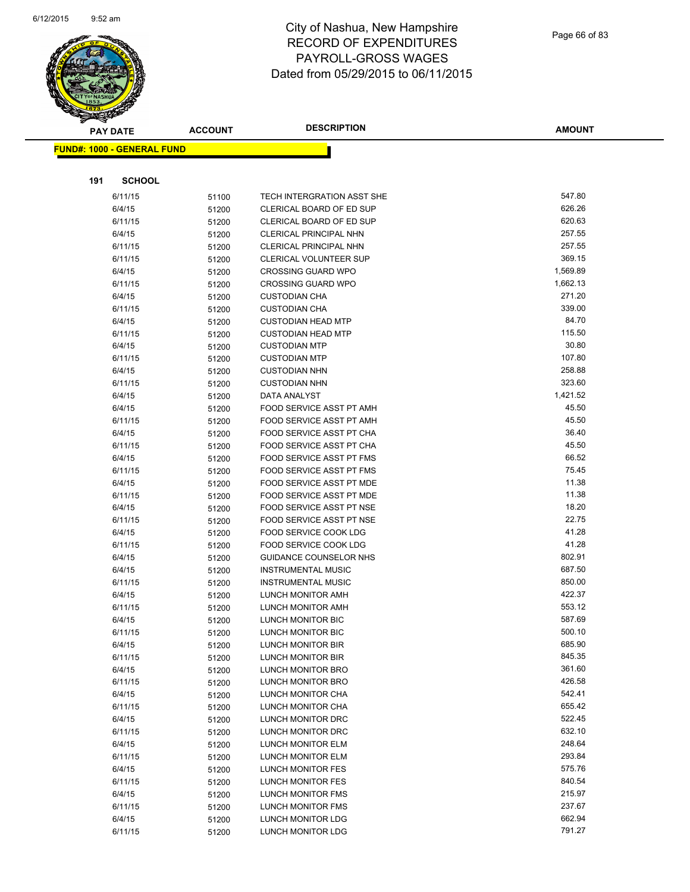

|     | <b>PAY DATE</b>                   | <b>ACCOUNT</b> | <b>DESCRIPTION</b>                                   | <b>AMOUNT</b>  |
|-----|-----------------------------------|----------------|------------------------------------------------------|----------------|
|     | <b>FUND#: 1000 - GENERAL FUND</b> |                |                                                      |                |
|     |                                   |                |                                                      |                |
|     |                                   |                |                                                      |                |
| 191 | <b>SCHOOL</b>                     |                |                                                      |                |
|     | 6/11/15                           | 51100          | TECH INTERGRATION ASST SHE                           | 547.80         |
|     | 6/4/15                            | 51200          | CLERICAL BOARD OF ED SUP                             | 626.26         |
|     | 6/11/15                           | 51200          | CLERICAL BOARD OF ED SUP                             | 620.63         |
|     | 6/4/15                            | 51200          | CLERICAL PRINCIPAL NHN                               | 257.55         |
|     | 6/11/15                           | 51200          | CLERICAL PRINCIPAL NHN                               | 257.55         |
|     | 6/11/15                           | 51200          | CLERICAL VOLUNTEER SUP                               | 369.15         |
|     | 6/4/15                            | 51200          | <b>CROSSING GUARD WPO</b>                            | 1,569.89       |
|     | 6/11/15                           | 51200          | <b>CROSSING GUARD WPO</b>                            | 1,662.13       |
|     | 6/4/15                            | 51200          | <b>CUSTODIAN CHA</b>                                 | 271.20         |
|     | 6/11/15                           | 51200          | <b>CUSTODIAN CHA</b>                                 | 339.00         |
|     | 6/4/15                            | 51200          | <b>CUSTODIAN HEAD MTP</b>                            | 84.70          |
|     | 6/11/15                           | 51200          | <b>CUSTODIAN HEAD MTP</b>                            | 115.50         |
|     | 6/4/15                            | 51200          | <b>CUSTODIAN MTP</b>                                 | 30.80          |
|     | 6/11/15                           | 51200          | <b>CUSTODIAN MTP</b>                                 | 107.80         |
|     | 6/4/15                            | 51200          | <b>CUSTODIAN NHN</b>                                 | 258.88         |
|     | 6/11/15                           | 51200          | <b>CUSTODIAN NHN</b>                                 | 323.60         |
|     | 6/4/15                            | 51200          | DATA ANALYST                                         | 1,421.52       |
|     | 6/4/15                            | 51200          | FOOD SERVICE ASST PT AMH                             | 45.50          |
|     | 6/11/15                           | 51200          | FOOD SERVICE ASST PT AMH                             | 45.50          |
|     | 6/4/15                            | 51200          | FOOD SERVICE ASST PT CHA                             | 36.40<br>45.50 |
|     | 6/11/15                           | 51200          | FOOD SERVICE ASST PT CHA                             | 66.52          |
|     | 6/4/15                            | 51200          | FOOD SERVICE ASST PT FMS<br>FOOD SERVICE ASST PT FMS | 75.45          |
|     | 6/11/15<br>6/4/15                 | 51200          | FOOD SERVICE ASST PT MDE                             | 11.38          |
|     | 6/11/15                           | 51200          | FOOD SERVICE ASST PT MDE                             | 11.38          |
|     | 6/4/15                            | 51200<br>51200 | FOOD SERVICE ASST PT NSE                             | 18.20          |
|     | 6/11/15                           | 51200          | FOOD SERVICE ASST PT NSE                             | 22.75          |
|     | 6/4/15                            | 51200          | FOOD SERVICE COOK LDG                                | 41.28          |
|     | 6/11/15                           | 51200          | FOOD SERVICE COOK LDG                                | 41.28          |
|     | 6/4/15                            | 51200          | GUIDANCE COUNSELOR NHS                               | 802.91         |
|     | 6/4/15                            | 51200          | <b>INSTRUMENTAL MUSIC</b>                            | 687.50         |
|     | 6/11/15                           | 51200          | <b>INSTRUMENTAL MUSIC</b>                            | 850.00         |
|     | 6/4/15                            | 51200          | LUNCH MONITOR AMH                                    | 422.37         |
|     | 6/11/15                           | 51200          | LUNCH MONITOR AMH                                    | 553.12         |
|     | 6/4/15                            | 51200          | <b>LUNCH MONITOR BIC</b>                             | 587.69         |
|     | 6/11/15                           | 51200          | <b>LUNCH MONITOR BIC</b>                             | 500.10         |
|     | 6/4/15                            | 51200          | <b>LUNCH MONITOR BIR</b>                             | 685.90         |
|     | 6/11/15                           | 51200          | LUNCH MONITOR BIR                                    | 845.35         |
|     | 6/4/15                            | 51200          | LUNCH MONITOR BRO                                    | 361.60         |
|     | 6/11/15                           | 51200          | LUNCH MONITOR BRO                                    | 426.58         |
|     | 6/4/15                            | 51200          | LUNCH MONITOR CHA                                    | 542.41         |
|     | 6/11/15                           | 51200          | LUNCH MONITOR CHA                                    | 655.42         |
|     | 6/4/15                            | 51200          | LUNCH MONITOR DRC                                    | 522.45         |
|     | 6/11/15                           | 51200          | LUNCH MONITOR DRC                                    | 632.10         |
|     | 6/4/15                            | 51200          | LUNCH MONITOR ELM                                    | 248.64         |
|     | 6/11/15                           | 51200          | LUNCH MONITOR ELM                                    | 293.84         |
|     | 6/4/15                            | 51200          | LUNCH MONITOR FES                                    | 575.76         |
|     | 6/11/15                           | 51200          | LUNCH MONITOR FES                                    | 840.54         |
|     | 6/4/15                            | 51200          | LUNCH MONITOR FMS                                    | 215.97         |
|     | 6/11/15                           | 51200          | LUNCH MONITOR FMS                                    | 237.67         |
|     | 6/4/15                            | 51200          | LUNCH MONITOR LDG                                    | 662.94         |
|     | 6/11/15                           | 51200          | <b>LUNCH MONITOR LDG</b>                             | 791.27         |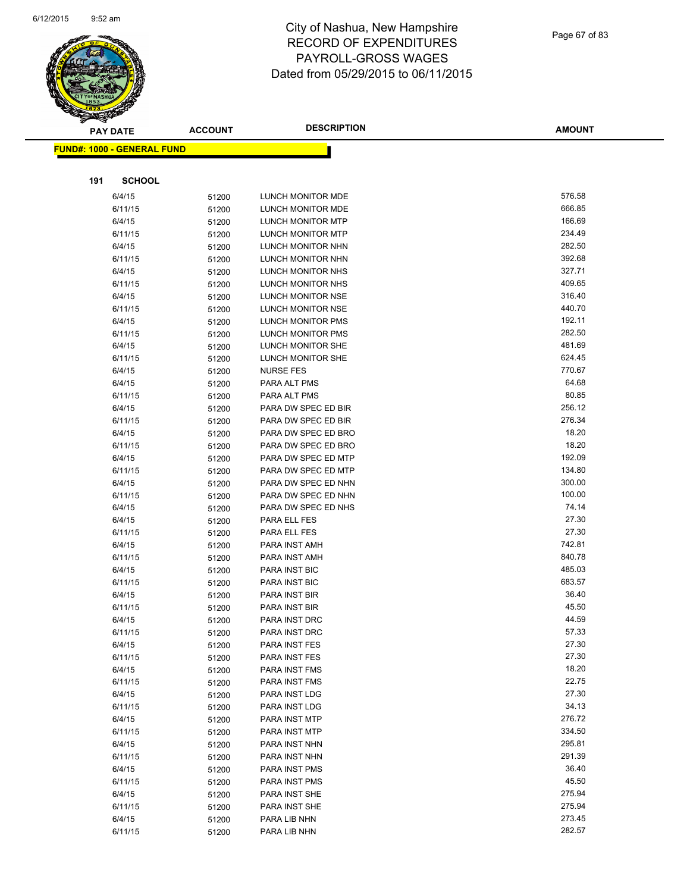

| $\tilde{\phantom{a}}$ | <b>PAY DATE</b>                   | <b>ACCOUNT</b> | <b>DESCRIPTION</b>                         | <b>AMOUNT</b>    |
|-----------------------|-----------------------------------|----------------|--------------------------------------------|------------------|
|                       | <b>FUND#: 1000 - GENERAL FUND</b> |                |                                            |                  |
|                       |                                   |                |                                            |                  |
|                       |                                   |                |                                            |                  |
| 191                   | <b>SCHOOL</b>                     |                |                                            |                  |
|                       | 6/4/15                            | 51200          | <b>LUNCH MONITOR MDE</b>                   | 576.58           |
|                       | 6/11/15                           | 51200          | LUNCH MONITOR MDE                          | 666.85           |
|                       | 6/4/15                            | 51200          | LUNCH MONITOR MTP                          | 166.69           |
|                       | 6/11/15                           | 51200          | LUNCH MONITOR MTP                          | 234.49           |
|                       | 6/4/15                            | 51200          | LUNCH MONITOR NHN                          | 282.50           |
|                       | 6/11/15                           | 51200          | LUNCH MONITOR NHN                          | 392.68           |
|                       | 6/4/15                            | 51200          | LUNCH MONITOR NHS                          | 327.71           |
|                       | 6/11/15                           | 51200          | LUNCH MONITOR NHS                          | 409.65           |
|                       | 6/4/15                            | 51200          | LUNCH MONITOR NSE                          | 316.40           |
|                       | 6/11/15                           | 51200          | LUNCH MONITOR NSE                          | 440.70           |
|                       | 6/4/15                            | 51200          | LUNCH MONITOR PMS                          | 192.11           |
|                       | 6/11/15                           | 51200          | LUNCH MONITOR PMS                          | 282.50           |
|                       | 6/4/15                            | 51200          | LUNCH MONITOR SHE                          | 481.69           |
|                       | 6/11/15                           | 51200          | LUNCH MONITOR SHE                          | 624.45           |
|                       | 6/4/15                            | 51200          | <b>NURSE FES</b>                           | 770.67<br>64.68  |
|                       | 6/4/15<br>6/11/15                 | 51200          | PARA ALT PMS                               | 80.85            |
|                       |                                   | 51200          | PARA ALT PMS                               | 256.12           |
|                       | 6/4/15<br>6/11/15                 | 51200          | PARA DW SPEC ED BIR                        | 276.34           |
|                       |                                   | 51200          | PARA DW SPEC ED BIR                        | 18.20            |
|                       | 6/4/15<br>6/11/15                 | 51200          | PARA DW SPEC ED BRO<br>PARA DW SPEC ED BRO | 18.20            |
|                       | 6/4/15                            | 51200          | PARA DW SPEC ED MTP                        | 192.09           |
|                       | 6/11/15                           | 51200<br>51200 | PARA DW SPEC ED MTP                        | 134.80           |
|                       | 6/4/15                            | 51200          | PARA DW SPEC ED NHN                        | 300.00           |
|                       | 6/11/15                           | 51200          | PARA DW SPEC ED NHN                        | 100.00           |
|                       | 6/4/15                            | 51200          | PARA DW SPEC ED NHS                        | 74.14            |
|                       | 6/4/15                            | 51200          | PARA ELL FES                               | 27.30            |
|                       | 6/11/15                           | 51200          | PARA ELL FES                               | 27.30            |
|                       | 6/4/15                            | 51200          | PARA INST AMH                              | 742.81           |
|                       | 6/11/15                           | 51200          | PARA INST AMH                              | 840.78           |
|                       | 6/4/15                            | 51200          | PARA INST BIC                              | 485.03           |
|                       | 6/11/15                           | 51200          | PARA INST BIC                              | 683.57           |
|                       | 6/4/15                            | 51200          | PARA INST BIR                              | 36.40            |
|                       | 6/11/15                           | 51200          | PARA INST BIR                              | 45.50            |
|                       | 6/4/15                            | 51200          | PARA INST DRC                              | 44.59            |
|                       | 6/11/15                           | 51200          | PARA INST DRC                              | 57.33            |
|                       | 6/4/15                            | 51200          | PARA INST FES                              | 27.30            |
|                       | 6/11/15                           | 51200          | PARA INST FES                              | 27.30            |
|                       | 6/4/15                            | 51200          | PARA INST FMS                              | 18.20            |
|                       | 6/11/15                           | 51200          | PARA INST FMS                              | 22.75            |
|                       | 6/4/15                            | 51200          | PARA INST LDG                              | 27.30            |
|                       | 6/11/15                           | 51200          | PARA INST LDG                              | 34.13            |
|                       | 6/4/15                            | 51200          | PARA INST MTP                              | 276.72           |
|                       | 6/11/15                           | 51200          | PARA INST MTP                              | 334.50           |
|                       | 6/4/15                            | 51200          | PARA INST NHN                              | 295.81<br>291.39 |
|                       | 6/11/15                           | 51200          | PARA INST NHN                              | 36.40            |
|                       | 6/4/15<br>6/11/15                 | 51200          | PARA INST PMS<br>PARA INST PMS             | 45.50            |
|                       | 6/4/15                            | 51200          | PARA INST SHE                              | 275.94           |
|                       | 6/11/15                           | 51200<br>51200 | PARA INST SHE                              | 275.94           |
|                       | 6/4/15                            | 51200          | PARA LIB NHN                               | 273.45           |
|                       | 6/11/15                           | 51200          | PARA LIB NHN                               | 282.57           |
|                       |                                   |                |                                            |                  |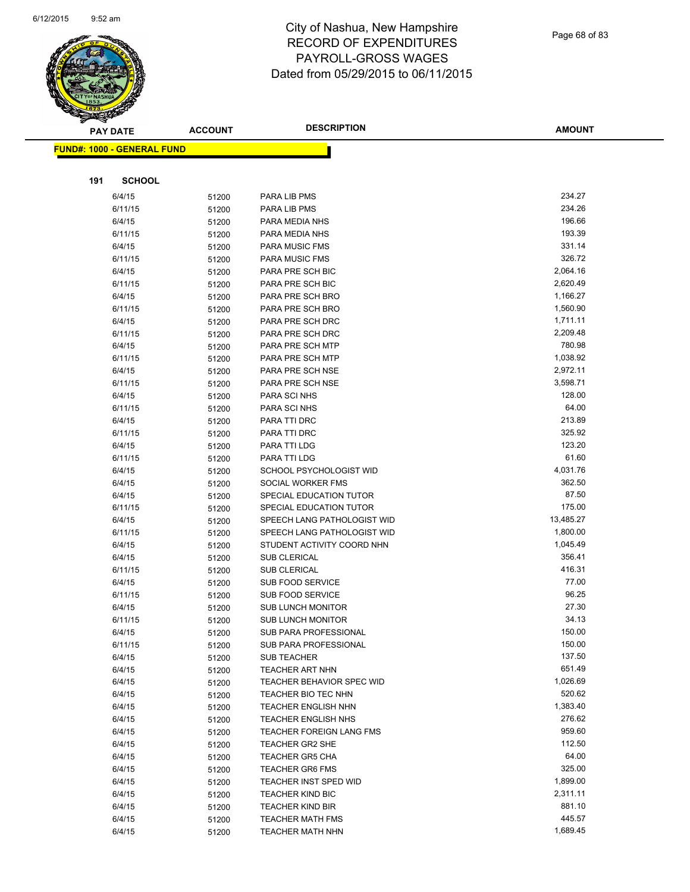

| <b>PAY DATE</b>                   | <b>ACCOUNT</b> | <b>DESCRIPTION</b>                   | <b>AMOUNT</b>      |
|-----------------------------------|----------------|--------------------------------------|--------------------|
| <b>FUND#: 1000 - GENERAL FUND</b> |                |                                      |                    |
|                                   |                |                                      |                    |
|                                   |                |                                      |                    |
| 191<br><b>SCHOOL</b>              |                |                                      |                    |
| 6/4/15                            | 51200          | PARA LIB PMS                         | 234.27             |
| 6/11/15                           | 51200          | PARA LIB PMS                         | 234.26             |
| 6/4/15                            | 51200          | PARA MEDIA NHS                       | 196.66             |
| 6/11/15                           | 51200          | PARA MEDIA NHS                       | 193.39             |
| 6/4/15                            | 51200          | PARA MUSIC FMS                       | 331.14             |
| 6/11/15                           | 51200          | PARA MUSIC FMS                       | 326.72             |
| 6/4/15                            | 51200          | PARA PRE SCH BIC                     | 2,064.16           |
| 6/11/15                           | 51200          | PARA PRE SCH BIC                     | 2,620.49           |
| 6/4/15                            | 51200          | PARA PRE SCH BRO                     | 1,166.27           |
| 6/11/15                           | 51200          | PARA PRE SCH BRO                     | 1,560.90           |
| 6/4/15                            | 51200          | PARA PRE SCH DRC                     | 1,711.11           |
| 6/11/15                           | 51200          | PARA PRE SCH DRC                     | 2,209.48<br>780.98 |
| 6/4/15                            | 51200          | PARA PRE SCH MTP                     | 1,038.92           |
| 6/11/15<br>6/4/15                 | 51200          | PARA PRE SCH MTP                     | 2,972.11           |
|                                   | 51200          | PARA PRE SCH NSE<br>PARA PRE SCH NSE | 3,598.71           |
| 6/11/15<br>6/4/15                 | 51200          | PARA SCI NHS                         | 128.00             |
| 6/11/15                           | 51200          | PARA SCI NHS                         | 64.00              |
| 6/4/15                            | 51200          | PARA TTI DRC                         | 213.89             |
| 6/11/15                           | 51200<br>51200 | PARA TTI DRC                         | 325.92             |
| 6/4/15                            | 51200          | PARA TTI LDG                         | 123.20             |
| 6/11/15                           | 51200          | PARA TTI LDG                         | 61.60              |
| 6/4/15                            | 51200          | SCHOOL PSYCHOLOGIST WID              | 4,031.76           |
| 6/4/15                            | 51200          | SOCIAL WORKER FMS                    | 362.50             |
| 6/4/15                            | 51200          | SPECIAL EDUCATION TUTOR              | 87.50              |
| 6/11/15                           | 51200          | SPECIAL EDUCATION TUTOR              | 175.00             |
| 6/4/15                            | 51200          | SPEECH LANG PATHOLOGIST WID          | 13,485.27          |
| 6/11/15                           | 51200          | SPEECH LANG PATHOLOGIST WID          | 1,800.00           |
| 6/4/15                            | 51200          | STUDENT ACTIVITY COORD NHN           | 1,045.49           |
| 6/4/15                            | 51200          | SUB CLERICAL                         | 356.41             |
| 6/11/15                           | 51200          | SUB CLERICAL                         | 416.31             |
| 6/4/15                            | 51200          | <b>SUB FOOD SERVICE</b>              | 77.00              |
| 6/11/15                           | 51200          | SUB FOOD SERVICE                     | 96.25              |
| 6/4/15                            | 51200          | <b>SUB LUNCH MONITOR</b>             | 27.30              |
| 6/11/15                           | 51200          | <b>SUB LUNCH MONITOR</b>             | 34.13              |
| 6/4/15                            | 51200          | SUB PARA PROFESSIONAL                | 150.00             |
| 6/11/15                           | 51200          | SUB PARA PROFESSIONAL                | 150.00             |
| 6/4/15                            | 51200          | SUB TEACHER                          | 137.50             |
| 6/4/15                            | 51200          | TEACHER ART NHN                      | 651.49             |
| 6/4/15                            | 51200          | <b>TEACHER BEHAVIOR SPEC WID</b>     | 1,026.69           |
| 6/4/15                            | 51200          | TEACHER BIO TEC NHN                  | 520.62             |
| 6/4/15                            | 51200          | <b>TEACHER ENGLISH NHN</b>           | 1,383.40           |
| 6/4/15                            | 51200          | <b>TEACHER ENGLISH NHS</b>           | 276.62             |
| 6/4/15                            | 51200          | TEACHER FOREIGN LANG FMS             | 959.60             |
| 6/4/15                            | 51200          | <b>TEACHER GR2 SHE</b>               | 112.50             |
| 6/4/15                            | 51200          | <b>TEACHER GR5 CHA</b>               | 64.00              |
| 6/4/15                            | 51200          | <b>TEACHER GR6 FMS</b>               | 325.00             |
| 6/4/15                            | 51200          | TEACHER INST SPED WID                | 1,899.00           |
| 6/4/15                            | 51200          | <b>TEACHER KIND BIC</b>              | 2,311.11           |
| 6/4/15                            | 51200          | <b>TEACHER KIND BIR</b>              | 881.10             |
| 6/4/15                            | 51200          | <b>TEACHER MATH FMS</b>              | 445.57             |
| 6/4/15                            | 51200          | <b>TEACHER MATH NHN</b>              | 1,689.45           |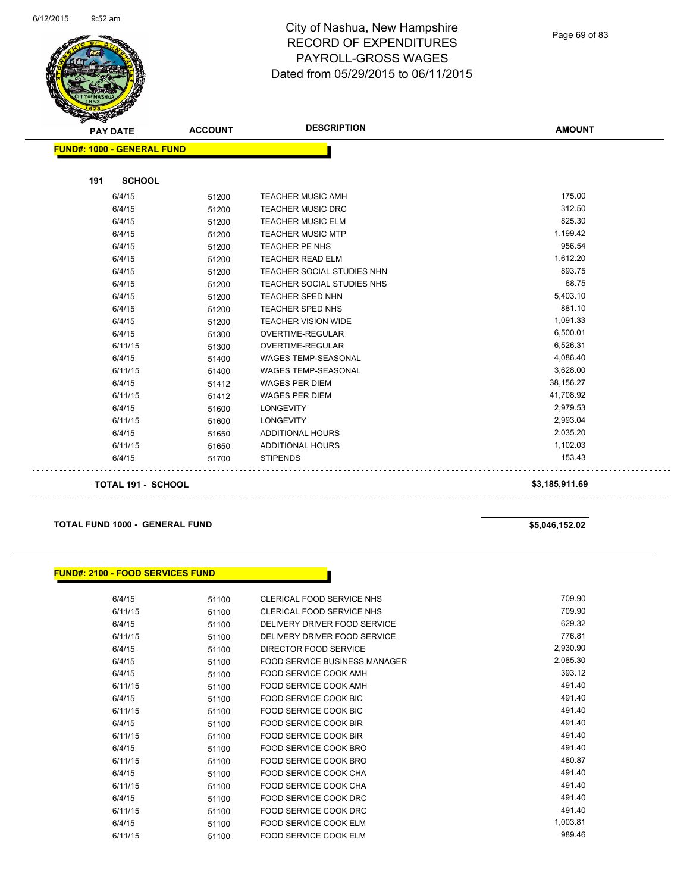

| <b>PAY DATE</b>                   | <b>ACCOUNT</b> | <b>DESCRIPTION</b>         | <b>AMOUNT</b>  |
|-----------------------------------|----------------|----------------------------|----------------|
| <b>FUND#: 1000 - GENERAL FUND</b> |                |                            |                |
|                                   |                |                            |                |
| <b>SCHOOL</b><br>191              |                |                            |                |
| 6/4/15                            | 51200          | <b>TEACHER MUSIC AMH</b>   | 175.00         |
| 6/4/15                            | 51200          | <b>TEACHER MUSIC DRC</b>   | 312.50         |
| 6/4/15                            | 51200          | <b>TEACHER MUSIC ELM</b>   | 825.30         |
| 6/4/15                            | 51200          | <b>TEACHER MUSIC MTP</b>   | 1,199.42       |
| 6/4/15                            | 51200          | TEACHER PE NHS             | 956.54         |
| 6/4/15                            | 51200          | <b>TEACHER READ ELM</b>    | 1,612.20       |
| 6/4/15                            | 51200          | TEACHER SOCIAL STUDIES NHN | 893.75         |
| 6/4/15                            | 51200          | TEACHER SOCIAL STUDIES NHS | 68.75          |
| 6/4/15                            | 51200          | <b>TEACHER SPED NHN</b>    | 5,403.10       |
| 6/4/15                            | 51200          | TEACHER SPED NHS           | 881.10         |
| 6/4/15                            | 51200          | <b>TEACHER VISION WIDE</b> | 1,091.33       |
| 6/4/15                            | 51300          | <b>OVERTIME-REGULAR</b>    | 6,500.01       |
| 6/11/15                           | 51300          | OVERTIME-REGULAR           | 6,526.31       |
| 6/4/15                            | 51400          | <b>WAGES TEMP-SEASONAL</b> | 4,086.40       |
| 6/11/15                           | 51400          | <b>WAGES TEMP-SEASONAL</b> | 3,628.00       |
| 6/4/15                            | 51412          | <b>WAGES PER DIEM</b>      | 38,156.27      |
| 6/11/15                           | 51412          | <b>WAGES PER DIEM</b>      | 41,708.92      |
| 6/4/15                            | 51600          | <b>LONGEVITY</b>           | 2,979.53       |
| 6/11/15                           | 51600          | <b>LONGEVITY</b>           | 2,993.04       |
| 6/4/15                            | 51650          | ADDITIONAL HOURS           | 2,035.20       |
| 6/11/15                           | 51650          | ADDITIONAL HOURS           | 1,102.03       |
| 6/4/15                            | 51700          | <b>STIPENDS</b>            | 153.43         |
| <b>TOTAL 191 - SCHOOL</b>         |                |                            | \$3,185,911.69 |

#### **TOTAL FUND 1000 - GENERAL FUND \$5,046,152.02**

#### **FUND#: 2100 - FOOD SERVICES FUND**

| 6/4/15  | 51100 | CLERICAL FOOD SERVICE NHS            | 709.90   |
|---------|-------|--------------------------------------|----------|
| 6/11/15 | 51100 | <b>CLERICAL FOOD SERVICE NHS</b>     | 709.90   |
| 6/4/15  | 51100 | DELIVERY DRIVER FOOD SERVICE         | 629.32   |
| 6/11/15 | 51100 | DELIVERY DRIVER FOOD SERVICE         | 776.81   |
| 6/4/15  | 51100 | DIRECTOR FOOD SERVICE                | 2,930.90 |
| 6/4/15  | 51100 | <b>FOOD SERVICE BUSINESS MANAGER</b> | 2,085.30 |
| 6/4/15  | 51100 | FOOD SERVICE COOK AMH                | 393.12   |
| 6/11/15 | 51100 | FOOD SERVICE COOK AMH                | 491.40   |
| 6/4/15  | 51100 | <b>FOOD SERVICE COOK BIC</b>         | 491.40   |
| 6/11/15 | 51100 | <b>FOOD SERVICE COOK BIC</b>         | 491.40   |
| 6/4/15  | 51100 | <b>FOOD SERVICE COOK BIR</b>         | 491.40   |
| 6/11/15 | 51100 | <b>FOOD SERVICE COOK BIR</b>         | 491.40   |
| 6/4/15  | 51100 | FOOD SERVICE COOK BRO                | 491.40   |
| 6/11/15 | 51100 | FOOD SERVICE COOK BRO                | 480.87   |
| 6/4/15  | 51100 | FOOD SERVICE COOK CHA                | 491.40   |
| 6/11/15 | 51100 | <b>FOOD SERVICE COOK CHA</b>         | 491.40   |
| 6/4/15  | 51100 | FOOD SERVICE COOK DRC                | 491.40   |
| 6/11/15 | 51100 | FOOD SERVICE COOK DRC                | 491.40   |
| 6/4/15  | 51100 | <b>FOOD SERVICE COOK ELM</b>         | 1,003.81 |
| 6/11/15 | 51100 | <b>FOOD SERVICE COOK ELM</b>         | 989.46   |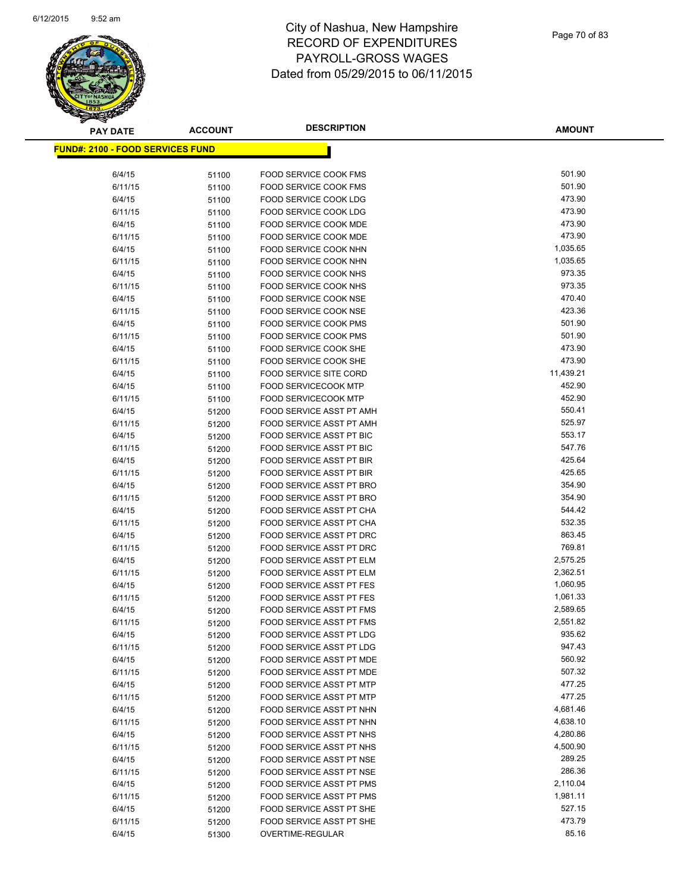

| <b>PAY DATE</b>                          | <b>ACCOUNT</b> | <b>DESCRIPTION</b>                                   | <b>AMOUNT</b>        |
|------------------------------------------|----------------|------------------------------------------------------|----------------------|
| <u> FUND#: 2100 - FOOD SERVICES FUND</u> |                |                                                      |                      |
|                                          |                |                                                      |                      |
| 6/4/15                                   | 51100          | <b>FOOD SERVICE COOK FMS</b>                         | 501.90               |
| 6/11/15                                  | 51100          | FOOD SERVICE COOK FMS                                | 501.90               |
| 6/4/15                                   | 51100          | FOOD SERVICE COOK LDG                                | 473.90               |
| 6/11/15                                  | 51100          | FOOD SERVICE COOK LDG                                | 473.90               |
| 6/4/15                                   | 51100          | FOOD SERVICE COOK MDE                                | 473.90               |
| 6/11/15                                  | 51100          | FOOD SERVICE COOK MDE                                | 473.90               |
| 6/4/15                                   | 51100          | FOOD SERVICE COOK NHN                                | 1,035.65             |
| 6/11/15                                  | 51100          | FOOD SERVICE COOK NHN                                | 1,035.65             |
| 6/4/15                                   | 51100          | <b>FOOD SERVICE COOK NHS</b>                         | 973.35               |
| 6/11/15                                  | 51100          | FOOD SERVICE COOK NHS                                | 973.35               |
| 6/4/15                                   | 51100          | FOOD SERVICE COOK NSE                                | 470.40               |
| 6/11/15                                  | 51100          | FOOD SERVICE COOK NSE                                | 423.36               |
| 6/4/15                                   | 51100          | FOOD SERVICE COOK PMS                                | 501.90               |
| 6/11/15                                  | 51100          | <b>FOOD SERVICE COOK PMS</b>                         | 501.90               |
| 6/4/15                                   | 51100          | FOOD SERVICE COOK SHE                                | 473.90               |
| 6/11/15                                  | 51100          | <b>FOOD SERVICE COOK SHE</b>                         | 473.90               |
| 6/4/15                                   | 51100          | <b>FOOD SERVICE SITE CORD</b>                        | 11,439.21            |
| 6/4/15                                   | 51100          | <b>FOOD SERVICECOOK MTP</b>                          | 452.90               |
| 6/11/15                                  | 51100          | <b>FOOD SERVICECOOK MTP</b>                          | 452.90               |
| 6/4/15                                   | 51200          | FOOD SERVICE ASST PT AMH                             | 550.41               |
| 6/11/15                                  | 51200          | FOOD SERVICE ASST PT AMH                             | 525.97               |
| 6/4/15                                   | 51200          | FOOD SERVICE ASST PT BIC                             | 553.17               |
| 6/11/15                                  | 51200          | FOOD SERVICE ASST PT BIC                             | 547.76               |
| 6/4/15                                   | 51200          | FOOD SERVICE ASST PT BIR                             | 425.64               |
| 6/11/15                                  | 51200          | FOOD SERVICE ASST PT BIR                             | 425.65               |
| 6/4/15                                   | 51200          | FOOD SERVICE ASST PT BRO                             | 354.90               |
| 6/11/15                                  | 51200          | FOOD SERVICE ASST PT BRO                             | 354.90               |
| 6/4/15                                   | 51200          | FOOD SERVICE ASST PT CHA                             | 544.42               |
| 6/11/15                                  | 51200          | FOOD SERVICE ASST PT CHA                             | 532.35               |
| 6/4/15                                   | 51200          | FOOD SERVICE ASST PT DRC                             | 863.45               |
| 6/11/15                                  | 51200          | FOOD SERVICE ASST PT DRC                             | 769.81<br>2,575.25   |
| 6/4/15                                   | 51200          | FOOD SERVICE ASST PT ELM                             |                      |
| 6/11/15                                  | 51200          | FOOD SERVICE ASST PT ELM                             | 2,362.51<br>1,060.95 |
| 6/4/15<br>6/11/15                        | 51200          | FOOD SERVICE ASST PT FES<br>FOOD SERVICE ASST PT FES | 1,061.33             |
| 6/4/15                                   | 51200          | FOOD SERVICE ASST PT FMS                             | 2,589.65             |
| 6/11/15                                  | 51200<br>51200 | FOOD SERVICE ASST PT FMS                             | 2,551.82             |
| 6/4/15                                   | 51200          | FOOD SERVICE ASST PT LDG                             | 935.62               |
| 6/11/15                                  | 51200          | FOOD SERVICE ASST PT LDG                             | 947.43               |
| 6/4/15                                   | 51200          | FOOD SERVICE ASST PT MDE                             | 560.92               |
| 6/11/15                                  | 51200          | FOOD SERVICE ASST PT MDE                             | 507.32               |
| 6/4/15                                   | 51200          | FOOD SERVICE ASST PT MTP                             | 477.25               |
| 6/11/15                                  | 51200          | <b>FOOD SERVICE ASST PT MTP</b>                      | 477.25               |
| 6/4/15                                   | 51200          | FOOD SERVICE ASST PT NHN                             | 4,681.46             |
| 6/11/15                                  | 51200          | FOOD SERVICE ASST PT NHN                             | 4,638.10             |
| 6/4/15                                   | 51200          | FOOD SERVICE ASST PT NHS                             | 4,280.86             |
| 6/11/15                                  | 51200          | FOOD SERVICE ASST PT NHS                             | 4,500.90             |
| 6/4/15                                   | 51200          | FOOD SERVICE ASST PT NSE                             | 289.25               |
| 6/11/15                                  | 51200          | <b>FOOD SERVICE ASST PT NSE</b>                      | 286.36               |
| 6/4/15                                   | 51200          | FOOD SERVICE ASST PT PMS                             | 2,110.04             |
| 6/11/15                                  | 51200          | FOOD SERVICE ASST PT PMS                             | 1,981.11             |
| 6/4/15                                   | 51200          | FOOD SERVICE ASST PT SHE                             | 527.15               |
| 6/11/15                                  | 51200          | FOOD SERVICE ASST PT SHE                             | 473.79               |
| 6/4/15                                   | 51300          | OVERTIME-REGULAR                                     | 85.16                |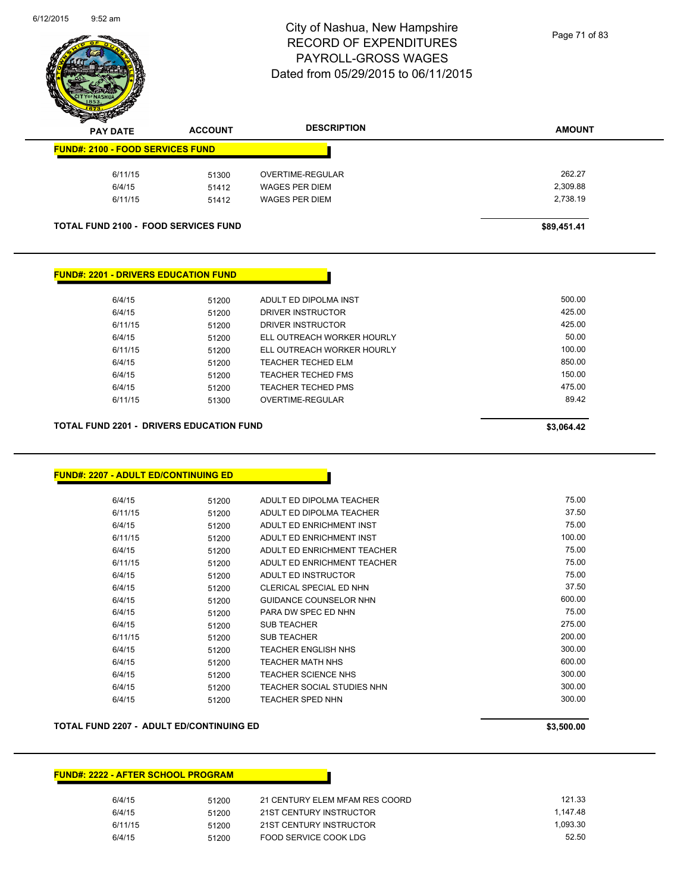

| z | $\tilde{\phantom{a}}$<br><b>PAY DATE</b> | <b>ACCOUNT</b>                              | <b>DESCRIPTION</b> | <b>AMOUNT</b> |
|---|------------------------------------------|---------------------------------------------|--------------------|---------------|
|   | <b>FUND#: 2100 - FOOD SERVICES FUND</b>  |                                             |                    |               |
|   | 6/11/15                                  | 51300                                       | OVERTIME-REGULAR   | 262.27        |
|   | 6/4/15                                   | 51412                                       | WAGES PER DIEM     | 2,309.88      |
|   | 6/11/15                                  | 51412                                       | WAGES PER DIEM     | 2,738.19      |
|   |                                          | <b>TOTAL FUND 2100 - FOOD SERVICES FUND</b> |                    | \$89,451.41   |

#### **FUND#: 2201 - DRIVERS EDUCATION FUND**

| 6/4/15  | 51200 | ADULT ED DIPOLMA INST      | 500.00 |
|---------|-------|----------------------------|--------|
| 6/4/15  | 51200 | DRIVER INSTRUCTOR          | 425.00 |
| 6/11/15 | 51200 | DRIVER INSTRUCTOR          | 425.00 |
| 6/4/15  | 51200 | ELL OUTREACH WORKER HOURLY | 50.00  |
| 6/11/15 | 51200 | ELL OUTREACH WORKER HOURLY | 100.00 |
| 6/4/15  | 51200 | <b>TEACHER TECHED ELM</b>  | 850.00 |
| 6/4/15  | 51200 | TEACHER TECHED FMS         | 150.00 |
| 6/4/15  | 51200 | TEACHER TECHED PMS         | 475.00 |
| 6/11/15 | 51300 | OVERTIME-REGULAR           | 89.42  |
|         |       |                            |        |
|         |       |                            |        |

**TOTAL FUND 2201 - DRIVERS EDUCATION FUND \$3,064.42** 

**FUND#: 2207 - ADULT ED/CONTINUING ED**

| 6/4/15  | 51200 | ADULT ED DIPOLMA TEACHER    | 75.00  |
|---------|-------|-----------------------------|--------|
| 6/11/15 | 51200 | ADULT ED DIPOLMA TEACHER    | 37.50  |
| 6/4/15  | 51200 | ADULT ED ENRICHMENT INST    | 75.00  |
| 6/11/15 | 51200 | ADULT ED ENRICHMENT INST    | 100.00 |
| 6/4/15  | 51200 | ADULT ED ENRICHMENT TEACHER | 75.00  |
| 6/11/15 | 51200 | ADULT ED ENRICHMENT TEACHER | 75.00  |
| 6/4/15  | 51200 | ADULT ED INSTRUCTOR         | 75.00  |
| 6/4/15  | 51200 | CLERICAL SPECIAL ED NHN     | 37.50  |
| 6/4/15  | 51200 | GUIDANCE COUNSELOR NHN      | 600.00 |
| 6/4/15  | 51200 | PARA DW SPEC ED NHN         | 75.00  |
| 6/4/15  | 51200 | <b>SUB TEACHER</b>          | 275.00 |
| 6/11/15 | 51200 | <b>SUB TEACHER</b>          | 200.00 |
| 6/4/15  | 51200 | TEACHER ENGLISH NHS         | 300.00 |
| 6/4/15  | 51200 | TEACHER MATH NHS            | 600.00 |
| 6/4/15  | 51200 | <b>TEACHER SCIENCE NHS</b>  | 300.00 |
| 6/4/15  | 51200 | TEACHER SOCIAL STUDIES NHN  | 300.00 |
| 6/4/15  | 51200 | TEACHER SPED NHN            | 300.00 |
|         |       |                             |        |

#### **TOTAL FUND 2207 - ADULT ED/CONTINUING ED \$3,500.00**

#### **FUND#: 2222 - AFTER SCHOOL PROGRAM**

| 51200 | 21 CENTURY ELEM MFAM RES COORD | 121.33   |
|-------|--------------------------------|----------|
| 51200 | 21ST CENTURY INSTRUCTOR        | 1.147.48 |
| 51200 | 21ST CENTURY INSTRUCTOR        | 1.093.30 |
| 51200 | FOOD SERVICE COOK LDG          | 52.50    |
|       |                                |          |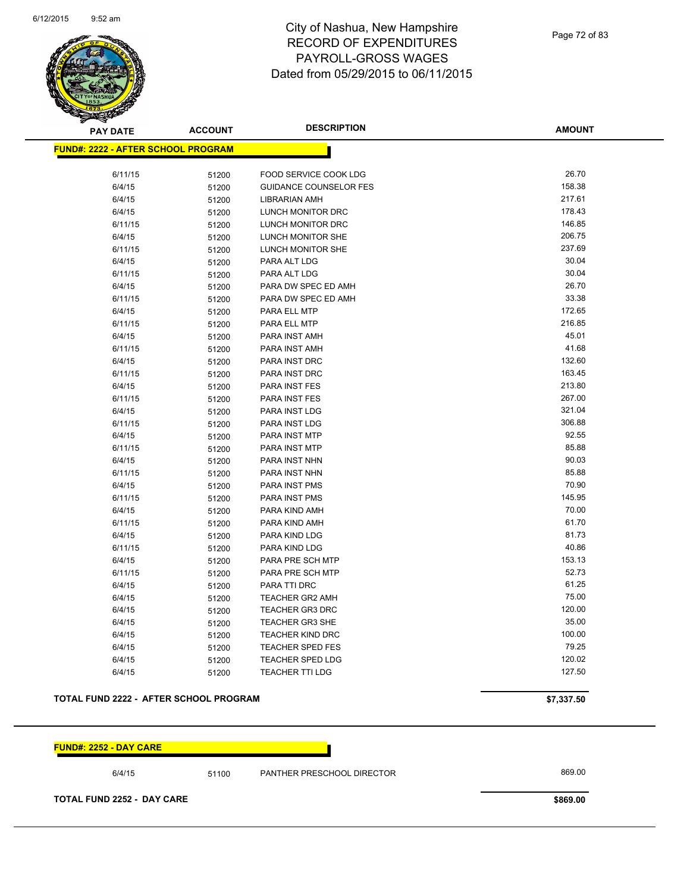

Page 72 of 83

| <b>PAY DATE</b>                    | <b>ACCOUNT</b> | <b>DESCRIPTION</b>            | <b>AMOUNT</b> |
|------------------------------------|----------------|-------------------------------|---------------|
| FUND#: 2222 - AFTER SCHOOL PROGRAM |                |                               |               |
|                                    |                |                               |               |
| 6/11/15                            | 51200          | FOOD SERVICE COOK LDG         | 26.70         |
| 6/4/15                             | 51200          | <b>GUIDANCE COUNSELOR FES</b> | 158.38        |
| 6/4/15                             | 51200          | LIBRARIAN AMH                 | 217.61        |
| 6/4/15                             | 51200          | LUNCH MONITOR DRC             | 178.43        |
| 6/11/15                            | 51200          | LUNCH MONITOR DRC             | 146.85        |
| 6/4/15                             | 51200          | LUNCH MONITOR SHE             | 206.75        |
| 6/11/15                            | 51200          | LUNCH MONITOR SHE             | 237.69        |
| 6/4/15                             | 51200          | PARA ALT LDG                  | 30.04         |
| 6/11/15                            | 51200          | PARA ALT LDG                  | 30.04         |
| 6/4/15                             | 51200          | PARA DW SPEC ED AMH           | 26.70         |
| 6/11/15                            | 51200          | PARA DW SPEC ED AMH           | 33.38         |
| 6/4/15                             | 51200          | PARA ELL MTP                  | 172.65        |
| 6/11/15                            | 51200          | PARA ELL MTP                  | 216.85        |
| 6/4/15                             | 51200          | PARA INST AMH                 | 45.01         |
| 6/11/15                            | 51200          | PARA INST AMH                 | 41.68         |
| 6/4/15                             | 51200          | <b>PARA INST DRC</b>          | 132.60        |
| 6/11/15                            | 51200          | PARA INST DRC                 | 163.45        |
| 6/4/15                             | 51200          | PARA INST FES                 | 213.80        |
| 6/11/15                            | 51200          | PARA INST FES                 | 267.00        |
| 6/4/15                             | 51200          | PARA INST LDG                 | 321.04        |
| 6/11/15                            | 51200          | PARA INST LDG                 | 306.88        |
| 6/4/15                             | 51200          | PARA INST MTP                 | 92.55         |
| 6/11/15                            | 51200          | <b>PARA INST MTP</b>          | 85.88         |
| 6/4/15                             | 51200          | PARA INST NHN                 | 90.03         |
| 6/11/15                            | 51200          | PARA INST NHN                 | 85.88         |
| 6/4/15                             | 51200          | PARA INST PMS                 | 70.90         |
| 6/11/15                            | 51200          | PARA INST PMS                 | 145.95        |
| 6/4/15                             | 51200          | PARA KIND AMH                 | 70.00         |
| 6/11/15                            | 51200          | PARA KIND AMH                 | 61.70         |
| 6/4/15                             | 51200          | PARA KIND LDG                 | 81.73         |
| 6/11/15                            | 51200          | PARA KIND LDG                 | 40.86         |
| 6/4/15                             | 51200          | PARA PRE SCH MTP              | 153.13        |
| 6/11/15                            | 51200          | PARA PRE SCH MTP              | 52.73         |
| 6/4/15                             | 51200          | PARA TTI DRC                  | 61.25         |
| 6/4/15                             | 51200          | <b>TEACHER GR2 AMH</b>        | 75.00         |
| 6/4/15                             | 51200          | <b>TEACHER GR3 DRC</b>        | 120.00        |
| 6/4/15                             | 51200          | <b>TEACHER GR3 SHE</b>        | 35.00         |
| 6/4/15                             | 51200          | <b>TEACHER KIND DRC</b>       | 100.00        |
| 6/4/15                             | 51200          | <b>TEACHER SPED FES</b>       | 79.25         |
| 6/4/15                             | 51200          | <b>TEACHER SPED LDG</b>       | 120.02        |
| 6/4/15                             | 51200          | <b>TEACHER TTI LDG</b>        | 127.50        |

#### **TOTAL FUND 2222 - AFTER SCHOOL PROGRAM \$7,337.50**

**FUND#: 2252 - DAY CARE**

6/4/15 51100 PANTHER PRESCHOOL DIRECTOR 869.00

**TOTAL FUND 2252 - DAY CARE \$869.00**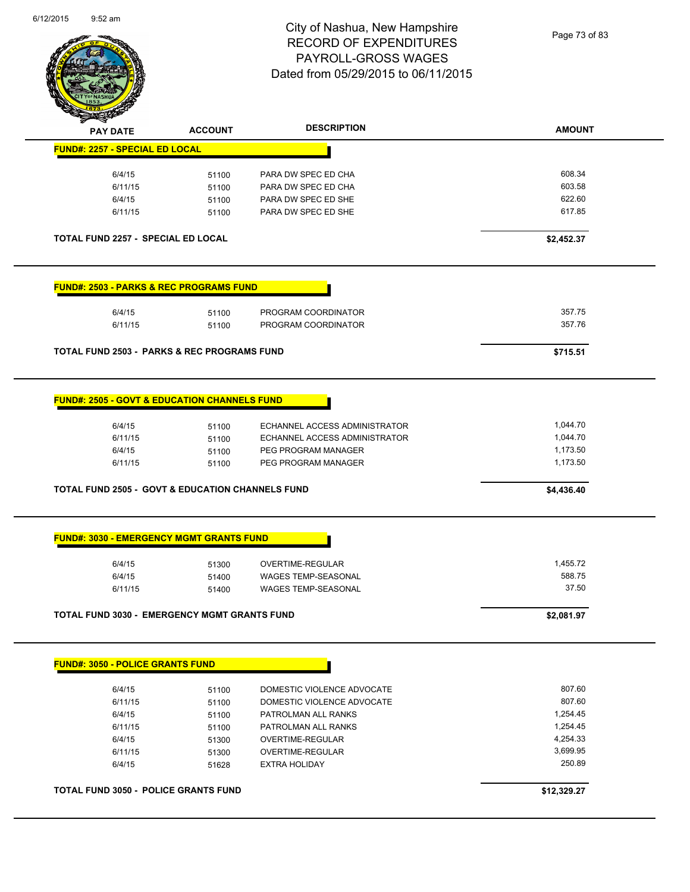

|                                                             | <b>ACCOUNT</b> | <b>DESCRIPTION</b>                                             | <b>AMOUNT</b>        |
|-------------------------------------------------------------|----------------|----------------------------------------------------------------|----------------------|
| <b>FUND#: 2257 - SPECIAL ED LOCAL</b>                       |                |                                                                |                      |
| 6/4/15                                                      | 51100          | PARA DW SPEC ED CHA                                            | 608.34               |
| 6/11/15                                                     | 51100          | PARA DW SPEC ED CHA                                            | 603.58               |
| 6/4/15                                                      | 51100          | PARA DW SPEC ED SHE                                            | 622.60               |
| 6/11/15                                                     | 51100          | PARA DW SPEC ED SHE                                            | 617.85               |
| <b>TOTAL FUND 2257 - SPECIAL ED LOCAL</b>                   |                |                                                                | \$2,452.37           |
|                                                             |                |                                                                |                      |
| <b>FUND#: 2503 - PARKS &amp; REC PROGRAMS FUND</b>          |                |                                                                |                      |
| 6/4/15                                                      | 51100          | PROGRAM COORDINATOR                                            | 357.75               |
| 6/11/15                                                     | 51100          | PROGRAM COORDINATOR                                            | 357.76               |
| TOTAL FUND 2503 - PARKS & REC PROGRAMS FUND                 |                |                                                                | \$715.51             |
| <b>FUND#: 2505 - GOVT &amp; EDUCATION CHANNELS FUND</b>     |                |                                                                |                      |
|                                                             |                |                                                                |                      |
| 6/4/15<br>6/11/15                                           | 51100          | ECHANNEL ACCESS ADMINISTRATOR<br>ECHANNEL ACCESS ADMINISTRATOR | 1,044.70<br>1,044.70 |
| 6/4/15                                                      | 51100          | PEG PROGRAM MANAGER                                            | 1,173.50             |
| 6/11/15                                                     | 51100<br>51100 | PEG PROGRAM MANAGER                                            | 1,173.50             |
|                                                             |                |                                                                |                      |
|                                                             |                |                                                                |                      |
| <b>TOTAL FUND 2505 - GOVT &amp; EDUCATION CHANNELS FUND</b> |                |                                                                | \$4,436.40           |
| <b>FUND#: 3030 - EMERGENCY MGMT GRANTS FUND</b>             |                |                                                                |                      |
|                                                             |                |                                                                |                      |
| 6/4/15<br>6/4/15                                            | 51300<br>51400 | OVERTIME-REGULAR<br><b>WAGES TEMP-SEASONAL</b>                 | 1,455.72<br>588.75   |
| 6/11/15                                                     | 51400          | WAGES TEMP-SEASONAL                                            | 37.50                |
| <b>TOTAL FUND 3030 - EMERGENCY MGMT GRANTS FUND</b>         |                |                                                                |                      |
|                                                             |                |                                                                | \$2,081.97           |
| <b>FUND#: 3050 - POLICE GRANTS FUND</b>                     |                |                                                                |                      |
| 6/4/15                                                      | 51100          | DOMESTIC VIOLENCE ADVOCATE                                     | 807.60               |
| 6/11/15                                                     | 51100          | DOMESTIC VIOLENCE ADVOCATE                                     | 807.60               |
| 6/4/15                                                      | 51100          | PATROLMAN ALL RANKS                                            | 1,254.45             |
| 6/11/15                                                     | 51100          | PATROLMAN ALL RANKS                                            | 1,254.45             |
| 6/4/15                                                      | 51300          | OVERTIME-REGULAR                                               | 4,254.33             |
| 6/11/15                                                     | 51300          | OVERTIME-REGULAR                                               | 3,699.95             |
| 6/4/15                                                      | 51628          | <b>EXTRA HOLIDAY</b>                                           | 250.89               |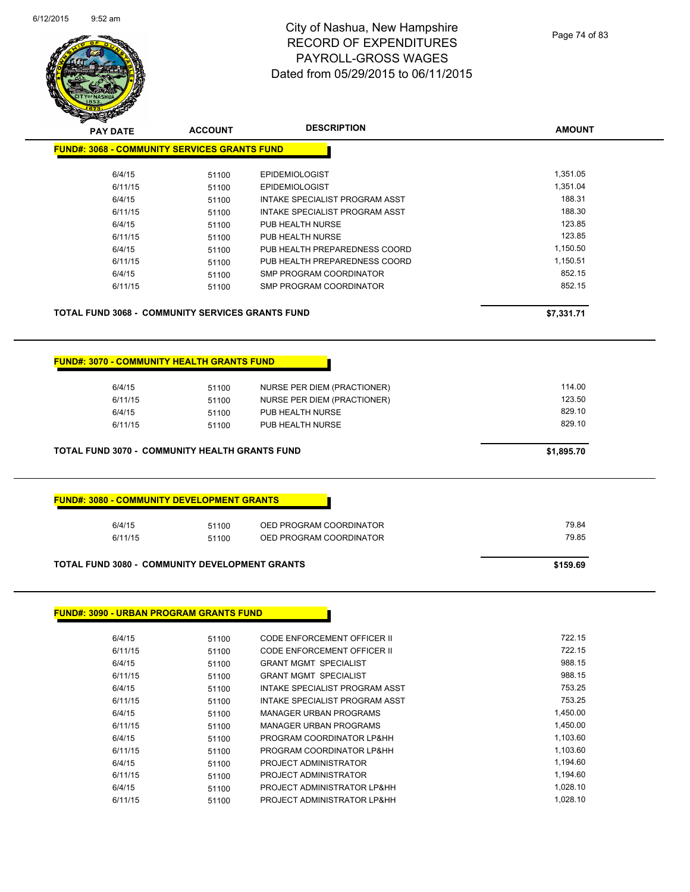

| <b>PAY DATE</b>                                         | <b>ACCOUNT</b>          | <b>DESCRIPTION</b>                                                             | <b>AMOUNT</b>              |
|---------------------------------------------------------|-------------------------|--------------------------------------------------------------------------------|----------------------------|
| <b>FUND#: 3068 - COMMUNITY SERVICES GRANTS FUND</b>     |                         |                                                                                |                            |
| 6/4/15                                                  | 51100                   | <b>EPIDEMIOLOGIST</b>                                                          | 1,351.05                   |
| 6/11/15                                                 | 51100                   | <b>EPIDEMIOLOGIST</b>                                                          | 1,351.04                   |
| 6/4/15                                                  | 51100                   | INTAKE SPECIALIST PROGRAM ASST                                                 | 188.31                     |
| 6/11/15                                                 | 51100                   | INTAKE SPECIALIST PROGRAM ASST                                                 | 188.30                     |
| 6/4/15                                                  | 51100                   | PUB HEALTH NURSE                                                               | 123.85                     |
| 6/11/15                                                 | 51100                   | PUB HEALTH NURSE                                                               | 123.85                     |
| 6/4/15                                                  | 51100                   | PUB HEALTH PREPAREDNESS COORD                                                  | 1,150.50                   |
| 6/11/15                                                 | 51100                   | PUB HEALTH PREPAREDNESS COORD                                                  | 1,150.51                   |
| 6/4/15                                                  | 51100                   | <b>SMP PROGRAM COORDINATOR</b>                                                 | 852.15                     |
| 6/11/15                                                 | 51100                   | SMP PROGRAM COORDINATOR                                                        | 852.15                     |
| <b>TOTAL FUND 3068 - COMMUNITY SERVICES GRANTS FUND</b> |                         |                                                                                | \$7,331.71                 |
| 6/4/15<br>6/11/15<br>6/4/15                             | 51100<br>51100<br>51100 | NURSE PER DIEM (PRACTIONER)<br>NURSE PER DIEM (PRACTIONER)<br>PUB HEALTH NURSE | 114.00<br>123.50<br>829.10 |
| 6/11/15                                                 | 51100                   | PUB HEALTH NURSE                                                               | 829.10                     |
| TOTAL FUND 3070 - COMMUNITY HEALTH GRANTS FUND          |                         |                                                                                | \$1,895.70                 |
| <b>FUND#: 3080 - COMMUNITY DEVELOPMENT GRANTS</b>       |                         |                                                                                |                            |
| 6/4/15                                                  | 51100                   | OED PROGRAM COORDINATOR                                                        | 79.84                      |
| 6/11/15                                                 | 51100                   | OED PROGRAM COORDINATOR                                                        | 79.85                      |
| <b>TOTAL FUND 3080 - COMMUNITY DEVELOPMENT GRANTS</b>   |                         |                                                                                | \$159.69                   |
| <b>FUND#: 3090 - URBAN PROGRAM GRANTS FUND</b>          |                         |                                                                                |                            |
| 6/4/15                                                  | 51100                   | CODE ENFORCEMENT OFFICER II                                                    | 722.15                     |
| 6/11/15                                                 | 51100                   | CODE ENFORCEMENT OFFICER II                                                    | 722.15                     |
| 6/4/15                                                  | 51100                   | <b>GRANT MGMT SPECIALIST</b>                                                   | 988.15                     |
| 6/11/15                                                 | 51100                   | <b>GRANT MGMT SPECIALIST</b>                                                   | 988.15                     |
| 6/4/15                                                  | 51100                   | INTAKE SPECIALIST PROGRAM ASST                                                 | 753.25                     |
| 6/11/15                                                 | 51100                   | INTAKE SPECIALIST PROGRAM ASST                                                 | 753.25                     |
| 6/4/15                                                  | 51100                   | <b>MANAGER URBAN PROGRAMS</b>                                                  | 1,450.00                   |
|                                                         |                         |                                                                                |                            |

| 6/4/15  | 51100 | <b>GRANT MGMT SPECIALIST</b>   | 988.15   |
|---------|-------|--------------------------------|----------|
| 6/11/15 | 51100 | <b>GRANT MGMT SPECIALIST</b>   | 988.15   |
| 6/4/15  | 51100 | INTAKE SPECIALIST PROGRAM ASST | 753.25   |
| 6/11/15 | 51100 | INTAKE SPECIALIST PROGRAM ASST | 753.25   |
| 6/4/15  | 51100 | <b>MANAGER URBAN PROGRAMS</b>  | 1.450.00 |
| 6/11/15 | 51100 | <b>MANAGER URBAN PROGRAMS</b>  | 1.450.00 |
| 6/4/15  | 51100 | PROGRAM COORDINATOR LP&HH      | 1.103.60 |
| 6/11/15 | 51100 | PROGRAM COORDINATOR LP&HH      | 1.103.60 |
| 6/4/15  | 51100 | PROJECT ADMINISTRATOR          | 1.194.60 |
| 6/11/15 | 51100 | PROJECT ADMINISTRATOR          | 1.194.60 |
| 6/4/15  | 51100 | PROJECT ADMINISTRATOR LP&HH    | 1.028.10 |
| 6/11/15 | 51100 | PROJECT ADMINISTRATOR LP&HH    | 1.028.10 |
|         |       |                                |          |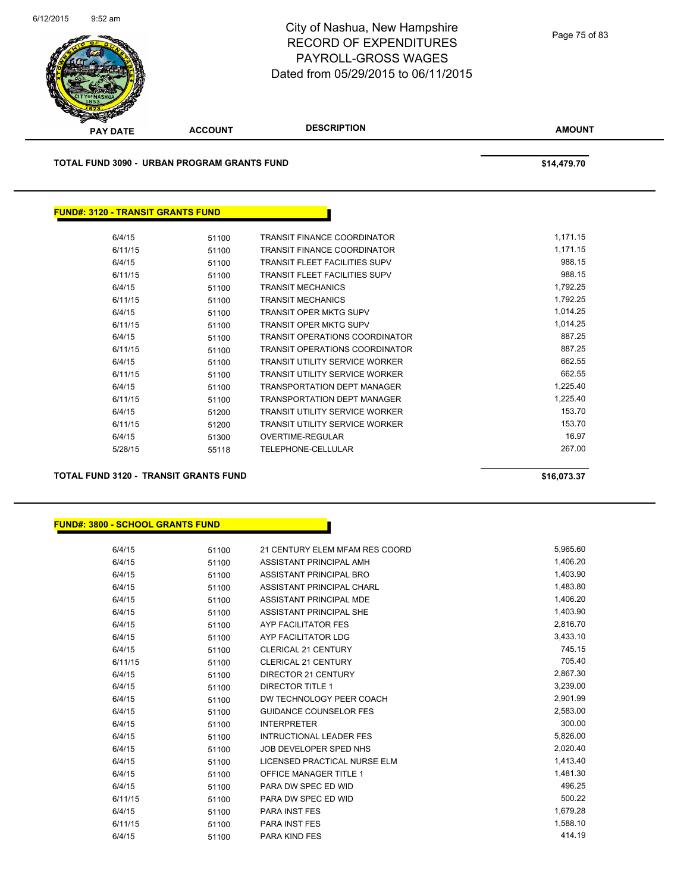

**TOTAL FUND 3090 - URBAN PROGRAM GRANTS FUND \$14,479.70** 

# **FUND#: 3120 - TRANSIT GRANTS FUND**

| 6/4/15  | 51100 | TRANSIT FINANCE COORDINATOR    | 1,171.15 |
|---------|-------|--------------------------------|----------|
| 6/11/15 | 51100 | TRANSIT FINANCE COORDINATOR    | 1,171.15 |
| 6/4/15  | 51100 | TRANSIT FLEET FACILITIES SUPV  | 988.15   |
| 6/11/15 | 51100 | TRANSIT FLEET FACILITIES SUPV  | 988.15   |
| 6/4/15  | 51100 | <b>TRANSIT MECHANICS</b>       | 1,792.25 |
| 6/11/15 | 51100 | <b>TRANSIT MECHANICS</b>       | 1,792.25 |
| 6/4/15  | 51100 | TRANSIT OPER MKTG SUPV         | 1,014.25 |
| 6/11/15 | 51100 | TRANSIT OPER MKTG SUPV         | 1,014.25 |
| 6/4/15  | 51100 | TRANSIT OPERATIONS COORDINATOR | 887.25   |
| 6/11/15 | 51100 | TRANSIT OPERATIONS COORDINATOR | 887.25   |
| 6/4/15  | 51100 | TRANSIT UTILITY SERVICE WORKER | 662.55   |
| 6/11/15 | 51100 | TRANSIT UTILITY SERVICE WORKER | 662.55   |
| 6/4/15  | 51100 | TRANSPORTATION DEPT MANAGER    | 1,225.40 |
| 6/11/15 | 51100 | TRANSPORTATION DEPT MANAGER    | 1,225.40 |
| 6/4/15  | 51200 | TRANSIT UTILITY SERVICE WORKER | 153.70   |
| 6/11/15 | 51200 | TRANSIT UTILITY SERVICE WORKER | 153.70   |
| 6/4/15  | 51300 | OVERTIME-REGULAR               | 16.97    |
| 5/28/15 | 55118 | <b>TELEPHONE-CELLULAR</b>      | 267.00   |
|         |       |                                |          |

**TOTAL FUND 3120 - TRANSIT GRANTS FUND \$16,073.37** 

#### **FUND#: 3800 - SCHOOL GRANTS FUND**

| 6/4/15  | 51100 | 21 CENTURY ELEM MFAM RES COORD | 5,965.60 |
|---------|-------|--------------------------------|----------|
| 6/4/15  | 51100 | ASSISTANT PRINCIPAL AMH        | 1.406.20 |
| 6/4/15  | 51100 | ASSISTANT PRINCIPAL BRO        | 1,403.90 |
| 6/4/15  | 51100 | ASSISTANT PRINCIPAL CHARL      | 1.483.80 |
| 6/4/15  | 51100 | ASSISTANT PRINCIPAL MDE        | 1,406.20 |
| 6/4/15  | 51100 | ASSISTANT PRINCIPAL SHE        | 1,403.90 |
| 6/4/15  | 51100 | AYP FACILITATOR FES            | 2,816.70 |
| 6/4/15  | 51100 | AYP FACILITATOR LDG            | 3,433.10 |
| 6/4/15  | 51100 | <b>CLERICAL 21 CENTURY</b>     | 745.15   |
| 6/11/15 | 51100 | <b>CLERICAL 21 CENTURY</b>     | 705.40   |
| 6/4/15  | 51100 | DIRECTOR 21 CENTURY            | 2,867.30 |
| 6/4/15  | 51100 | <b>DIRECTOR TITLE 1</b>        | 3,239.00 |
| 6/4/15  | 51100 | DW TECHNOLOGY PEER COACH       | 2,901.99 |
| 6/4/15  | 51100 | <b>GUIDANCE COUNSELOR FES</b>  | 2,583.00 |
| 6/4/15  | 51100 | <b>INTERPRETER</b>             | 300.00   |
| 6/4/15  | 51100 | <b>INTRUCTIONAL LEADER FES</b> | 5,826.00 |
| 6/4/15  | 51100 | JOB DEVELOPER SPED NHS         | 2,020.40 |
| 6/4/15  | 51100 | LICENSED PRACTICAL NURSE ELM   | 1,413.40 |
| 6/4/15  | 51100 | <b>OFFICE MANAGER TITLE 1</b>  | 1,481.30 |
| 6/4/15  | 51100 | PARA DW SPEC ED WID            | 496.25   |
| 6/11/15 | 51100 | PARA DW SPEC ED WID            | 500.22   |
| 6/4/15  | 51100 | <b>PARA INST FES</b>           | 1,679.28 |
| 6/11/15 | 51100 | <b>PARA INST FES</b>           | 1,588.10 |
| 6/4/15  | 51100 | <b>PARA KIND FES</b>           | 414.19   |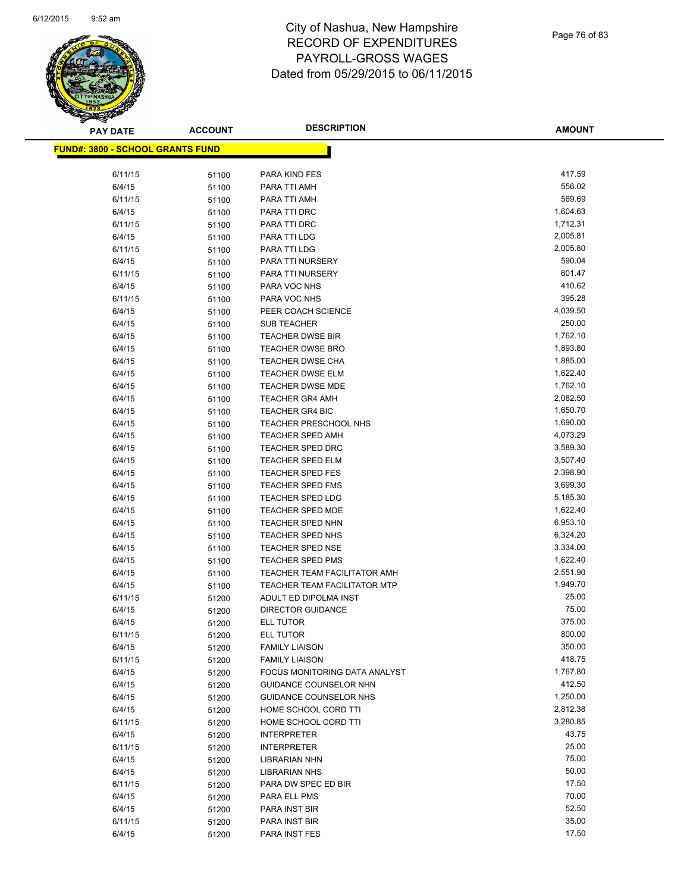

| <b>PAY DATE</b>                         | <b>ACCOUNT</b> | <b>DESCRIPTION</b>                                      | <b>AMOUNT</b>        |
|-----------------------------------------|----------------|---------------------------------------------------------|----------------------|
| <b>FUND#: 3800 - SCHOOL GRANTS FUND</b> |                |                                                         |                      |
|                                         |                |                                                         |                      |
| 6/11/15                                 | 51100          | PARA KIND FES                                           | 417.59               |
| 6/4/15                                  | 51100          | PARA TTI AMH                                            | 556.02               |
| 6/11/15                                 | 51100          | PARA TTI AMH                                            | 569.69               |
| 6/4/15                                  | 51100          | PARA TTI DRC                                            | 1,604.63             |
| 6/11/15                                 | 51100          | PARA TTI DRC                                            | 1,712.31             |
| 6/4/15                                  | 51100          | PARA TTI LDG                                            | 2,005.81             |
| 6/11/15                                 | 51100          | PARA TTI LDG                                            | 2,005.80             |
| 6/4/15                                  | 51100          | PARA TTI NURSERY                                        | 590.04               |
| 6/11/15                                 | 51100          | PARA TTI NURSERY                                        | 601.47               |
| 6/4/15                                  | 51100          | PARA VOC NHS                                            | 410.62               |
| 6/11/15                                 | 51100          | PARA VOC NHS                                            | 395.28               |
| 6/4/15                                  | 51100          | PEER COACH SCIENCE                                      | 4,039.50             |
| 6/4/15                                  | 51100          | <b>SUB TEACHER</b>                                      | 250.00               |
| 6/4/15                                  | 51100          | <b>TEACHER DWSE BIR</b>                                 | 1,762.10             |
| 6/4/15                                  | 51100          | <b>TEACHER DWSE BRO</b>                                 | 1,893.80             |
| 6/4/15                                  | 51100          | <b>TEACHER DWSE CHA</b>                                 | 1,885.00             |
| 6/4/15                                  | 51100          | <b>TEACHER DWSE ELM</b>                                 | 1,622.40             |
| 6/4/15                                  | 51100          | <b>TEACHER DWSE MDE</b>                                 | 1,762.10             |
| 6/4/15                                  | 51100          | <b>TEACHER GR4 AMH</b>                                  | 2,082.50             |
| 6/4/15                                  | 51100          | <b>TEACHER GR4 BIC</b>                                  | 1,650.70             |
| 6/4/15                                  | 51100          | TEACHER PRESCHOOL NHS                                   | 1,690.00             |
| 6/4/15                                  | 51100          | TEACHER SPED AMH                                        | 4,073.29             |
| 6/4/15                                  | 51100          | <b>TEACHER SPED DRC</b>                                 | 3,589.30             |
| 6/4/15                                  | 51100          | <b>TEACHER SPED ELM</b>                                 | 3,507.40             |
| 6/4/15                                  | 51100          | <b>TEACHER SPED FES</b>                                 | 2,398.90             |
| 6/4/15                                  | 51100          | <b>TEACHER SPED FMS</b>                                 | 3,699.30             |
| 6/4/15                                  | 51100          | <b>TEACHER SPED LDG</b>                                 | 5,185.30             |
| 6/4/15                                  | 51100          | <b>TEACHER SPED MDE</b>                                 | 1,622.40             |
| 6/4/15                                  | 51100          | TEACHER SPED NHN                                        | 6,953.10             |
| 6/4/15                                  | 51100          | TEACHER SPED NHS                                        | 6,324.20             |
| 6/4/15                                  | 51100          | TEACHER SPED NSE                                        | 3,334.00<br>1,622.40 |
| 6/4/15<br>6/4/15                        | 51100          | <b>TEACHER SPED PMS</b><br>TEACHER TEAM FACILITATOR AMH | 2,551.90             |
| 6/4/15                                  | 51100          | TEACHER TEAM FACILITATOR MTP                            | 1,949.70             |
| 6/11/15                                 | 51100          | ADULT ED DIPOLMA INST                                   | 25.00                |
| 6/4/15                                  | 51200<br>51200 | <b>DIRECTOR GUIDANCE</b>                                | 75.00                |
| 6/4/15                                  | 51200          | <b>ELL TUTOR</b>                                        | 375.00               |
| 6/11/15                                 | 51200          | <b>ELL TUTOR</b>                                        | 800.00               |
| 6/4/15                                  | 51200          | <b>FAMILY LIAISON</b>                                   | 350.00               |
| 6/11/15                                 | 51200          | <b>FAMILY LIAISON</b>                                   | 418.75               |
| 6/4/15                                  | 51200          | FOCUS MONITORING DATA ANALYST                           | 1,767.80             |
| 6/4/15                                  | 51200          | GUIDANCE COUNSELOR NHN                                  | 412.50               |
| 6/4/15                                  | 51200          | GUIDANCE COUNSELOR NHS                                  | 1,250.00             |
| 6/4/15                                  | 51200          | HOME SCHOOL CORD TTI                                    | 2,812.38             |
| 6/11/15                                 | 51200          | HOME SCHOOL CORD TTI                                    | 3,280.85             |
| 6/4/15                                  | 51200          | <b>INTERPRETER</b>                                      | 43.75                |
| 6/11/15                                 | 51200          | <b>INTERPRETER</b>                                      | 25.00                |
| 6/4/15                                  | 51200          | <b>LIBRARIAN NHN</b>                                    | 75.00                |
| 6/4/15                                  | 51200          | <b>LIBRARIAN NHS</b>                                    | 50.00                |
| 6/11/15                                 | 51200          | PARA DW SPEC ED BIR                                     | 17.50                |
| 6/4/15                                  | 51200          | PARA ELL PMS                                            | 70.00                |
| 6/4/15                                  | 51200          | PARA INST BIR                                           | 52.50                |
| 6/11/15                                 | 51200          | PARA INST BIR                                           | 35.00                |
| 6/4/15                                  | 51200          | PARA INST FES                                           | 17.50                |
|                                         |                |                                                         |                      |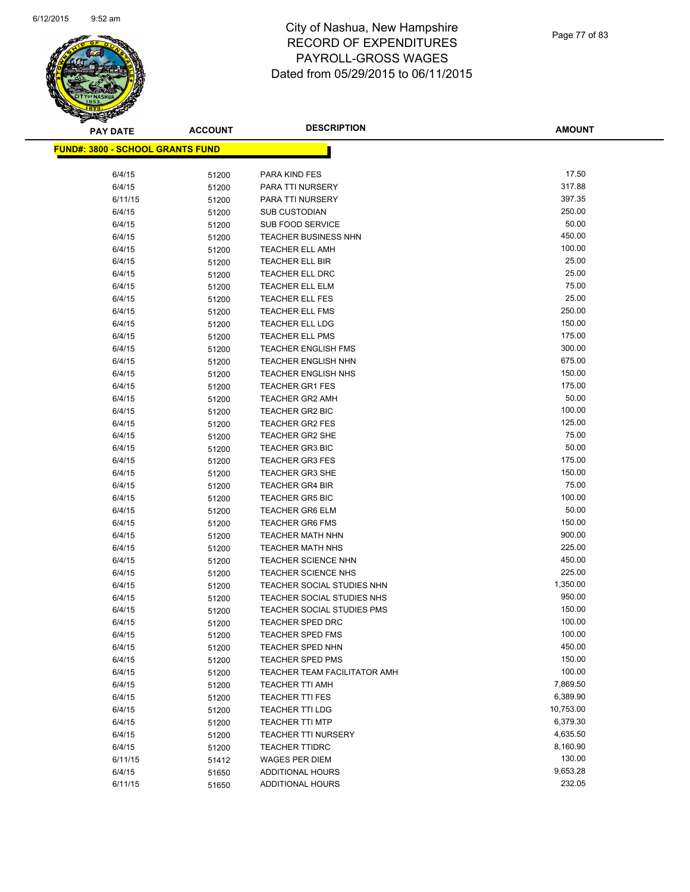

Page 77 of 83

| <b>PAY DATE</b>                          | <b>ACCOUNT</b> | <b>DESCRIPTION</b>           | <b>AMOUNT</b> |
|------------------------------------------|----------------|------------------------------|---------------|
| <u> FUND#: 3800 - SCHOOL GRANTS FUND</u> |                |                              |               |
|                                          |                |                              |               |
| 6/4/15                                   | 51200          | PARA KIND FES                | 17.50         |
| 6/4/15                                   | 51200          | PARA TTI NURSERY             | 317.88        |
| 6/11/15                                  | 51200          | PARA TTI NURSERY             | 397.35        |
| 6/4/15                                   | 51200          | <b>SUB CUSTODIAN</b>         | 250.00        |
| 6/4/15                                   | 51200          | SUB FOOD SERVICE             | 50.00         |
| 6/4/15                                   | 51200          | <b>TEACHER BUSINESS NHN</b>  | 450.00        |
| 6/4/15                                   | 51200          | <b>TEACHER ELL AMH</b>       | 100.00        |
| 6/4/15                                   | 51200          | TEACHER ELL BIR              | 25.00         |
| 6/4/15                                   | 51200          | TEACHER ELL DRC              | 25.00         |
| 6/4/15                                   | 51200          | <b>TEACHER ELL ELM</b>       | 75.00         |
| 6/4/15                                   | 51200          | <b>TEACHER ELL FES</b>       | 25.00         |
| 6/4/15                                   | 51200          | <b>TEACHER ELL FMS</b>       | 250.00        |
| 6/4/15                                   | 51200          | TEACHER ELL LDG              | 150.00        |
| 6/4/15                                   | 51200          | <b>TEACHER ELL PMS</b>       | 175.00        |
| 6/4/15                                   | 51200          | <b>TEACHER ENGLISH FMS</b>   | 300.00        |
| 6/4/15                                   | 51200          | <b>TEACHER ENGLISH NHN</b>   | 675.00        |
| 6/4/15                                   | 51200          | <b>TEACHER ENGLISH NHS</b>   | 150.00        |
| 6/4/15                                   | 51200          | <b>TEACHER GR1 FES</b>       | 175.00        |
| 6/4/15                                   | 51200          | <b>TEACHER GR2 AMH</b>       | 50.00         |
| 6/4/15                                   | 51200          | <b>TEACHER GR2 BIC</b>       | 100.00        |
| 6/4/15                                   | 51200          | <b>TEACHER GR2 FES</b>       | 125.00        |
| 6/4/15                                   | 51200          | <b>TEACHER GR2 SHE</b>       | 75.00         |
| 6/4/15                                   | 51200          | <b>TEACHER GR3 BIC</b>       | 50.00         |
| 6/4/15                                   | 51200          | <b>TEACHER GR3 FES</b>       | 175.00        |
| 6/4/15                                   | 51200          | <b>TEACHER GR3 SHE</b>       | 150.00        |
| 6/4/15                                   | 51200          | <b>TEACHER GR4 BIR</b>       | 75.00         |
| 6/4/15                                   | 51200          | <b>TEACHER GR5 BIC</b>       | 100.00        |
| 6/4/15                                   | 51200          | <b>TEACHER GR6 ELM</b>       | 50.00         |
| 6/4/15                                   | 51200          | <b>TEACHER GR6 FMS</b>       | 150.00        |
| 6/4/15                                   | 51200          | <b>TEACHER MATH NHN</b>      | 900.00        |
| 6/4/15                                   | 51200          | <b>TEACHER MATH NHS</b>      | 225.00        |
| 6/4/15                                   | 51200          | <b>TEACHER SCIENCE NHN</b>   | 450.00        |
| 6/4/15                                   | 51200          | <b>TEACHER SCIENCE NHS</b>   | 225.00        |
| 6/4/15                                   | 51200          | TEACHER SOCIAL STUDIES NHN   | 1,350.00      |
| 6/4/15                                   | 51200          | TEACHER SOCIAL STUDIES NHS   | 950.00        |
| 6/4/15                                   | 51200          | TEACHER SOCIAL STUDIES PMS   | 150.00        |
| 6/4/15                                   | 51200          | <b>TEACHER SPED DRC</b>      | 100.00        |
| 6/4/15                                   | 51200          | <b>TEACHER SPED FMS</b>      | 100.00        |
| 6/4/15                                   | 51200          | <b>TEACHER SPED NHN</b>      | 450.00        |
| 6/4/15                                   | 51200          | <b>TEACHER SPED PMS</b>      | 150.00        |
| 6/4/15                                   | 51200          | TEACHER TEAM FACILITATOR AMH | 100.00        |
| 6/4/15                                   | 51200          | <b>TEACHER TTI AMH</b>       | 7,869.50      |
| 6/4/15                                   | 51200          | <b>TEACHER TTI FES</b>       | 6,389.90      |
| 6/4/15                                   | 51200          | <b>TEACHER TTI LDG</b>       | 10,753.00     |
| 6/4/15                                   | 51200          | <b>TEACHER TTI MTP</b>       | 6,379.30      |
| 6/4/15                                   |                | <b>TEACHER TTI NURSERY</b>   | 4,635.50      |
| 6/4/15                                   | 51200<br>51200 | <b>TEACHER TTIDRC</b>        | 8,160.90      |
| 6/11/15                                  |                | <b>WAGES PER DIEM</b>        | 130.00        |
|                                          | 51412          | ADDITIONAL HOURS             | 9,653.28      |
| 6/4/15                                   | 51650          | ADDITIONAL HOURS             | 232.05        |
| 6/11/15                                  | 51650          |                              |               |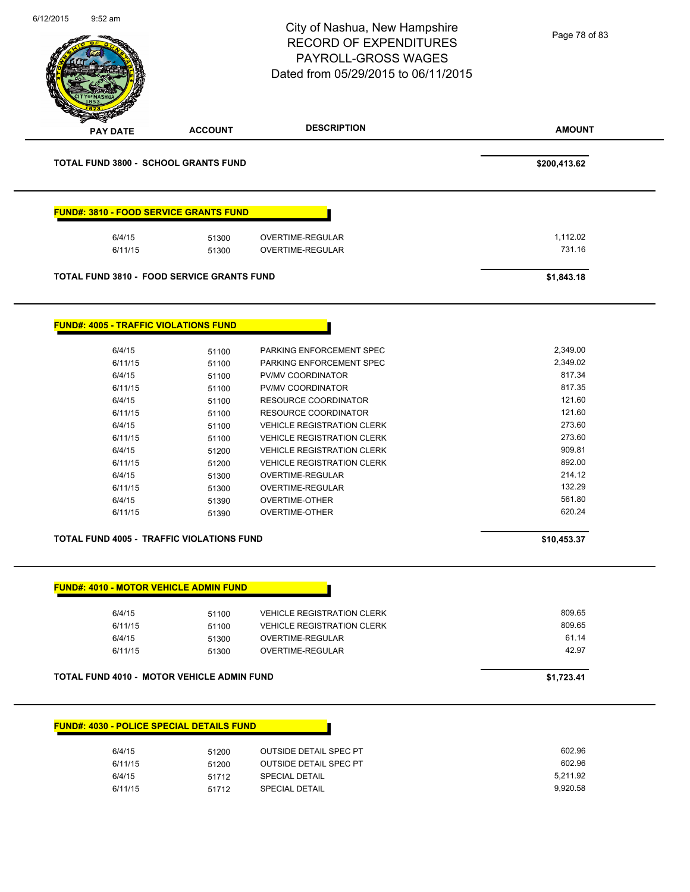| <b>ACCOUNT</b><br><b>TOTAL FUND 3800 - SCHOOL GRANTS FUND</b><br><b>FUND#: 3810 - FOOD SERVICE GRANTS FUND</b><br>51300<br>51300<br><b>TOTAL FUND 3810 - FOOD SERVICE GRANTS FUND</b><br><b>FUND#: 4005 - TRAFFIC VIOLATIONS FUND</b><br>51100<br>51100<br>51100<br>51100<br>51100<br>51100<br>51100 | <b>DESCRIPTION</b><br><b>OVERTIME-REGULAR</b><br>OVERTIME-REGULAR<br>PARKING ENFORCEMENT SPEC<br>PARKING ENFORCEMENT SPEC<br>PV/MV COORDINATOR<br>PV/MV COORDINATOR<br>RESOURCE COORDINATOR<br><b>RESOURCE COORDINATOR</b><br><b>VEHICLE REGISTRATION CLERK</b><br><b>VEHICLE REGISTRATION CLERK</b> | <b>AMOUNT</b><br>\$200,413.62<br>1,112.02<br>731.16<br>\$1,843.18<br>2,349.00<br>2,349.02<br>817.34<br>817.35<br>121.60<br>121.60<br>273.60<br>273.60 |
|------------------------------------------------------------------------------------------------------------------------------------------------------------------------------------------------------------------------------------------------------------------------------------------------------|------------------------------------------------------------------------------------------------------------------------------------------------------------------------------------------------------------------------------------------------------------------------------------------------------|-------------------------------------------------------------------------------------------------------------------------------------------------------|
|                                                                                                                                                                                                                                                                                                      |                                                                                                                                                                                                                                                                                                      |                                                                                                                                                       |
|                                                                                                                                                                                                                                                                                                      |                                                                                                                                                                                                                                                                                                      |                                                                                                                                                       |
|                                                                                                                                                                                                                                                                                                      |                                                                                                                                                                                                                                                                                                      |                                                                                                                                                       |
|                                                                                                                                                                                                                                                                                                      |                                                                                                                                                                                                                                                                                                      |                                                                                                                                                       |
|                                                                                                                                                                                                                                                                                                      |                                                                                                                                                                                                                                                                                                      |                                                                                                                                                       |
|                                                                                                                                                                                                                                                                                                      |                                                                                                                                                                                                                                                                                                      |                                                                                                                                                       |
|                                                                                                                                                                                                                                                                                                      |                                                                                                                                                                                                                                                                                                      |                                                                                                                                                       |
|                                                                                                                                                                                                                                                                                                      |                                                                                                                                                                                                                                                                                                      |                                                                                                                                                       |
|                                                                                                                                                                                                                                                                                                      |                                                                                                                                                                                                                                                                                                      |                                                                                                                                                       |
|                                                                                                                                                                                                                                                                                                      |                                                                                                                                                                                                                                                                                                      |                                                                                                                                                       |
|                                                                                                                                                                                                                                                                                                      |                                                                                                                                                                                                                                                                                                      |                                                                                                                                                       |
|                                                                                                                                                                                                                                                                                                      |                                                                                                                                                                                                                                                                                                      |                                                                                                                                                       |
|                                                                                                                                                                                                                                                                                                      |                                                                                                                                                                                                                                                                                                      |                                                                                                                                                       |
| 51100                                                                                                                                                                                                                                                                                                |                                                                                                                                                                                                                                                                                                      |                                                                                                                                                       |
| 51200                                                                                                                                                                                                                                                                                                | <b>VEHICLE REGISTRATION CLERK</b>                                                                                                                                                                                                                                                                    | 909.81                                                                                                                                                |
| 51200                                                                                                                                                                                                                                                                                                | <b>VEHICLE REGISTRATION CLERK</b>                                                                                                                                                                                                                                                                    | 892.00                                                                                                                                                |
| 51300                                                                                                                                                                                                                                                                                                | OVERTIME-REGULAR                                                                                                                                                                                                                                                                                     | 214.12                                                                                                                                                |
| 51300                                                                                                                                                                                                                                                                                                | OVERTIME-REGULAR                                                                                                                                                                                                                                                                                     | 132.29                                                                                                                                                |
| 51390                                                                                                                                                                                                                                                                                                | <b>OVERTIME-OTHER</b>                                                                                                                                                                                                                                                                                | 561.80                                                                                                                                                |
| 51390                                                                                                                                                                                                                                                                                                | <b>OVERTIME-OTHER</b>                                                                                                                                                                                                                                                                                | 620.24                                                                                                                                                |
| TOTAL FUND 4005 - TRAFFIC VIOLATIONS FUND                                                                                                                                                                                                                                                            |                                                                                                                                                                                                                                                                                                      | \$10,453.37                                                                                                                                           |
| <b>FUND#: 4010 - MOTOR VEHICLE ADMIN FUND</b>                                                                                                                                                                                                                                                        |                                                                                                                                                                                                                                                                                                      |                                                                                                                                                       |
| 51100                                                                                                                                                                                                                                                                                                | <b>VEHICLE REGISTRATION CLERK</b>                                                                                                                                                                                                                                                                    | 809.65                                                                                                                                                |
| 51100                                                                                                                                                                                                                                                                                                | <b>VEHICLE REGISTRATION CLERK</b>                                                                                                                                                                                                                                                                    | 809.65                                                                                                                                                |
| 51300                                                                                                                                                                                                                                                                                                | <b>OVERTIME-REGULAR</b>                                                                                                                                                                                                                                                                              | 61.14                                                                                                                                                 |
| 51300                                                                                                                                                                                                                                                                                                | OVERTIME-REGULAR                                                                                                                                                                                                                                                                                     | 42.97                                                                                                                                                 |
| <b>TOTAL FUND 4010 - MOTOR VEHICLE ADMIN FUND</b>                                                                                                                                                                                                                                                    |                                                                                                                                                                                                                                                                                                      | \$1,723.41                                                                                                                                            |
|                                                                                                                                                                                                                                                                                                      |                                                                                                                                                                                                                                                                                                      |                                                                                                                                                       |
| <b>FUND#: 4030 - POLICE SPECIAL DETAILS FUND</b>                                                                                                                                                                                                                                                     |                                                                                                                                                                                                                                                                                                      |                                                                                                                                                       |
|                                                                                                                                                                                                                                                                                                      |                                                                                                                                                                                                                                                                                                      |                                                                                                                                                       |
| 51200                                                                                                                                                                                                                                                                                                | <b>OUTSIDE DETAIL SPEC PT</b>                                                                                                                                                                                                                                                                        | 602.96                                                                                                                                                |
| 51200<br>51712                                                                                                                                                                                                                                                                                       | <b>OUTSIDE DETAIL SPEC PT</b><br><b>SPECIAL DETAIL</b>                                                                                                                                                                                                                                               | 602.96<br>5,211.92                                                                                                                                    |
|                                                                                                                                                                                                                                                                                                      |                                                                                                                                                                                                                                                                                                      |                                                                                                                                                       |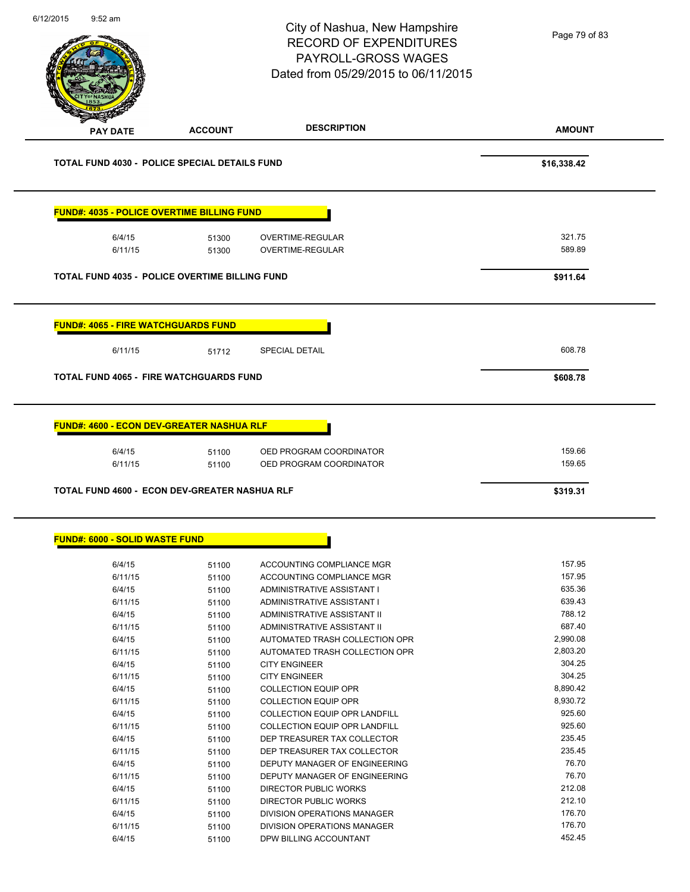| 6/12/2015<br>$9:52$ am |                                                                                                                                          | City of Nashua, New Hampshire<br><b>RECORD OF EXPENDITURES</b><br>PAYROLL-GROSS WAGES<br>Dated from 05/29/2015 to 06/11/2015 | Page 79 of 83                |
|------------------------|------------------------------------------------------------------------------------------------------------------------------------------|------------------------------------------------------------------------------------------------------------------------------|------------------------------|
| <b>PAY DATE</b>        | <b>ACCOUNT</b>                                                                                                                           | <b>DESCRIPTION</b>                                                                                                           | <b>AMOUNT</b>                |
|                        | <b>TOTAL FUND 4030 - POLICE SPECIAL DETAILS FUND</b>                                                                                     |                                                                                                                              | \$16,338.42                  |
|                        | <b>FUND#: 4035 - POLICE OVERTIME BILLING FUND</b>                                                                                        |                                                                                                                              |                              |
|                        | 6/4/15<br>51300<br>6/11/15<br>51300                                                                                                      | OVERTIME-REGULAR<br>OVERTIME-REGULAR                                                                                         | 321.75<br>589.89             |
|                        | <b>TOTAL FUND 4035 - POLICE OVERTIME BILLING FUND</b>                                                                                    |                                                                                                                              | \$911.64                     |
|                        | <u> FUND#: 4065 - FIRE WATCHGUARDS FUND</u>                                                                                              |                                                                                                                              |                              |
|                        | 6/11/15<br>51712                                                                                                                         | <b>SPECIAL DETAIL</b>                                                                                                        | 608.78                       |
|                        | <b>TOTAL FUND 4065 - FIRE WATCHGUARDS FUND</b>                                                                                           |                                                                                                                              | \$608.78                     |
|                        | <b>FUND#: 4600 - ECON DEV-GREATER NASHUA RLF</b><br>6/4/15<br>51100<br>6/11/15<br>51100<br>TOTAL FUND 4600 - ECON DEV-GREATER NASHUA RLF | OED PROGRAM COORDINATOR<br>OED PROGRAM COORDINATOR                                                                           | 159.66<br>159.65<br>\$319.31 |
|                        |                                                                                                                                          |                                                                                                                              |                              |
|                        | <b>FUND#: 6000 - SOLID WASTE FUND</b>                                                                                                    |                                                                                                                              |                              |
|                        | 6/4/15<br>51100                                                                                                                          | ACCOUNTING COMPLIANCE MGR                                                                                                    | 157.95<br>157.95             |
|                        | 6/11/15<br>51100<br>6/4/15<br>51100                                                                                                      | ACCOUNTING COMPLIANCE MGR<br>ADMINISTRATIVE ASSISTANT I                                                                      | 635.36                       |
|                        | 6/11/15<br>51100                                                                                                                         | ADMINISTRATIVE ASSISTANT I                                                                                                   | 639.43                       |
|                        | 6/4/15<br>51100                                                                                                                          | ADMINISTRATIVE ASSISTANT II                                                                                                  | 788.12                       |
|                        | 6/11/15<br>51100                                                                                                                         | ADMINISTRATIVE ASSISTANT II                                                                                                  | 687.40                       |
|                        | 6/4/15<br>51100                                                                                                                          | AUTOMATED TRASH COLLECTION OPR                                                                                               | 2,990.08                     |
|                        | 6/11/15<br>51100                                                                                                                         | AUTOMATED TRASH COLLECTION OPR                                                                                               | 2.803.20                     |
|                        | 6/4/15<br>51100<br>6/11/15<br>51100                                                                                                      | <b>CITY ENGINEER</b><br><b>CITY ENGINEER</b>                                                                                 | 304.25<br>304.25             |
|                        | 6/4/15<br>51100                                                                                                                          | <b>COLLECTION EQUIP OPR</b>                                                                                                  | 8,890.42                     |
|                        | 6/11/15<br>51100                                                                                                                         | <b>COLLECTION EQUIP OPR</b>                                                                                                  | 8,930.72                     |
|                        | 6/4/15<br>51100                                                                                                                          | COLLECTION EQUIP OPR LANDFILL                                                                                                | 925.60                       |
|                        | 6/11/15<br>51100                                                                                                                         | COLLECTION EQUIP OPR LANDFILL                                                                                                | 925.60                       |
|                        | 6/4/15<br>51100                                                                                                                          | DEP TREASURER TAX COLLECTOR                                                                                                  | 235.45                       |
|                        | 6/11/15<br>51100                                                                                                                         | DEP TREASURER TAX COLLECTOR                                                                                                  | 235.45                       |
|                        | 6/4/15<br>51100                                                                                                                          | DEPUTY MANAGER OF ENGINEERING                                                                                                | 76.70                        |
|                        | 6/11/15<br>51100                                                                                                                         | DEPUTY MANAGER OF ENGINEERING                                                                                                | 76.70                        |
|                        | 6/4/15<br>51100                                                                                                                          | DIRECTOR PUBLIC WORKS                                                                                                        | 212.08<br>212.10             |
|                        | 6/11/15<br>51100<br>6/4/15                                                                                                               | <b>DIRECTOR PUBLIC WORKS</b><br>DIVISION OPERATIONS MANAGER                                                                  | 176.70                       |
|                        | 51100<br>6/11/15                                                                                                                         | DIVISION OPERATIONS MANAGER                                                                                                  | 176.70                       |
|                        | 51100<br>6/4/15<br>51100                                                                                                                 | DPW BILLING ACCOUNTANT                                                                                                       | 452.45                       |
|                        |                                                                                                                                          |                                                                                                                              |                              |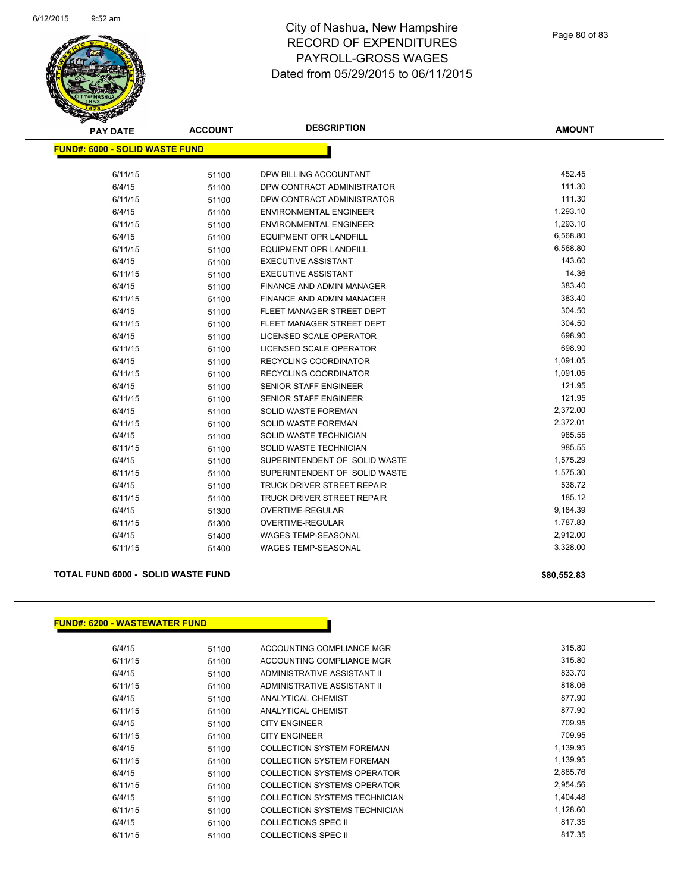

| <b>PAY DATE</b>                       | <b>ACCOUNT</b> | <b>DESCRIPTION</b>            | <b>AMOUNT</b> |
|---------------------------------------|----------------|-------------------------------|---------------|
| <b>FUND#: 6000 - SOLID WASTE FUND</b> |                |                               |               |
| 6/11/15                               | 51100          | DPW BILLING ACCOUNTANT        | 452.45        |
| 6/4/15                                | 51100          | DPW CONTRACT ADMINISTRATOR    | 111.30        |
| 6/11/15                               | 51100          | DPW CONTRACT ADMINISTRATOR    | 111.30        |
| 6/4/15                                | 51100          | <b>ENVIRONMENTAL ENGINEER</b> | 1,293.10      |
| 6/11/15                               | 51100          | <b>ENVIRONMENTAL ENGINEER</b> | 1,293.10      |
| 6/4/15                                | 51100          | <b>EQUIPMENT OPR LANDFILL</b> | 6,568.80      |
| 6/11/15                               | 51100          | <b>EQUIPMENT OPR LANDFILL</b> | 6,568.80      |
| 6/4/15                                | 51100          | <b>EXECUTIVE ASSISTANT</b>    | 143.60        |
| 6/11/15                               | 51100          | <b>EXECUTIVE ASSISTANT</b>    | 14.36         |
| 6/4/15                                | 51100          | FINANCE AND ADMIN MANAGER     | 383.40        |
| 6/11/15                               | 51100          | FINANCE AND ADMIN MANAGER     | 383.40        |
| 6/4/15                                | 51100          | FLEET MANAGER STREET DEPT     | 304.50        |
| 6/11/15                               | 51100          | FLEET MANAGER STREET DEPT     | 304.50        |
| 6/4/15                                | 51100          | LICENSED SCALE OPERATOR       | 698.90        |
| 6/11/15                               | 51100          | LICENSED SCALE OPERATOR       | 698.90        |
| 6/4/15                                | 51100          | RECYCLING COORDINATOR         | 1,091.05      |
| 6/11/15                               | 51100          | <b>RECYCLING COORDINATOR</b>  | 1,091.05      |
| 6/4/15                                | 51100          | SENIOR STAFF ENGINEER         | 121.95        |
| 6/11/15                               | 51100          | <b>SENIOR STAFF ENGINEER</b>  | 121.95        |
| 6/4/15                                | 51100          | SOLID WASTE FOREMAN           | 2,372.00      |
| 6/11/15                               | 51100          | SOLID WASTE FOREMAN           | 2,372.01      |
| 6/4/15                                | 51100          | SOLID WASTE TECHNICIAN        | 985.55        |
| 6/11/15                               | 51100          | SOLID WASTE TECHNICIAN        | 985.55        |
| 6/4/15                                | 51100          | SUPERINTENDENT OF SOLID WASTE | 1,575.29      |
| 6/11/15                               | 51100          | SUPERINTENDENT OF SOLID WASTE | 1,575.30      |
| 6/4/15                                | 51100          | TRUCK DRIVER STREET REPAIR    | 538.72        |
| 6/11/15                               | 51100          | TRUCK DRIVER STREET REPAIR    | 185.12        |
| 6/4/15                                | 51300          | OVERTIME-REGULAR              | 9,184.39      |
| 6/11/15                               | 51300          | OVERTIME-REGULAR              | 1,787.83      |
| 6/4/15                                | 51400          | <b>WAGES TEMP-SEASONAL</b>    | 2,912.00      |
| 6/11/15                               | 51400          | <b>WAGES TEMP-SEASONAL</b>    | 3,328.00      |

#### **TOTAL FUND 6000 - SOLID WASTE FUND \$80,552.83**

#### **FUND#: 6200 - WASTEWATER FUND**

| 6/4/15  | 51100 | ACCOUNTING COMPLIANCE MGR        | 315.80   |
|---------|-------|----------------------------------|----------|
| 6/11/15 | 51100 | ACCOUNTING COMPLIANCE MGR        | 315.80   |
| 6/4/15  | 51100 | ADMINISTRATIVE ASSISTANT II      | 833.70   |
| 6/11/15 | 51100 | ADMINISTRATIVE ASSISTANT II      | 818.06   |
| 6/4/15  | 51100 | ANALYTICAL CHEMIST               | 877.90   |
| 6/11/15 | 51100 | ANALYTICAL CHEMIST               | 877.90   |
| 6/4/15  | 51100 | <b>CITY ENGINEER</b>             | 709.95   |
| 6/11/15 | 51100 | <b>CITY ENGINEER</b>             | 709.95   |
| 6/4/15  | 51100 | <b>COLLECTION SYSTEM FOREMAN</b> | 1,139.95 |
| 6/11/15 | 51100 | <b>COLLECTION SYSTEM FOREMAN</b> | 1,139.95 |
| 6/4/15  | 51100 | COLLECTION SYSTEMS OPERATOR      | 2,885.76 |
| 6/11/15 | 51100 | COLLECTION SYSTEMS OPERATOR      | 2,954.56 |
| 6/4/15  | 51100 | COLLECTION SYSTEMS TECHNICIAN    | 1.404.48 |
| 6/11/15 | 51100 | COLLECTION SYSTEMS TECHNICIAN    | 1,128.60 |
| 6/4/15  | 51100 | <b>COLLECTIONS SPEC II</b>       | 817.35   |
| 6/11/15 | 51100 | <b>COLLECTIONS SPEC II</b>       | 817.35   |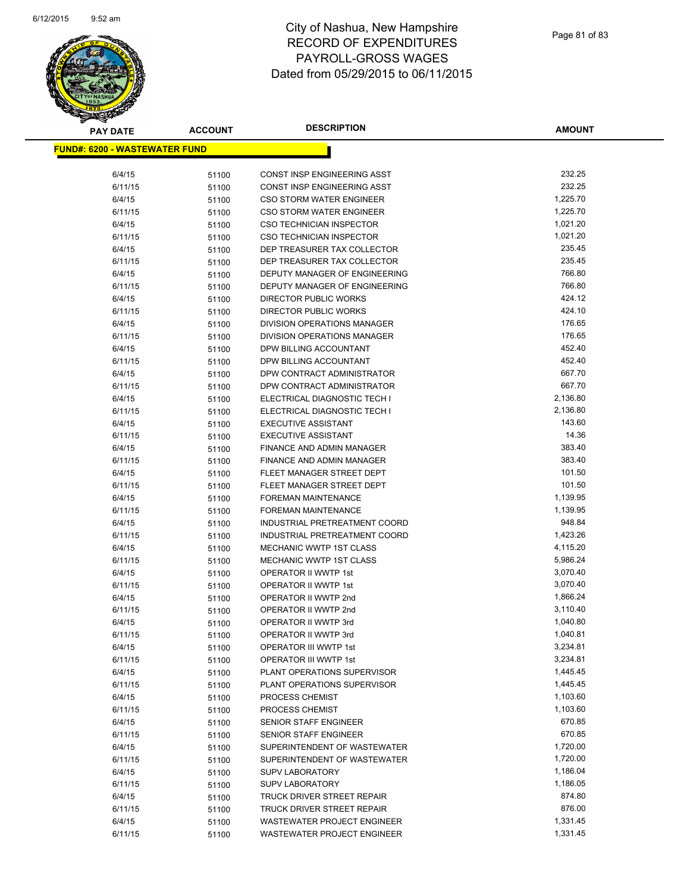

| <b>PAY DATE</b>                       | <b>ACCOUNT</b> | <b>DESCRIPTION</b>                 | <b>AMOUNT</b>    |
|---------------------------------------|----------------|------------------------------------|------------------|
| <u> FUND#: 6200 - WASTEWATER FUND</u> |                |                                    |                  |
|                                       |                |                                    |                  |
| 6/4/15                                | 51100          | CONST INSP ENGINEERING ASST        | 232.25           |
| 6/11/15                               | 51100          | <b>CONST INSP ENGINEERING ASST</b> | 232.25           |
| 6/4/15                                | 51100          | <b>CSO STORM WATER ENGINEER</b>    | 1,225.70         |
| 6/11/15                               | 51100          | <b>CSO STORM WATER ENGINEER</b>    | 1,225.70         |
| 6/4/15                                | 51100          | CSO TECHNICIAN INSPECTOR           | 1,021.20         |
| 6/11/15                               | 51100          | CSO TECHNICIAN INSPECTOR           | 1,021.20         |
| 6/4/15                                | 51100          | DEP TREASURER TAX COLLECTOR        | 235.45           |
| 6/11/15                               | 51100          | DEP TREASURER TAX COLLECTOR        | 235.45           |
| 6/4/15                                | 51100          | DEPUTY MANAGER OF ENGINEERING      | 766.80           |
| 6/11/15                               | 51100          | DEPUTY MANAGER OF ENGINEERING      | 766.80           |
| 6/4/15                                | 51100          | DIRECTOR PUBLIC WORKS              | 424.12           |
| 6/11/15                               | 51100          | DIRECTOR PUBLIC WORKS              | 424.10           |
| 6/4/15                                | 51100          | DIVISION OPERATIONS MANAGER        | 176.65           |
| 6/11/15                               | 51100          | DIVISION OPERATIONS MANAGER        | 176.65           |
| 6/4/15                                | 51100          | DPW BILLING ACCOUNTANT             | 452.40           |
| 6/11/15                               | 51100          | DPW BILLING ACCOUNTANT             | 452.40           |
| 6/4/15                                | 51100          | DPW CONTRACT ADMINISTRATOR         | 667.70           |
| 6/11/15                               | 51100          | DPW CONTRACT ADMINISTRATOR         | 667.70           |
| 6/4/15                                | 51100          | ELECTRICAL DIAGNOSTIC TECH I       | 2,136.80         |
| 6/11/15                               | 51100          | ELECTRICAL DIAGNOSTIC TECH I       | 2,136.80         |
| 6/4/15                                | 51100          | <b>EXECUTIVE ASSISTANT</b>         | 143.60           |
| 6/11/15                               | 51100          | <b>EXECUTIVE ASSISTANT</b>         | 14.36            |
| 6/4/15                                | 51100          | FINANCE AND ADMIN MANAGER          | 383.40           |
| 6/11/15                               | 51100          | FINANCE AND ADMIN MANAGER          | 383.40           |
| 6/4/15                                | 51100          | FLEET MANAGER STREET DEPT          | 101.50           |
| 6/11/15                               | 51100          | FLEET MANAGER STREET DEPT          | 101.50           |
| 6/4/15                                | 51100          | <b>FOREMAN MAINTENANCE</b>         | 1,139.95         |
| 6/11/15                               | 51100          | <b>FOREMAN MAINTENANCE</b>         | 1,139.95         |
| 6/4/15                                | 51100          | INDUSTRIAL PRETREATMENT COORD      | 948.84           |
| 6/11/15                               | 51100          | INDUSTRIAL PRETREATMENT COORD      | 1,423.26         |
| 6/4/15                                | 51100          | MECHANIC WWTP 1ST CLASS            | 4,115.20         |
| 6/11/15                               | 51100          | MECHANIC WWTP 1ST CLASS            | 5,986.24         |
| 6/4/15                                | 51100          | OPERATOR II WWTP 1st               | 3,070.40         |
| 6/11/15                               | 51100          | OPERATOR II WWTP 1st               | 3,070.40         |
| 6/4/15                                | 51100          | OPERATOR II WWTP 2nd               | 1,866.24         |
| 6/11/15                               | 51100          | OPERATOR II WWTP 2nd               | 3,110.40         |
| 6/4/15                                | 51100          | OPERATOR II WWTP 3rd               | 1,040.80         |
| 6/11/15                               | 51100          | OPERATOR II WWTP 3rd               | 1,040.81         |
| 6/4/15                                | 51100          | <b>OPERATOR III WWTP 1st</b>       | 3,234.81         |
| 6/11/15                               | 51100          | OPERATOR III WWTP 1st              | 3,234.81         |
| 6/4/15                                | 51100          | PLANT OPERATIONS SUPERVISOR        | 1,445.45         |
| 6/11/15                               | 51100          | PLANT OPERATIONS SUPERVISOR        | 1,445.45         |
| 6/4/15                                | 51100          | PROCESS CHEMIST                    | 1,103.60         |
| 6/11/15                               | 51100          | PROCESS CHEMIST                    | 1,103.60         |
| 6/4/15                                | 51100          | SENIOR STAFF ENGINEER              | 670.85           |
| 6/11/15                               | 51100          | SENIOR STAFF ENGINEER              | 670.85           |
| 6/4/15                                | 51100          | SUPERINTENDENT OF WASTEWATER       | 1,720.00         |
| 6/11/15                               | 51100          | SUPERINTENDENT OF WASTEWATER       | 1,720.00         |
| 6/4/15                                | 51100          | <b>SUPV LABORATORY</b>             | 1,186.04         |
| 6/11/15                               | 51100          | <b>SUPV LABORATORY</b>             | 1,186.05         |
| 6/4/15                                | 51100          | TRUCK DRIVER STREET REPAIR         | 874.80<br>876.00 |
| 6/11/15                               | 51100          | TRUCK DRIVER STREET REPAIR         |                  |
| 6/4/15                                | 51100          | <b>WASTEWATER PROJECT ENGINEER</b> | 1,331.45         |
| 6/11/15                               | 51100          | WASTEWATER PROJECT ENGINEER        | 1,331.45         |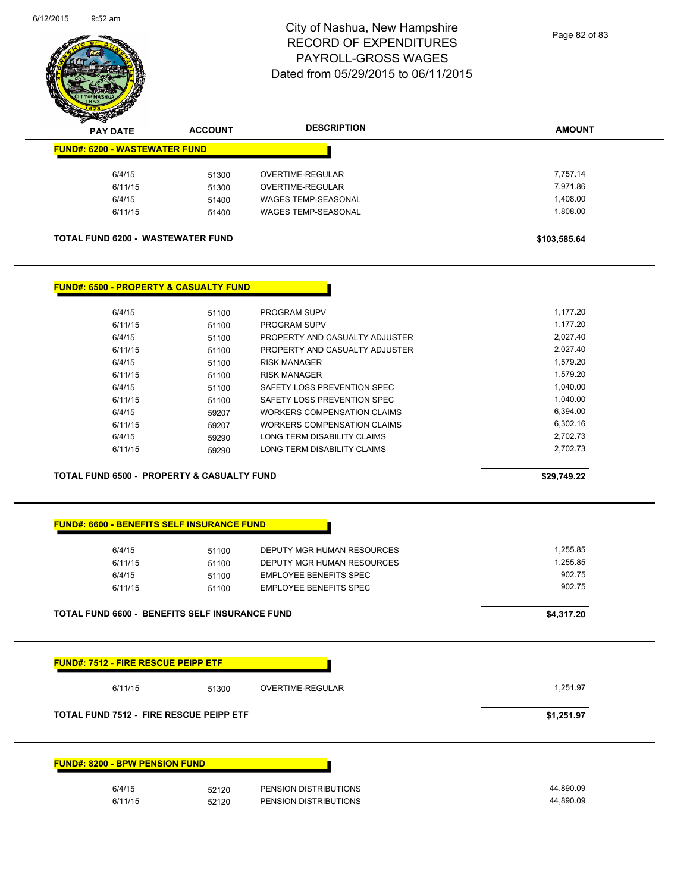

| <b>PAY DATE</b>                                   | <b>ACCOUNT</b> | <b>DESCRIPTION</b>                 | <b>AMOUNT</b> |
|---------------------------------------------------|----------------|------------------------------------|---------------|
| <b>FUND#: 6200 - WASTEWATER FUND</b>              |                |                                    |               |
| 6/4/15                                            | 51300          | <b>OVERTIME-REGULAR</b>            | 7,757.14      |
| 6/11/15                                           | 51300          | <b>OVERTIME-REGULAR</b>            | 7,971.86      |
| 6/4/15                                            | 51400          | <b>WAGES TEMP-SEASONAL</b>         | 1,408.00      |
| 6/11/15                                           | 51400          | <b>WAGES TEMP-SEASONAL</b>         | 1,808.00      |
| <b>TOTAL FUND 6200 - WASTEWATER FUND</b>          |                |                                    | \$103,585.64  |
|                                                   |                |                                    |               |
| <b>FUND#: 6500 - PROPERTY &amp; CASUALTY FUND</b> |                |                                    |               |
| 6/4/15                                            | 51100          | PROGRAM SUPV                       | 1,177.20      |
| 6/11/15                                           | 51100          | <b>PROGRAM SUPV</b>                | 1,177.20      |
| 6/4/15                                            | 51100          | PROPERTY AND CASUALTY ADJUSTER     | 2,027.40      |
| 6/11/15                                           | 51100          | PROPERTY AND CASUALTY ADJUSTER     | 2,027.40      |
| 6/4/15                                            | 51100          | <b>RISK MANAGER</b>                | 1,579.20      |
| 6/11/15                                           | 51100          | <b>RISK MANAGER</b>                | 1,579.20      |
| 6/4/15                                            | 51100          | SAFETY LOSS PREVENTION SPEC        | 1,040.00      |
| 6/11/15                                           | 51100          | SAFETY LOSS PREVENTION SPEC        | 1,040.00      |
| 6/4/15                                            | 59207          | <b>WORKERS COMPENSATION CLAIMS</b> | 6,394.00      |
| 6/11/15                                           | 59207          | <b>WORKERS COMPENSATION CLAIMS</b> | 6,302.16      |
| 6/4/15                                            | 59290          | LONG TERM DISABILITY CLAIMS        | 2,702.73      |

**TOTAL FUND 6500 - PROPERTY & CASUALTY FUND \$29,749.22** 

| 6/4/15                                                                                                                                | 51100          | DEPUTY MGR HUMAN RESOURCES                                     | 1,255.85         |
|---------------------------------------------------------------------------------------------------------------------------------------|----------------|----------------------------------------------------------------|------------------|
| 6/11/15                                                                                                                               | 51100          | DEPUTY MGR HUMAN RESOURCES                                     | 1,255.85         |
| 6/4/15<br>6/11/15                                                                                                                     | 51100<br>51100 | <b>EMPLOYEE BENEFITS SPEC</b><br><b>EMPLOYEE BENEFITS SPEC</b> | 902.75<br>902.75 |
| <b>TOTAL FUND 6600 - BENEFITS SELF INSURANCE FUND</b>                                                                                 | \$4,317.20     |                                                                |                  |
|                                                                                                                                       |                |                                                                |                  |
| 6/11/15                                                                                                                               | 51300          | <b>OVERTIME-REGULAR</b>                                        | 1,251.97         |
|                                                                                                                                       |                |                                                                | \$1,251.97       |
|                                                                                                                                       |                |                                                                |                  |
| <b>FUND#: 7512 - FIRE RESCUE PEIPP ETF</b><br><b>TOTAL FUND 7512 - FIRE RESCUE PEIPP ETF</b><br><b>FUND#: 8200 - BPW PENSION FUND</b> |                |                                                                |                  |
| 6/4/15                                                                                                                                | 52120          | PENSION DISTRIBUTIONS                                          | 44,890.09        |